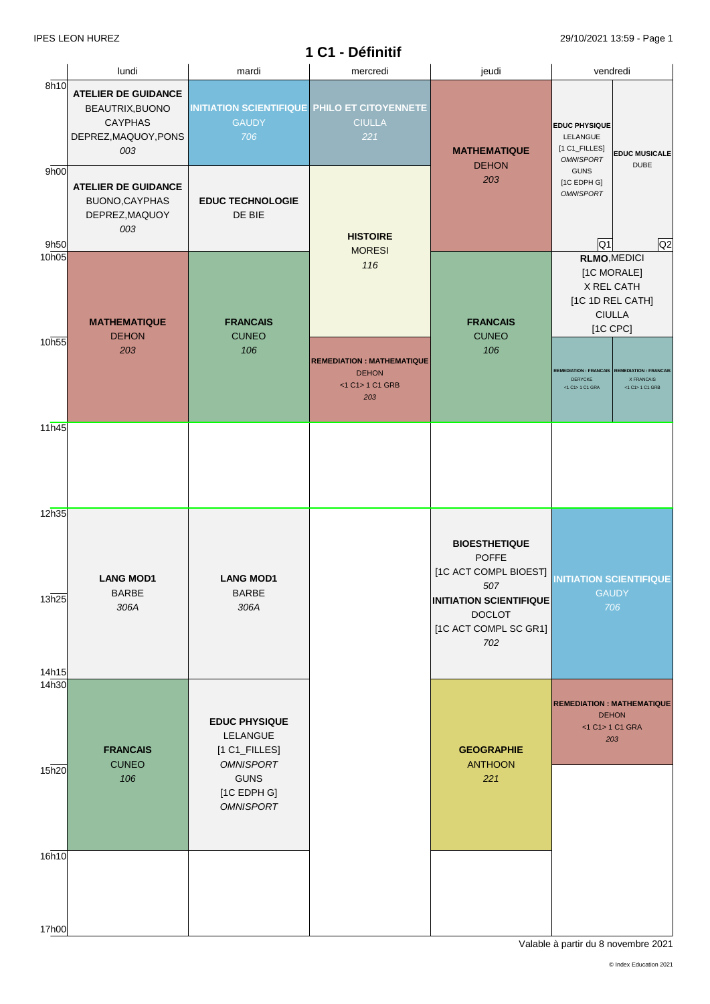|                         |                                                                                                |                                                                                                                              | 1 C1 - Définitif                                                            |                                                                                                                                                         |                                                                                                   |                                                               |
|-------------------------|------------------------------------------------------------------------------------------------|------------------------------------------------------------------------------------------------------------------------------|-----------------------------------------------------------------------------|---------------------------------------------------------------------------------------------------------------------------------------------------------|---------------------------------------------------------------------------------------------------|---------------------------------------------------------------|
|                         | lundi                                                                                          | mardi                                                                                                                        | mercredi                                                                    | jeudi                                                                                                                                                   | vendredi                                                                                          |                                                               |
| 8h10                    | <b>ATELIER DE GUIDANCE</b><br>BEAUTRIX, BUONO<br><b>CAYPHAS</b><br>DEPREZ, MAQUOY, PONS<br>003 | <b>GAUDY</b><br>706                                                                                                          | <b>INITIATION SCIENTIFIQUE PHILO ET CITOYENNETE</b><br><b>CIULLA</b><br>221 | <b>MATHEMATIQUE</b><br><b>DEHON</b>                                                                                                                     | <b>EDUC PHYSIQUE</b><br>LELANGUE<br>[1 C1_FILLES]<br><b>OMNISPORT</b>                             | <b>EDUC MUSICALE</b><br><b>DUBE</b>                           |
| 9h00<br>9h50            | <b>ATELIER DE GUIDANCE</b><br>BUONO, CAYPHAS<br>DEPREZ, MAQUOY<br>003                          | <b>EDUC TECHNOLOGIE</b><br>DE BIE                                                                                            | <b>HISTOIRE</b>                                                             | 203                                                                                                                                                     | <b>GUNS</b><br>[1C EDPH G]<br><b>OMNISPORT</b><br>$\overline{Q1}$                                 | Q2                                                            |
| 10 <sub>h05</sub>       | <b>MATHEMATIQUE</b><br><b>DEHON</b>                                                            | <b>FRANCAIS</b><br><b>CUNEO</b>                                                                                              | <b>MORESI</b><br>116                                                        | <b>FRANCAIS</b><br><b>CUNEO</b>                                                                                                                         | <b>RLMO, MEDICI</b><br>[1C MORALE]<br>X REL CATH<br>[1C 1D REL CATH]<br><b>CIULLA</b><br>[1C CPC] |                                                               |
| 10h55                   | 203                                                                                            | 106                                                                                                                          | <b>REMEDIATION: MATHEMATIQUE</b><br><b>DEHON</b><br><1 C1> 1 C1 GRB<br>203  | 106                                                                                                                                                     | <b>REMEDIATION: FRANCAIS</b><br>DERYCKE<br>$<1$ C1 $>$ 1 C1 GRA                                   | <b>REMEDIATION: FRANCAIS</b><br>X FRANCAIS<br><1 C1> 1 C1 GRB |
| 11h45                   |                                                                                                |                                                                                                                              |                                                                             |                                                                                                                                                         |                                                                                                   |                                                               |
| 12h35<br>13h25          | <b>LANG MOD1</b><br><b>BARBE</b><br>306A                                                       | <b>LANG MOD1</b><br><b>BARBE</b><br>306A                                                                                     |                                                                             | <b>BIOESTHETIQUE</b><br><b>POFFE</b><br>[1C ACT COMPL BIOEST]<br>507<br><b>INITIATION SCIENTIFIQUE</b><br><b>DOCLOT</b><br>[1C ACT COMPL SC GR1]<br>702 | <b>INITIATION SCIENTIFIQUE</b><br><b>GAUDY</b><br>706                                             |                                                               |
| 14h15<br>14h30<br>15h20 | <b>FRANCAIS</b><br><b>CUNEO</b><br>106                                                         | <b>EDUC PHYSIQUE</b><br>LELANGUE<br>$[1 C1$ _FILLES]<br><b>OMNISPORT</b><br><b>GUNS</b><br>$[1C$ EDPH G]<br><b>OMNISPORT</b> |                                                                             | <b>GEOGRAPHIE</b><br><b>ANTHOON</b><br>221                                                                                                              | <b>REMEDIATION: MATHEMATIQUE</b><br><b>DEHON</b><br><1 C1> 1 C1 GRA<br>203                        |                                                               |
| 16h10<br>17h00          |                                                                                                |                                                                                                                              |                                                                             |                                                                                                                                                         |                                                                                                   |                                                               |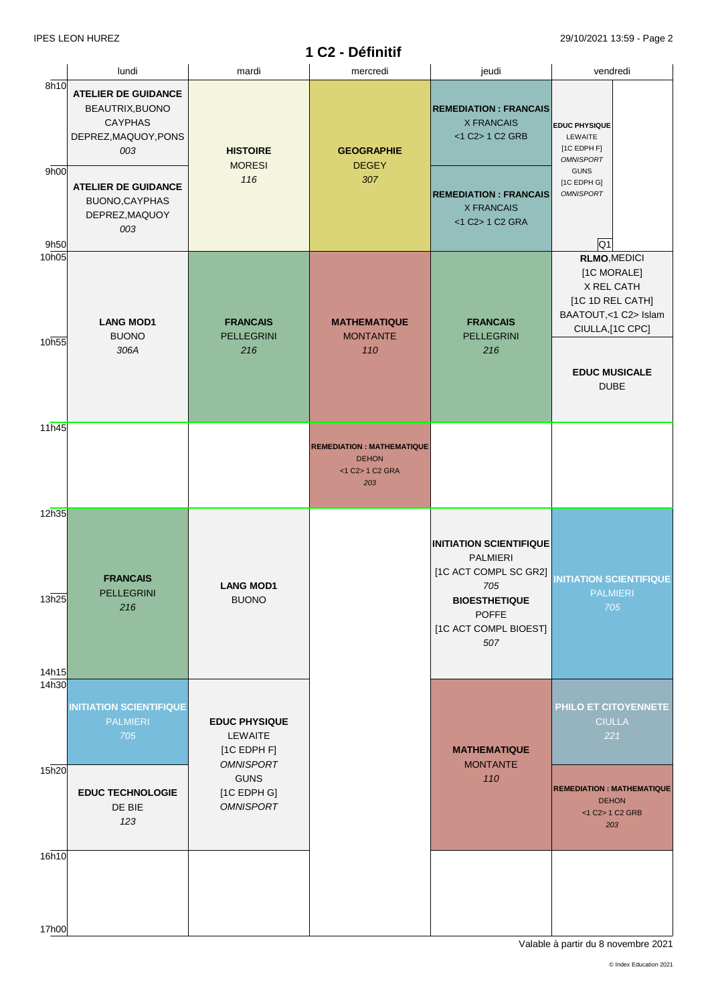# **1 C2 - Définitif**

|                            | lundi                                                                                          | mardi                                                              | mercredi                                                                   | jeudi                                                                                              | vendredi                                                                                                                                |
|----------------------------|------------------------------------------------------------------------------------------------|--------------------------------------------------------------------|----------------------------------------------------------------------------|----------------------------------------------------------------------------------------------------|-----------------------------------------------------------------------------------------------------------------------------------------|
| 8h10<br>9h00               | <b>ATELIER DE GUIDANCE</b><br>BEAUTRIX, BUONO<br><b>CAYPHAS</b><br>DEPREZ, MAQUOY, PONS<br>003 | <b>HISTOIRE</b><br><b>MORESI</b><br>116                            | <b>GEOGRAPHIE</b><br><b>DEGEY</b><br>307                                   | <b>REMEDIATION: FRANCAIS</b><br><b>X FRANCAIS</b><br><1 C2> 1 C2 GRB                               | <b>EDUC PHYSIQUE</b><br>LEWAITE<br>$[1C$ EDPH F]<br><b>OMNISPORT</b><br><b>GUNS</b>                                                     |
| 9h50                       | <b>ATELIER DE GUIDANCE</b><br>BUONO, CAYPHAS<br>DEPREZ, MAQUOY<br>003                          |                                                                    |                                                                            | <b>REMEDIATION: FRANCAIS</b><br><b>X FRANCAIS</b><br><1 C2> 1 C2 GRA                               | [1C EDPH G]<br><b>OMNISPORT</b><br>$\overline{Q1}$                                                                                      |
| 10 <sub>h05</sub><br>10h55 | <b>LANG MOD1</b><br><b>BUONO</b><br>306A                                                       | <b>FRANCAIS</b><br><b>PELLEGRINI</b><br>216                        | <b>MATHEMATIQUE</b><br><b>MONTANTE</b><br>110                              | <b>FRANCAIS</b><br><b>PELLEGRINI</b><br>216                                                        | <b>RLMO, MEDICI</b><br>[1C MORALE]<br>X REL CATH<br>[1C 1D REL CATH]<br>BAATOUT,<1 C2> Islam<br>CIULLA,[1C CPC]<br><b>EDUC MUSICALE</b> |
| 11h45                      |                                                                                                |                                                                    |                                                                            |                                                                                                    | <b>DUBE</b>                                                                                                                             |
|                            |                                                                                                |                                                                    | <b>REMEDIATION: MATHEMATIQUE</b><br><b>DEHON</b><br><1 C2> 1 C2 GRA<br>203 |                                                                                                    |                                                                                                                                         |
| 12h35<br>13h25             | <b>FRANCAIS</b><br>PELLEGRINI<br>216                                                           | <b>LANG MOD1</b><br><b>BUONO</b>                                   |                                                                            | <b>INITIATION SCIENTIFIQUE</b><br>PALMIERI<br>[1C ACT COMPL SC GR2]<br>705<br><b>BIOESTHETIQUE</b> | <b>INITIATION SCIENTIFIQUE</b><br><b>PALMIERI</b><br>705                                                                                |
| 14h15                      |                                                                                                |                                                                    |                                                                            | <b>POFFE</b><br>[1C ACT COMPL BIOEST]<br>507                                                       |                                                                                                                                         |
| 14h30                      | <b>INITIATION SCIENTIFIQUE</b><br><b>PALMIERI</b><br>705                                       | <b>EDUC PHYSIQUE</b><br>LEWAITE<br>$[1C$ EDPH F]                   |                                                                            | <b>MATHEMATIQUE</b>                                                                                | PHILO ET CITOYENNETE<br><b>CIULLA</b><br>221                                                                                            |
| 15h20                      | <b>EDUC TECHNOLOGIE</b><br>DE BIE<br>123                                                       | <b>OMNISPORT</b><br><b>GUNS</b><br>[1C EDPH G]<br><b>OMNISPORT</b> |                                                                            | <b>MONTANTE</b><br>110                                                                             | <b>REMEDIATION: MATHEMATIQUE</b><br><b>DEHON</b><br><1 C2> 1 C2 GRB<br>203                                                              |
| 16h10                      |                                                                                                |                                                                    |                                                                            |                                                                                                    |                                                                                                                                         |
| 17h00                      |                                                                                                |                                                                    |                                                                            |                                                                                                    |                                                                                                                                         |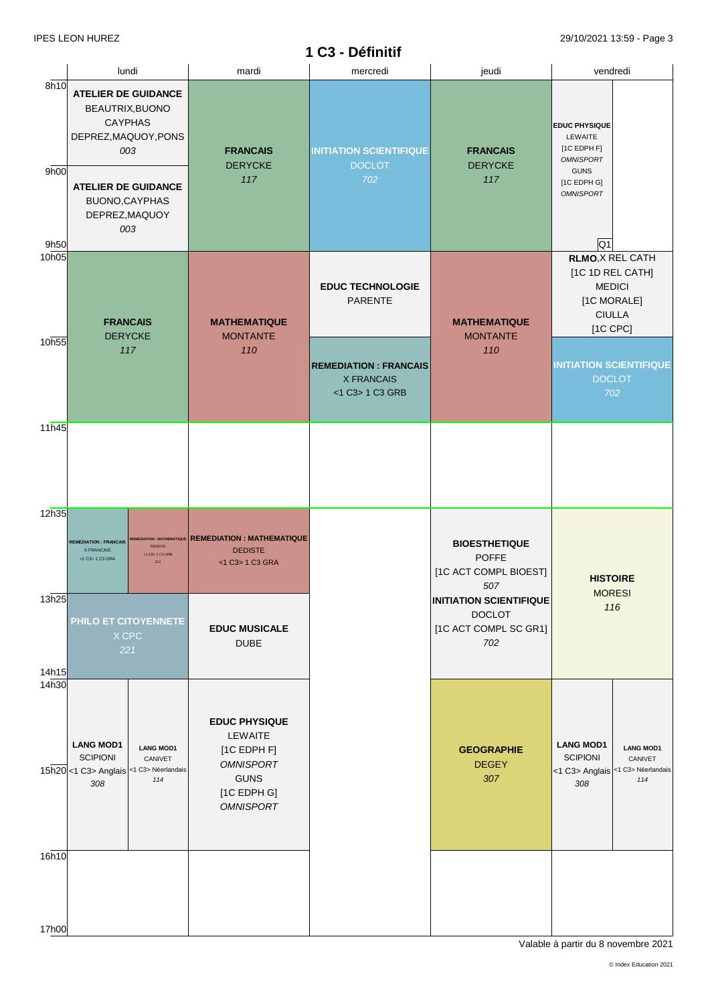# **1 C3 - Définitif**

|                      | lundi                                                                                                                                                                   | mardi                                                                                                                  | mercredi                                                             | jeudi                                                                           | vendredi                                                                                                                                  |
|----------------------|-------------------------------------------------------------------------------------------------------------------------------------------------------------------------|------------------------------------------------------------------------------------------------------------------------|----------------------------------------------------------------------|---------------------------------------------------------------------------------|-------------------------------------------------------------------------------------------------------------------------------------------|
| 8h10<br>9h00<br>9h50 | <b>ATELIER DE GUIDANCE</b><br>BEAUTRIX, BUONO<br><b>CAYPHAS</b><br>DEPREZ, MAQUOY, PONS<br>003<br><b>ATELIER DE GUIDANCE</b><br>BUONO, CAYPHAS<br>DEPREZ, MAQUOY<br>003 | <b>FRANCAIS</b><br><b>DERYCKE</b><br>117                                                                               | <b>INITIATION SCIENTIFIQUE</b><br><b>DOCLOT</b><br>702               | <b>FRANCAIS</b><br><b>DERYCKE</b><br>117                                        | <b>EDUC PHYSIQUE</b><br>LEWAITE<br>$[1C$ EDPH F]<br><b>OMNISPORT</b><br><b>GUNS</b><br>[1C EDPH G]<br><b>OMNISPORT</b><br>$\overline{Q1}$ |
| 10h05                | <b>FRANCAIS</b><br><b>DERYCKE</b>                                                                                                                                       | <b>MATHEMATIQUE</b><br><b>MONTANTE</b>                                                                                 | <b>EDUC TECHNOLOGIE</b><br><b>PARENTE</b>                            | <b>MATHEMATIQUE</b><br><b>MONTANTE</b>                                          | <b>RLMO, X REL CATH</b><br>[1C 1D REL CATH]<br><b>MEDICI</b><br>[1C MORALE]<br><b>CIULLA</b><br>[1C CPC]                                  |
| 10h55                | 117                                                                                                                                                                     | 110                                                                                                                    | <b>REMEDIATION: FRANCAIS</b><br><b>X FRANCAIS</b><br><1 C3> 1 C3 GRB | 110                                                                             | <b>INITIATION SCIENTIFIQUE</b><br><b>DOCLOT</b><br>702                                                                                    |
| 11h45                |                                                                                                                                                                         |                                                                                                                        |                                                                      |                                                                                 |                                                                                                                                           |
| 12h35                | REMEDIATION : MATHEMATIQUE<br><b>REMEDIATION: FRANCAIS</b><br><b>DEDISTE</b><br><b>X FRANCAIS</b><br><1 C3> 1 C3 GRB<br>$<1$ C3> 1 C3 GRA<br>211                        | <b>REMEDIATION: MATHEMATIQUE</b><br><b>DEDISTE</b><br><1 C3> 1 C3 GRA                                                  |                                                                      | <b>BIOESTHETIQUE</b><br><b>POFFE</b><br>[1C ACT COMPL BIOEST]<br>507            | <b>HISTOIRE</b><br><b>MORESI</b>                                                                                                          |
| 13h25<br>14h15       | PHILO ET CITOYENNETE<br>X CPC<br>221                                                                                                                                    | <b>EDUC MUSICALE</b><br><b>DUBE</b>                                                                                    |                                                                      | <b>INITIATION SCIENTIFIQUE</b><br><b>DOCLOT</b><br>[1C ACT COMPL SC GR1]<br>702 | 116                                                                                                                                       |
| 14h30                | <b>LANG MOD1</b><br><b>LANG MOD1</b><br><b>SCIPIONI</b><br>CANIVET<br>15h20 <1 C3> Anglais <1 C3> Néerlandais<br>114<br>308                                             | <b>EDUC PHYSIQUE</b><br>LEWAITE<br>[1C EDPH F]<br><b>OMNISPORT</b><br><b>GUNS</b><br>$[1C$ EDPH G]<br><b>OMNISPORT</b> |                                                                      | <b>GEOGRAPHIE</b><br><b>DEGEY</b><br>307                                        | <b>LANG MOD1</b><br><b>LANG MOD1</b><br><b>SCIPIONI</b><br>CANIVET<br><1 C3> Anglais <1 C3> Néerlandais<br>114<br>308                     |
| 16h10                |                                                                                                                                                                         |                                                                                                                        |                                                                      |                                                                                 |                                                                                                                                           |
| 17h00                |                                                                                                                                                                         |                                                                                                                        |                                                                      |                                                                                 |                                                                                                                                           |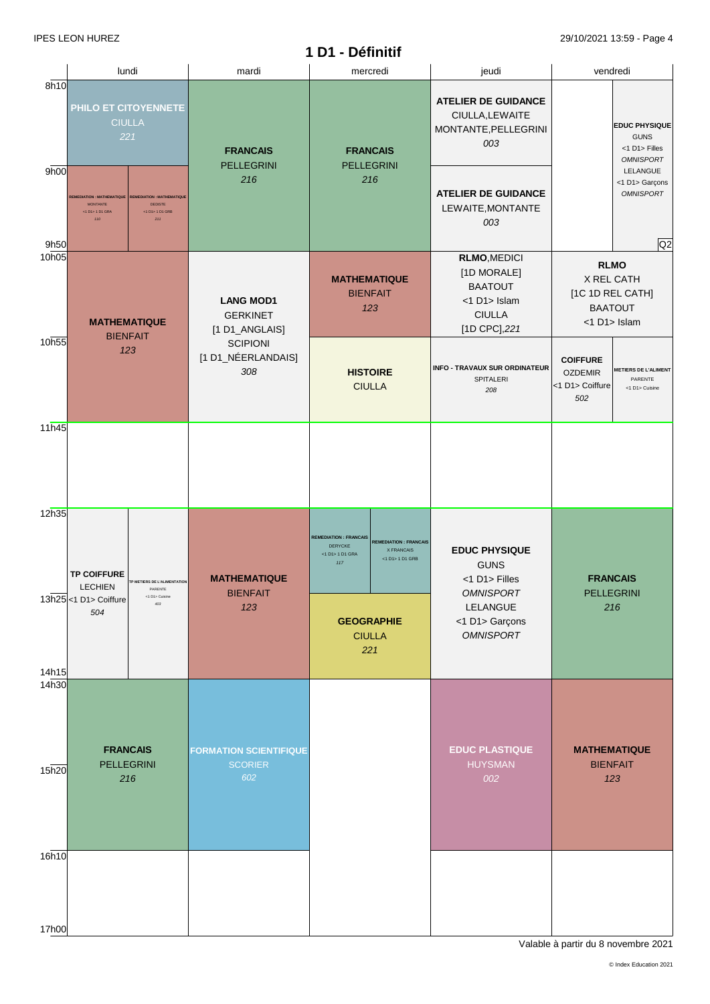|                   | lundi                                                                                |                                                                              | mardi                                                 | mercredi                                                          |                                                                              | jeudi                                                                                                  |                                                                          | vendredi                                                 |
|-------------------|--------------------------------------------------------------------------------------|------------------------------------------------------------------------------|-------------------------------------------------------|-------------------------------------------------------------------|------------------------------------------------------------------------------|--------------------------------------------------------------------------------------------------------|--------------------------------------------------------------------------|----------------------------------------------------------|
| 8h10              | PHILO ET CITOYENNETE<br><b>CIULLA</b><br>221<br><b>FRANCAIS</b><br><b>PELLEGRINI</b> |                                                                              | <b>FRANCAIS</b><br><b>PELLEGRINI</b>                  |                                                                   | <b>ATELIER DE GUIDANCE</b><br>CIULLA, LEWAITE<br>MONTANTE, PELLEGRINI<br>003 |                                                                                                        | <b>EDUC PHYSIQUE</b><br><b>GUNS</b><br><1 D1> Filles<br><b>OMNISPORT</b> |                                                          |
| 9h00<br>9h50      | <b>REMEDIATION: MATHEMATIQUE</b><br><b>MONTANTE</b><br><1 D1> 1 D1 GRA<br>110        | <b>REMEDIATION: MATHEMATIQUE</b><br><b>DEDISTE</b><br><1 D1> 1 D1 GRB<br>211 | 216                                                   | 216                                                               |                                                                              | <b>ATELIER DE GUIDANCE</b><br>LEWAITE, MONTANTE<br>003                                                 |                                                                          | LELANGUE<br><1 D1> Garçons<br><b>OMNISPORT</b><br>Q2     |
| 10 <sub>h05</sub> | <b>MATHEMATIQUE</b>                                                                  |                                                                              | <b>LANG MOD1</b><br><b>GERKINET</b><br>[1 D1_ANGLAIS] | <b>MATHEMATIQUE</b><br><b>BIENFAIT</b><br>123                     |                                                                              | <b>RLMO, MEDICI</b><br>[1D MORALE]<br><b>BAATOUT</b><br><1 D1> Islam<br><b>CIULLA</b><br>[1D CPC], 221 | <b>RLMO</b><br>X REL CATH<br><1 D1> Islam                                | [1C 1D REL CATH]<br><b>BAATOUT</b>                       |
| 10h55             | <b>BIENFAIT</b>                                                                      | 123                                                                          | <b>SCIPIONI</b><br>[1 D1_NÉERLANDAIS]<br>308          | <b>HISTOIRE</b><br><b>CIULLA</b>                                  |                                                                              | <b>INFO - TRAVAUX SUR ORDINATEUR</b><br><b>SPITALERI</b><br>208                                        | <b>COIFFURE</b><br><b>OZDEMIR</b><br><1 D1> Coiffure<br>502              | <b>METIERS DE L'ALIMENT</b><br>PARENTE<br><1 D1> Cuisine |
| 11h45             |                                                                                      |                                                                              |                                                       |                                                                   |                                                                              |                                                                                                        |                                                                          |                                                          |
| 12h35             | <b>TP COIFFURE</b><br><b>LECHIEN</b>                                                 | TP METIERS DE L'ALIMENTATION<br>PARENTE<br><1 D1> Cuisine                    | <b>MATHEMATIQUE</b><br><b>BIENFAIT</b>                | <b>REMEDIATION: FRANCAIS</b><br>DERYCKE<br><1 D1> 1 D1 GRA<br>117 | <b>REMEDIATION: FRANCAIS</b><br>X FRANCAIS<br><1 D1> 1 D1 GRB                | <b>EDUC PHYSIQUE</b><br><b>GUNS</b><br><1 D1> Filles<br><b>OMNISPORT</b>                               | <b>FRANCAIS</b>                                                          | <b>PELLEGRINI</b>                                        |
| 14h15             | 13h25 <1 D1> Coiffure<br>504                                                         | 403                                                                          | 123                                                   | <b>GEOGRAPHIE</b><br><b>CIULLA</b><br>221                         |                                                                              | LELANGUE<br><1 D1> Garçons<br><b>OMNISPORT</b>                                                         |                                                                          | 216                                                      |
| 14h30             |                                                                                      | <b>FRANCAIS</b>                                                              | <b>FORMATION SCIENTIFIQUE</b>                         |                                                                   |                                                                              | <b>EDUC PLASTIQUE</b>                                                                                  |                                                                          | <b>MATHEMATIQUE</b>                                      |
| 15h20             |                                                                                      | <b>PELLEGRINI</b><br>216                                                     | <b>SCORIER</b><br>602                                 |                                                                   |                                                                              | <b>HUYSMAN</b><br>002                                                                                  |                                                                          | <b>BIENFAIT</b><br>123                                   |
| 16h10             |                                                                                      |                                                                              |                                                       |                                                                   |                                                                              |                                                                                                        |                                                                          |                                                          |
| 17h00             |                                                                                      |                                                                              |                                                       |                                                                   |                                                                              |                                                                                                        |                                                                          |                                                          |

**1 D1 - Définitif**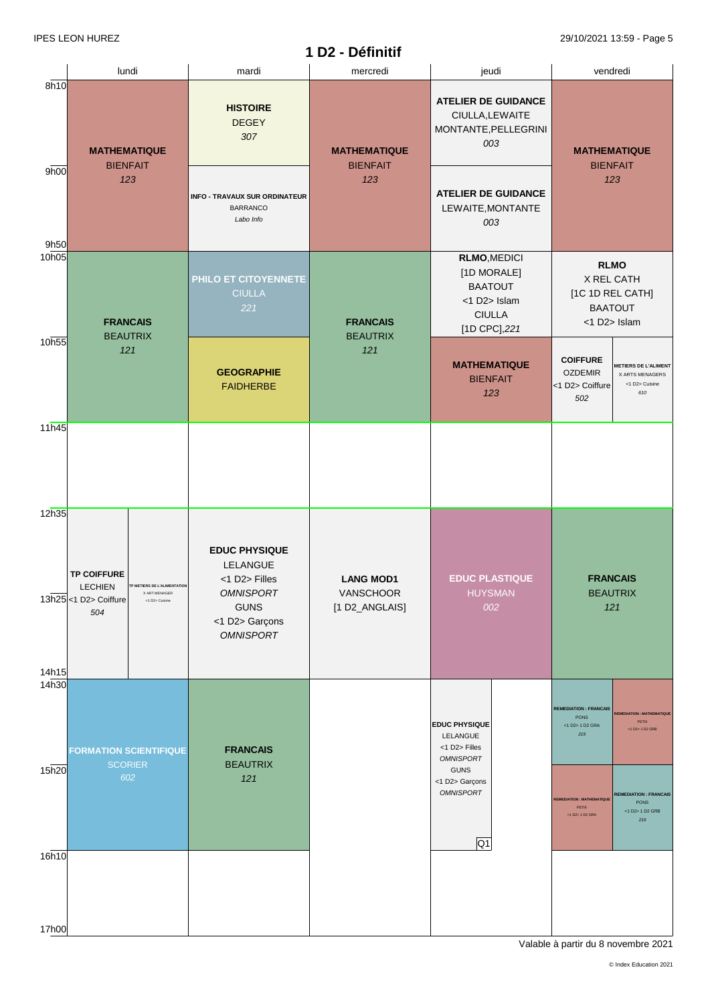|                         |                                                                                                                                         |                                                                                                                            | 1 D2 - Définitif                                |                                                                                                                            | $20/10/202 + 10.00 + 0.000$                                                                                                                                                                                                                                       |
|-------------------------|-----------------------------------------------------------------------------------------------------------------------------------------|----------------------------------------------------------------------------------------------------------------------------|-------------------------------------------------|----------------------------------------------------------------------------------------------------------------------------|-------------------------------------------------------------------------------------------------------------------------------------------------------------------------------------------------------------------------------------------------------------------|
|                         | lundi                                                                                                                                   | mardi                                                                                                                      | mercredi                                        | jeudi                                                                                                                      | vendredi                                                                                                                                                                                                                                                          |
| 8h10                    | <b>MATHEMATIQUE</b><br><b>BIENFAIT</b>                                                                                                  | <b>HISTOIRE</b><br><b>DEGEY</b><br>307                                                                                     | <b>MATHEMATIQUE</b><br><b>BIENFAIT</b>          | <b>ATELIER DE GUIDANCE</b><br>CIULLA, LEWAITE<br>MONTANTE, PELLEGRINI<br>003                                               | <b>MATHEMATIQUE</b><br><b>BIENFAIT</b>                                                                                                                                                                                                                            |
| 9h00<br>9h50            | 123                                                                                                                                     | <b>INFO - TRAVAUX SUR ORDINATEUR</b><br><b>BARRANCO</b><br>Labo Info                                                       | 123                                             | <b>ATELIER DE GUIDANCE</b><br>LEWAITE, MONTANTE<br>003                                                                     | 123                                                                                                                                                                                                                                                               |
| 10 <sub>h05</sub>       | <b>FRANCAIS</b><br><b>BEAUTRIX</b>                                                                                                      | PHILO ET CITOYENNETE<br><b>CIULLA</b><br>221                                                                               | <b>FRANCAIS</b><br><b>BEAUTRIX</b>              | <b>RLMO, MEDICI</b><br>[1D MORALE]<br><b>BAATOUT</b><br><1 D2> Islam<br><b>CIULLA</b><br>[1D CPC], 221                     | <b>RLMO</b><br>X REL CATH<br>[1C 1D REL CATH]<br><b>BAATOUT</b><br><1 D2> Islam                                                                                                                                                                                   |
| 10h55                   | 121                                                                                                                                     | <b>GEOGRAPHIE</b><br><b>FAIDHERBE</b>                                                                                      | 121                                             | <b>MATHEMATIQUE</b><br><b>BIENFAIT</b><br>123                                                                              | <b>COIFFURE</b><br><b>METIERS DE L'ALIMENT</b><br><b>OZDEMIR</b><br>X ARTS MENAGERS<br><1 D2> Cuisine<br><1 D2> Coiffure<br>610<br>502                                                                                                                            |
| 11h45                   |                                                                                                                                         |                                                                                                                            |                                                 |                                                                                                                            |                                                                                                                                                                                                                                                                   |
| 12h35                   | <b>TP COIFFURE</b><br><b>LECHIEN</b><br>TP METIERS DE L'ALIMENTATION<br>X ART MENAGER<br>13h25 <1 D2> Coiffure<br><1 D2> Cuisine<br>504 | <b>EDUC PHYSIQUE</b><br>LELANGUE<br><1 D2> Filles<br><b>OMNISPORT</b><br><b>GUNS</b><br><1 D2> Garçons<br><b>OMNISPORT</b> | <b>LANG MOD1</b><br>VANSCHOOR<br>[1 D2_ANGLAIS] | <b>EDUC PLASTIQUE</b><br><b>HUYSMAN</b><br>002                                                                             | <b>FRANCAIS</b><br><b>BEAUTRIX</b><br>121                                                                                                                                                                                                                         |
| 14h15<br>14h30<br>15h20 | <b>FORMATION SCIENTIFIQUE</b><br><b>SCORIER</b><br>602                                                                                  | <b>FRANCAIS</b><br><b>BEAUTRIX</b><br>121                                                                                  |                                                 | <b>EDUC PHYSIQUE</b><br>LELANGUE<br><1 D2> Filles<br><b>OMNISPORT</b><br><b>GUNS</b><br><1 D2> Garçons<br><b>OMNISPORT</b> | <b>REMEDIATION : FRANCAIS</b><br><b>REMEDIATION: MATHEMATIQUE</b><br>PONS<br>PETIX<br><1 D2> 1 D2 GRA<br><1 D2> 1 D2 GRB<br>219<br><b>REMEDIATION: FRANCAIS</b><br><b>REMEDIATION: MATHEMATIQUE</b><br>PONS<br>PETIX<br><1 D2> 1 D2 GRB<br><1 D2> 1 D2 GRA<br>219 |
| 16h10                   |                                                                                                                                         |                                                                                                                            |                                                 | $\overline{Q1}$                                                                                                            |                                                                                                                                                                                                                                                                   |
| 17h00                   |                                                                                                                                         |                                                                                                                            |                                                 |                                                                                                                            |                                                                                                                                                                                                                                                                   |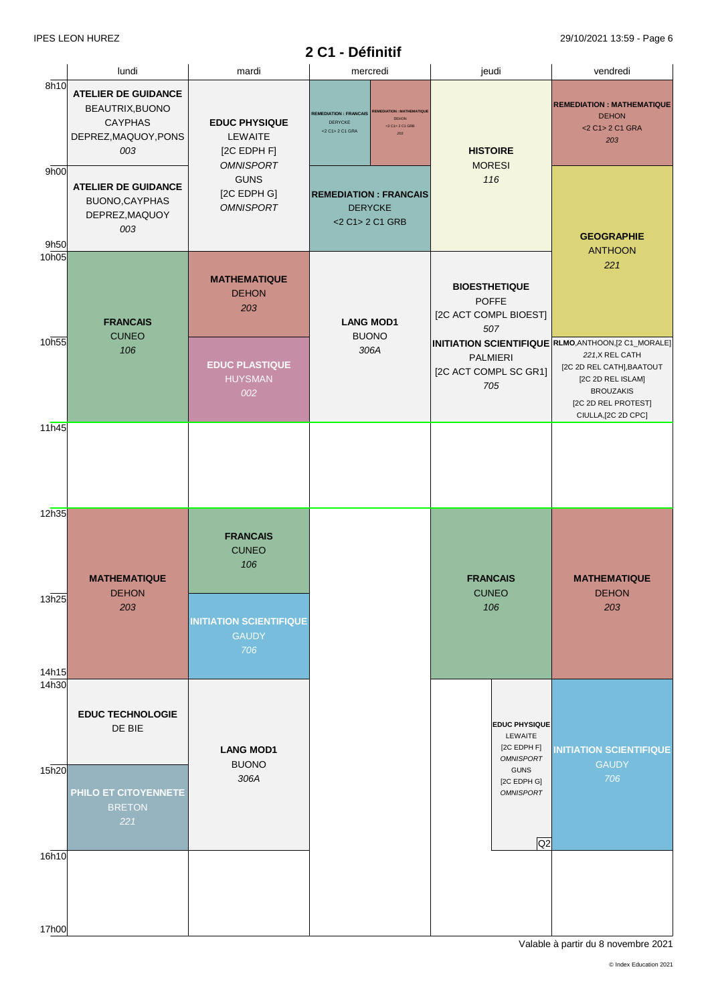# **2 C1 - Définitif**

|                | lundi                                                                                          | mardi                                                                     | mercredi                                                                                                                        | jeudi                                                                | vendredi                                                                                                                            |
|----------------|------------------------------------------------------------------------------------------------|---------------------------------------------------------------------------|---------------------------------------------------------------------------------------------------------------------------------|----------------------------------------------------------------------|-------------------------------------------------------------------------------------------------------------------------------------|
| 8h10           | <b>ATELIER DE GUIDANCE</b><br>BEAUTRIX, BUONO<br><b>CAYPHAS</b><br>DEPREZ, MAQUOY, PONS<br>003 | <b>EDUC PHYSIQUE</b><br><b>LEWAITE</b><br>[2C EDPH F]<br><b>OMNISPORT</b> | <b>EMEDIATION: MATHEMATIQU</b><br><b>REMEDIATION: FRANCAIS</b><br>DEHON<br>DERYCKE<br><2 C1> 2 C1 GRB<br><2 C1> 2 C1 GRA<br>203 | <b>HISTOIRE</b><br><b>MORESI</b>                                     | <b>REMEDIATION: MATHEMATIQUE</b><br><b>DEHON</b><br><2 C1> 2 C1 GRA<br>203                                                          |
| 9h00<br>9h50   | <b>ATELIER DE GUIDANCE</b><br>BUONO, CAYPHAS<br>DEPREZ, MAQUOY<br>003                          | <b>GUNS</b><br>[2C EDPH G]<br><b>OMNISPORT</b>                            | <b>REMEDIATION: FRANCAIS</b><br><b>DERYCKE</b><br><2 C1> 2 C1 GRB                                                               | 116                                                                  | <b>GEOGRAPHIE</b><br><b>ANTHOON</b>                                                                                                 |
| 10h05<br>10h55 | <b>FRANCAIS</b><br><b>CUNEO</b><br>106                                                         | <b>MATHEMATIQUE</b><br><b>DEHON</b><br>203                                | <b>LANG MOD1</b><br><b>BUONO</b><br>306A                                                                                        | <b>BIOESTHETIQUE</b><br><b>POFFE</b><br>[2C ACT COMPL BIOEST]<br>507 | 221<br><b>INITIATION SCIENTIFIQUE RLMO, ANTHOON,[2 C1_MORALE]</b>                                                                   |
| 11h45          |                                                                                                | <b>EDUC PLASTIQUE</b><br><b>HUYSMAN</b><br>002                            |                                                                                                                                 | <b>PALMIERI</b><br>[2C ACT COMPL SC GR1]<br>705                      | 221, X REL CATH<br>[2C 2D REL CATH], BAATOUT<br>[2C 2D REL ISLAM]<br><b>BROUZAKIS</b><br>[2C 2D REL PROTEST]<br>CIULLA, [2C 2D CPC] |
|                |                                                                                                |                                                                           |                                                                                                                                 |                                                                      |                                                                                                                                     |
| 12h35          | <b>MATHEMATIQUE</b><br><b>DEHON</b>                                                            | <b>FRANCAIS</b><br><b>CUNEO</b><br>106                                    |                                                                                                                                 | <b>FRANCAIS</b><br><b>CUNEO</b>                                      | <b>MATHEMATIQUE</b><br><b>DEHON</b>                                                                                                 |
| 13h25<br>14h15 | 203                                                                                            | <b>INITIATION SCIENTIFIQUE</b><br><b>GAUDY</b><br>706                     |                                                                                                                                 | 106                                                                  | 203                                                                                                                                 |
| 14h30          | <b>EDUC TECHNOLOGIE</b><br>DE BIE                                                              | <b>LANG MOD1</b><br><b>BUONO</b>                                          |                                                                                                                                 | <b>EDUC PHYSIQUE</b><br>LEWAITE<br>[2C EDPH F]<br><b>OMNISPORT</b>   | <b>INITIATION SCIENTIFIQUE</b><br><b>GAUDY</b>                                                                                      |
| 15h20          | PHILO ET CITOYENNETE<br><b>BRETON</b><br>221                                                   | 306A                                                                      |                                                                                                                                 | <b>GUNS</b><br>[2C EDPH G]<br><b>OMNISPORT</b><br>Q2                 | 706                                                                                                                                 |
| 16h10          |                                                                                                |                                                                           |                                                                                                                                 |                                                                      |                                                                                                                                     |
| 17h00          |                                                                                                |                                                                           |                                                                                                                                 |                                                                      |                                                                                                                                     |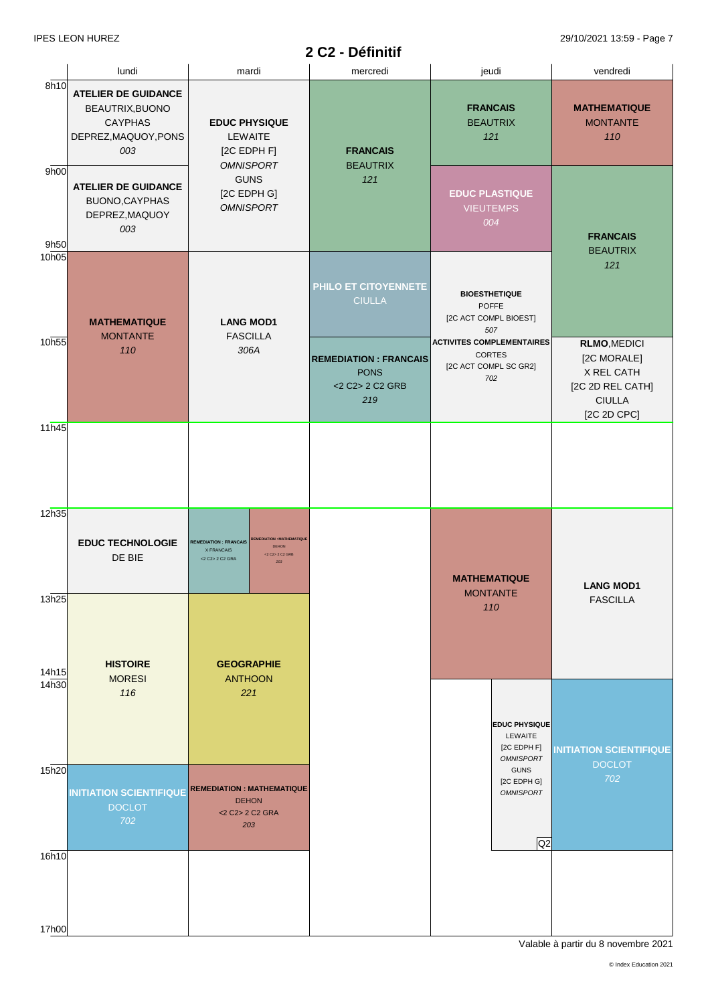#### **2 C2 - Définitif**

IPES LEON HUREZ 29/10/2021 13:59 - Page 7

|                | lundi                                                                                          | mardi                                                                                                                                 | mercredi                                                              | jeudi                                                                             | vendredi                                                                                      |
|----------------|------------------------------------------------------------------------------------------------|---------------------------------------------------------------------------------------------------------------------------------------|-----------------------------------------------------------------------|-----------------------------------------------------------------------------------|-----------------------------------------------------------------------------------------------|
| 8h10           | <b>ATELIER DE GUIDANCE</b><br>BEAUTRIX, BUONO<br><b>CAYPHAS</b><br>DEPREZ, MAQUOY, PONS<br>003 | <b>EDUC PHYSIQUE</b><br>LEWAITE<br>[2C EDPH F]<br><b>OMNISPORT</b>                                                                    | <b>FRANCAIS</b><br><b>BEAUTRIX</b>                                    | <b>FRANCAIS</b><br><b>BEAUTRIX</b><br>121                                         | <b>MATHEMATIQUE</b><br><b>MONTANTE</b><br>110                                                 |
| 9h00<br>9h50   | <b>ATELIER DE GUIDANCE</b><br>BUONO, CAYPHAS<br>DEPREZ, MAQUOY<br>003                          | <b>GUNS</b><br>[2C EDPH G]<br><b>OMNISPORT</b>                                                                                        | 121                                                                   | <b>EDUC PLASTIQUE</b><br><b>VIEUTEMPS</b><br>004                                  | <b>FRANCAIS</b><br><b>BEAUTRIX</b>                                                            |
| 10h05          | <b>MATHEMATIQUE</b><br><b>MONTANTE</b>                                                         | <b>LANG MOD1</b><br><b>FASCILLA</b>                                                                                                   | PHILO ET CITOYENNETE<br><b>CIULLA</b>                                 | <b>BIOESTHETIQUE</b><br><b>POFFE</b><br>[2C ACT COMPL BIOEST]<br>507              | 121                                                                                           |
| 10h55          | 110                                                                                            | 306A                                                                                                                                  | <b>REMEDIATION: FRANCAIS</b><br><b>PONS</b><br><2 C2> 2 C2 GRB<br>219 | <b>ACTIVITES COMPLEMENTAIRES</b><br><b>CORTES</b><br>[2C ACT COMPL SC GR2]<br>702 | RLMO, MEDICI<br>[2C MORALE]<br>X REL CATH<br>[2C 2D REL CATH]<br><b>CIULLA</b><br>[2C 2D CPC] |
| 11h45          |                                                                                                |                                                                                                                                       |                                                                       |                                                                                   |                                                                                               |
| 12h35          | <b>EDUC TECHNOLOGIE</b><br>DE BIE                                                              | REMEDIATION : MATHEMATIOUR<br><b>REMEDIATION: FRANCAIS</b><br><b>DEHON</b><br>X FRANCAIS<br><2 C2> 2 C2 GRB<br><2 C2> 2 C2 GRA<br>203 |                                                                       | <b>MATHEMATIQUE</b><br><b>MONTANTE</b>                                            | <b>LANG MOD1</b>                                                                              |
| 13h25<br>14h15 | <b>HISTOIRE</b><br><b>MORESI</b>                                                               | <b>GEOGRAPHIE</b><br><b>ANTHOON</b>                                                                                                   |                                                                       | 110                                                                               | <b>FASCILLA</b>                                                                               |
| 14h30          | 116                                                                                            | 221                                                                                                                                   |                                                                       | <b>EDUC PHYSIQUE</b><br>LEWAITE<br>[2C EDPH F]<br><b>OMNISPORT</b>                | <b>INITIATION SCIENTIFIQUE</b>                                                                |
| 15h20          | <b>INITIATION SCIENTIFIQUE</b><br><b>DOCLOT</b><br>702                                         | <b>REMEDIATION: MATHEMATIQUE</b><br><b>DEHON</b><br><2 C2> 2 C2 GRA<br>203                                                            |                                                                       | <b>GUNS</b><br>[2C EDPH G]<br><b>OMNISPORT</b><br>Q2                              | <b>DOCLOT</b><br>702                                                                          |
| 16h10          |                                                                                                |                                                                                                                                       |                                                                       |                                                                                   |                                                                                               |
| 17h00          |                                                                                                |                                                                                                                                       |                                                                       |                                                                                   |                                                                                               |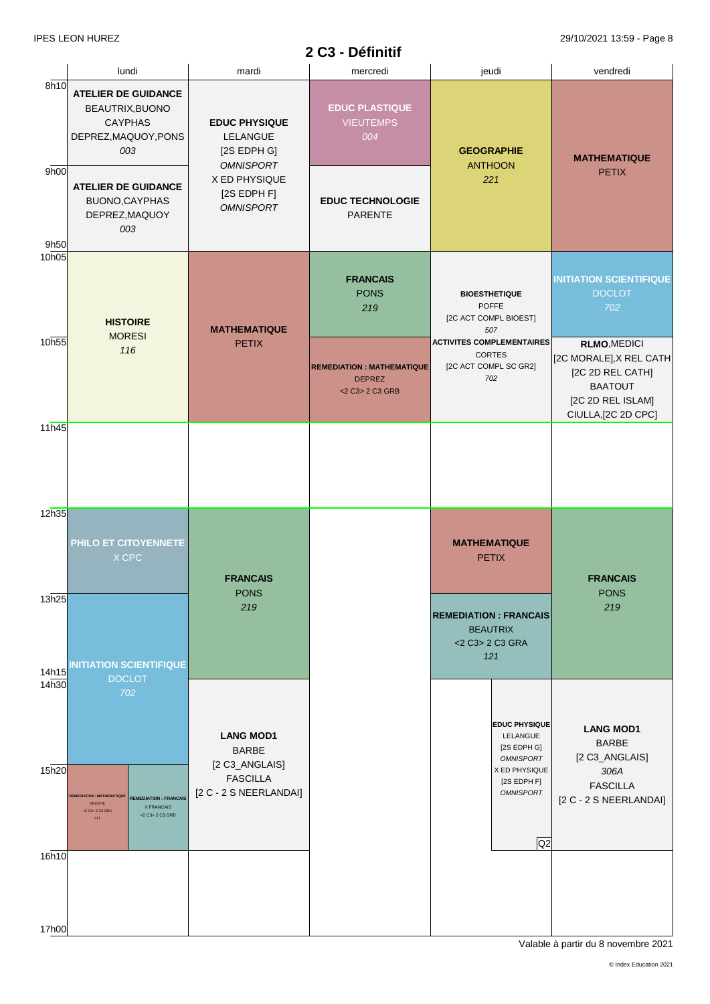# **2 C3 - Définitif**

|                   |                                                                                                                                                                      |                                                                                                 | роппин                                                               |                                                                                                                  |                                                                                                                                 |
|-------------------|----------------------------------------------------------------------------------------------------------------------------------------------------------------------|-------------------------------------------------------------------------------------------------|----------------------------------------------------------------------|------------------------------------------------------------------------------------------------------------------|---------------------------------------------------------------------------------------------------------------------------------|
|                   | lundi                                                                                                                                                                | mardi                                                                                           | mercredi                                                             | jeudi                                                                                                            | vendredi                                                                                                                        |
| 8h10              | <b>ATELIER DE GUIDANCE</b><br>BEAUTRIX, BUONO<br><b>CAYPHAS</b><br>DEPREZ, MAQUOY, PONS<br>003                                                                       | <b>EDUC PHYSIQUE</b><br>LELANGUE<br>[2S EDPH G]                                                 | <b>EDUC PLASTIQUE</b><br><b>VIEUTEMPS</b><br>004                     | <b>GEOGRAPHIE</b>                                                                                                | <b>MATHEMATIQUE</b>                                                                                                             |
| 9h00<br>9h50      | <b>ATELIER DE GUIDANCE</b><br>BUONO, CAYPHAS<br>DEPREZ, MAQUOY<br>003                                                                                                | <b>OMNISPORT</b><br>X ED PHYSIQUE<br>[2S EDPH F]<br><b>OMNISPORT</b>                            | <b>EDUC TECHNOLOGIE</b><br>PARENTE                                   | <b>ANTHOON</b><br>221                                                                                            | <b>PETIX</b>                                                                                                                    |
| 10 <sub>h05</sub> | <b>HISTOIRE</b>                                                                                                                                                      | <b>MATHEMATIQUE</b>                                                                             | <b>FRANCAIS</b><br><b>PONS</b><br>219                                | <b>BIOESTHETIQUE</b><br><b>POFFE</b><br>[2C ACT COMPL BIOEST]<br>507                                             | <b>INITIATION SCIENTIFIQUE</b><br><b>DOCLOT</b><br>702                                                                          |
| 10h55             | <b>MORESI</b><br>116                                                                                                                                                 | <b>PETIX</b>                                                                                    | <b>REMEDIATION: MATHEMATIQUE</b><br><b>DEPREZ</b><br><2 C3> 2 C3 GRB | <b>ACTIVITES COMPLEMENTAIRES</b><br><b>CORTES</b><br>[2C ACT COMPL SC GR2]<br>702                                | <b>RLMO, MEDICI</b><br>[2C MORALE], X REL CATH<br>[2C 2D REL CATH]<br><b>BAATOUT</b><br>[2C 2D REL ISLAM]<br>CIULLA,[2C 2D CPC] |
| 11h45             |                                                                                                                                                                      |                                                                                                 |                                                                      |                                                                                                                  |                                                                                                                                 |
| 12h35             | PHILO ET CITOYENNETE<br>X CPC                                                                                                                                        | <b>FRANCAIS</b>                                                                                 |                                                                      | <b>MATHEMATIQUE</b><br><b>PETIX</b>                                                                              | <b>FRANCAIS</b>                                                                                                                 |
| 13h25<br>14h15    | <b>INITIATION SCIENTIFIQUE</b>                                                                                                                                       | <b>PONS</b><br>219                                                                              |                                                                      | <b>REMEDIATION: FRANCAIS</b><br><b>BEAUTRIX</b><br><2 C3> 2 C3 GRA<br>121                                        | <b>PONS</b><br>219                                                                                                              |
| 14h30<br>15h20    | <b>DOCLOT</b><br>702<br><b>EMEDIATION: MATHEMATIQUI</b><br><b>REMEDIATION: FRANCAIS</b><br><b>DEDISTE</b><br>X FRANCAIS<br><2 C3> 2 C3 GRA<br><2 C3> 2 C3 GRB<br>211 | <b>LANG MOD1</b><br><b>BARBE</b><br>[2 C3_ANGLAIS]<br><b>FASCILLA</b><br>[2 C - 2 S NEERLANDAI] |                                                                      | EDUC PHYSIQUE<br>LELANGUE<br>[2S EDPH G]<br><b>OMNISPORT</b><br>X ED PHYSIQUE<br>[2S EDPH F]<br><b>OMNISPORT</b> | <b>LANG MOD1</b><br><b>BARBE</b><br>[2 C3_ANGLAIS]<br>306A<br><b>FASCILLA</b><br>[2 C - 2 S NEERLANDAI]                         |
| 16h10             |                                                                                                                                                                      |                                                                                                 |                                                                      | Q <sub>2</sub>                                                                                                   |                                                                                                                                 |
| 17h00             |                                                                                                                                                                      |                                                                                                 |                                                                      |                                                                                                                  |                                                                                                                                 |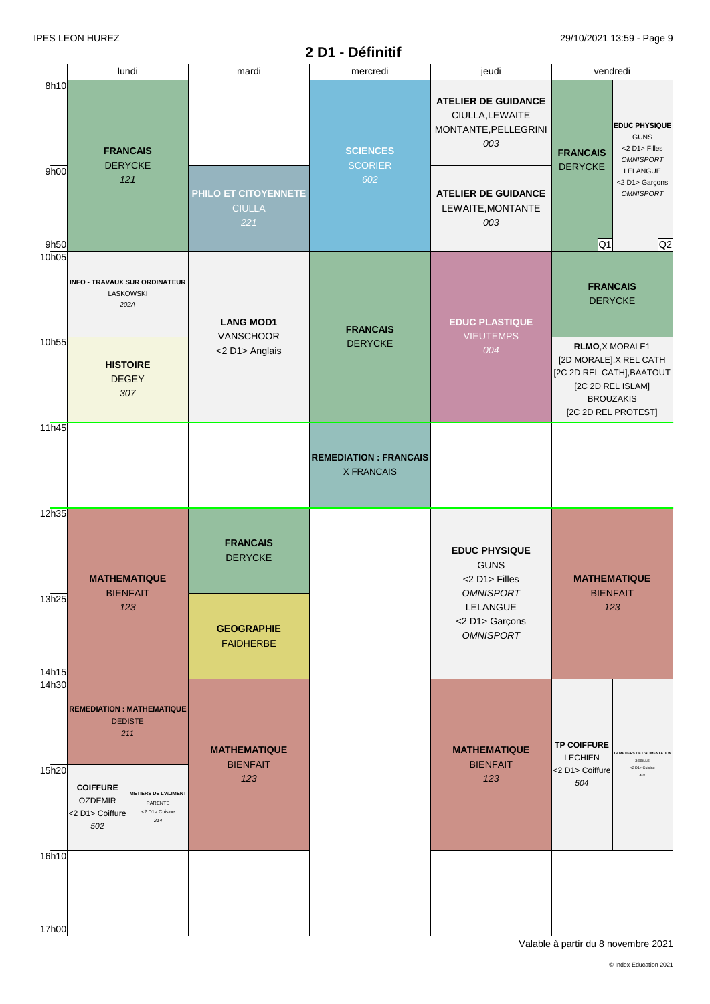|                   |                                                                                                                                |                                              | 2 D1 - Définitif                                  |                                                                              | $ \cdots$ $\cdots$ $\cdots$ $\cdots$ $\cdots$                                            |                                                                          |
|-------------------|--------------------------------------------------------------------------------------------------------------------------------|----------------------------------------------|---------------------------------------------------|------------------------------------------------------------------------------|------------------------------------------------------------------------------------------|--------------------------------------------------------------------------|
|                   | lundi                                                                                                                          | mardi                                        | mercredi                                          | jeudi                                                                        |                                                                                          | vendredi                                                                 |
| 8h10              | <b>FRANCAIS</b><br><b>DERYCKE</b>                                                                                              |                                              | <b>SCIENCES</b><br><b>SCORIER</b>                 | <b>ATELIER DE GUIDANCE</b><br>CIULLA, LEWAITE<br>MONTANTE, PELLEGRINI<br>003 | <b>FRANCAIS</b>                                                                          | <b>EDUC PHYSIQUE</b><br><b>GUNS</b><br><2 D1> Filles<br><b>OMNISPORT</b> |
| 9h00<br>9h50      | 121                                                                                                                            | PHILO ET CITOYENNETE<br><b>CIULLA</b><br>221 | 602                                               | <b>ATELIER DE GUIDANCE</b><br>LEWAITE, MONTANTE<br>003                       | <b>DERYCKE</b><br>$\overline{Q1}$                                                        | LELANGUE<br><2 D1> Garçons<br><b>OMNISPORT</b><br>Q2                     |
| 10 <sub>h05</sub> | INFO - TRAVAUX SUR ORDINATEUR<br><b>LASKOWSKI</b><br>202A                                                                      | <b>LANG MOD1</b><br><b>VANSCHOOR</b>         | <b>FRANCAIS</b>                                   | <b>EDUC PLASTIQUE</b><br><b>VIEUTEMPS</b>                                    | <b>FRANCAIS</b>                                                                          | <b>DERYCKE</b>                                                           |
| 10h55             | <b>HISTOIRE</b><br><b>DEGEY</b><br>307                                                                                         | <2 D1> Anglais                               | <b>DERYCKE</b>                                    | 004                                                                          | RLMO, X MORALE1<br>[2C 2D REL CATH], BAATOUT<br>[2C 2D REL ISLAM]<br>[2C 2D REL PROTEST] | [2D MORALE], X REL CATH<br><b>BROUZAKIS</b>                              |
| 11h45             |                                                                                                                                |                                              | <b>REMEDIATION: FRANCAIS</b><br><b>X FRANCAIS</b> |                                                                              |                                                                                          |                                                                          |
| 12h35             | <b>MATHEMATIQUE</b><br><b>BIENFAIT</b>                                                                                         | <b>FRANCAIS</b><br><b>DERYCKE</b>            |                                                   | <b>EDUC PHYSIQUE</b><br><b>GUNS</b><br><2 D1> Filles<br><b>OMNISPORT</b>     |                                                                                          | <b>MATHEMATIQUE</b><br><b>BIENFAIT</b>                                   |
| 13h25<br>14h15    | 123                                                                                                                            | <b>GEOGRAPHIE</b><br><b>FAIDHERBE</b>        |                                                   | LELANGUE<br><2 D1> Garçons<br><b>OMNISPORT</b>                               |                                                                                          | 123                                                                      |
| 14h30             | <b>REMEDIATION: MATHEMATIQUE</b><br><b>DEDISTE</b><br>211                                                                      | <b>MATHEMATIQUE</b><br><b>BIENFAIT</b>       |                                                   | <b>MATHEMATIQUE</b><br><b>BIENFAIT</b>                                       | <b>TP COIFFURE</b><br><b>LECHIEN</b>                                                     | P METIERS DE L'ALIMENTATION<br>SEBILLE                                   |
| 15h20             | <b>COIFFURE</b><br><b>METIERS DE L'ALIMENT</b><br><b>OZDEMIR</b><br>PARENTE<br><2 D1> Cuisine<br><2 D1> Coiffure<br>214<br>502 | 123                                          |                                                   | 123                                                                          | <2 D1> Coiffure<br>504                                                                   | <2 D1> Cuisine<br>401                                                    |
| 16h10             |                                                                                                                                |                                              |                                                   |                                                                              |                                                                                          |                                                                          |
| 17h00             |                                                                                                                                |                                              |                                                   |                                                                              |                                                                                          |                                                                          |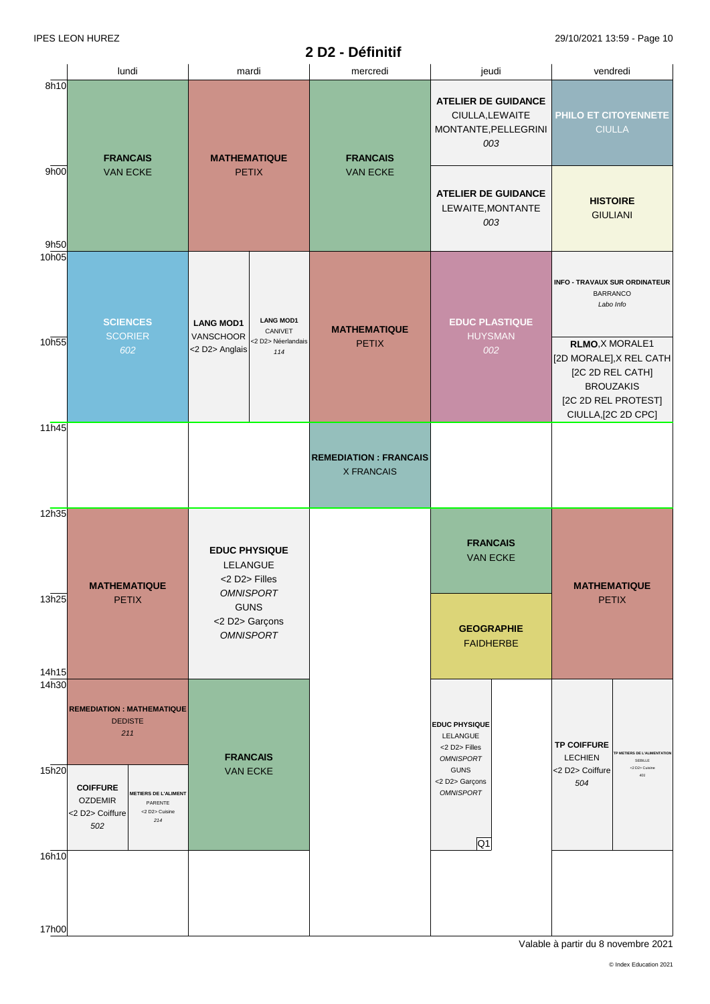#### lundi mardi mercredi jeudi vendredi 8h10 9h00 9h50 10h05 10h55 11h45 12h35 13h25 14h15 14h30 15h20 16h10 17h00 **PHILO ET CITOYENNETE** CIULLA **FRANCAIS** VAN ECKE **FRANCAIS** VAN ECKE **FRANCAIS** VAN ECKE **FRANCAIS** VAN ECKE **EDUC PLASTIQUE** HUYSMAN *002* **INFO - TRAVAUX SUR ORDINATEUR BARRANCO** *Labo Info* **SCIENCES SCORIER** *602* **MATHEMATIQUE** PETIX **MATHEMATIQUE** PETIX **MATHEMATIQUE** PETIX **MATHEMATIQUE** PETIX **GEOGRAPHIE** FAIDHERBE **HISTOIRE** GIULIANI **REMEDIATION : FRANCAIS** X FRANCAIS **REMEDIATION : MATHEMATIQUE DEDISTE** *211* **ATELIER DE GUIDANCE** CIULLA,LEWAITE MONTANTE,PELLEGRINI *003* **ATELIER DE GUIDANCE** LEWAITE,MONTANTE *003* **COIFFURE** OZDEMIR <2 D2> Coiffure *502* **TP COIFFURE** LECHIEN <2 D2> Coiffure *504* **TP METIERS DE L'ALIMENTATION SEBILLE** <2 D2> Cuisin *401* **METIERS DE L'ALIMENT** PARENTE <2 D2> Cuisine *214* **EDUC PHYSIQUE** LELANGUE <2 D2> Filles *OMNISPORT* GUNS <2 D2> Garçons *OMNISPORT*  $Q1$ **EDUC PHYSIQUE** LELANGUE <2 D2> Filles *OMNISPORT* GUNS <2 D2> Garçons *OMNISPORT* **LANG MOD1 VANSCHOOR**  $\langle$ 2 D2> Anglais $\left| \begin{array}{cc} 2 & 0.25 \\ 0.1 & 0.14 \end{array} \right|$ **LANG MOD1** CANIVET <2 D2> Néerlandais *<sup>114</sup>* **RLMO**,X MORALE1 [2D MORALE],X REL CATH [2C 2D REL CATH] BROUZAKIS [2C 2D REL PROTEST] CIULLA,[2C 2D CPC]

**2 D2 - Définitif**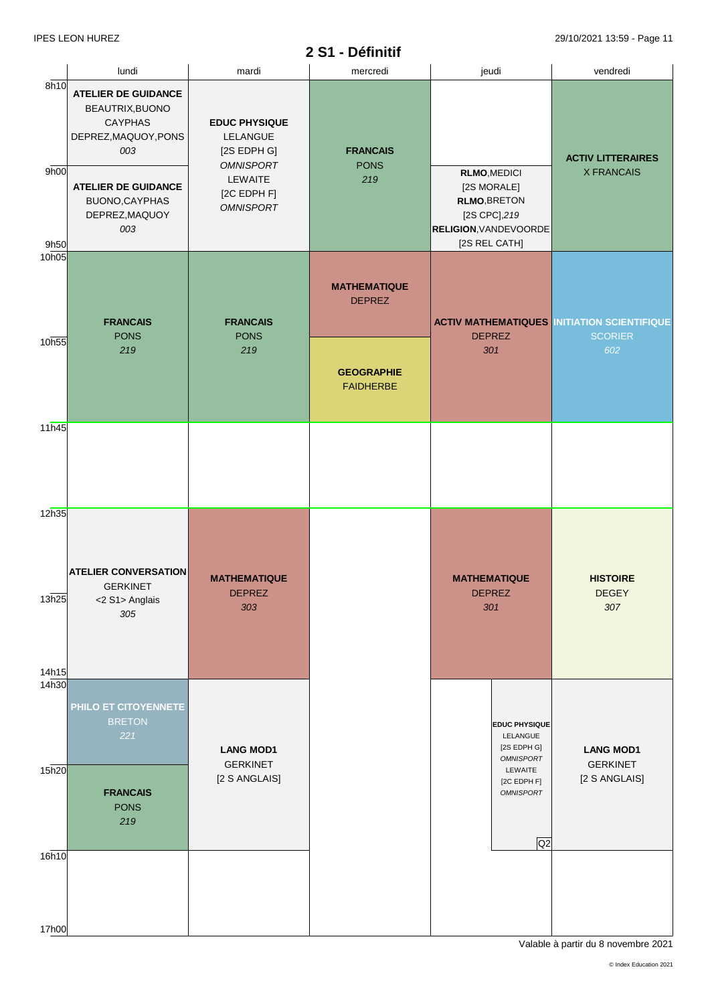|                      |                                                                                                                                                                         |                                                                                                                   | v.<br><b>DANIINI</b>                  |                                                                                                                             |                                                                      |
|----------------------|-------------------------------------------------------------------------------------------------------------------------------------------------------------------------|-------------------------------------------------------------------------------------------------------------------|---------------------------------------|-----------------------------------------------------------------------------------------------------------------------------|----------------------------------------------------------------------|
|                      | lundi                                                                                                                                                                   | mardi                                                                                                             | mercredi                              | jeudi                                                                                                                       | vendredi                                                             |
| 8h10<br>9h00<br>9h50 | <b>ATELIER DE GUIDANCE</b><br>BEAUTRIX, BUONO<br><b>CAYPHAS</b><br>DEPREZ, MAQUOY, PONS<br>003<br><b>ATELIER DE GUIDANCE</b><br>BUONO, CAYPHAS<br>DEPREZ, MAQUOY<br>003 | <b>EDUC PHYSIQUE</b><br>LELANGUE<br>[2S EDPH G]<br><b>OMNISPORT</b><br>LEWAITE<br>[2C EDPH F]<br><b>OMNISPORT</b> | <b>FRANCAIS</b><br><b>PONS</b><br>219 | <b>RLMO, MEDICI</b><br>[2S MORALE]<br><b>RLMO, BRETON</b><br>[2S CPC], 219<br><b>RELIGION, VANDEVOORDE</b><br>[2S REL CATH] | <b>ACTIV LITTERAIRES</b><br><b>X FRANCAIS</b>                        |
| 10h05<br>10h55       | <b>FRANCAIS</b><br><b>PONS</b>                                                                                                                                          | <b>FRANCAIS</b><br><b>PONS</b>                                                                                    | <b>MATHEMATIQUE</b><br><b>DEPREZ</b>  | <b>DEPREZ</b>                                                                                                               | <b>ACTIV MATHEMATIQUES INITIATION SCIENTIFIQUE</b><br><b>SCORIER</b> |
|                      | 219                                                                                                                                                                     | 219                                                                                                               | <b>GEOGRAPHIE</b><br><b>FAIDHERBE</b> | 301                                                                                                                         | 602                                                                  |
| 11h45                |                                                                                                                                                                         |                                                                                                                   |                                       |                                                                                                                             |                                                                      |
| 12h35                |                                                                                                                                                                         |                                                                                                                   |                                       |                                                                                                                             |                                                                      |
| 13h25<br>14h15       | <b>ATELIER CONVERSATION</b><br><b>GERKINET</b><br><2 S1> Anglais<br>305                                                                                                 | <b>MATHEMATIQUE</b><br><b>DEPREZ</b><br>303                                                                       |                                       | <b>MATHEMATIQUE</b><br><b>DEPREZ</b><br>301                                                                                 | <b>HISTOIRE</b><br><b>DEGEY</b><br>307                               |
| 14 <sub>h30</sub>    | PHILO ET CITOYENNETE<br><b>BRETON</b><br>221                                                                                                                            | <b>LANG MOD1</b>                                                                                                  |                                       | <b>EDUC PHYSIQUE</b><br>LELANGUE<br>[2S EDPH G]<br><b>OMNISPORT</b>                                                         | <b>LANG MOD1</b>                                                     |
| 15h20                | <b>FRANCAIS</b><br><b>PONS</b><br>219                                                                                                                                   | <b>GERKINET</b><br>[2 S ANGLAIS]                                                                                  |                                       | LEWAITE<br>[2C EDPH F]<br><b>OMNISPORT</b><br>Q2                                                                            | <b>GERKINET</b><br>[2 S ANGLAIS]                                     |
| 16h10                |                                                                                                                                                                         |                                                                                                                   |                                       |                                                                                                                             |                                                                      |
|                      |                                                                                                                                                                         |                                                                                                                   |                                       |                                                                                                                             |                                                                      |
| 17h00                |                                                                                                                                                                         |                                                                                                                   |                                       |                                                                                                                             |                                                                      |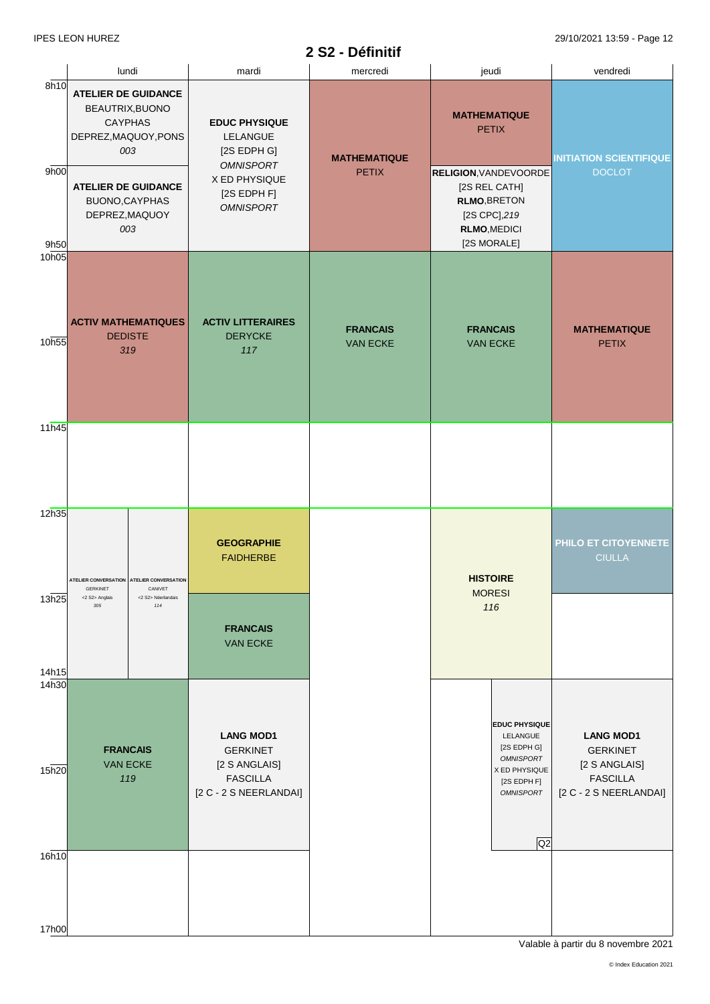# **2 S2 - Définitif**

|                            |                                                                                                                       |                                                               |                                                                                                                         | $UL - D$ GHING                      |                                                                                                                                                                    |                                                                                                   |
|----------------------------|-----------------------------------------------------------------------------------------------------------------------|---------------------------------------------------------------|-------------------------------------------------------------------------------------------------------------------------|-------------------------------------|--------------------------------------------------------------------------------------------------------------------------------------------------------------------|---------------------------------------------------------------------------------------------------|
|                            |                                                                                                                       | lundi                                                         | mardi                                                                                                                   | mercredi                            | jeudi                                                                                                                                                              | vendredi                                                                                          |
| 8h10<br>9h00<br>9h50       | <b>ATELIER DE GUIDANCE</b><br>BEAUTRIX, BUONO<br><b>CAYPHAS</b><br>DEPREZ, MAQUOY, PONS<br><b>ATELIER DE GUIDANCE</b> | 003<br>BUONO, CAYPHAS<br>DEPREZ, MAQUOY<br>003                | <b>EDUC PHYSIQUE</b><br>LELANGUE<br>[2S EDPH G]<br><b>OMNISPORT</b><br>X ED PHYSIQUE<br>[2S EDPH F]<br><b>OMNISPORT</b> | <b>MATHEMATIQUE</b><br><b>PETIX</b> | <b>MATHEMATIQUE</b><br><b>PETIX</b><br><b>RELIGION, VANDEVOORDE</b><br>[2S REL CATH]<br><b>RLMO, BRETON</b><br>[2S CPC], 219<br><b>RLMO, MEDICI</b><br>[2S MORALE] | <b>INITIATION SCIENTIFIQUE</b><br><b>DOCLOT</b>                                                   |
| 10h05<br>10h55             | <b>ACTIV MATHEMATIQUES</b><br><b>DEDISTE</b>                                                                          | 319                                                           | <b>ACTIV LITTERAIRES</b><br><b>DERYCKE</b><br>117                                                                       | <b>FRANCAIS</b><br><b>VAN ECKE</b>  | <b>FRANCAIS</b><br><b>VAN ECKE</b>                                                                                                                                 | <b>MATHEMATIQUE</b><br><b>PETIX</b>                                                               |
| 11h45                      |                                                                                                                       |                                                               |                                                                                                                         |                                     |                                                                                                                                                                    |                                                                                                   |
| 12h35                      | <b>GERKINET</b>                                                                                                       | ATELIER CONVERSATION   ATELIER CONVERSATION<br><b>CANIVET</b> | <b>GEOGRAPHIE</b><br><b>FAIDHERBE</b>                                                                                   |                                     | <b>HISTOIRE</b><br><b>MORESI</b>                                                                                                                                   | <b>PHILO ET CITOYENNETE</b><br><b>CIULLA</b>                                                      |
| 13h25<br>14h15             | <2 S2> Anglais<br>305                                                                                                 | <2 S2> Néerlandais<br>114                                     | <b>FRANCAIS</b><br><b>VAN ECKE</b>                                                                                      |                                     | 116                                                                                                                                                                |                                                                                                   |
| 14 <sub>h30</sub><br>15h20 | <b>FRANCAIS</b>                                                                                                       | <b>VAN ECKE</b><br>119                                        | <b>LANG MOD1</b><br><b>GERKINET</b><br>[2 S ANGLAIS]<br><b>FASCILLA</b><br>[2 C - 2 S NEERLANDAI]                       |                                     | <b>EDUC PHYSIQUE</b><br>LELANGUE<br>[2S EDPH G]<br><b>OMNISPORT</b><br>X ED PHYSIQUE<br>$[2S$ EDPH $F]$<br><b>OMNISPORT</b><br>Q2                                  | <b>LANG MOD1</b><br><b>GERKINET</b><br>[2 S ANGLAIS]<br><b>FASCILLA</b><br>[2 C - 2 S NEERLANDAI] |
| 16h10                      |                                                                                                                       |                                                               |                                                                                                                         |                                     |                                                                                                                                                                    |                                                                                                   |
| 17h00                      |                                                                                                                       |                                                               |                                                                                                                         |                                     |                                                                                                                                                                    |                                                                                                   |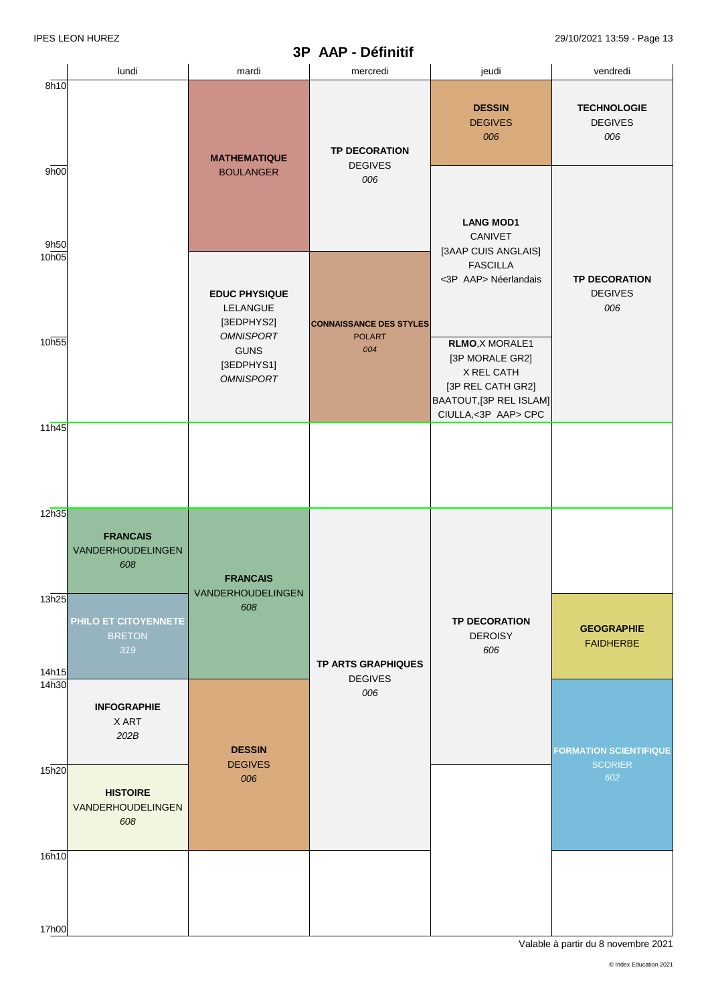#### **3P AAP - Définitif**

IPES LEON HUREZ 29/10/2021 13:59 - Page 13

|                | lundi                                        | mardi                                                             | mercredi                               | jeudi                                                                                                                   | vendredi                                      |
|----------------|----------------------------------------------|-------------------------------------------------------------------|----------------------------------------|-------------------------------------------------------------------------------------------------------------------------|-----------------------------------------------|
| 8h10           |                                              | <b>MATHEMATIQUE</b>                                               | <b>TP DECORATION</b><br><b>DEGIVES</b> | <b>DESSIN</b><br><b>DEGIVES</b><br>006                                                                                  | <b>TECHNOLOGIE</b><br><b>DEGIVES</b><br>006   |
| 9h00<br>9h50   |                                              | <b>BOULANGER</b>                                                  | 006                                    | <b>LANG MOD1</b><br>CANIVET                                                                                             |                                               |
| 10h05          |                                              | <b>EDUC PHYSIQUE</b><br>LELANGUE<br>[3EDPHYS2]                    | <b>CONNAISSANCE DES STYLES</b>         | [3AAP CUIS ANGLAIS]<br><b>FASCILLA</b><br><3P AAP> Néerlandais                                                          | <b>TP DECORATION</b><br><b>DEGIVES</b><br>006 |
| 10h55          |                                              | <b>OMNISPORT</b><br><b>GUNS</b><br>[3EDPHYS1]<br><b>OMNISPORT</b> | <b>POLART</b><br>004                   | RLMO, X MORALE1<br>[3P MORALE GR2]<br>X REL CATH<br>[3P REL CATH GR2]<br>BAATOUT, [3P REL ISLAM]<br>CIULLA,<3P AAP> CPC |                                               |
| 11h45          |                                              |                                                                   |                                        |                                                                                                                         |                                               |
| 12h35          | <b>FRANCAIS</b><br>VANDERHOUDELINGEN<br>608  | <b>FRANCAIS</b><br>VANDERHOUDELINGEN                              |                                        |                                                                                                                         |                                               |
| 13h25<br>14h15 | PHILO ET CITOYENNETE<br><b>BRETON</b><br>319 | 608                                                               | <b>TP ARTS GRAPHIQUES</b>              | <b>TP DECORATION</b><br><b>DEROISY</b><br>606                                                                           | <b>GEOGRAPHIE</b><br><b>FAIDHERBE</b>         |
| 14h30          | <b>INFOGRAPHIE</b><br>X ART<br>202B          | <b>DESSIN</b>                                                     | <b>DEGIVES</b><br>006                  |                                                                                                                         | <b>FORMATION SCIENTIFIQUE</b>                 |
| 15h20          | <b>HISTOIRE</b><br>VANDERHOUDELINGEN<br>608  | <b>DEGIVES</b><br>006                                             |                                        |                                                                                                                         | <b>SCORIER</b><br>602                         |
| 16h10          |                                              |                                                                   |                                        |                                                                                                                         |                                               |
| 17h00          |                                              |                                                                   |                                        |                                                                                                                         |                                               |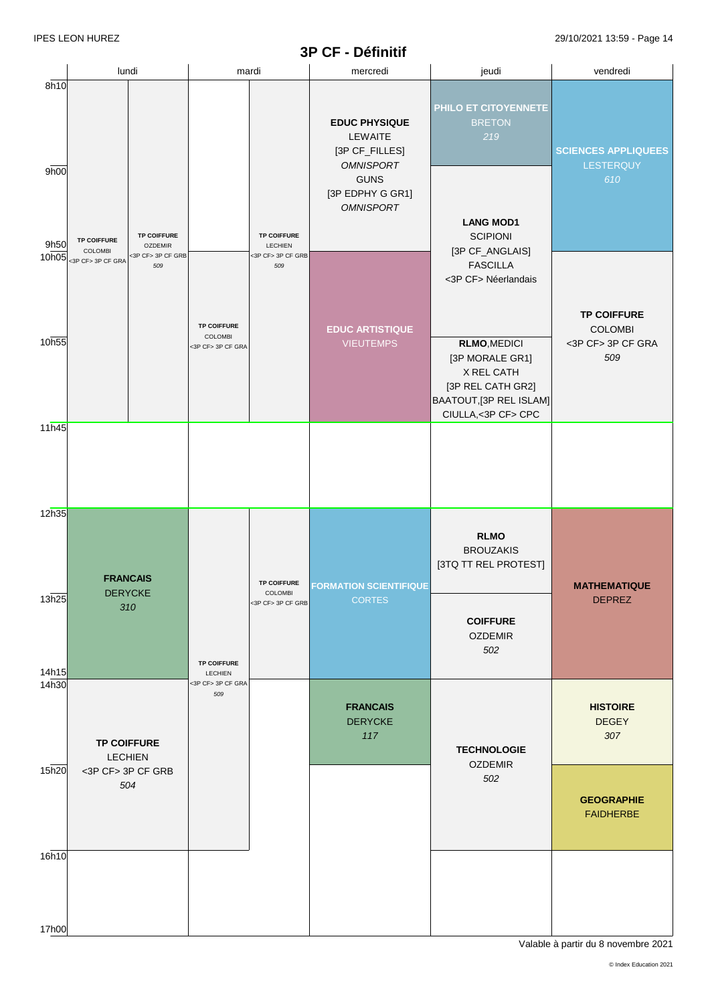#### **3P CF - Définitif**

IPES LEON HUREZ 29/10/2021 13:59 - Page 14

|                | lundi                                                                                                                  | mardi                                              |                                                           | mercredi                                                                                                                     | jeudi                                                                                                                      | vendredi                                                         |
|----------------|------------------------------------------------------------------------------------------------------------------------|----------------------------------------------------|-----------------------------------------------------------|------------------------------------------------------------------------------------------------------------------------------|----------------------------------------------------------------------------------------------------------------------------|------------------------------------------------------------------|
| 8h10<br>9h00   |                                                                                                                        |                                                    |                                                           | <b>EDUC PHYSIQUE</b><br>LEWAITE<br>[3P CF_FILLES]<br><b>OMNISPORT</b><br><b>GUNS</b><br>[3P EDPHY G GR1]<br><b>OMNISPORT</b> | PHILO ET CITOYENNETE<br><b>BRETON</b><br>219                                                                               | <b>SCIENCES APPLIQUEES</b><br>LESTERQUY<br>610                   |
| 9h50<br>10h05  | <b>TP COIFFURE</b><br><b>TP COIFFURE</b><br><b>OZDEMIR</b><br>COLOMBI<br><3P CF> 3P CF GRB<br><3P CF> 3P CF GRA<br>509 |                                                    | <b>TP COIFFURE</b><br>LECHIEN<br><3P CF> 3P CF GRB<br>509 |                                                                                                                              | <b>LANG MOD1</b><br><b>SCIPIONI</b><br>[3P CF_ANGLAIS]<br><b>FASCILLA</b><br><3P CF> Néerlandais                           |                                                                  |
| 10h55          |                                                                                                                        | <b>TP COIFFURE</b><br>COLOMBI<br><3P CF> 3P CF GRA |                                                           | <b>EDUC ARTISTIQUE</b><br><b>VIEUTEMPS</b>                                                                                   | <b>RLMO, MEDICI</b><br>[3P MORALE GR1]<br>X REL CATH<br>[3P REL CATH GR2]<br>BAATOUT, [3P REL ISLAM]<br>CIULLA,<3P CF> CPC | <b>TP COIFFURE</b><br><b>COLOMBI</b><br><3P CF> 3P CF GRA<br>509 |
| 11h45          |                                                                                                                        |                                                    |                                                           |                                                                                                                              |                                                                                                                            |                                                                  |
| 12h35          | <b>FRANCAIS</b><br><b>DERYCKE</b>                                                                                      |                                                    | <b>TP COIFFURE</b>                                        | <b>FORMATION SCIENTIFIQUE</b>                                                                                                | <b>RLMO</b><br><b>BROUZAKIS</b><br>[3TQ TT REL PROTEST]                                                                    | <b>MATHEMATIQUE</b>                                              |
| 13h25<br>14h15 | 310                                                                                                                    | COLOMBI<br><3P CF> 3P CF GRB<br><b>TP COIFFURE</b> |                                                           | <b>CORTES</b>                                                                                                                | <b>COIFFURE</b><br><b>OZDEMIR</b><br>502                                                                                   | <b>DEPREZ</b>                                                    |
| 14h30          | <b>TP COIFFURE</b><br><b>LECHIEN</b>                                                                                   | LECHIEN<br><3P CF> 3P CF GRA<br>509                |                                                           | <b>FRANCAIS</b><br><b>DERYCKE</b><br>117                                                                                     | <b>TECHNOLOGIE</b>                                                                                                         | <b>HISTOIRE</b><br><b>DEGEY</b><br>307                           |
| 15h20          | <3P CF> 3P CF GRB<br>504                                                                                               |                                                    |                                                           |                                                                                                                              | <b>OZDEMIR</b><br>502                                                                                                      | <b>GEOGRAPHIE</b><br><b>FAIDHERBE</b>                            |
| 16h10          |                                                                                                                        |                                                    |                                                           |                                                                                                                              |                                                                                                                            |                                                                  |
| 17h00          |                                                                                                                        |                                                    |                                                           |                                                                                                                              |                                                                                                                            |                                                                  |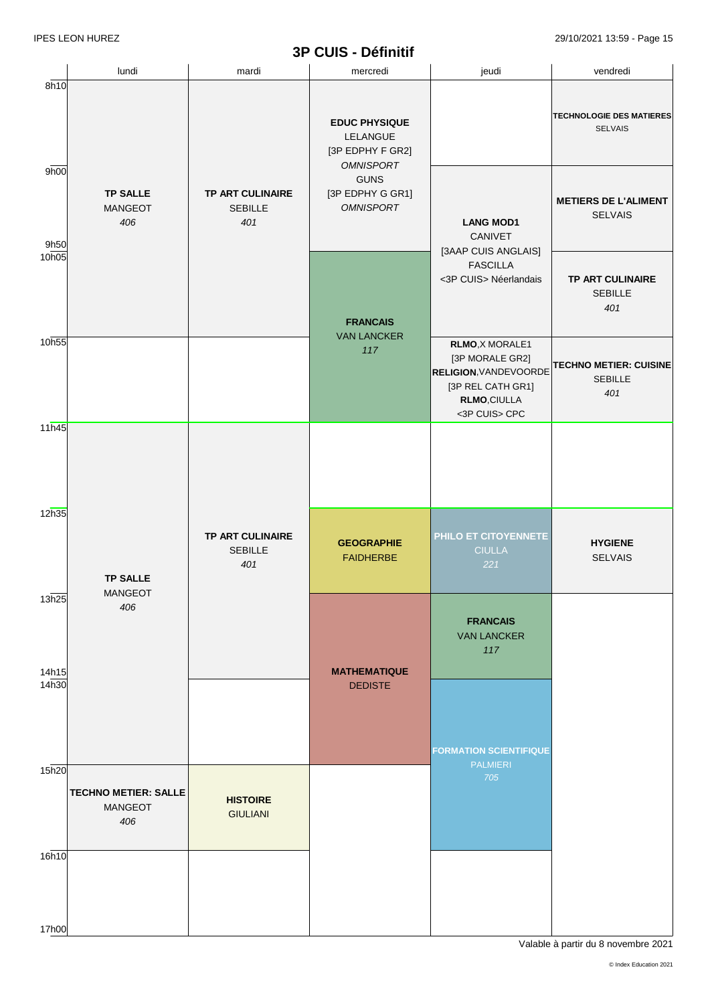## **3P CUIS - Définitif**

IPES LEON HUREZ 29/10/2021 13:59 - Page 15

|                | lundi                                                | mardi                                            | mercredi                                                                | jeudi                                                                                                                          | vendredi                                               |
|----------------|------------------------------------------------------|--------------------------------------------------|-------------------------------------------------------------------------|--------------------------------------------------------------------------------------------------------------------------------|--------------------------------------------------------|
| 8h10           |                                                      |                                                  | <b>EDUC PHYSIQUE</b><br>LELANGUE<br>[3P EDPHY F GR2]                    |                                                                                                                                | <b>TECHNOLOGIE DES MATIERES</b><br><b>SELVAIS</b>      |
| 9h00<br>9h50   | <b>TP SALLE</b><br><b>MANGEOT</b><br>406             | <b>TP ART CULINAIRE</b><br><b>SEBILLE</b><br>401 | <b>OMNISPORT</b><br><b>GUNS</b><br>[3P EDPHY G GR1]<br><b>OMNISPORT</b> | <b>LANG MOD1</b><br><b>CANIVET</b>                                                                                             | <b>METIERS DE L'ALIMENT</b><br><b>SELVAIS</b>          |
| 10h05          |                                                      |                                                  | <b>FRANCAIS</b>                                                         | [3AAP CUIS ANGLAIS]<br><b>FASCILLA</b><br><3P CUIS> Néerlandais                                                                | <b>TP ART CULINAIRE</b><br><b>SEBILLE</b><br>401       |
| 10h55          |                                                      |                                                  | <b>VAN LANCKER</b><br>117                                               | RLMO, X MORALE1<br>[3P MORALE GR2]<br><b>RELIGION, VANDEVOORDE</b><br>[3P REL CATH GR1]<br><b>RLMO,CIULLA</b><br><3P CUIS> CPC | <b>TECHNO METIER: CUISINE</b><br><b>SEBILLE</b><br>401 |
| 11h45          |                                                      |                                                  |                                                                         |                                                                                                                                |                                                        |
| 12h35          |                                                      | <b>TP ART CULINAIRE</b><br><b>SEBILLE</b><br>401 | <b>GEOGRAPHIE</b><br><b>FAIDHERBE</b>                                   | PHILO ET CITOYENNETE<br><b>CIULLA</b><br>221                                                                                   | <b>HYGIENE</b><br><b>SELVAIS</b>                       |
|                | <b>TP SALLE</b><br>MANGEOT                           |                                                  |                                                                         |                                                                                                                                |                                                        |
| 13h25<br>14h15 | 406                                                  |                                                  | <b>MATHEMATIQUE</b>                                                     | <b>FRANCAIS</b><br><b>VAN LANCKER</b><br>117                                                                                   |                                                        |
| 14h30          |                                                      |                                                  | <b>DEDISTE</b>                                                          | <b>FORMATION SCIENTIFIQUE</b>                                                                                                  |                                                        |
| 15h20          | <b>TECHNO METIER: SALLE</b><br><b>MANGEOT</b><br>406 | <b>HISTOIRE</b><br><b>GIULIANI</b>               |                                                                         | <b>PALMIERI</b><br>705                                                                                                         |                                                        |
| 16h10          |                                                      |                                                  |                                                                         |                                                                                                                                |                                                        |
| 17h00          |                                                      |                                                  |                                                                         |                                                                                                                                |                                                        |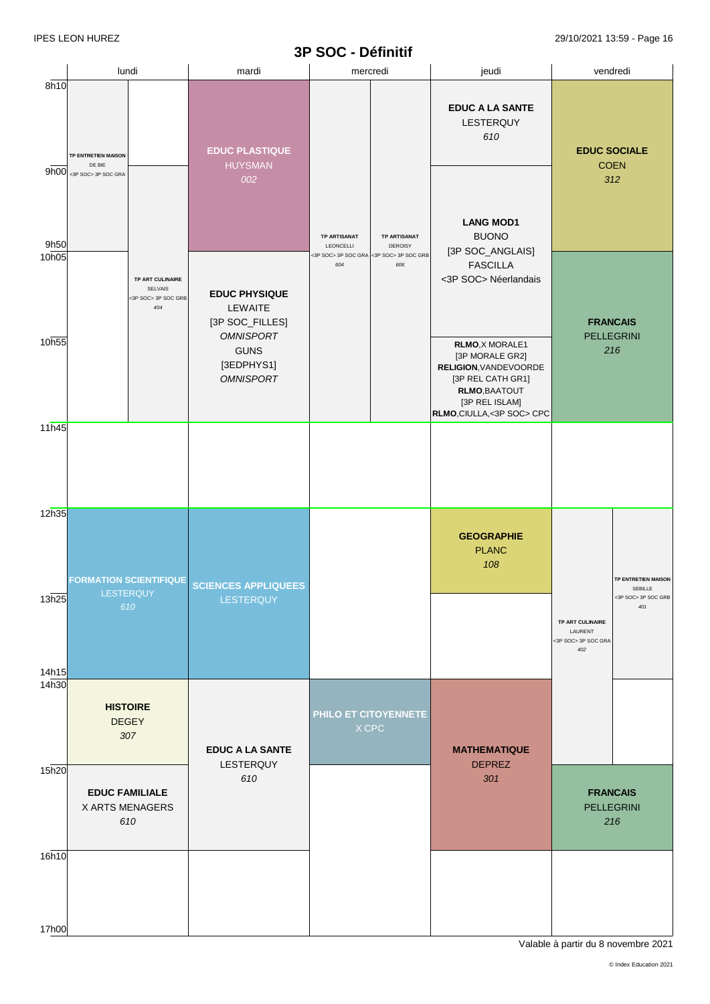#### **3P SOC - Définitif**

|                            |                                                      | lundi                                                            | mardi                                                                                                                   |                                         | mercredi                                                         | jeudi                                                                                                                                                                                                             | vendredi                                                  |                                                              |
|----------------------------|------------------------------------------------------|------------------------------------------------------------------|-------------------------------------------------------------------------------------------------------------------------|-----------------------------------------|------------------------------------------------------------------|-------------------------------------------------------------------------------------------------------------------------------------------------------------------------------------------------------------------|-----------------------------------------------------------|--------------------------------------------------------------|
| 8h10<br>9h00               | TP ENTRETIEN MAISON<br>DE BIE<br><3P SOC> 3P SOC GRA |                                                                  | <b>EDUC PLASTIQUE</b><br><b>HUYSMAN</b><br>002                                                                          |                                         | <b>TP ARTISANAT</b>                                              | <b>EDUC A LA SANTE</b><br>LESTERQUY<br>610<br><b>LANG MOD1</b><br><b>BUONO</b>                                                                                                                                    | <b>EDUC SOCIALE</b><br><b>COEN</b>                        | 312                                                          |
| 9h50<br>10h05<br>10h55     |                                                      | TP ART CULINAIRE<br><b>SELVAIS</b><br><3P SOC> 3P SOC GRB<br>404 | <b>EDUC PHYSIQUE</b><br>LEWAITE<br>[3P SOC_FILLES]<br><b>OMNISPORT</b><br><b>GUNS</b><br>[3EDPHYS1]<br><b>OMNISPORT</b> | <b>TP ARTISANAT</b><br>LEONCELLI<br>604 | <b>DEROISY</b><br><3P SOC> 3P SOC GRA <3P SOC> 3P SOC GRB<br>606 | [3P SOC_ANGLAIS]<br><b>FASCILLA</b><br><3P SOC> Néerlandais<br>RLMO, X MORALE1<br>[3P MORALE GR2]<br>RELIGION, VANDEVOORDE<br>[3P REL CATH GR1]<br>RLMO, BAATOUT<br>[3P REL ISLAM]<br>RLMO, CIULLA, < 3P SOC> CPC | <b>FRANCAIS</b><br><b>PELLEGRINI</b>                      | 216                                                          |
| 11h45                      |                                                      |                                                                  |                                                                                                                         |                                         |                                                                  |                                                                                                                                                                                                                   |                                                           |                                                              |
| 12h35<br>13h25             |                                                      | <b>FORMATION SCIENTIFIQUE</b><br><b>LESTERQUY</b><br>610         | <b>SCIENCES APPLIQUEES</b><br>LESTERQUY                                                                                 |                                         |                                                                  | <b>GEOGRAPHIE</b><br><b>PLANC</b><br>108                                                                                                                                                                          | TP ART CULINAIRE<br>LAURENT<br><3P SOC> 3P SOC GRA<br>402 | TP ENTRETIEN MAISON<br>SEBILLE<br><3P SOC> 3P SOC GRB<br>401 |
| 14h15<br>14 <sub>h30</sub> |                                                      | <b>HISTOIRE</b><br><b>DEGEY</b><br>307                           | <b>EDUC A LA SANTE</b>                                                                                                  |                                         | PHILO ET CITOYENNETE<br>X CPC                                    | <b>MATHEMATIQUE</b>                                                                                                                                                                                               |                                                           |                                                              |
| 15h20                      | <b>EDUC FAMILIALE</b><br>X ARTS MENAGERS<br>610      |                                                                  | LESTERQUY<br>610                                                                                                        |                                         |                                                                  | <b>DEPREZ</b><br>301                                                                                                                                                                                              | <b>FRANCAIS</b><br><b>PELLEGRINI</b>                      | 216                                                          |
| 16h10<br>17h00             |                                                      |                                                                  |                                                                                                                         |                                         |                                                                  |                                                                                                                                                                                                                   |                                                           |                                                              |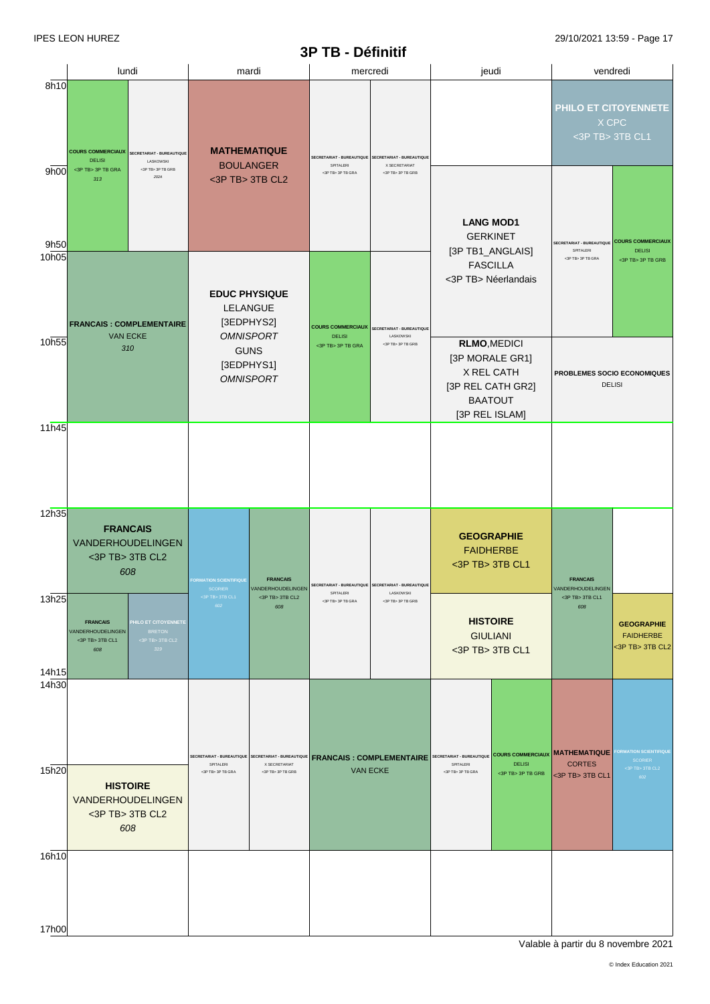# **3P TB - Définitif**

|                |                                                                                                                                              |                                                                                                                                                                                                            | JI<br>TP - Penning                                             |                                                                           |                                                                                                   |                                                                           |                                                                           |                                                                |
|----------------|----------------------------------------------------------------------------------------------------------------------------------------------|------------------------------------------------------------------------------------------------------------------------------------------------------------------------------------------------------------|----------------------------------------------------------------|---------------------------------------------------------------------------|---------------------------------------------------------------------------------------------------|---------------------------------------------------------------------------|---------------------------------------------------------------------------|----------------------------------------------------------------|
|                | lundi                                                                                                                                        | mardi                                                                                                                                                                                                      |                                                                | mercredi                                                                  |                                                                                                   | jeudi                                                                     |                                                                           | vendredi                                                       |
| 8h10<br>9h00   | <b>COURS COMMERCIAUX</b><br>SECRETARIAT - BUREAUTIQUE<br><b>DELISI</b><br>LASKOWSKI<br><3P TB> 3P TB GRA<br><3P TB> 3P TB GRB<br>202A<br>313 | <b>MATHEMATIQUE</b><br><b>SECRETARIAT - BUREAUTIQUE</b><br><b>SECRETARIAT - BUREAUTIQUE</b><br><b>BOULANGER</b><br>SPITALERI<br>X SECRETARIAT<br><3P TB> 3P TB GRA<br><3P TB> 3P TB GRB<br><3P TB> 3TB CL2 |                                                                | PHILO ET CITOYENNETE<br>X CPC<br><3P TB> 3TB CL1                          |                                                                                                   |                                                                           |                                                                           |                                                                |
| 9h50<br>10h05  |                                                                                                                                              |                                                                                                                                                                                                            |                                                                |                                                                           | <b>LANG MOD1</b><br><b>GERKINET</b><br>[3P TB1_ANGLAIS]<br><b>FASCILLA</b><br><3P TB> Néerlandais |                                                                           | <b>SECRETARIAT - BUREAUTIQUE</b><br>SPITALERI<br><3P TB> 3P TB GRA        | <b>COURS COMMERCIAUX</b><br><b>DELISI</b><br><3P TB> 3P TB GRB |
| 10h55          | <b>FRANCAIS: COMPLEMENTAIRE</b><br><b>VAN ECKE</b><br>310                                                                                    | <b>EDUC PHYSIQUE</b><br>LELANGUE<br>[3EDPHYS2]<br><b>OMNISPORT</b><br><b>GUNS</b><br>[3EDPHYS1]<br><b>OMNISPORT</b>                                                                                        | <b>COURS COMMERCIAUX</b><br><b>DELISI</b><br><3P TB> 3P TB GRA | <b>SECRETARIAT - BUREAUTIQUE</b><br><b>LASKOWSKI</b><br><3P TB> 3P TB GRB |                                                                                                   | <b>RLMO, MEDICI</b><br>[3P MORALE GR1]<br>X REL CATH<br>[3P REL CATH GR2] |                                                                           | PROBLEMES SOCIO ECONOMIQUES<br><b>DELISI</b>                   |
| 11h45          |                                                                                                                                              |                                                                                                                                                                                                            |                                                                |                                                                           |                                                                                                   | <b>BAATOUT</b><br>[3P REL ISLAM]                                          |                                                                           |                                                                |
| 12h35          |                                                                                                                                              |                                                                                                                                                                                                            |                                                                |                                                                           |                                                                                                   |                                                                           |                                                                           |                                                                |
|                | <b>FRANCAIS</b><br>VANDERHOUDELINGEN<br><3P TB> 3TB CL2<br>608                                                                               | <b>FRANCAIS</b><br>ORMATION SCIENTIFIQUE                                                                                                                                                                   | SPITALERI                                                      | SECRETARIAT - BUREAUTIQUE SECRETARIAT - BUREAUTIQUE<br>LASKOWSKI          |                                                                                                   | <b>GEOGRAPHIE</b><br><b>FAIDHERBE</b><br><3P TB> 3TB CL1                  | <b>FRANCAIS</b>                                                           |                                                                |
| 13h25          | <b>FRANCAIS</b><br>PHILO ET CITOYENNETE<br>VANDERHOUDELINGEN<br><b>BRETON</b><br><3P TB> 3TB CL1<br><3P TB> 3TB CL2<br>319<br>608            | <3P TB> 3TB CL1<br><3P TB> 3TB CL2<br>602<br>608                                                                                                                                                           | <3P TR> 3P TR GRA                                              | <3P TB> 3P TB GRB                                                         |                                                                                                   | <b>HISTOIRE</b><br><b>GIULIANI</b><br><3P TB> 3TB CL1                     | <3P TB> 3TB CL1<br>608                                                    | <b>GEOGRAPHIE</b><br><b>FAIDHERBE</b><br><3P TB> 3TB CL2       |
| 14h15<br>14h30 |                                                                                                                                              |                                                                                                                                                                                                            |                                                                |                                                                           |                                                                                                   |                                                                           |                                                                           | FORMATION SCIENTIFIQUE                                         |
| 15h20          | <b>HISTOIRE</b><br><b>VANDERHOUDELINGEN</b><br><3P TB> 3TB CL2<br>608                                                                        | SECRETARIAT - BUREAUTIQUE SECRETARIAT - BUREAUTIQUE FRANCAIS : COMPLEMENTAIRE<br>SPITALERI<br>X SECRETARIAT<br><3P TB> 3P TB GRB<br><3P TB> 3P TB GRA                                                      |                                                                | <b>VAN ECKE</b>                                                           | SECRETARIAT - BUREAUTIQUE<br>SPITALERI<br><3P TB> 3P TB GRA                                       | <b>DELISI</b><br><3P TB> 3P TB GRB                                        | <b>COURS COMMERCIAUX MATHEMATIQUE</b><br><b>CORTES</b><br><3P TB> 3TB CL1 | <b>SCORIER</b><br><3P TB> 3TB CL2<br>602                       |
| 16h10          |                                                                                                                                              |                                                                                                                                                                                                            |                                                                |                                                                           |                                                                                                   |                                                                           |                                                                           |                                                                |
| 17h00          |                                                                                                                                              |                                                                                                                                                                                                            |                                                                |                                                                           |                                                                                                   |                                                                           |                                                                           |                                                                |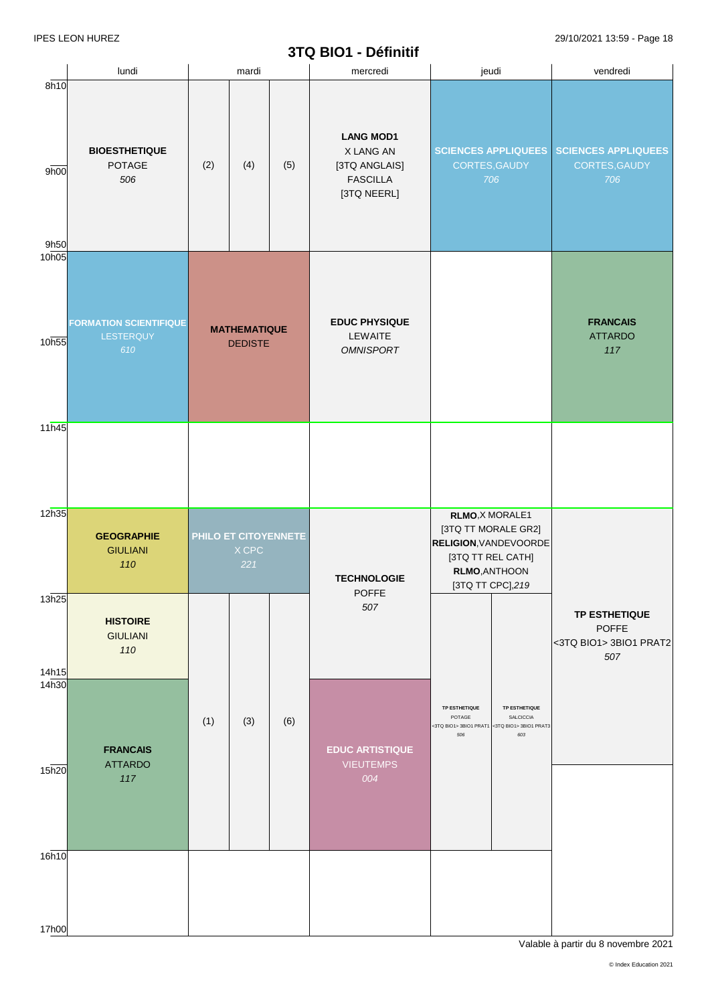# **3TQ BIO1 -Définitif**

| 8h10           | lundi                                             |     | mardi                                 |     | mercredi                                                                         | jeudi                                                                                                                             | vendredi                                                              |
|----------------|---------------------------------------------------|-----|---------------------------------------|-----|----------------------------------------------------------------------------------|-----------------------------------------------------------------------------------------------------------------------------------|-----------------------------------------------------------------------|
| 9h00<br>9h50   | <b>BIOESTHETIQUE</b><br>POTAGE<br>506             | (2) | (4)                                   | (5) | <b>LANG MOD1</b><br>X LANG AN<br>[3TQ ANGLAIS]<br><b>FASCILLA</b><br>[3TQ NEERL] | CORTES, GAUDY<br>706                                                                                                              | SCIENCES APPLIQUEES SCIENCES APPLIQUEES<br>CORTES, GAUDY<br>706       |
| 10h05<br>10h55 | <b>FORMATION SCIENTIFIQUE</b><br>LESTERQUY<br>610 |     | <b>MATHEMATIQUE</b><br><b>DEDISTE</b> |     | <b>EDUC PHYSIQUE</b><br>LEWAITE<br><b>OMNISPORT</b>                              |                                                                                                                                   | <b>FRANCAIS</b><br><b>ATTARDO</b><br>117                              |
| 11h45          |                                                   |     |                                       |     |                                                                                  |                                                                                                                                   |                                                                       |
| 12h35          | <b>GEOGRAPHIE</b><br><b>GIULIANI</b><br>110       |     | PHILO ET CITOYENNETE<br>X CPC<br>221  |     | <b>TECHNOLOGIE</b><br><b>POFFE</b>                                               | RLMO, X MORALE1<br>[3TQ TT MORALE GR2]<br><b>RELIGION, VANDEVOORDE</b><br>[3TQ TT REL CATH]<br>RLMO, ANTHOON<br>[3TQ TT CPC], 219 |                                                                       |
| 13h25<br>14h15 | <b>HISTOIRE</b><br><b>GIULIANI</b><br>110         |     |                                       |     | 507                                                                              |                                                                                                                                   | <b>TP ESTHETIQUE</b><br><b>POFFE</b><br><3TQ BIO1> 3BIO1 PRAT2<br>507 |
| 14h30<br>15h20 | <b>FRANCAIS</b><br><b>ATTARDO</b><br>117          | (1) | (3)                                   | (6) | <b>EDUC ARTISTIQUE</b><br><b>VIEUTEMPS</b><br>004                                | TP ESTHETIQUE<br>TP ESTHETIQUE<br>POTAGE<br>SALCICCIA<br><3TQ BIO1> 3BIO1 PRAT1 <3TQ BIO1> 3BIO1 PRAT3<br>603<br>506              |                                                                       |
| 16h10          |                                                   |     |                                       |     |                                                                                  |                                                                                                                                   |                                                                       |
| 17h00          |                                                   |     |                                       |     |                                                                                  |                                                                                                                                   |                                                                       |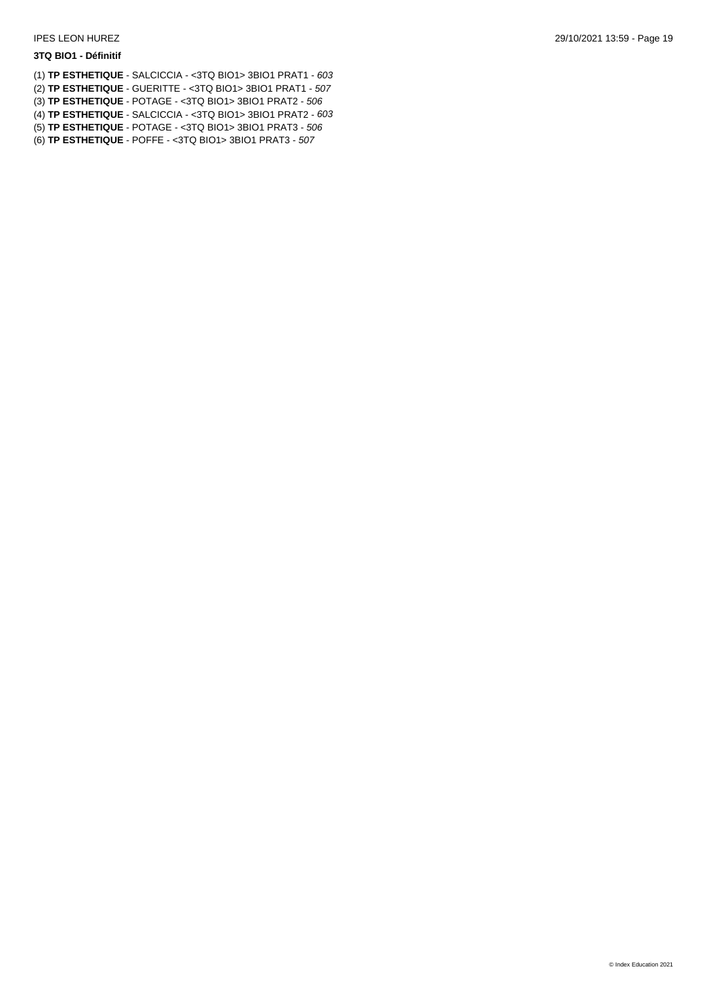#### **3TQ BIO1 - Définitif**

(1) **TP ESTHETIQUE** - SALCICCIA - <3TQ BIO1> 3BIO1 PRAT1 - *603* (2) **TP ESTHETIQUE** - GUERITTE - <3TQ BIO1> 3BIO1 PRAT1 - *507* (3) **TP ESTHETIQUE** - POTAGE - <3TQ BIO1> 3BIO1 PRAT2 - *506* (4) **TP ESTHETIQUE** - SALCICCIA - <3TQ BIO1> 3BIO1 PRAT2 - *603* (5) **TP ESTHETIQUE** - POTAGE - <3TQ BIO1> 3BIO1 PRAT3 - *506* (6) **TP ESTHETIQUE** - POFFE - <3TQ BIO1> 3BIO1 PRAT3 - *507*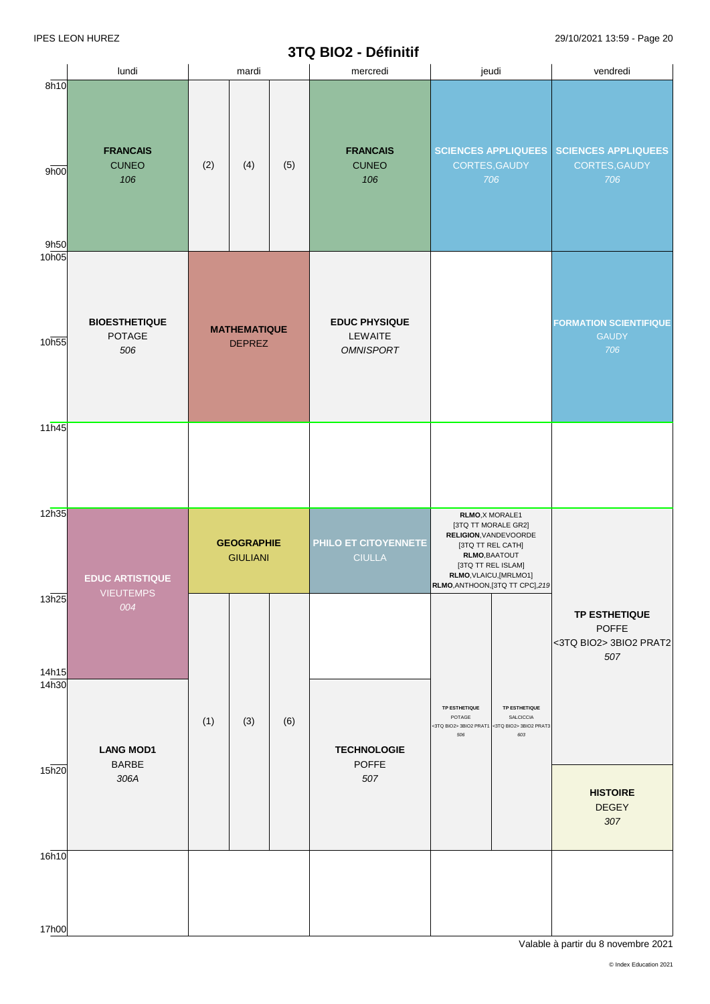#### **3TQ BIO2 -Définitif**

|                      | lundi                                  |     | mardi                                |     | mercredi                                            | jeudi                                                                                                                                                                                     |  | vendredi                                                              |  |                                                      |
|----------------------|----------------------------------------|-----|--------------------------------------|-----|-----------------------------------------------------|-------------------------------------------------------------------------------------------------------------------------------------------------------------------------------------------|--|-----------------------------------------------------------------------|--|------------------------------------------------------|
| 8h10<br>9h00<br>9h50 | <b>FRANCAIS</b><br><b>CUNEO</b><br>106 | (2) | (4)                                  | (5) | <b>FRANCAIS</b><br><b>CUNEO</b><br>106              | <b>SCIENCES APPLIQUEES</b><br>CORTES, GAUDY<br>706                                                                                                                                        |  | <b>SCIENCES APPLIQUEES</b><br>CORTES, GAUDY<br>706                    |  |                                                      |
| 10 <sub>h05</sub>    |                                        |     |                                      |     |                                                     |                                                                                                                                                                                           |  |                                                                       |  |                                                      |
| 10h55                | <b>BIOESTHETIQUE</b><br>POTAGE<br>506  |     | <b>MATHEMATIQUE</b><br><b>DEPREZ</b> |     | <b>EDUC PHYSIQUE</b><br>LEWAITE<br><b>OMNISPORT</b> |                                                                                                                                                                                           |  |                                                                       |  | <b>FORMATION SCIENTIFIQUE</b><br><b>GAUDY</b><br>706 |
| 11h45                |                                        |     |                                      |     |                                                     |                                                                                                                                                                                           |  |                                                                       |  |                                                      |
|                      |                                        |     |                                      |     |                                                     |                                                                                                                                                                                           |  |                                                                       |  |                                                      |
| 12h35                | <b>EDUC ARTISTIQUE</b>                 |     | <b>GEOGRAPHIE</b><br><b>GIULIANI</b> |     | PHILO ET CITOYENNETE<br><b>CIULLA</b>               | RLMO, X MORALE1<br>[3TQ TT MORALE GR2]<br>RELIGION, VANDEVOORDE<br>[3TQ TT REL CATH]<br>RLMO, BAATOUT<br>[3TQ TT REL ISLAM]<br>RLMO, VLAICU, [MRLMO1]<br>RLMO, ANTHOON, [3TQ TT CPC], 219 |  |                                                                       |  |                                                      |
| 13h25<br>14h15       | <b>VIEUTEMPS</b><br>004                |     |                                      |     |                                                     |                                                                                                                                                                                           |  | <b>TP ESTHETIQUE</b><br><b>POFFE</b><br><3TQ BIO2> 3BIO2 PRAT2<br>507 |  |                                                      |
| 14h30                | <b>LANG MOD1</b><br><b>BARBE</b>       | (1) | (3)                                  | (6) | <b>TECHNOLOGIE</b><br><b>POFFE</b>                  | TP ESTHETIQUE<br>TP ESTHETIQUE<br>SALCICCIA<br>POTAGE<br><3TQ BIO2> 3BIO2 PRAT1 <3TQ BIO2> 3BIO2 PRAT3<br>506<br>603                                                                      |  |                                                                       |  |                                                      |
| 15h20                | 306A                                   |     |                                      |     | 507                                                 |                                                                                                                                                                                           |  | <b>HISTOIRE</b><br><b>DEGEY</b><br>307                                |  |                                                      |
| 16h10                |                                        |     |                                      |     |                                                     |                                                                                                                                                                                           |  |                                                                       |  |                                                      |
| 17h00                |                                        |     |                                      |     |                                                     |                                                                                                                                                                                           |  |                                                                       |  |                                                      |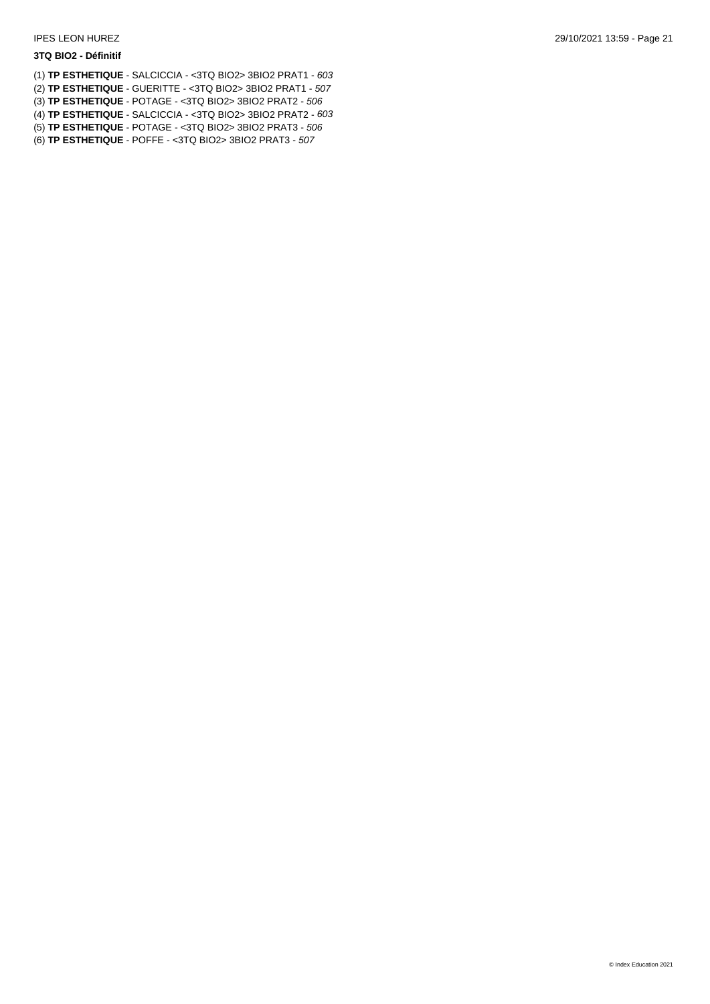#### **3TQ BIO2 - Définitif**

- (1) **TP ESTHETIQUE** SALCICCIA <3TQ BIO2> 3BIO2 PRAT1 *603* (2) **TP ESTHETIQUE** - GUERITTE - <3TQ BIO2> 3BIO2 PRAT1 - *507* (3) **TP ESTHETIQUE** - POTAGE - <3TQ BIO2> 3BIO2 PRAT2 - *506* (4) **TP ESTHETIQUE** - SALCICCIA - <3TQ BIO2> 3BIO2 PRAT2 - *603*
- (5) **TP ESTHETIQUE** POTAGE <3TQ BIO2> 3BIO2 PRAT3 *506*
- (6) **TP ESTHETIQUE** POFFE <3TQ BIO2> 3BIO2 PRAT3 *507*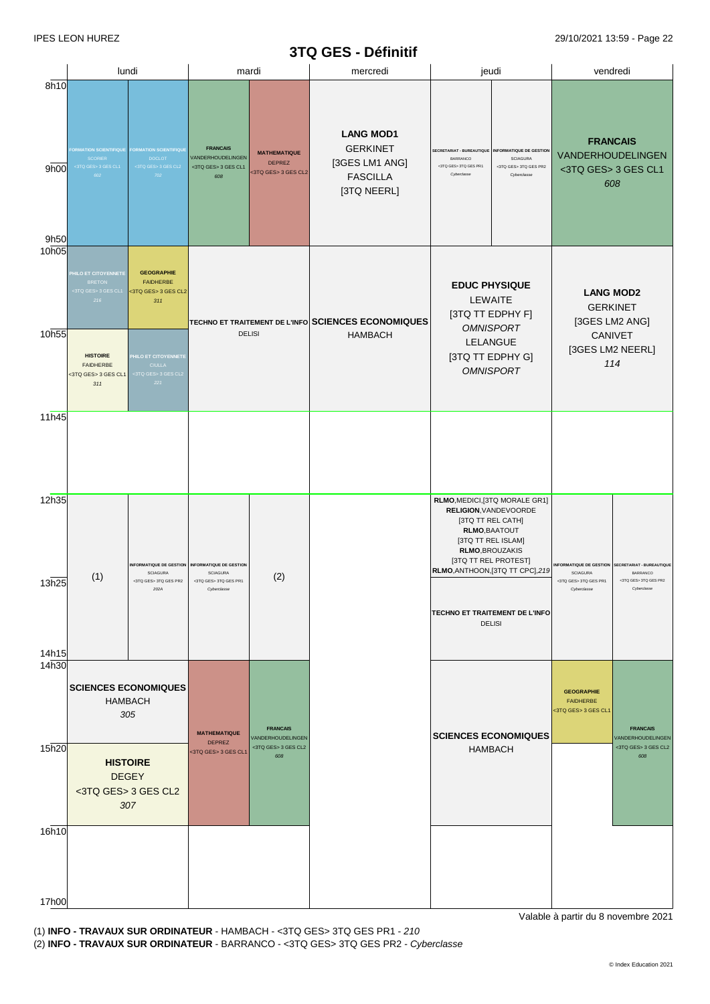# **3TQ GES - Définitif**

| lundi<br>jeudi<br>vendredi<br>mardi<br>mercredi<br>8h10<br><b>LANG MOD1</b><br><b>FRANCAIS</b><br><b>GERKINET</b><br><b>FRANCAIS</b><br><b>ORMATION SCIENTIFIQUE</b><br><b>FORMATION SCIENTIFIQUE</b><br><b>INFORMATIQUE DE GESTION</b><br>SECRETARIAT - BUREAUTIQUE<br><b>MATHEMATIQUE</b><br>VANDERHOUDELINGEN<br>VANDERHOUDELINGEN<br>SCORIER<br><b>DOCLOT</b><br><b>SCIAGURA</b><br>BARRANCO<br>[3GES LM1 ANG]<br><b>DEPREZ</b><br><3TQ GES> 3TQ GES PR2<br><3TQ GES> 3 GES CL1<br><3TQ GES> 3 GES CL2<br><3TQ GES> 3 GES CL1<br><3TQ GES> 3TQ GES PR1<br>9h00<br><3TQ GES> 3 GES CL1<br><3TQ GES> 3 GES CL2<br>702<br><b>FASCILLA</b><br>Cyberclasse<br>Cyberclasse<br>602<br>608<br>608<br>[3TQ NEERL]<br>9h50<br><b>GEOGRAPHIE</b><br><b>HILO ET CITOYENNETE</b><br><b>FAIDHERBE</b><br><b>BRETON</b><br><b>EDUC PHYSIQUE</b><br><3TQ GES> 3 GES CL1<br><3TQ GES> 3 GES CL2<br><b>LANG MOD2</b><br>LEWAITE<br>216<br>311<br><b>GERKINET</b><br>[3TQ TT EDPHY F]<br>[3GES LM2 ANG]<br><b>TECHNO ET TRAITEMENT DE L'INFO SCIENCES ECONOMIQUES</b><br><b>OMNISPORT</b><br><b>DELISI</b><br>CANIVET<br><b>HAMBACH</b><br>LELANGUE<br>[3GES LM2 NEERL]<br>[3TQ TT EDPHY G]<br><b>HISTOIRE</b><br>HILO ET CITOYENNETE<br>114<br><b>FAIDHERBE</b><br><b>CIULLA</b><br><b>OMNISPORT</b><br><3TQ GES> 3 GES CL1<br>:3TQ GES> 3 GES CL2<br>221<br>311<br>11h45<br>RLMO, MEDICI, [3TQ MORALE GR1]<br>RELIGION, VANDEVOORDE<br>[3TQ TT REL CATH]<br>RLMO, BAATOUT<br>[3TQ TT REL ISLAM]<br>RLMO, BROUZAKIS<br>[3TQ TT REL PROTEST]<br><b>INFORMATIQUE DE GESTION</b><br><b>INFORMATIQUE DE GESTION</b><br><b>NFORMATIQUE DE GESTION</b><br><b>SECRETARIAT - BUREAUTIQUE</b><br>RLMO, ANTHOON, [3TQ TT CPC], 219<br><b>SCIAGURA</b><br><b>SCIAGURA</b><br>BARRANCO<br><b>SCIAGURA</b><br>(2)<br>(1)<br><3TQ GES> 3TQ GES PR2<br><3TQ GES> 3TQ GES PR2<br><3TQ GES> 3TQ GES PR1<br><3TQ GES> 3TQ GES PR1<br>202A<br>Cyberclasse<br>Cyberclasse<br>Cyberclasse<br>TECHNO ET TRAITEMENT DE L'INFO<br><b>DELISI</b><br>14h30<br><b>SCIENCES ECONOMIQUES</b><br><b>GEOGRAPHIE</b><br><b>HAMBACH</b><br><b>FAIDHERBE</b><br><3TQ GES> 3 GES CL1<br>305<br><b>FRANCAIS</b><br><b>FRANCAIS</b><br><b>MATHEMATIQUE</b><br><b>SCIENCES ECONOMIQUES</b><br>VANDERHOUDELINGEN<br>VANDERHOUDELINGEN<br><b>DEPREZ</b><br><3TQ GES> 3 GES CL2<br><3TQ GES> 3 GES CL2<br><b>HAMBACH</b><br><3TQ GES> 3 GES CL1<br>608<br>608<br><b>HISTOIRE</b><br><b>DEGEY</b><br><3TQ GES> 3 GES CL2<br>307 |                |  |  | <b>214 ALS - DEITIIIII</b> |  |  |
|-------------------------------------------------------------------------------------------------------------------------------------------------------------------------------------------------------------------------------------------------------------------------------------------------------------------------------------------------------------------------------------------------------------------------------------------------------------------------------------------------------------------------------------------------------------------------------------------------------------------------------------------------------------------------------------------------------------------------------------------------------------------------------------------------------------------------------------------------------------------------------------------------------------------------------------------------------------------------------------------------------------------------------------------------------------------------------------------------------------------------------------------------------------------------------------------------------------------------------------------------------------------------------------------------------------------------------------------------------------------------------------------------------------------------------------------------------------------------------------------------------------------------------------------------------------------------------------------------------------------------------------------------------------------------------------------------------------------------------------------------------------------------------------------------------------------------------------------------------------------------------------------------------------------------------------------------------------------------------------------------------------------------------------------------------------------------------------------------------------------------------------------------------------------------------------------------------------------------------------------------------------------------------------------------------------------------------------------------------------------------------------------------------------------------------------------------------------------------|----------------|--|--|----------------------------|--|--|
|                                                                                                                                                                                                                                                                                                                                                                                                                                                                                                                                                                                                                                                                                                                                                                                                                                                                                                                                                                                                                                                                                                                                                                                                                                                                                                                                                                                                                                                                                                                                                                                                                                                                                                                                                                                                                                                                                                                                                                                                                                                                                                                                                                                                                                                                                                                                                                                                                                                                         |                |  |  |                            |  |  |
|                                                                                                                                                                                                                                                                                                                                                                                                                                                                                                                                                                                                                                                                                                                                                                                                                                                                                                                                                                                                                                                                                                                                                                                                                                                                                                                                                                                                                                                                                                                                                                                                                                                                                                                                                                                                                                                                                                                                                                                                                                                                                                                                                                                                                                                                                                                                                                                                                                                                         |                |  |  |                            |  |  |
|                                                                                                                                                                                                                                                                                                                                                                                                                                                                                                                                                                                                                                                                                                                                                                                                                                                                                                                                                                                                                                                                                                                                                                                                                                                                                                                                                                                                                                                                                                                                                                                                                                                                                                                                                                                                                                                                                                                                                                                                                                                                                                                                                                                                                                                                                                                                                                                                                                                                         | 10h05<br>10h55 |  |  |                            |  |  |
|                                                                                                                                                                                                                                                                                                                                                                                                                                                                                                                                                                                                                                                                                                                                                                                                                                                                                                                                                                                                                                                                                                                                                                                                                                                                                                                                                                                                                                                                                                                                                                                                                                                                                                                                                                                                                                                                                                                                                                                                                                                                                                                                                                                                                                                                                                                                                                                                                                                                         |                |  |  |                            |  |  |
|                                                                                                                                                                                                                                                                                                                                                                                                                                                                                                                                                                                                                                                                                                                                                                                                                                                                                                                                                                                                                                                                                                                                                                                                                                                                                                                                                                                                                                                                                                                                                                                                                                                                                                                                                                                                                                                                                                                                                                                                                                                                                                                                                                                                                                                                                                                                                                                                                                                                         |                |  |  |                            |  |  |
|                                                                                                                                                                                                                                                                                                                                                                                                                                                                                                                                                                                                                                                                                                                                                                                                                                                                                                                                                                                                                                                                                                                                                                                                                                                                                                                                                                                                                                                                                                                                                                                                                                                                                                                                                                                                                                                                                                                                                                                                                                                                                                                                                                                                                                                                                                                                                                                                                                                                         | 12h35<br>13h25 |  |  |                            |  |  |
|                                                                                                                                                                                                                                                                                                                                                                                                                                                                                                                                                                                                                                                                                                                                                                                                                                                                                                                                                                                                                                                                                                                                                                                                                                                                                                                                                                                                                                                                                                                                                                                                                                                                                                                                                                                                                                                                                                                                                                                                                                                                                                                                                                                                                                                                                                                                                                                                                                                                         | 14h15          |  |  |                            |  |  |
|                                                                                                                                                                                                                                                                                                                                                                                                                                                                                                                                                                                                                                                                                                                                                                                                                                                                                                                                                                                                                                                                                                                                                                                                                                                                                                                                                                                                                                                                                                                                                                                                                                                                                                                                                                                                                                                                                                                                                                                                                                                                                                                                                                                                                                                                                                                                                                                                                                                                         |                |  |  |                            |  |  |
|                                                                                                                                                                                                                                                                                                                                                                                                                                                                                                                                                                                                                                                                                                                                                                                                                                                                                                                                                                                                                                                                                                                                                                                                                                                                                                                                                                                                                                                                                                                                                                                                                                                                                                                                                                                                                                                                                                                                                                                                                                                                                                                                                                                                                                                                                                                                                                                                                                                                         | 15h20          |  |  |                            |  |  |
|                                                                                                                                                                                                                                                                                                                                                                                                                                                                                                                                                                                                                                                                                                                                                                                                                                                                                                                                                                                                                                                                                                                                                                                                                                                                                                                                                                                                                                                                                                                                                                                                                                                                                                                                                                                                                                                                                                                                                                                                                                                                                                                                                                                                                                                                                                                                                                                                                                                                         | 16h10          |  |  |                            |  |  |
|                                                                                                                                                                                                                                                                                                                                                                                                                                                                                                                                                                                                                                                                                                                                                                                                                                                                                                                                                                                                                                                                                                                                                                                                                                                                                                                                                                                                                                                                                                                                                                                                                                                                                                                                                                                                                                                                                                                                                                                                                                                                                                                                                                                                                                                                                                                                                                                                                                                                         | 17h00          |  |  |                            |  |  |

17h00 (1) **INFO - TRAVAUX SUR ORDINATEUR** - HAMBACH - <3TQ GES> 3TQ GES PR1 - *210* (1) **INFO - TRAVAUX SUR ORDINATEUR** - HAMBACH - <3TQ GES> 3TQ GES PR1 - *210* (2)BARRANCO - <3TQ GES> 3TQ GES PR2 - *Cyberclasse*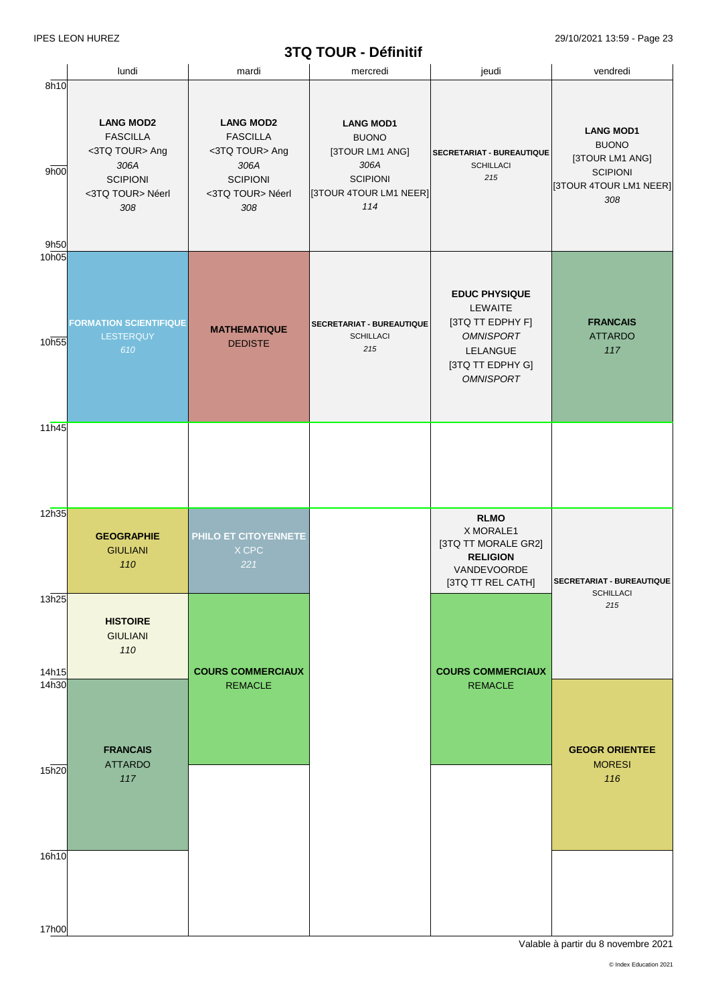# **3TQ TOUR - Définitif**

|                      |                                                                                                             |                                                                                                             | JIW IVUN - DCIIIIIIII                                                                                           |                                                                                                                             |                                                                                                         |
|----------------------|-------------------------------------------------------------------------------------------------------------|-------------------------------------------------------------------------------------------------------------|-----------------------------------------------------------------------------------------------------------------|-----------------------------------------------------------------------------------------------------------------------------|---------------------------------------------------------------------------------------------------------|
|                      | lundi                                                                                                       | mardi                                                                                                       | mercredi                                                                                                        | jeudi                                                                                                                       | vendredi                                                                                                |
| 8h10<br>9h00<br>9h50 | <b>LANG MOD2</b><br><b>FASCILLA</b><br><3TQ TOUR> Ang<br>306A<br><b>SCIPIONI</b><br><3TQ TOUR> Néerl<br>308 | <b>LANG MOD2</b><br><b>FASCILLA</b><br><3TQ TOUR> Ang<br>306A<br><b>SCIPIONI</b><br><3TQ TOUR> Néerl<br>308 | <b>LANG MOD1</b><br><b>BUONO</b><br>[3TOUR LM1 ANG]<br>306A<br><b>SCIPIONI</b><br>[3TOUR 4TOUR LM1 NEER]<br>114 | SECRETARIAT - BUREAUTIQUE<br><b>SCHILLACI</b><br>215                                                                        | <b>LANG MOD1</b><br><b>BUONO</b><br>[3TOUR LM1 ANG]<br><b>SCIPIONI</b><br>[3TOUR 4TOUR LM1 NEER]<br>308 |
| 10h05<br>10h55       | <b>FORMATION SCIENTIFIQUE</b><br>LESTERQUY<br>610                                                           | <b>MATHEMATIQUE</b><br><b>DEDISTE</b>                                                                       | SECRETARIAT - BUREAUTIQUE<br><b>SCHILLACI</b><br>215                                                            | <b>EDUC PHYSIQUE</b><br>LEWAITE<br>[3TQ TT EDPHY F]<br><b>OMNISPORT</b><br>LELANGUE<br>[3TQ TT EDPHY G]<br><b>OMNISPORT</b> | <b>FRANCAIS</b><br><b>ATTARDO</b><br>117                                                                |
| 11h45                |                                                                                                             |                                                                                                             |                                                                                                                 |                                                                                                                             |                                                                                                         |
| 12h35                | <b>GEOGRAPHIE</b><br><b>GIULIANI</b><br>110                                                                 | PHILO ET CITOYENNETE<br>X CPC<br>221                                                                        |                                                                                                                 | <b>RLMO</b><br>X MORALE1<br>[3TQ TT MORALE GR2]<br><b>RELIGION</b><br>VANDEVOORDE<br>[3TQ TT REL CATH]                      | SECRETARIAT - BUREAUTIQUE                                                                               |
| 13h25<br>14h15       | <b>HISTOIRE</b><br><b>GIULIANI</b><br>110                                                                   | <b>COURS COMMERCIAUX</b>                                                                                    |                                                                                                                 | <b>COURS COMMERCIAUX</b>                                                                                                    | <b>SCHILLACI</b><br>215                                                                                 |
| 14h30<br>15h20       | <b>FRANCAIS</b><br><b>ATTARDO</b><br>117                                                                    | <b>REMACLE</b>                                                                                              |                                                                                                                 | <b>REMACLE</b>                                                                                                              | <b>GEOGR ORIENTEE</b><br><b>MORESI</b><br>116                                                           |
| 16h10                |                                                                                                             |                                                                                                             |                                                                                                                 |                                                                                                                             |                                                                                                         |
| 17h00                |                                                                                                             |                                                                                                             |                                                                                                                 |                                                                                                                             |                                                                                                         |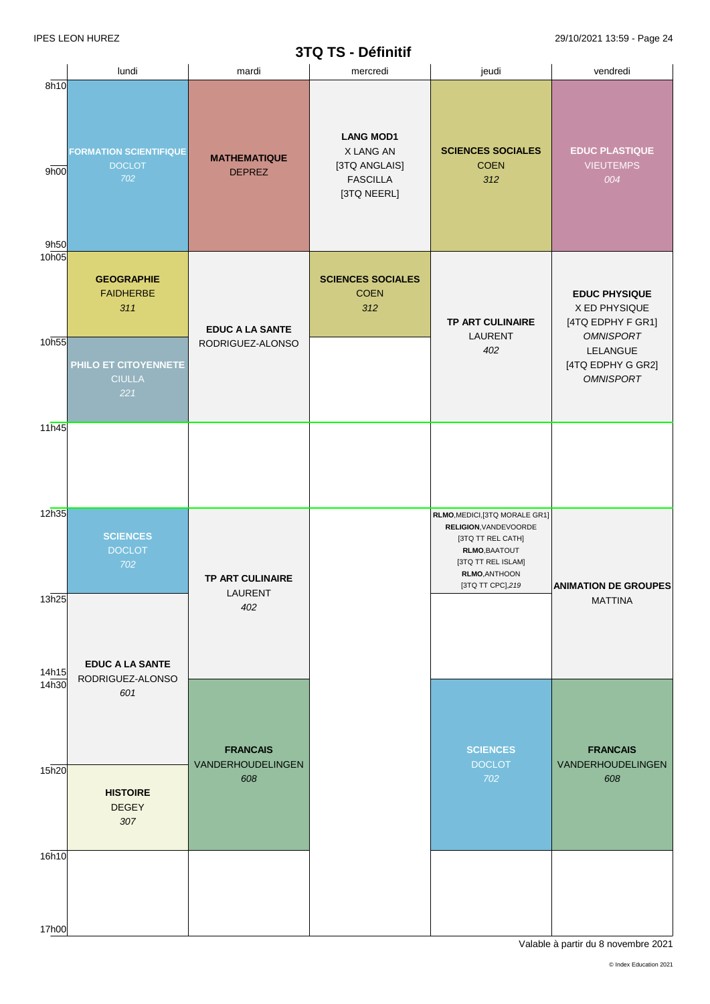# **3TQ TS - Définitif**

|                            |                                                                                              |                                             | $31$ $\alpha$ $1$ $\beta$ - Definition                                           |                                                                                                                                                           |                                                                                                                                     |
|----------------------------|----------------------------------------------------------------------------------------------|---------------------------------------------|----------------------------------------------------------------------------------|-----------------------------------------------------------------------------------------------------------------------------------------------------------|-------------------------------------------------------------------------------------------------------------------------------------|
|                            | lundi                                                                                        | mardi                                       | mercredi                                                                         | jeudi                                                                                                                                                     | vendredi                                                                                                                            |
| 8h10<br>9h00<br>9h50       | <b>FORMATION SCIENTIFIQUE</b><br><b>DOCLOT</b><br>702                                        | <b>MATHEMATIQUE</b><br><b>DEPREZ</b>        | <b>LANG MOD1</b><br>X LANG AN<br>[3TQ ANGLAIS]<br><b>FASCILLA</b><br>[3TQ NEERL] | <b>SCIENCES SOCIALES</b><br><b>COEN</b><br>312                                                                                                            | <b>EDUC PLASTIQUE</b><br><b>VIEUTEMPS</b><br>004                                                                                    |
| 10 <sub>h05</sub><br>10h55 | <b>GEOGRAPHIE</b><br><b>FAIDHERBE</b><br>311<br>PHILO ET CITOYENNETE<br><b>CIULLA</b><br>221 | <b>EDUC A LA SANTE</b><br>RODRIGUEZ-ALONSO  | <b>SCIENCES SOCIALES</b><br><b>COEN</b><br>312                                   | TP ART CULINAIRE<br>LAURENT<br>402                                                                                                                        | <b>EDUC PHYSIQUE</b><br>X ED PHYSIQUE<br>[4TQ EDPHY F GR1]<br><b>OMNISPORT</b><br>LELANGUE<br>[4TQ EDPHY G GR2]<br><b>OMNISPORT</b> |
| 11h45                      |                                                                                              |                                             |                                                                                  |                                                                                                                                                           |                                                                                                                                     |
| 12h35<br>13h25             | <b>SCIENCES</b><br><b>DOCLOT</b><br>702                                                      | TP ART CULINAIRE<br>LAURENT                 |                                                                                  | RLMO, MEDICI, [3TQ MORALE GR1]<br>RELIGION, VANDEVOORDE<br>[3TQ TT REL CATH]<br>RLMO, BAATOUT<br>[3TQ TT REL ISLAM]<br>RLMO, ANTHOON<br>[3TQ TT CPC], 219 | <b>ANIMATION DE GROUPES</b><br><b>MATTINA</b>                                                                                       |
| 14h15<br>14h30             | <b>EDUC A LA SANTE</b><br>RODRIGUEZ-ALONSO                                                   | 402                                         |                                                                                  |                                                                                                                                                           |                                                                                                                                     |
| 15h20                      | 601                                                                                          | <b>FRANCAIS</b><br>VANDERHOUDELINGEN<br>608 |                                                                                  | <b>SCIENCES</b><br><b>DOCLOT</b><br>702                                                                                                                   | <b>FRANCAIS</b><br>VANDERHOUDELINGEN<br>608                                                                                         |
| 16h10                      | <b>HISTOIRE</b><br><b>DEGEY</b><br>307                                                       |                                             |                                                                                  |                                                                                                                                                           |                                                                                                                                     |
|                            |                                                                                              |                                             |                                                                                  |                                                                                                                                                           |                                                                                                                                     |
| 17h00                      |                                                                                              |                                             |                                                                                  |                                                                                                                                                           |                                                                                                                                     |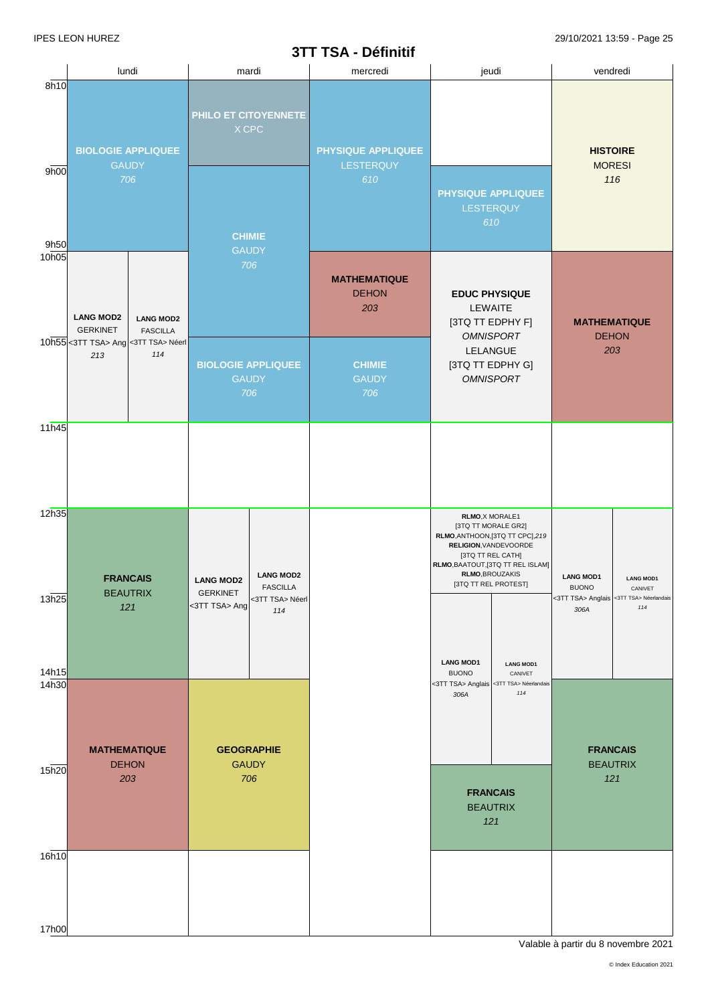# **3TT TSA - Définitif**

|                   |                                                                                                                     |                                            |                                                      |                                                               | 311 ISA - DETINITI                         |                                                                                                            |                                                                                            |                                                                                     |                                     |
|-------------------|---------------------------------------------------------------------------------------------------------------------|--------------------------------------------|------------------------------------------------------|---------------------------------------------------------------|--------------------------------------------|------------------------------------------------------------------------------------------------------------|--------------------------------------------------------------------------------------------|-------------------------------------------------------------------------------------|-------------------------------------|
| 8h10              |                                                                                                                     | lundi                                      |                                                      | mardi                                                         | mercredi                                   | jeudi                                                                                                      |                                                                                            | vendredi                                                                            |                                     |
| 9h00              |                                                                                                                     | <b>BIOLOGIE APPLIQUEE</b><br><b>GAUDY</b>  |                                                      | PHILO ET CITOYENNETE<br>$X$ CPC                               | PHYSIQUE APPLIQUEE<br>LESTERQUY            |                                                                                                            |                                                                                            | <b>HISTOIRE</b>                                                                     | <b>MORESI</b>                       |
| 9h50              |                                                                                                                     | 706                                        | <b>CHIMIE</b><br><b>GAUDY</b>                        |                                                               | 610                                        | <b>PHYSIQUE APPLIQUEE</b><br>LESTERQUY                                                                     | 610                                                                                        |                                                                                     | 116                                 |
| 10 <sub>h05</sub> | <b>LANG MOD2</b><br><b>LANG MOD2</b><br><b>GERKINET</b><br><b>FASCILLA</b><br>10h55 < 3TT TSA> Ang < 3TT TSA> Néerl |                                            | 706                                                  |                                                               | <b>MATHEMATIQUE</b><br><b>DEHON</b><br>203 | <b>EDUC PHYSIQUE</b><br>LEWAITE<br>[3TQ TT EDPHY F]<br><b>OMNISPORT</b>                                    |                                                                                            |                                                                                     | <b>MATHEMATIQUE</b><br><b>DEHON</b> |
|                   | 213                                                                                                                 | 114                                        |                                                      | <b>BIOLOGIE APPLIQUEE</b><br><b>GAUDY</b><br>706              | <b>CHIMIE</b><br><b>GAUDY</b><br>706       | LELANGUE<br>[3TQ TT EDPHY G]<br><b>OMNISPORT</b>                                                           |                                                                                            | 203                                                                                 |                                     |
| 11h45             |                                                                                                                     |                                            |                                                      |                                                               |                                            |                                                                                                            |                                                                                            |                                                                                     |                                     |
| 12h35<br>13h25    |                                                                                                                     | <b>FRANCAIS</b><br><b>BEAUTRIX</b><br>121  | <b>LANG MOD2</b><br><b>GERKINET</b><br><3TT TSA> Ang | <b>LANG MOD2</b><br><b>FASCILLA</b><br><3TT TSA> Néerl<br>114 |                                            | RLMO, X MORALE1<br>[3TQ TT MORALE GR2]<br>RELIGION, VANDEVOORDE<br>RLMO, BROUZAKIS<br>[3TQ TT REL PROTEST] | RLMO, ANTHOON, [3TQ TT CPC], 219<br>[3TQ TT REL CATH]<br>RLMO, BAATOUT, [3TQ TT REL ISLAM] | <b>LANG MOD1</b><br><b>BUONO</b><br><3TT TSA> Anglais <3TT TSA> Néerlandais<br>306A | <b>LANG MOD1</b><br>CANIVET<br>114  |
| 14h15<br>14h30    |                                                                                                                     |                                            |                                                      |                                                               |                                            | <b>LANG MOD1</b><br><b>BUONO</b><br><3TT TSA> Anglais <3TT TSA> Néerlandais                                | <b>LANG MOD1</b><br>CANIVET<br>114                                                         |                                                                                     |                                     |
| 15h20             |                                                                                                                     | <b>MATHEMATIQUE</b><br><b>DEHON</b><br>203 |                                                      | <b>GEOGRAPHIE</b><br><b>GAUDY</b><br>706                      |                                            | 306A<br><b>FRANCAIS</b><br>121                                                                             | <b>BEAUTRIX</b>                                                                            | <b>FRANCAIS</b>                                                                     | <b>BEAUTRIX</b><br>121              |
| 16h10             |                                                                                                                     |                                            |                                                      |                                                               |                                            |                                                                                                            |                                                                                            |                                                                                     |                                     |
| 17h00             |                                                                                                                     |                                            |                                                      |                                                               |                                            |                                                                                                            |                                                                                            |                                                                                     |                                     |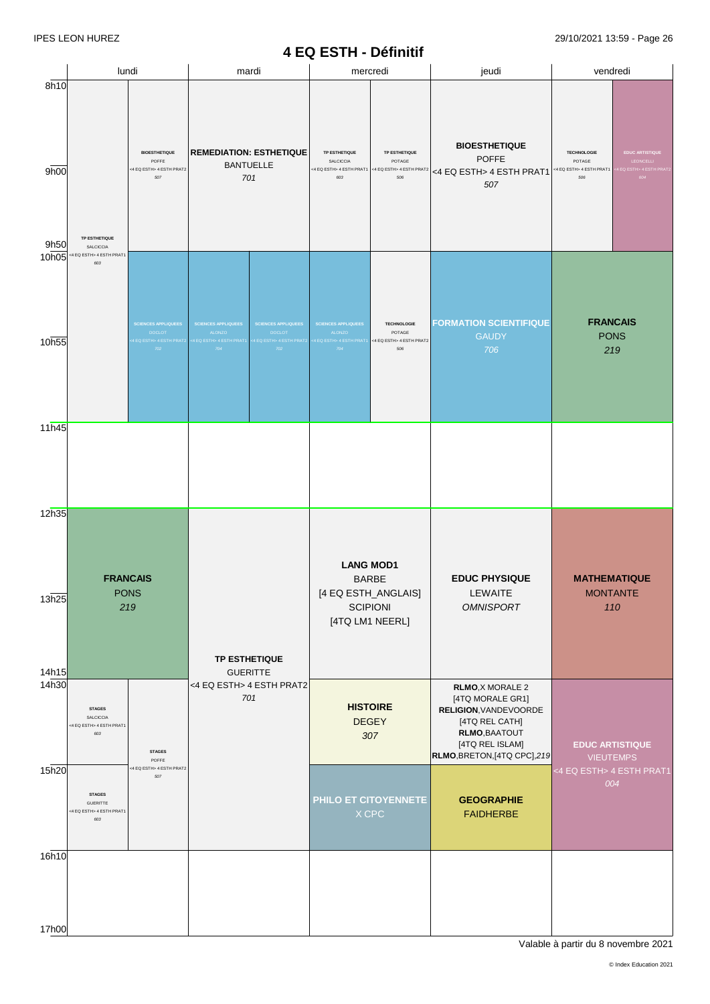#### **4 EQ ESTH - Définitif**

|                         | lundi                                                                                                                         |                                                                                     | mardi                                                                                                                                                                                                                                                                                                                                                         |  |                                                                         | mercredi                                                                                      | jeudi                                                                                                                                                                                        | vendredi                                                                      |  |
|-------------------------|-------------------------------------------------------------------------------------------------------------------------------|-------------------------------------------------------------------------------------|---------------------------------------------------------------------------------------------------------------------------------------------------------------------------------------------------------------------------------------------------------------------------------------------------------------------------------------------------------------|--|-------------------------------------------------------------------------|-----------------------------------------------------------------------------------------------|----------------------------------------------------------------------------------------------------------------------------------------------------------------------------------------------|-------------------------------------------------------------------------------|--|
| 8h10<br>9h00<br>9h50    | TP ESTHETIQUE<br>SALCICCIA                                                                                                    | <b>BIOESTHETIQUE</b><br>POFFE<br><4 EQ ESTH> 4 ESTH PRAT2<br>507                    | <b>REMEDIATION: ESTHETIQUE</b><br><b>TP ESTHETIQUE</b><br>TP ESTHETIQUE<br>SALCICCIA<br>POTAGE<br><b>BANTUELLE</b><br><4 EQ ESTH> 4 ESTH PRAT1<br><4 EQ ESTH> 4 ESTH PRAT2<br>701<br>506<br>603                                                                                                                                                               |  | <b>BIOESTHETIQUE</b><br><b>POFFE</b><br><4 EQ ESTH> 4 ESTH PRAT1<br>507 | <b>TECHNOLOGIE</b><br>POTAGE<br><4 EQ ESTH> 4 ESTH PRAT1<br>506                               | <b>EDUC ARTISTIQUE</b><br>LEONCELLI<br>EQ ESTH> 4 ESTH PRAT<br>604                                                                                                                           |                                                                               |  |
| 10h05<br>10h55          | 4 EQ ESTH> 4 ESTH PRAT1<br>603                                                                                                | <b>SCIENCES APPLIQUEES</b><br><b>DOCLOT</b><br>EQ ESTH> 4 ESTH PRAT2<br>${\bf 702}$ | <b>FORMATION SCIENTIFIQUE</b><br><b>TECHNOLOGIE</b><br><b>SCIENCES APPLIQUEES</b><br><b>SCIENCES APPLIQUEES</b><br><b>SCIENCES APPLIQUEES</b><br>ALONZO<br><b>DOCLOT</b><br>ALONZO<br>POTAGE<br><b>GAUDY</b><br>4 EQ ESTH> 4 ESTH PRAT1<br>4 EQ ESTH> 4 ESTH PRAT2<br><4 EQ ESTH> 4 ESTH PRAT1<br><4 EQ ESTH> 4 ESTH PRAT2<br>704<br>704<br>506<br>706<br>702 |  | <b>FRANCAIS</b><br><b>PONS</b><br>219                                   |                                                                                               |                                                                                                                                                                                              |                                                                               |  |
| 11h45                   |                                                                                                                               |                                                                                     |                                                                                                                                                                                                                                                                                                                                                               |  |                                                                         |                                                                                               |                                                                                                                                                                                              |                                                                               |  |
| 12h35<br>13h25<br>14h15 |                                                                                                                               | <b>FRANCAIS</b><br><b>PONS</b><br>219                                               | <b>TP ESTHETIQUE</b><br><b>GUERITTE</b><br><4 EQ ESTH> 4 ESTH PRAT2<br>701                                                                                                                                                                                                                                                                                    |  |                                                                         | <b>LANG MOD1</b><br><b>BARBE</b><br>[4 EQ ESTH_ANGLAIS]<br><b>SCIPIONI</b><br>[4TQ LM1 NEERL] | <b>EDUC PHYSIQUE</b><br>LEWAITE<br><b>OMNISPORT</b>                                                                                                                                          | <b>MATHEMATIQUE</b><br><b>MONTANTE</b><br>110                                 |  |
| 14h30<br>15h20          | <b>STAGES</b><br>SALCICCIA<br><4 EQ ESTH> 4 ESTH PRAT1<br>603<br><b>STAGES</b><br>GUERITTE<br><4 EQ ESTH> 4 ESTH PRAT1<br>603 | <b>STAGES</b><br>POFFE<br><4 EQ ESTH> 4 ESTH PRAT2<br>507                           |                                                                                                                                                                                                                                                                                                                                                               |  |                                                                         | <b>HISTOIRE</b><br><b>DEGEY</b><br>307<br>PHILO ET CITOYENNETE<br>$X$ CPC                     | RLMO, X MORALE 2<br>[4TQ MORALE GR1]<br>RELIGION, VANDEVOORDE<br>[4TQ REL CATH]<br>RLMO, BAATOUT<br>[4TQ REL ISLAM]<br>RLMO, BRETON, [4TQ CPC], 219<br><b>GEOGRAPHIE</b><br><b>FAIDHERBE</b> | <b>EDUC ARTISTIQUE</b><br><b>VIEUTEMPS</b><br><4 EQ ESTH> 4 ESTH PRAT1<br>004 |  |
| 16h10<br>17h00          |                                                                                                                               |                                                                                     |                                                                                                                                                                                                                                                                                                                                                               |  |                                                                         |                                                                                               |                                                                                                                                                                                              |                                                                               |  |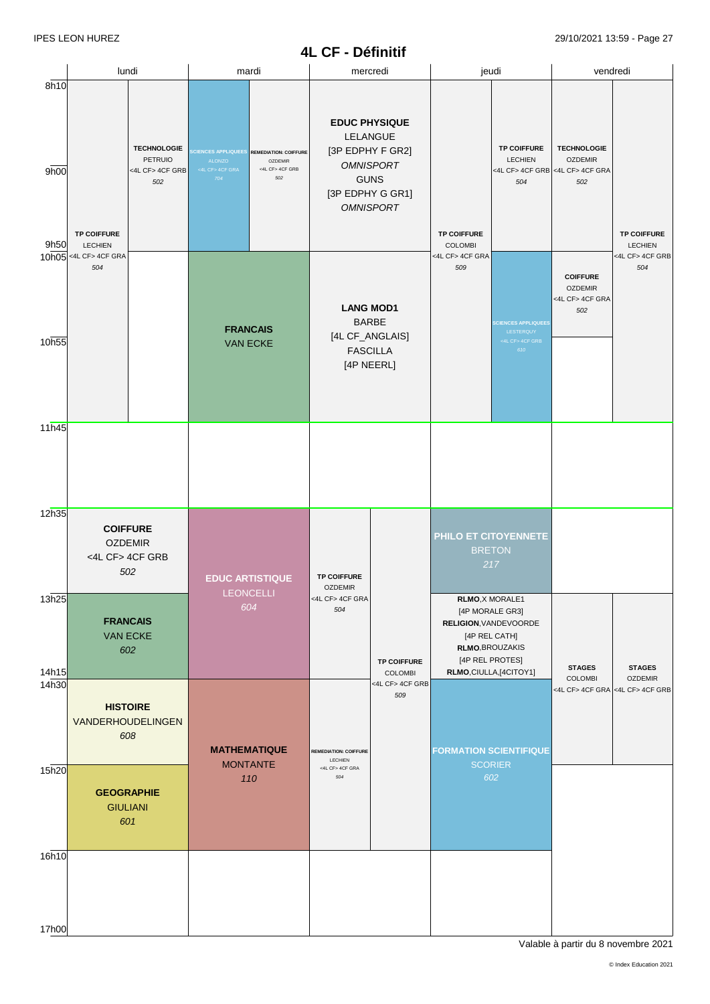# **4L CF - Définitif**

|                |                                                                                                                                |                                                                                                                                                               |                                                                                                                                                                                 |                     |                                                                                                                                                                                                                         | PVIIIIIII                            |                                                                                                                                             |                                                                  |                                                                                |                                          |  |
|----------------|--------------------------------------------------------------------------------------------------------------------------------|---------------------------------------------------------------------------------------------------------------------------------------------------------------|---------------------------------------------------------------------------------------------------------------------------------------------------------------------------------|---------------------|-------------------------------------------------------------------------------------------------------------------------------------------------------------------------------------------------------------------------|--------------------------------------|---------------------------------------------------------------------------------------------------------------------------------------------|------------------------------------------------------------------|--------------------------------------------------------------------------------|------------------------------------------|--|
| 8h10           | lundi                                                                                                                          |                                                                                                                                                               |                                                                                                                                                                                 | mardi               |                                                                                                                                                                                                                         | mercredi                             |                                                                                                                                             | jeudi                                                            | vendredi                                                                       |                                          |  |
| 9h00           | <b>TECHNOLOGIE</b><br>PETRUIO<br><4L CF> 4CF GRB<br>502<br><b>TP COIFFURE</b><br><b>LECHIEN</b><br>10h05 <4L CF>4CF GRA<br>504 |                                                                                                                                                               | <b>CIENCES APPLIQUEES</b><br><b>REMEDIATION: COIFFURE</b><br>ALONZO<br><b>OZDEMIR</b><br><4L CF> 4CF GRB<br><4L CF> 4CF GRA<br>502<br>704<br><b>FRANCAIS</b><br><b>VAN ECKE</b> |                     | <b>EDUC PHYSIQUE</b><br>LELANGUE<br>[3P EDPHY F GR2]<br><b>OMNISPORT</b><br><b>GUNS</b><br>[3P EDPHY G GR1]<br><b>OMNISPORT</b><br><b>LANG MOD1</b><br><b>BARBE</b><br>[4L CF_ANGLAIS]<br><b>FASCILLA</b><br>[4P NEERL] |                                      | <b>TP COIFFURE</b>                                                                                                                          | <b>TP COIFFURE</b><br><b>LECHIEN</b><br>504                      | <b>TECHNOLOGIE</b><br><b>OZDEMIR</b><br><4L CF> 4CF GRB <4L CF> 4CF GRA<br>502 | <b>TP COIFFURE</b>                       |  |
| 9h50<br>10h55  |                                                                                                                                |                                                                                                                                                               |                                                                                                                                                                                 |                     |                                                                                                                                                                                                                         |                                      | <b>COLOMBI</b><br><4L CF> 4CF GRA<br>509                                                                                                    | <b>CIENCES APPLIQUEES</b><br>LESTERQUY<br><4L CF> 4CF GRB<br>610 | <b>COIFFURE</b><br><b>OZDEMIR</b><br><4L CF> 4CF GRA<br>502                    | <b>LECHIEN</b><br><4L CF> 4CF GRB<br>504 |  |
| 11h45          |                                                                                                                                |                                                                                                                                                               |                                                                                                                                                                                 |                     |                                                                                                                                                                                                                         |                                      |                                                                                                                                             |                                                                  |                                                                                |                                          |  |
| 12h35          |                                                                                                                                | <b>COIFFURE</b><br><b>OZDEMIR</b><br><4L CF> 4CF GRB<br>502<br><b>EDUC ARTISTIQUE</b><br><b>LEONCELLI</b><br>604<br><b>FRANCAIS</b><br><b>VAN ECKE</b><br>602 |                                                                                                                                                                                 |                     |                                                                                                                                                                                                                         |                                      |                                                                                                                                             | PHILO ET CITOYENNETE<br><b>BRETON</b><br>217                     |                                                                                |                                          |  |
| 13h25<br>14h15 |                                                                                                                                |                                                                                                                                                               |                                                                                                                                                                                 |                     | <b>OZDEMIR</b><br><4L CF> 4CF GRA<br>504                                                                                                                                                                                | <b>TP COIFFURE</b><br><b>COLOMBI</b> | RLMO, X MORALE1<br>[4P MORALE GR3]<br>RELIGION, VANDEVOORDE<br>[4P REL CATH]<br>RLMO, BROUZAKIS<br>[4P REL PROTES]<br>RLMO,CIULLA,[4CITOY1] | <b>STAGES</b>                                                    | <b>STAGES</b>                                                                  |                                          |  |
| 14h30          |                                                                                                                                | <b>HISTOIRE</b><br>VANDERHOUDELINGEN<br>608                                                                                                                   |                                                                                                                                                                                 | <b>MATHEMATIQUE</b> | <b>REMEDIATION: COIFFURE</b><br>LECHIEN                                                                                                                                                                                 | <4L CF> 4CF GRB<br>509               |                                                                                                                                             | <b>FORMATION SCIENTIFIQUE</b>                                    | <b>COLOMBI</b><br><4L CF> 4CF GRA <4L CF> 4CF GRB                              | <b>OZDEMIR</b>                           |  |
| 15h20          | <b>GEOGRAPHIE</b><br><b>GIULIANI</b><br>601                                                                                    |                                                                                                                                                               | <b>MONTANTE</b><br>110                                                                                                                                                          |                     | <4L CF> 4CF GRA<br>504                                                                                                                                                                                                  |                                      |                                                                                                                                             | <b>SCORIER</b><br>602                                            |                                                                                |                                          |  |
| 16h10          |                                                                                                                                |                                                                                                                                                               |                                                                                                                                                                                 |                     |                                                                                                                                                                                                                         |                                      |                                                                                                                                             |                                                                  |                                                                                |                                          |  |
| 17h00          |                                                                                                                                |                                                                                                                                                               |                                                                                                                                                                                 |                     |                                                                                                                                                                                                                         |                                      |                                                                                                                                             |                                                                  |                                                                                |                                          |  |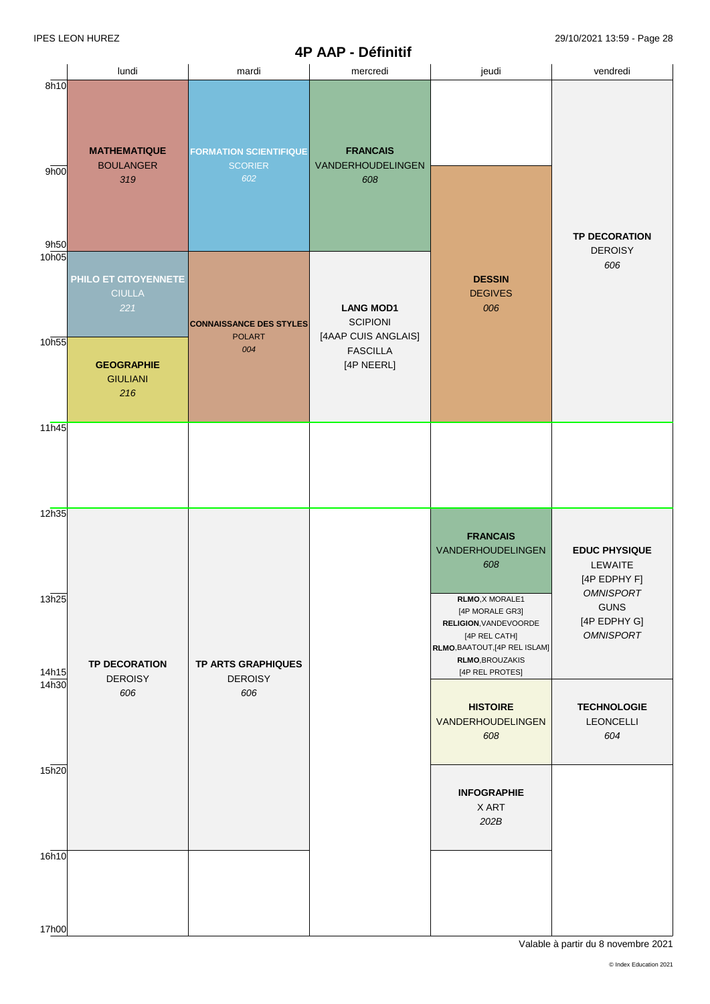|                         |                                                                   |                                                        | <u>rru</u><br>$-$ Demini                                                                    |                                                                                                                                                                                                    |                                                                                                                        |
|-------------------------|-------------------------------------------------------------------|--------------------------------------------------------|---------------------------------------------------------------------------------------------|----------------------------------------------------------------------------------------------------------------------------------------------------------------------------------------------------|------------------------------------------------------------------------------------------------------------------------|
|                         | lundi                                                             | mardi                                                  | mercredi                                                                                    | jeudi                                                                                                                                                                                              | vendredi                                                                                                               |
| 8h10<br>9h00<br>9h50    | <b>MATHEMATIQUE</b><br><b>BOULANGER</b><br>319                    | <b>FORMATION SCIENTIFIQUE</b><br><b>SCORIER</b><br>602 | <b>FRANCAIS</b><br>VANDERHOUDELINGEN<br>608                                                 |                                                                                                                                                                                                    | <b>TP DECORATION</b>                                                                                                   |
| 10h05<br>10h55          | PHILO ET CITOYENNETE<br><b>CIULLA</b><br>221<br><b>GEOGRAPHIE</b> | <b>CONNAISSANCE DES STYLES</b><br><b>POLART</b><br>004 | <b>LANG MOD1</b><br><b>SCIPIONI</b><br>[4AAP CUIS ANGLAIS]<br><b>FASCILLA</b><br>[4P NEERL] | <b>DESSIN</b><br><b>DEGIVES</b><br>006                                                                                                                                                             | <b>DEROISY</b><br>606                                                                                                  |
| 11h45                   | <b>GIULIANI</b><br>216                                            |                                                        |                                                                                             |                                                                                                                                                                                                    |                                                                                                                        |
| 12h35<br>13h25<br>14h15 | <b>TP DECORATION</b>                                              | <b>TP ARTS GRAPHIQUES</b>                              |                                                                                             | <b>FRANCAIS</b><br>VANDERHOUDELINGEN<br>608<br>RLMO, X MORALE1<br>[4P MORALE GR3]<br>RELIGION, VANDEVOORDE<br>[4P REL CATH]<br>RLMO, BAATOUT, [4P REL ISLAM]<br>RLMO, BROUZAKIS<br>[4P REL PROTES] | <b>EDUC PHYSIQUE</b><br>LEWAITE<br>[4P EDPHY F]<br><b>OMNISPORT</b><br><b>GUNS</b><br>[4P EDPHY G]<br><b>OMNISPORT</b> |
| 14h30<br>15h20          | <b>DEROISY</b><br>606                                             | <b>DEROISY</b><br>606                                  |                                                                                             | <b>HISTOIRE</b><br>VANDERHOUDELINGEN<br>608<br><b>INFOGRAPHIE</b><br>X ART<br>202B                                                                                                                 | <b>TECHNOLOGIE</b><br><b>LEONCELLI</b><br>604                                                                          |
| 16h10<br>17h00          |                                                                   |                                                        |                                                                                             |                                                                                                                                                                                                    |                                                                                                                        |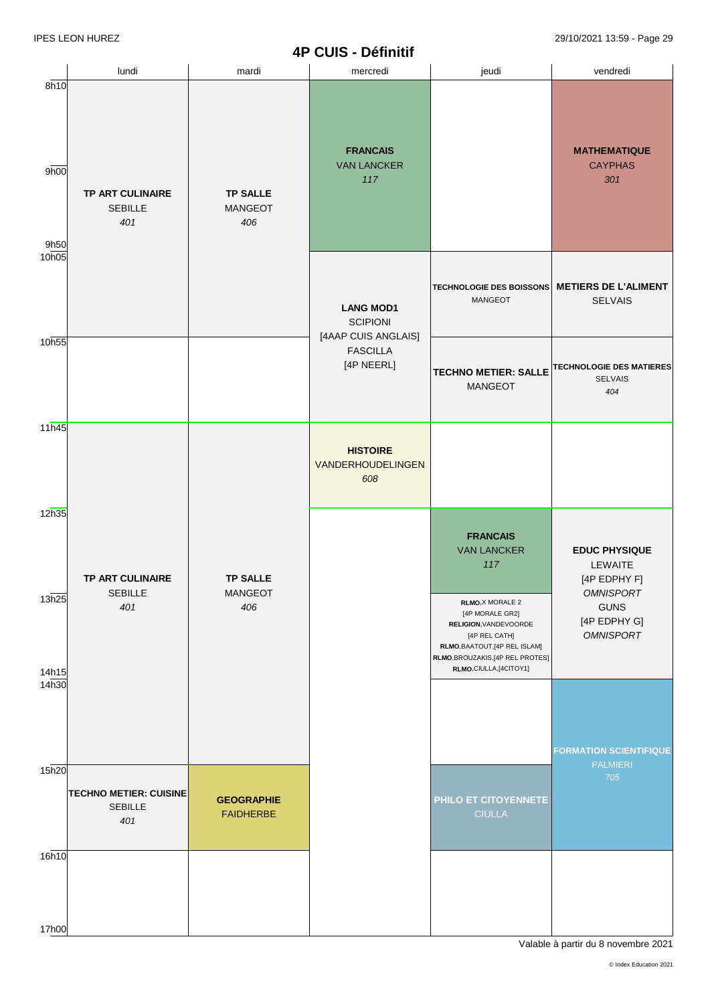## **4P CUIS - Définitif**

|                         | lundi                                                  | mardi                                    | mercredi                                                   | jeudi                                                                                                                                                                                                                               | vendredi                                                                                                                      |
|-------------------------|--------------------------------------------------------|------------------------------------------|------------------------------------------------------------|-------------------------------------------------------------------------------------------------------------------------------------------------------------------------------------------------------------------------------------|-------------------------------------------------------------------------------------------------------------------------------|
| 8h10<br>9h00<br>9h50    | TP ART CULINAIRE<br>SEBILLE<br>401                     | <b>TP SALLE</b><br>MANGEOT<br>406        | <b>FRANCAIS</b><br><b>VAN LANCKER</b><br>117               |                                                                                                                                                                                                                                     | <b>MATHEMATIQUE</b><br><b>CAYPHAS</b><br>301                                                                                  |
| 10h05                   |                                                        |                                          | <b>LANG MOD1</b><br><b>SCIPIONI</b><br>[4AAP CUIS ANGLAIS] | <b>TECHNOLOGIE DES BOISSONS</b><br>MANGEOT                                                                                                                                                                                          | <b>METIERS DE L'ALIMENT</b><br><b>SELVAIS</b>                                                                                 |
| 10h55                   |                                                        |                                          | <b>FASCILLA</b><br>[4P NEERL]                              | <b>TECHNO METIER: SALLE</b><br>MANGEOT                                                                                                                                                                                              | <b>TECHNOLOGIE DES MATIERES</b><br><b>SELVAIS</b><br>404                                                                      |
| 11h45                   |                                                        |                                          | <b>HISTOIRE</b><br>VANDERHOUDELINGEN<br>608                |                                                                                                                                                                                                                                     |                                                                                                                               |
| 12h35<br>13h25<br>14h15 | TP ART CULINAIRE<br><b>SEBILLE</b><br>401              | <b>TP SALLE</b><br><b>MANGEOT</b><br>406 |                                                            | <b>FRANCAIS</b><br><b>VAN LANCKER</b><br>117<br><b>RLMO,X MORALE 2</b><br>[4P MORALE GR2]<br>RELIGION, VANDEVOORDE<br>[4P REL CATH]<br>RLMO, BAATOUT, [4P REL ISLAM]<br>RLMO, BROUZAKIS, [4P REL PROTES]<br>RLMO, CIULLA, [4CITOY1] | <b>EDUC PHYSIQUE</b><br>LEWAITE<br>[4P EDPHY F]<br><i><b>OMNISPORT</b></i><br><b>GUNS</b><br>[4P EDPHY G]<br><b>OMNISPORT</b> |
| 14 <sub>h30</sub>       |                                                        |                                          |                                                            |                                                                                                                                                                                                                                     | <b>FORMATION SCIENTIFIQUE</b><br><b>PALMIERI</b>                                                                              |
| 15h20                   | <b>TECHNO METIER: CUISINE</b><br><b>SEBILLE</b><br>401 | <b>GEOGRAPHIE</b><br><b>FAIDHERBE</b>    |                                                            | PHILO ET CITOYENNETE<br><b>CIULLA</b>                                                                                                                                                                                               | 705                                                                                                                           |
| 16h10                   |                                                        |                                          |                                                            |                                                                                                                                                                                                                                     |                                                                                                                               |
| 17h00                   |                                                        |                                          |                                                            |                                                                                                                                                                                                                                     |                                                                                                                               |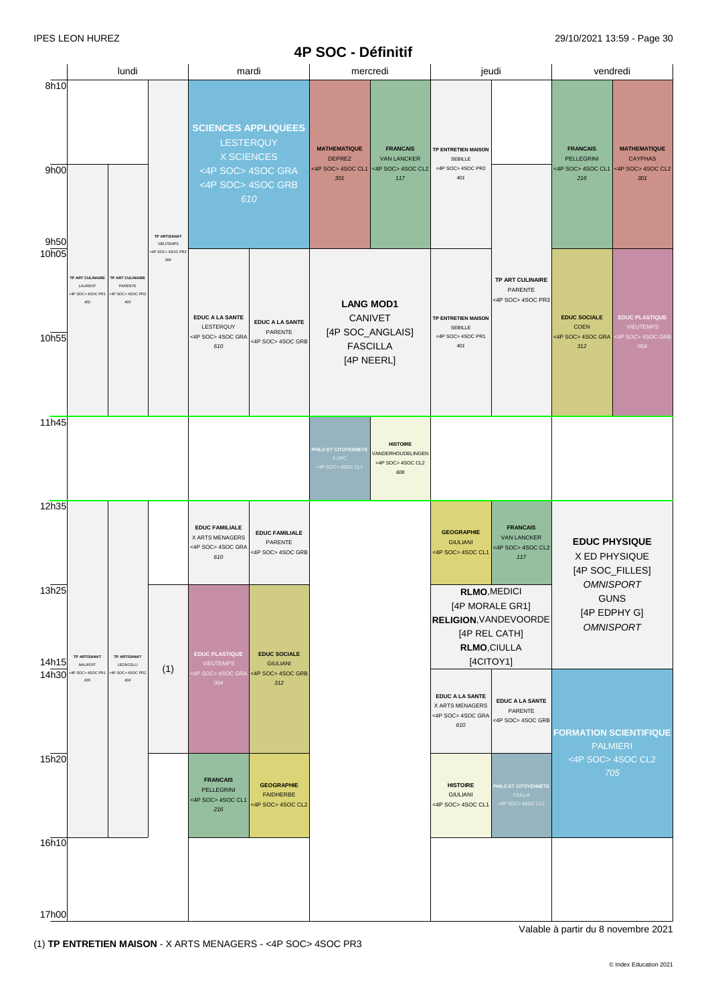## **4P SOC - Définitif**

|                      | lundi                                                                                                                         |                                         | mardi                                                                                                         |                                                                 | mercredi                                                         |                                                                                  | jeudi                                                                                                               |                                                                   | vendredi                                                            |                                                                   |                                                                     |
|----------------------|-------------------------------------------------------------------------------------------------------------------------------|-----------------------------------------|---------------------------------------------------------------------------------------------------------------|-----------------------------------------------------------------|------------------------------------------------------------------|----------------------------------------------------------------------------------|---------------------------------------------------------------------------------------------------------------------|-------------------------------------------------------------------|---------------------------------------------------------------------|-------------------------------------------------------------------|---------------------------------------------------------------------|
| 8h10<br>9h00<br>9h50 |                                                                                                                               | <b>TP ARTISANAT</b>                     | <b>SCIENCES APPLIQUEES</b><br>LESTERQUY<br><b>X SCIENCES</b><br><4P SOC> 4SOC GRA<br><4P SOC> 4SOC GRB<br>610 |                                                                 | <b>MATHEMATIQUE</b><br><b>DEPREZ</b><br><4P SOC> 4SOC CL1<br>301 | <b>FRANCAIS</b><br><b>VAN LANCKER</b><br><4P SOC>4SOC CL2<br>117                 | TP ENTRETIEN MAISON<br>SEBILLE<br><4P SOC> 4SOC PR2<br>401                                                          |                                                                   | <b>FRANCAIS</b><br>PELLEGRINI<br><4P SOC>4SOC CL1<br>216            | <b>MATHEMATIQUE</b><br><b>CAYPHAS</b><br><4P SOC> 4SOC CL2<br>301 |                                                                     |
| 10h05<br>10h55       | <b>TP ART CULINAIRE</b><br>TP ART CULINAIRE<br>LAURENT<br>PARENTE<br><4P SOC> 4SOC PR2<br><4P SOC> 4SOC PR1<br>$402\,$<br>403 | VIEUTEMPS<br>dP SOC>4SOC PR3<br>$004\,$ |                                                                                                               | <b>EDUC A LA SANTE</b><br>LESTERQUY<br><4P SOC> 4SOC GRA<br>610 | <b>EDUC A LA SANTE</b><br>PARENTE<br><4P SOC> 4SOC GRB           | <b>LANG MOD1</b><br>CANIVET<br>[4P SOC_ANGLAIS]<br><b>FASCILLA</b><br>[4P NEERL] |                                                                                                                     | <b>TP ENTRETIEN MAISON</b><br>SEBILLE<br><4P SOC> 4SOC PR1<br>401 | TP ART CULINAIRE<br>PARENTE<br><4P SOC>4SOC PR3                     | <b>EDUC SOCIALE</b><br><b>COEN</b><br><4P SOC> 4SOC GRA<br>312    | <b>EDUC PLASTIQUE</b><br><b>VIEUTEMPS</b><br>P SOC> 4SOC GRI<br>004 |
| 11h45                |                                                                                                                               |                                         |                                                                                                               |                                                                 | <b>HILO ET CITOYENNETE</b><br>X CPC<br>4P SOC> 4SOC CL1          | <b>HISTOIRE</b><br>VANDERHOUDELINGEN<br><4P SOC>4SOC CL2<br>608                  |                                                                                                                     |                                                                   |                                                                     |                                                                   |                                                                     |
| 12h35                |                                                                                                                               |                                         | <b>EDUC FAMILIALE</b><br>X ARTS MENAGERS<br><4P SOC> 4SOC GRA<br>610                                          | <b>EDUC FAMILIALE</b><br>PARENTE<br><4P SOC> 4SOC GRB           |                                                                  |                                                                                  | <b>GEOGRAPHIE</b><br><b>GIULIANI</b><br><4P SOC> 4SOC CL1                                                           | <b>FRANCAIS</b><br><b>VAN LANCKER</b><br><4P SOC>4SOC CL2<br>117  | X ED PHYSIQUE<br>[4P SOC_FILLES]                                    | <b>EDUC PHYSIQUE</b>                                              |                                                                     |
| 13h25<br>14h15       | <b>TP ARTISANAT</b><br><b>TP ARTISANAT</b><br>MAUROIT<br>LEONCELLI                                                            | (1)                                     | <b>EDUC PLASTIQUE</b><br><b>VIEUTEMPS</b>                                                                     | <b>EDUC SOCIALE</b><br><b>GIULIANI</b>                          |                                                                  |                                                                                  | RLMO, MEDICI<br>[4P MORALE GR1]<br><b>RELIGION, VANDEVOORDE</b><br>[4P REL CATH]<br><b>RLMO,CIULLA</b><br>[4CITOY1] |                                                                   | <b>OMNISPORT</b><br><b>GUNS</b><br>[4P EDPHY G]<br><b>OMNISPORT</b> |                                                                   |                                                                     |
| 14h30                | 4P SOC> 4SOC PR1<br>:4P SOC> 4SOC PR2<br>604<br>605                                                                           |                                         | 4P SOC> 4SOC GRA<br>004                                                                                       | <4P SOC> 4SOC GRB<br>312                                        |                                                                  |                                                                                  | <b>EDUC A LA SANTE</b><br>X ARTS MENAGERS<br><4P SOC> 4SOC GRA<br>610                                               | <b>EDUC A LA SANTE</b><br>PARENTE<br><4P SOC> 4SOC GRB            | <b>FORMATION SCIENTIFIQUE</b><br><b>PALMIERI</b>                    |                                                                   |                                                                     |
| 15h20                |                                                                                                                               |                                         | <b>FRANCAIS</b><br>PELLEGRINI<br><4P SOC> 4SOC CL1<br>216                                                     | <b>GEOGRAPHIE</b><br><b>FAIDHERBE</b><br><4P SOC> 4SOC CL2      |                                                                  |                                                                                  | <b>HISTOIRE</b><br><b>GIULIANI</b><br><4P SOC>4SOC CL1                                                              | <b>HILO ET CITOYENNETE</b><br><b>CIULLA</b><br><4P SOC> 4SOC CL2  |                                                                     | <4P SOC>4SOC CL2<br>705                                           |                                                                     |
| 16h10                |                                                                                                                               |                                         |                                                                                                               |                                                                 |                                                                  |                                                                                  |                                                                                                                     |                                                                   |                                                                     |                                                                   |                                                                     |
| 17h00                |                                                                                                                               |                                         |                                                                                                               |                                                                 |                                                                  |                                                                                  |                                                                                                                     |                                                                   |                                                                     |                                                                   |                                                                     |

(1) **TP ENTRETIEN MAISON** - X ARTS MENAGERS - <4P SOC> 4SOC PR3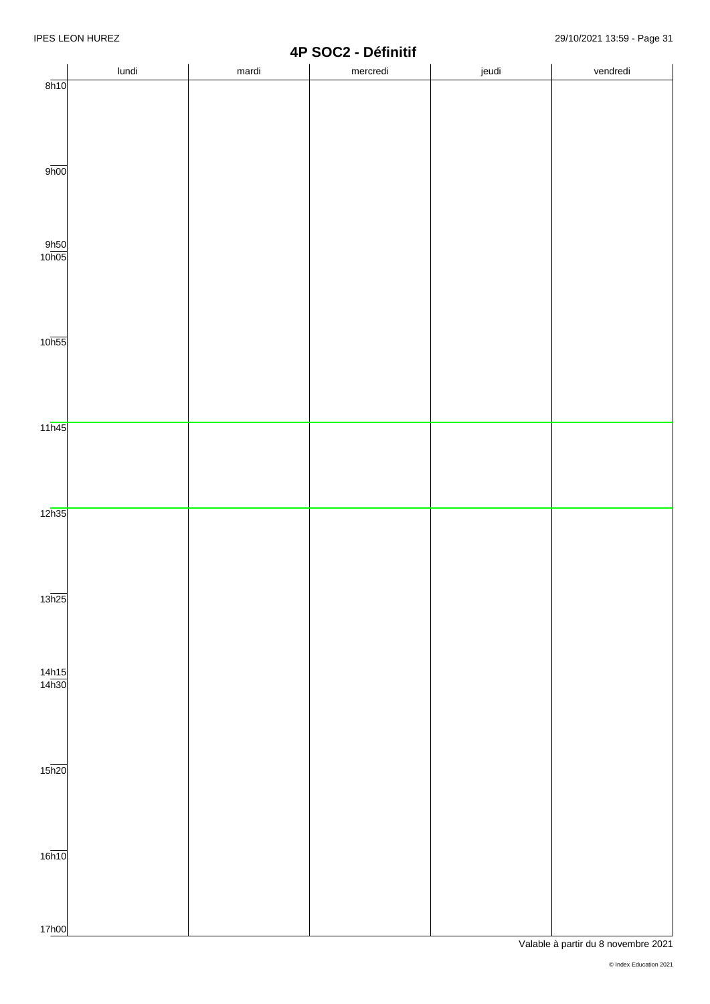|                       |       | т.    | $\overline{\phantom{a}}$<br>-<br><b>DANIINI</b> |       |          |
|-----------------------|-------|-------|-------------------------------------------------|-------|----------|
|                       | lundi | mardi | mercredi                                        | jeudi | vendredi |
| 8h10                  |       |       |                                                 |       |          |
|                       |       |       |                                                 |       |          |
|                       |       |       |                                                 |       |          |
|                       |       |       |                                                 |       |          |
|                       |       |       |                                                 |       |          |
|                       |       |       |                                                 |       |          |
| 9 <sub>h00</sub>      |       |       |                                                 |       |          |
|                       |       |       |                                                 |       |          |
|                       |       |       |                                                 |       |          |
|                       |       |       |                                                 |       |          |
|                       |       |       |                                                 |       |          |
|                       |       |       |                                                 |       |          |
| $\frac{9h50}{10h05}$  |       |       |                                                 |       |          |
|                       |       |       |                                                 |       |          |
|                       |       |       |                                                 |       |          |
|                       |       |       |                                                 |       |          |
|                       |       |       |                                                 |       |          |
|                       |       |       |                                                 |       |          |
|                       |       |       |                                                 |       |          |
| 10 <sub>h55</sub>     |       |       |                                                 |       |          |
|                       |       |       |                                                 |       |          |
|                       |       |       |                                                 |       |          |
|                       |       |       |                                                 |       |          |
|                       |       |       |                                                 |       |          |
|                       |       |       |                                                 |       |          |
| 11h45                 |       |       |                                                 |       |          |
|                       |       |       |                                                 |       |          |
|                       |       |       |                                                 |       |          |
|                       |       |       |                                                 |       |          |
|                       |       |       |                                                 |       |          |
|                       |       |       |                                                 |       |          |
| 12h35                 |       |       |                                                 |       |          |
|                       |       |       |                                                 |       |          |
|                       |       |       |                                                 |       |          |
|                       |       |       |                                                 |       |          |
|                       |       |       |                                                 |       |          |
|                       |       |       |                                                 |       |          |
|                       |       |       |                                                 |       |          |
| 13h25                 |       |       |                                                 |       |          |
|                       |       |       |                                                 |       |          |
|                       |       |       |                                                 |       |          |
|                       |       |       |                                                 |       |          |
|                       |       |       |                                                 |       |          |
|                       |       |       |                                                 |       |          |
| $\frac{14h15}{14h30}$ |       |       |                                                 |       |          |
|                       |       |       |                                                 |       |          |
|                       |       |       |                                                 |       |          |
|                       |       |       |                                                 |       |          |
|                       |       |       |                                                 |       |          |
|                       |       |       |                                                 |       |          |
| $15\overline{h20}$    |       |       |                                                 |       |          |
|                       |       |       |                                                 |       |          |
|                       |       |       |                                                 |       |          |
|                       |       |       |                                                 |       |          |
|                       |       |       |                                                 |       |          |
|                       |       |       |                                                 |       |          |
|                       |       |       |                                                 |       |          |
| 16h10                 |       |       |                                                 |       |          |
|                       |       |       |                                                 |       |          |
|                       |       |       |                                                 |       |          |
|                       |       |       |                                                 |       |          |
|                       |       |       |                                                 |       |          |
| 17h00                 |       |       |                                                 |       |          |
|                       |       |       |                                                 |       |          |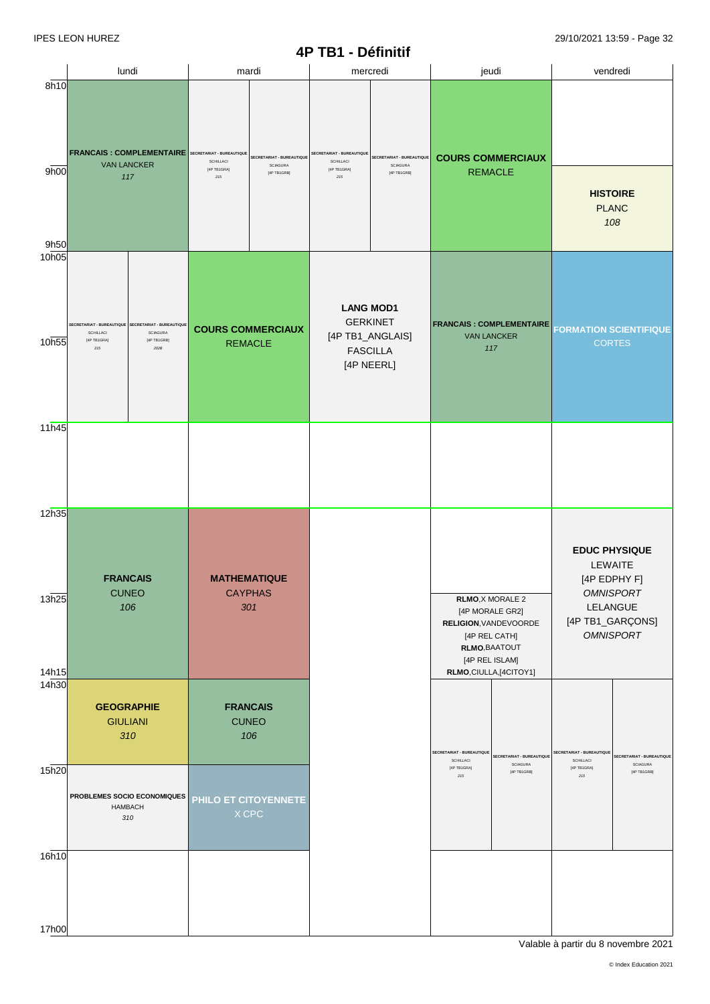|                         | lundi                                                                                                                              | mardi                                                                                                                                  | mercredi                                                                                                                                 | jeudi                                                                                                                                       | vendredi                                                                                                                |
|-------------------------|------------------------------------------------------------------------------------------------------------------------------------|----------------------------------------------------------------------------------------------------------------------------------------|------------------------------------------------------------------------------------------------------------------------------------------|---------------------------------------------------------------------------------------------------------------------------------------------|-------------------------------------------------------------------------------------------------------------------------|
| 8h10<br>9h00<br>9h50    | <b>FRANCAIS: COMPLEMENTAIRE</b><br><b>VAN LANCKER</b><br>117                                                                       | <b>SECRETARIAT - BUREAUTIQUE</b><br>SECRETARIAT - BUREAUTIQUE<br>SCHILLACI<br><b>SCIAGURA</b><br>[4P TB1GRA]<br>[4P TB1GRB]<br>$2\,15$ | <b>SECRETARIAT - BUREAUTIQUE</b><br>SECRETARIAT - BUREAUTIQUE<br>SCHILLACI<br><b>SCIAGURA</b><br>[4P TB1GRA]<br>$[4P$ TB1GRB]<br>$2\,15$ | <b>COURS COMMERCIAUX</b><br><b>REMACLE</b>                                                                                                  | <b>HISTOIRE</b><br><b>PLANC</b><br>108                                                                                  |
| 10h05<br>10h55          | SECRETARIAT - BUREAUTIQUE<br>SECRETARIAT - BUREAUTIQUE<br>SCHILLACI<br>SCIAGURA<br>[4P TB1GRA]<br>[4P TB1GRB]<br>$2\,15$<br>$202B$ | <b>COURS COMMERCIAUX</b><br><b>REMACLE</b>                                                                                             | <b>LANG MOD1</b><br><b>GERKINET</b><br>[4P TB1_ANGLAIS]<br><b>FASCILLA</b><br>[4P NEERL]                                                 | <b>FRANCAIS: COMPLEMENTAIRE</b><br><b>VAN LANCKER</b><br>117                                                                                | <b>FORMATION SCIENTIFIQUE</b><br><b>CORTES</b>                                                                          |
| 11h45                   |                                                                                                                                    |                                                                                                                                        |                                                                                                                                          |                                                                                                                                             |                                                                                                                         |
| 12h35<br>13h25<br>14h15 | <b>FRANCAIS</b><br><b>CUNEO</b><br>106                                                                                             | <b>MATHEMATIQUE</b><br><b>CAYPHAS</b><br>301                                                                                           |                                                                                                                                          | RLMO, X MORALE 2<br>[4P MORALE GR2]<br>RELIGION, VANDEVOORDE<br>[4P REL CATH]<br>RLMO, BAATOUT<br>[4P REL ISLAM]<br>RLMO, CIULLA, [4CITOY1] | <b>EDUC PHYSIQUE</b><br>LEWAITE<br>[4P EDPHY F]<br><b>OMNISPORT</b><br>LELANGUE<br>[4P TB1_GARÇONS]<br><b>OMNISPORT</b> |
| 14 <sub>h30</sub>       | <b>GEOGRAPHIE</b><br><b>GIULIANI</b><br>310                                                                                        | <b>FRANCAIS</b><br><b>CUNEO</b><br>106                                                                                                 |                                                                                                                                          | SECRETARIAT - BUREAUTIQUE<br>SECRETARIAT - BUREAUTIQUE<br>SCHILLACI<br>SCIAGURA                                                             | SECRETARIAT - BUREAUTIQUE<br>SECRETARIAT - BUREAUTIQUE<br>SCHILLACI<br>SCIAGURA                                         |
| 15h20                   | PROBLEMES SOCIO ECONOMIQUES<br><b>HAMBACH</b><br>310                                                                               | PHILO ET CITOYENNETE<br>$X$ CPC                                                                                                        |                                                                                                                                          | [4P TB1GRA]<br>[4P TB1GRB]<br>215                                                                                                           | [4P TB1GRA]<br>[4P TB1GRB]<br>$2\,15$                                                                                   |
| 16h10<br>17h00          |                                                                                                                                    |                                                                                                                                        |                                                                                                                                          |                                                                                                                                             |                                                                                                                         |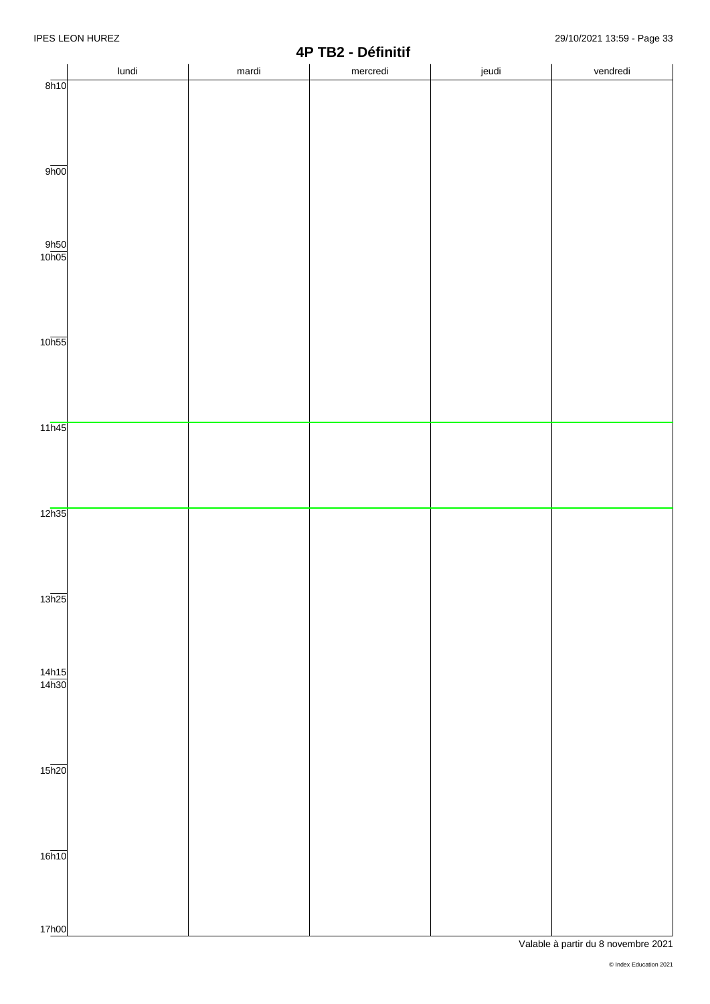|                       |       | 71    | <b>IDE - DEITIIMI</b> |       |          |
|-----------------------|-------|-------|-----------------------|-------|----------|
|                       | lundi | mardi | mercredi              | jeudi | vendredi |
| 8h10                  |       |       |                       |       |          |
|                       |       |       |                       |       |          |
|                       |       |       |                       |       |          |
|                       |       |       |                       |       |          |
|                       |       |       |                       |       |          |
|                       |       |       |                       |       |          |
|                       |       |       |                       |       |          |
|                       |       |       |                       |       |          |
| 9 <sub>h00</sub>      |       |       |                       |       |          |
|                       |       |       |                       |       |          |
|                       |       |       |                       |       |          |
|                       |       |       |                       |       |          |
|                       |       |       |                       |       |          |
|                       |       |       |                       |       |          |
|                       |       |       |                       |       |          |
|                       |       |       |                       |       |          |
| $\frac{9h50}{10h05}$  |       |       |                       |       |          |
|                       |       |       |                       |       |          |
|                       |       |       |                       |       |          |
|                       |       |       |                       |       |          |
|                       |       |       |                       |       |          |
|                       |       |       |                       |       |          |
|                       |       |       |                       |       |          |
|                       |       |       |                       |       |          |
|                       |       |       |                       |       |          |
| 10 <sub>h55</sub>     |       |       |                       |       |          |
|                       |       |       |                       |       |          |
|                       |       |       |                       |       |          |
|                       |       |       |                       |       |          |
|                       |       |       |                       |       |          |
|                       |       |       |                       |       |          |
|                       |       |       |                       |       |          |
|                       |       |       |                       |       |          |
| 11h45                 |       |       |                       |       |          |
|                       |       |       |                       |       |          |
|                       |       |       |                       |       |          |
|                       |       |       |                       |       |          |
|                       |       |       |                       |       |          |
|                       |       |       |                       |       |          |
|                       |       |       |                       |       |          |
|                       |       |       |                       |       |          |
| 12h35                 |       |       |                       |       |          |
|                       |       |       |                       |       |          |
|                       |       |       |                       |       |          |
|                       |       |       |                       |       |          |
|                       |       |       |                       |       |          |
|                       |       |       |                       |       |          |
|                       |       |       |                       |       |          |
|                       |       |       |                       |       |          |
| 13h25                 |       |       |                       |       |          |
|                       |       |       |                       |       |          |
|                       |       |       |                       |       |          |
|                       |       |       |                       |       |          |
|                       |       |       |                       |       |          |
|                       |       |       |                       |       |          |
|                       |       |       |                       |       |          |
| $\frac{14h15}{14h30}$ |       |       |                       |       |          |
|                       |       |       |                       |       |          |
|                       |       |       |                       |       |          |
|                       |       |       |                       |       |          |
|                       |       |       |                       |       |          |
|                       |       |       |                       |       |          |
|                       |       |       |                       |       |          |
|                       |       |       |                       |       |          |
|                       |       |       |                       |       |          |
| $15\overline{h20}$    |       |       |                       |       |          |
|                       |       |       |                       |       |          |
|                       |       |       |                       |       |          |
|                       |       |       |                       |       |          |
|                       |       |       |                       |       |          |
|                       |       |       |                       |       |          |
|                       |       |       |                       |       |          |
|                       |       |       |                       |       |          |
| 16h10                 |       |       |                       |       |          |
|                       |       |       |                       |       |          |
|                       |       |       |                       |       |          |
|                       |       |       |                       |       |          |
|                       |       |       |                       |       |          |
|                       |       |       |                       |       |          |
|                       |       |       |                       |       |          |
| 17h00                 |       |       |                       |       |          |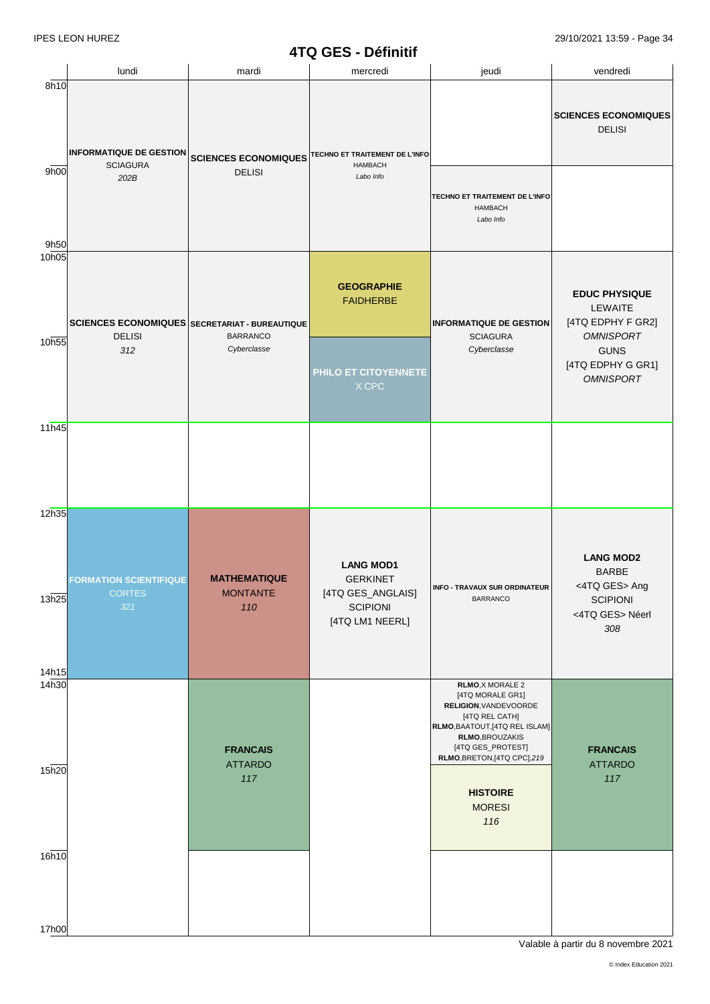## **4TQ GES - Définitif**

|                | lundi                                                 | mardi                                                                    | mercredi                                                 | jeudi                                                                                                                                                                                            | vendredi                                                                 |
|----------------|-------------------------------------------------------|--------------------------------------------------------------------------|----------------------------------------------------------|--------------------------------------------------------------------------------------------------------------------------------------------------------------------------------------------------|--------------------------------------------------------------------------|
| 8h10           | <b>INFORMATIQUE DE GESTION</b>                        | <b>SCIENCES ECONOMIQUES</b>                                              | TECHNO ET TRAITEMENT DE L'INFO                           |                                                                                                                                                                                                  | <b>SCIENCES ECONOMIQUES</b><br><b>DELISI</b>                             |
| 9h00<br>9h50   | <b>SCIAGURA</b><br>202B                               | <b>DELISI</b>                                                            | <b>HAMBACH</b><br>Labo Info                              | TECHNO ET TRAITEMENT DE L'INFO<br><b>HAMBACH</b><br>Labo Info                                                                                                                                    |                                                                          |
| 10h05<br>10h55 | <b>DELISI</b>                                         | <b>SCIENCES ECONOMIQUES SECRETARIAT - BUREAUTIQUE</b><br><b>BARRANCO</b> | <b>GEOGRAPHIE</b><br><b>FAIDHERBE</b>                    | <b>INFORMATIQUE DE GESTION</b><br><b>SCIAGURA</b>                                                                                                                                                | <b>EDUC PHYSIQUE</b><br>LEWAITE<br>[4TQ EDPHY F GR2]<br><b>OMNISPORT</b> |
|                | 312                                                   | Cyberclasse                                                              | PHILO ET CITOYENNETE<br>X CPC                            | Cyberclasse                                                                                                                                                                                      | <b>GUNS</b><br>[4TQ EDPHY G GR1]<br><b>OMNISPORT</b>                     |
| 11h45          |                                                       |                                                                          |                                                          |                                                                                                                                                                                                  |                                                                          |
| 12h35<br>13h25 | <b>FORMATION SCIENTIFIQUE</b><br><b>CORTES</b><br>321 | <b>MATHEMATIQUE</b><br><b>MONTANTE</b>                                   | <b>LANG MOD1</b><br><b>GERKINET</b><br>[4TQ GES_ANGLAIS] | <b>INFO - TRAVAUX SUR ORDINATEUR</b><br><b>BARRANCO</b>                                                                                                                                          | <b>LANG MOD2</b><br><b>BARBE</b><br><4TQ GES> Ang<br><b>SCIPIONI</b>     |
| 14h15          |                                                       | 110                                                                      | <b>SCIPIONI</b><br>[4TQ LM1 NEERL]                       |                                                                                                                                                                                                  | <4TQ GES> Néerl<br>308                                                   |
| 14h30<br>15h20 |                                                       | <b>FRANCAIS</b><br><b>ATTARDO</b><br>117                                 |                                                          | <b>RLMO, X MORALE 2</b><br>[4TQ MORALE GR1]<br>RELIGION, VANDEVOORDE<br>[4TQ REL CATH]<br>RLMO, BAATOUT, [4TQ REL ISLAM]<br>RLMO, BROUZAKIS<br>[4TQ GES_PROTEST]<br>RLMO, BRETON, [4TQ CPC], 219 | <b>FRANCAIS</b><br><b>ATTARDO</b><br>117                                 |
| 16h10          |                                                       |                                                                          |                                                          | <b>HISTOIRE</b><br><b>MORESI</b><br>116                                                                                                                                                          |                                                                          |
| 17h00          |                                                       |                                                                          |                                                          |                                                                                                                                                                                                  |                                                                          |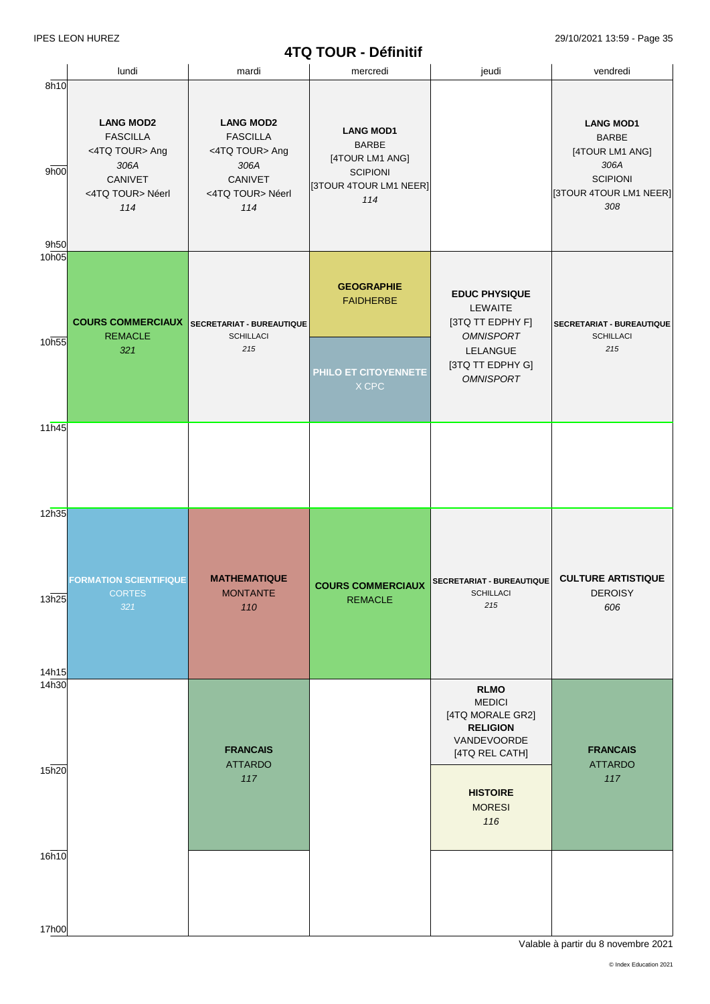# **4TQ TOUR - Définitif**

|                            |                                                                                                     |                                                                                                     | <b>TIW TUUN - DEIIIIIII</b>                                                                             |                                                                                                                                                 |                                                                                                                 |
|----------------------------|-----------------------------------------------------------------------------------------------------|-----------------------------------------------------------------------------------------------------|---------------------------------------------------------------------------------------------------------|-------------------------------------------------------------------------------------------------------------------------------------------------|-----------------------------------------------------------------------------------------------------------------|
|                            | lundi                                                                                               | mardi                                                                                               | mercredi                                                                                                | jeudi                                                                                                                                           | vendredi                                                                                                        |
| 8h10<br>9h00<br>9h50       | <b>LANG MOD2</b><br><b>FASCILLA</b><br><4TQ TOUR> Ang<br>306A<br>CANIVET<br><4TQ TOUR> Néerl<br>114 | <b>LANG MOD2</b><br><b>FASCILLA</b><br><4TQ TOUR> Ang<br>306A<br>CANIVET<br><4TQ TOUR> Néerl<br>114 | <b>LANG MOD1</b><br><b>BARBE</b><br>[4TOUR LM1 ANG]<br><b>SCIPIONI</b><br>[3TOUR 4TOUR LM1 NEER]<br>114 |                                                                                                                                                 | <b>LANG MOD1</b><br><b>BARBE</b><br>[4TOUR LM1 ANG]<br>306A<br><b>SCIPIONI</b><br>[3TOUR 4TOUR LM1 NEER]<br>308 |
| 10 <sub>h05</sub><br>10h55 | <b>COURS COMMERCIAUX</b><br><b>REMACLE</b><br>321                                                   | SECRETARIAT - BUREAUTIQUE<br><b>SCHILLACI</b><br>215                                                | <b>GEOGRAPHIE</b><br><b>FAIDHERBE</b><br>PHILO ET CITOYENNETE<br>X CPC                                  | <b>EDUC PHYSIQUE</b><br>LEWAITE<br>[3TQ TT EDPHY F]<br><b>OMNISPORT</b><br>LELANGUE<br>[3TQ TT EDPHY G]<br><b>OMNISPORT</b>                     | SECRETARIAT - BUREAUTIQUE<br><b>SCHILLACI</b><br>215                                                            |
| 11h45                      |                                                                                                     |                                                                                                     |                                                                                                         |                                                                                                                                                 |                                                                                                                 |
| 12h35<br>13h25<br>14h15    | <b>FORMATION SCIENTIFIQUE</b><br><b>CORTES</b><br>321                                               | <b>MATHEMATIQUE</b><br><b>MONTANTE</b><br>110                                                       | <b>COURS COMMERCIAUX</b><br><b>REMACLE</b>                                                              | SECRETARIAT - BUREAUTIQUE<br><b>SCHILLACI</b><br>215                                                                                            | <b>CULTURE ARTISTIQUE</b><br><b>DEROISY</b><br>606                                                              |
| 14h30<br>15h20             |                                                                                                     | <b>FRANCAIS</b><br><b>ATTARDO</b><br>117                                                            |                                                                                                         | <b>RLMO</b><br><b>MEDICI</b><br>[4TQ MORALE GR2]<br><b>RELIGION</b><br>VANDEVOORDE<br>[4TQ REL CATH]<br><b>HISTOIRE</b><br><b>MORESI</b><br>116 | <b>FRANCAIS</b><br><b>ATTARDO</b><br>117                                                                        |
| 16h <sub>10</sub><br>17h00 |                                                                                                     |                                                                                                     |                                                                                                         |                                                                                                                                                 |                                                                                                                 |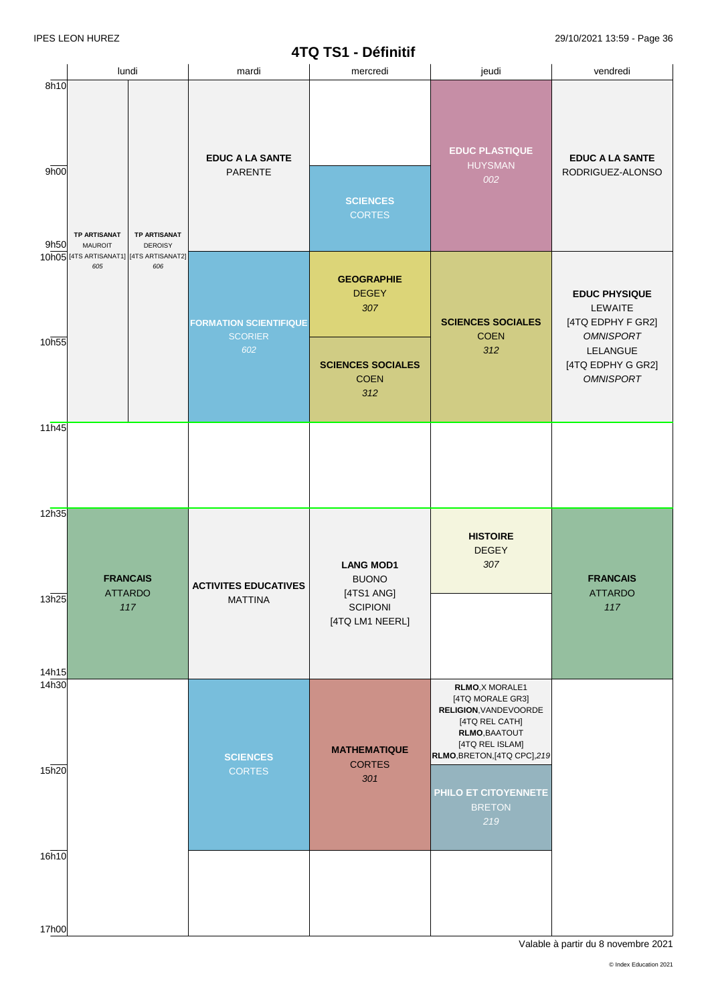|                         |                                          |                                              |                                                           | 41 GI 31 - DETINIUI                                                                  |                                                                                                                                                    |                                                 |                                                   |                          |                                                                          |  |  |  |  |  |  |  |  |  |  |  |  |  |  |  |  |  |  |  |  |  |  |  |  |  |  |                                   |                                  |                                                |                                            |
|-------------------------|------------------------------------------|----------------------------------------------|-----------------------------------------------------------|--------------------------------------------------------------------------------------|----------------------------------------------------------------------------------------------------------------------------------------------------|-------------------------------------------------|---------------------------------------------------|--------------------------|--------------------------------------------------------------------------|--|--|--|--|--|--|--|--|--|--|--|--|--|--|--|--|--|--|--|--|--|--|--|--|--|--|-----------------------------------|----------------------------------|------------------------------------------------|--------------------------------------------|
|                         | lundi                                    |                                              | mardi                                                     | mercredi                                                                             | jeudi                                                                                                                                              | vendredi                                        |                                                   |                          |                                                                          |  |  |  |  |  |  |  |  |  |  |  |  |  |  |  |  |  |  |  |  |  |  |  |  |  |  |                                   |                                  |                                                |                                            |
| 8h10<br>9h00<br>9h50    | <b>TP ARTISANAT</b>                      | <b>TP ARTISANAT</b><br><b>DEROISY</b><br>606 | <b>MAUROIT</b><br>10h05 [4TS ARTISANAT1] [4TS ARTISANAT2] |                                                                                      |                                                                                                                                                    |                                                 |                                                   |                          |                                                                          |  |  |  |  |  |  |  |  |  |  |  |  |  |  |  |  |  |  |  |  |  |  |  |  |  |  | <b>EDUC A LA SANTE</b><br>PARENTE | <b>SCIENCES</b><br><b>CORTES</b> | <b>EDUC PLASTIQUE</b><br><b>HUYSMAN</b><br>002 | <b>EDUC A LA SANTE</b><br>RODRIGUEZ-ALONSO |
|                         | 605                                      |                                              |                                                           |                                                                                      |                                                                                                                                                    | <b>FORMATION SCIENTIFIQUE</b><br><b>SCORIER</b> | <b>GEOGRAPHIE</b><br><b>DEGEY</b><br>307          | <b>SCIENCES SOCIALES</b> | <b>EDUC PHYSIQUE</b><br>LEWAITE<br>[4TQ EDPHY F GR2]<br><b>OMNISPORT</b> |  |  |  |  |  |  |  |  |  |  |  |  |  |  |  |  |  |  |  |  |  |  |  |  |  |  |                                   |                                  |                                                |                                            |
| 10h55                   |                                          |                                              |                                                           | 602                                                                                  | <b>SCIENCES SOCIALES</b><br><b>COEN</b><br>312                                                                                                     | <b>COEN</b><br>312                              | LELANGUE<br>[4TQ EDPHY G GR2]<br><b>OMNISPORT</b> |                          |                                                                          |  |  |  |  |  |  |  |  |  |  |  |  |  |  |  |  |  |  |  |  |  |  |  |  |  |  |                                   |                                  |                                                |                                            |
| 11h45                   |                                          |                                              |                                                           |                                                                                      |                                                                                                                                                    |                                                 |                                                   |                          |                                                                          |  |  |  |  |  |  |  |  |  |  |  |  |  |  |  |  |  |  |  |  |  |  |  |  |  |  |                                   |                                  |                                                |                                            |
| 12h35<br>13h25          | <b>FRANCAIS</b><br><b>ATTARDO</b><br>117 |                                              | <b>ACTIVITES EDUCATIVES</b><br><b>MATTINA</b>             | <b>LANG MOD1</b><br><b>BUONO</b><br>[4TS1 ANG]<br><b>SCIPIONI</b><br>[4TQ LM1 NEERL] | <b>HISTOIRE</b><br><b>DEGEY</b><br>307                                                                                                             | <b>FRANCAIS</b><br><b>ATTARDO</b><br>117        |                                                   |                          |                                                                          |  |  |  |  |  |  |  |  |  |  |  |  |  |  |  |  |  |  |  |  |  |  |  |  |  |  |                                   |                                  |                                                |                                            |
| 14h15<br>14h30<br>15h20 |                                          |                                              | <b>SCIENCES</b><br><b>CORTES</b>                          | <b>MATHEMATIQUE</b><br><b>CORTES</b><br>301                                          | RLMO, X MORALE1<br>[4TQ MORALE GR3]<br>RELIGION, VANDEVOORDE<br>[4TQ REL CATH]<br>RLMO, BAATOUT<br>[4TQ REL ISLAM]<br>RLMO, BRETON, [4TQ CPC], 219 |                                                 |                                                   |                          |                                                                          |  |  |  |  |  |  |  |  |  |  |  |  |  |  |  |  |  |  |  |  |  |  |  |  |  |  |                                   |                                  |                                                |                                            |
| 16h10                   |                                          |                                              |                                                           |                                                                                      | PHILO ET CITOYENNETE<br><b>BRETON</b><br>219                                                                                                       |                                                 |                                                   |                          |                                                                          |  |  |  |  |  |  |  |  |  |  |  |  |  |  |  |  |  |  |  |  |  |  |  |  |  |  |                                   |                                  |                                                |                                            |
| 17h00                   |                                          |                                              |                                                           |                                                                                      |                                                                                                                                                    |                                                 |                                                   |                          |                                                                          |  |  |  |  |  |  |  |  |  |  |  |  |  |  |  |  |  |  |  |  |  |  |  |  |  |  |                                   |                                  |                                                |                                            |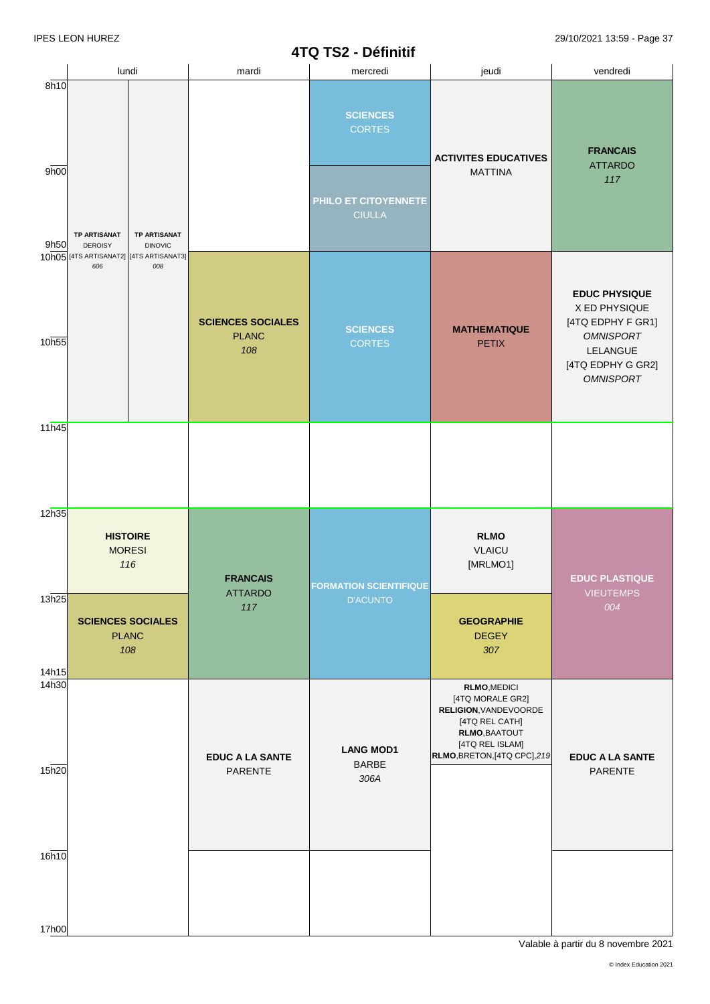|                |                                         | lundi<br>mardi                                                                                                             |                        | mercredi                                                                                                                            | jeudi                                                                                                                                                  | vendredi                                 |
|----------------|-----------------------------------------|----------------------------------------------------------------------------------------------------------------------------|------------------------|-------------------------------------------------------------------------------------------------------------------------------------|--------------------------------------------------------------------------------------------------------------------------------------------------------|------------------------------------------|
| 8h10           |                                         |                                                                                                                            |                        | <b>SCIENCES</b><br><b>CORTES</b>                                                                                                    |                                                                                                                                                        |                                          |
| 9h00           |                                         |                                                                                                                            |                        | PHILO ET CITOYENNETE                                                                                                                | <b>ACTIVITES EDUCATIVES</b><br><b>MATTINA</b>                                                                                                          | <b>FRANCAIS</b><br><b>ATTARDO</b><br>117 |
| 9h50           | TP ARTISANAT<br><b>DEROISY</b><br>606   | <b>TP ARTISANAT</b><br><b>DINOVIC</b><br>10h05 [4TS ARTISANAT2] [4TS ARTISANAT3]<br>008                                    |                        | <b>CIULLA</b>                                                                                                                       |                                                                                                                                                        |                                          |
| 10h55          |                                         | <b>SCIENCES SOCIALES</b><br><b>SCIENCES</b><br><b>MATHEMATIQUE</b><br><b>PLANC</b><br><b>CORTES</b><br><b>PETIX</b><br>108 |                        | <b>EDUC PHYSIQUE</b><br>X ED PHYSIQUE<br>[4TQ EDPHY F GR1]<br><b>OMNISPORT</b><br>LELANGUE<br>[4TQ EDPHY G GR2]<br><b>OMNISPORT</b> |                                                                                                                                                        |                                          |
| 11h45          |                                         |                                                                                                                            |                        |                                                                                                                                     |                                                                                                                                                        |                                          |
| 12h35          | <b>HISTOIRE</b><br><b>MORESI</b><br>116 |                                                                                                                            | <b>FRANCAIS</b>        | <b>FORMATION SCIENTIFIQUE</b>                                                                                                       | <b>RLMO</b><br><b>VLAICU</b><br>[MRLMO1]                                                                                                               | <b>EDUC PLASTIQUE</b>                    |
| 13h25<br>14h15 |                                         | <b>SCIENCES SOCIALES</b><br><b>PLANC</b><br>108                                                                            | ATTARDO<br>117         | <b>D'ACUNTO</b>                                                                                                                     | <b>GEOGRAPHIE</b><br><b>DEGEY</b><br>307                                                                                                               | <b>VIEUTEMPS</b><br>004                  |
| 14h30          |                                         |                                                                                                                            | <b>EDUC A LA SANTE</b> | <b>LANG MOD1</b>                                                                                                                    | <b>RLMO, MEDICI</b><br>[4TQ MORALE GR2]<br>RELIGION, VANDEVOORDE<br>[4TQ REL CATH]<br>RLMO, BAATOUT<br>[4TQ REL ISLAM]<br>RLMO, BRETON, [4TQ CPC], 219 | <b>EDUC A LA SANTE</b>                   |
| 15h20          |                                         |                                                                                                                            | PARENTE                | <b>BARBE</b><br>306A                                                                                                                |                                                                                                                                                        | PARENTE                                  |
| 16h10          |                                         |                                                                                                                            |                        |                                                                                                                                     |                                                                                                                                                        |                                          |
| 17h00          |                                         |                                                                                                                            |                        |                                                                                                                                     |                                                                                                                                                        |                                          |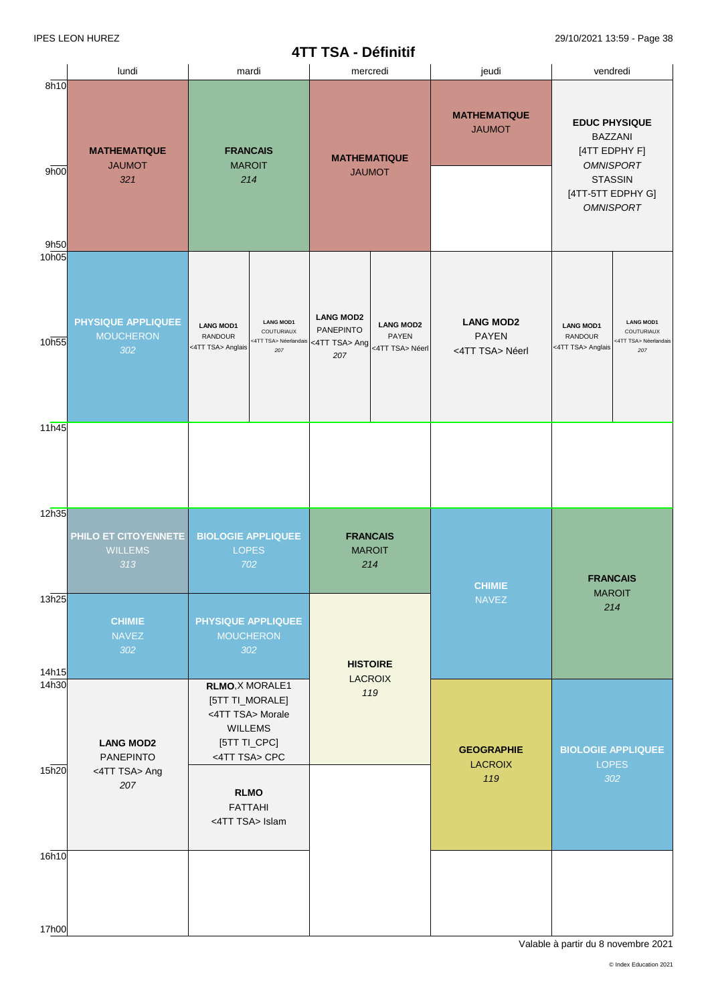## **4TT TSA - Définitif**

|                   |                                                      |                                                                                                                           | <b>TII IJA - DEIIIIIII</b>                                                                                          |                                                     |                                                                                                                                        |  |
|-------------------|------------------------------------------------------|---------------------------------------------------------------------------------------------------------------------------|---------------------------------------------------------------------------------------------------------------------|-----------------------------------------------------|----------------------------------------------------------------------------------------------------------------------------------------|--|
|                   | lundi                                                | mardi                                                                                                                     | mercredi                                                                                                            | jeudi                                               | vendredi                                                                                                                               |  |
| 8h10<br>9h00      | <b>MATHEMATIQUE</b><br><b>JAUMOT</b><br>321          | <b>FRANCAIS</b><br><b>MAROIT</b><br>214                                                                                   | <b>MATHEMATIQUE</b><br><b>JAUMOT</b>                                                                                | <b>MATHEMATIQUE</b><br><b>JAUMOT</b>                | <b>EDUC PHYSIQUE</b><br><b>BAZZANI</b><br>[4TT EDPHY F]<br><b>OMNISPORT</b><br><b>STASSIN</b><br>[4TT-5TT EDPHY G]<br><b>OMNISPORT</b> |  |
| 9h50<br>10h05     |                                                      |                                                                                                                           |                                                                                                                     |                                                     |                                                                                                                                        |  |
| 10h55             | <b>PHYSIQUE APPLIQUEE</b><br><b>MOUCHERON</b><br>302 | <b>LANG MOD1</b><br><b>LANG MOD1</b><br>COUTURIAUX<br><b>RANDOUR</b><br><4TT TSA> Néerlandais<br><4TT TSA> Anglais<br>207 | <b>LANG MOD2</b><br><b>LANG MOD2</b><br><b>PANEPINTO</b><br><b>PAYEN</b><br><4TT TSA> Ang<br><4TT TSA> Néerl<br>207 | <b>LANG MOD2</b><br><b>PAYEN</b><br><4TT TSA> Néerl | <b>LANG MOD1</b><br><b>LANG MOD1</b><br><b>COUTURIAUX</b><br><b>RANDOUR</b><br><4TT TSA> Néerlandais<br><4TT TSA> Anglais<br>207       |  |
| 11h45             |                                                      |                                                                                                                           |                                                                                                                     |                                                     |                                                                                                                                        |  |
|                   |                                                      |                                                                                                                           |                                                                                                                     |                                                     |                                                                                                                                        |  |
| 12h35             | PHILO ET CITOYENNETE<br><b>WILLEMS</b><br>313        | <b>BIOLOGIE APPLIQUEE</b><br><b>LOPES</b><br>702                                                                          | <b>FRANCAIS</b><br><b>MAROIT</b><br>214                                                                             | <b>CHIMIE</b>                                       | <b>FRANCAIS</b>                                                                                                                        |  |
| 13h25             |                                                      |                                                                                                                           |                                                                                                                     | <b>NAVEZ</b>                                        | <b>MAROIT</b><br>214                                                                                                                   |  |
| 14h15             | <b>CHIMIE</b><br><b>NAVEZ</b><br>302                 | <b>PHYSIQUE APPLIQUEE</b><br><b>MOUCHERON</b><br>302                                                                      | <b>HISTOIRE</b>                                                                                                     |                                                     |                                                                                                                                        |  |
| 14 <sub>h30</sub> | <b>LANG MOD2</b><br><b>PANEPINTO</b>                 | RLMO, X MORALE1<br>[5TT TI_MORALE]<br><4TT TSA> Morale<br><b>WILLEMS</b><br>[5TT TI_CPC]<br><4TT TSA> CPC                 | <b>LACROIX</b><br>119                                                                                               | <b>GEOGRAPHIE</b><br><b>BIOLOGIE APPLIQUEE</b>      |                                                                                                                                        |  |
| 15h20             | <4TT TSA> Ang<br>207                                 | <b>RLMO</b><br><b>FATTAHI</b><br><4TT TSA> Islam                                                                          |                                                                                                                     | <b>LACROIX</b><br>119                               | <b>LOPES</b><br>302                                                                                                                    |  |
| 16h <sub>10</sub> |                                                      |                                                                                                                           |                                                                                                                     |                                                     |                                                                                                                                        |  |
| 17h00             |                                                      |                                                                                                                           |                                                                                                                     |                                                     |                                                                                                                                        |  |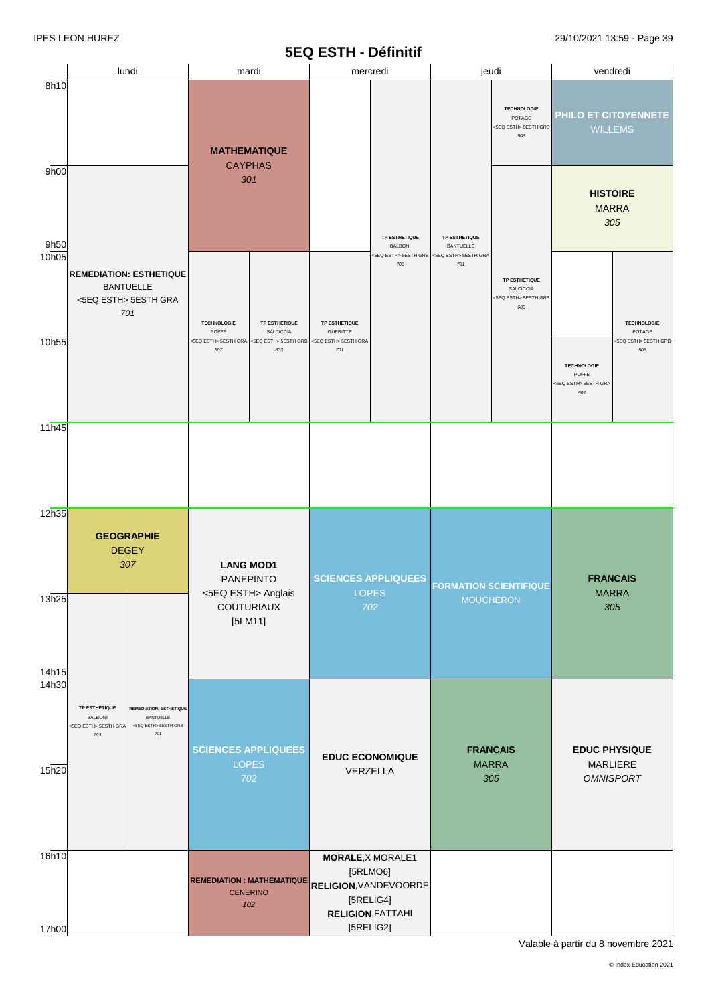#### **5EQ ESTH - Définitif**

|                | lundi                                                                                                                                          |                                | mardi                                               |                                                                       | mercredi                                                                                                              |                                   | jeudi                         |                                                                  | vendredi                                                   |                              |
|----------------|------------------------------------------------------------------------------------------------------------------------------------------------|--------------------------------|-----------------------------------------------------|-----------------------------------------------------------------------|-----------------------------------------------------------------------------------------------------------------------|-----------------------------------|-------------------------------|------------------------------------------------------------------|------------------------------------------------------------|------------------------------|
| 8h10           |                                                                                                                                                |                                | <b>MATHEMATIQUE</b>                                 |                                                                       |                                                                                                                       |                                   |                               | <b>TECHNOLOGIE</b><br>POTAGE<br><5EQ ESTH> 5ESTH GRB<br>506      | PHILO ET CITOYENNETE<br><b>WILLEMS</b>                     |                              |
| 9h00<br>9h50   |                                                                                                                                                |                                | <b>CAYPHAS</b><br>301                               |                                                                       | TP ESTHETIQUE<br><b>BALBONI</b>                                                                                       | TP ESTHETIQUE<br><b>BANTUELLE</b> |                               | <b>HISTOIRE</b><br><b>MARRA</b>                                  | 305                                                        |                              |
| 10h05          | <b>BANTUELLE</b><br><5EQ ESTH> 5ESTH GRA<br>701                                                                                                | <b>REMEDIATION: ESTHETIQUE</b> | <b>TECHNOLOGIE</b><br>POFFE                         | TP ESTHETIQUE<br>SALCICCIA                                            | TP ESTHETIQUE                                                                                                         | <5EQ ESTH> 5ESTH GRB<br>703       | <5EQ ESTH> 5ESTH GRA<br>701   | TP ESTHETIQUE<br><b>SALCICCIA</b><br><5EQ ESTH> 5ESTH GRB<br>603 |                                                            | <b>TECHNOLOGIE</b><br>POTAGE |
| 10h55          |                                                                                                                                                |                                | 507                                                 | <5EQ ESTH> 5ESTH GRA <5EQ ESTH> 5ESTH GRB <5EQ ESTH> 5ESTH GRA<br>603 | <b>GUERITTE</b><br>701                                                                                                |                                   |                               |                                                                  | <b>TECHNOLOGIE</b><br>POFFE<br><5EQ ESTH> 5ESTH GRA<br>507 | <5EQ ESTH> 5ESTH GRB<br>506  |
| 11h45          |                                                                                                                                                |                                |                                                     |                                                                       |                                                                                                                       |                                   |                               |                                                                  |                                                            |                              |
| 12h35          | <b>GEOGRAPHIE</b><br><b>DEGEY</b><br>307                                                                                                       |                                | <b>LANG MOD1</b><br><b>PANEPINTO</b>                |                                                                       | <b>SCIENCES APPLIQUEES</b>                                                                                            |                                   | <b>FORMATION SCIENTIFIQUE</b> |                                                                  | <b>FRANCAIS</b>                                            |                              |
| 13h25<br>14h15 |                                                                                                                                                |                                | <5EQ ESTH> Anglais<br>COUTURIAUX<br>$[5LM11]$       |                                                                       | LOPES<br>702                                                                                                          |                                   |                               | <b>MOUCHERON</b>                                                 | <b>MARRA</b>                                               | 305                          |
| 14h30          | TP ESTHETIQUE<br><b>REMEDIATION: ESTHETIQUE</b><br><b>BALBONI</b><br>BANTUELLE<br><5EQ ESTH> 5ESTH GRB<br><5EQ ESTH> 5ESTH GRA<br>$701$<br>703 |                                | <b>SCIENCES APPLIQUEES</b><br><b>LOPES</b>          |                                                                       | <b>EDUC ECONOMIQUE</b>                                                                                                |                                   |                               | <b>FRANCAIS</b>                                                  | <b>EDUC PHYSIQUE</b>                                       |                              |
| 15h20          |                                                                                                                                                |                                |                                                     | 702                                                                   | VERZELLA                                                                                                              |                                   | <b>MARRA</b><br>305           |                                                                  | MARLIERE<br><b>OMNISPORT</b>                               |                              |
| 16h10<br>17h00 |                                                                                                                                                |                                | <b>REMEDIATION: MATHEMATIQUE</b><br><b>CENERINO</b> | 102                                                                   | <b>MORALE, X MORALE1</b><br>[5RLMO6]<br>RELIGION, VANDEVOORDE<br>[5RELIG4]<br><b>RELIGION, FATTAHI</b><br>$[5RELIG2]$ |                                   |                               |                                                                  |                                                            |                              |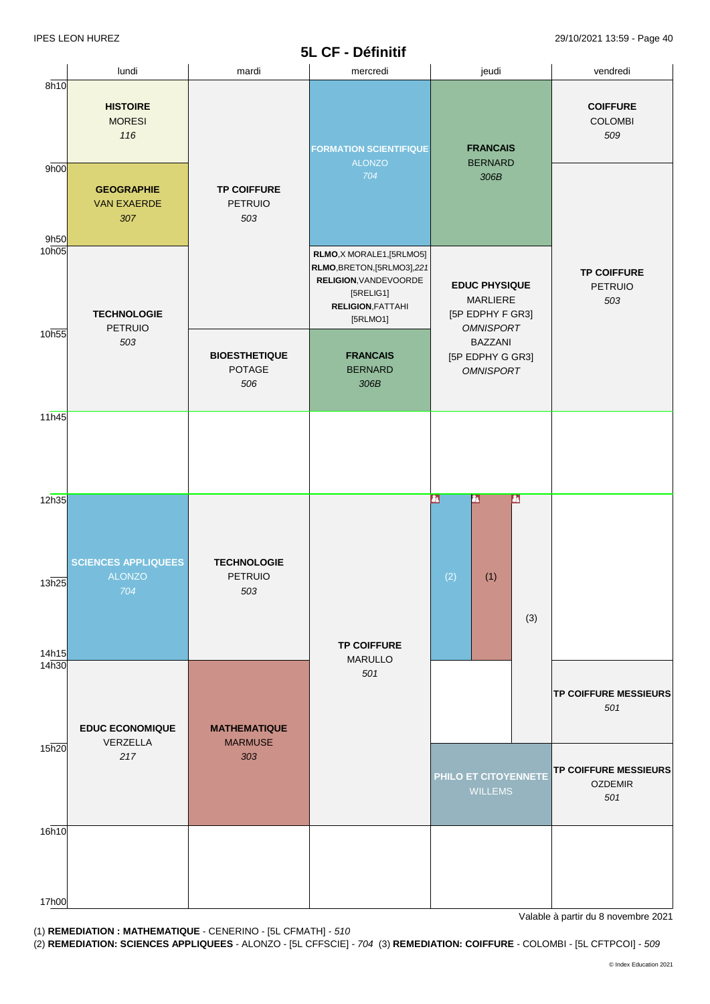|                |                                                                                           |                                             | 5L CF - Définitif                                                                                                                      |                                                                            |                                                       |  |
|----------------|-------------------------------------------------------------------------------------------|---------------------------------------------|----------------------------------------------------------------------------------------------------------------------------------------|----------------------------------------------------------------------------|-------------------------------------------------------|--|
|                | lundi                                                                                     | mardi                                       | mercredi                                                                                                                               | jeudi                                                                      | vendredi                                              |  |
| 8h10<br>9h00   | <b>HISTOIRE</b><br><b>MORESI</b><br>116<br><b>GEOGRAPHIE</b><br><b>VAN EXAERDE</b><br>307 | <b>TP COIFFURE</b><br>PETRUIO<br>503        | <b>FORMATION SCIENTIFIQUE</b><br><b>ALONZO</b><br>704                                                                                  | <b>FRANCAIS</b><br><b>BERNARD</b><br>306B                                  | <b>COIFFURE</b><br><b>COLOMBI</b><br>509              |  |
| 9h50<br>10h05  | <b>TECHNOLOGIE</b>                                                                        |                                             | RLMO, X MORALE1, [5RLMO5]<br>RLMO, BRETON, [5RLMO3], 221<br>RELIGION, VANDEVOORDE<br>[5RELIG1]<br><b>RELIGION, FATTAHI</b><br>[5RLMO1] | <b>EDUC PHYSIQUE</b><br>MARLIERE<br>[5P EDPHY F GR3]                       | <b>TP COIFFURE</b><br><b>PETRUIO</b><br>503           |  |
| 10h55          | PETRUIO<br>503                                                                            | <b>BIOESTHETIQUE</b><br>POTAGE<br>506       | <b>FRANCAIS</b><br><b>BERNARD</b><br>306B                                                                                              | <b>OMNISPORT</b><br><b>BAZZANI</b><br>[5P EDPHY G GR3]<br><b>OMNISPORT</b> |                                                       |  |
| 11h45          |                                                                                           |                                             |                                                                                                                                        |                                                                            |                                                       |  |
| 12h35<br>13h25 | <b>SCIENCES APPLIQUEES</b><br>AI ONZO<br>704                                              | <b>TECHNOLOGIE</b><br><b>PETRUIO</b><br>503 |                                                                                                                                        | ш<br>ш<br>$\mathbf{r}$<br>(2)<br>(1)                                       |                                                       |  |
| 14h15          |                                                                                           |                                             | <b>TP COIFFURE</b><br><b>MARULLO</b>                                                                                                   | (3)                                                                        |                                                       |  |
| 14h30          | <b>EDUC ECONOMIQUE</b>                                                                    | <b>MATHEMATIQUE</b>                         | 501                                                                                                                                    |                                                                            | <b>TP COIFFURE MESSIEURS</b><br>501                   |  |
| 15h20          | VERZELLA<br>217                                                                           | <b>MARMUSE</b><br>303                       |                                                                                                                                        | PHILO ET CITOYENNETE<br><b>WILLEMS</b>                                     | <b>TP COIFFURE MESSIEURS</b><br><b>OZDEMIR</b><br>501 |  |
| 16h10          |                                                                                           |                                             |                                                                                                                                        |                                                                            |                                                       |  |
| 17h00          |                                                                                           |                                             |                                                                                                                                        |                                                                            |                                                       |  |

(1) **REMEDIATION : MATHEMATIQUE** - CENERINO - [5L CFMATH] - *510* 

(2) **REMEDIATION: SCIENCES APPLIQUEES -** ALONZO - [5L CFFSCIE] - 704 (3) **REMEDIATION: COIFFURE** - COLOMBI - [5L CFTPCOI] - 509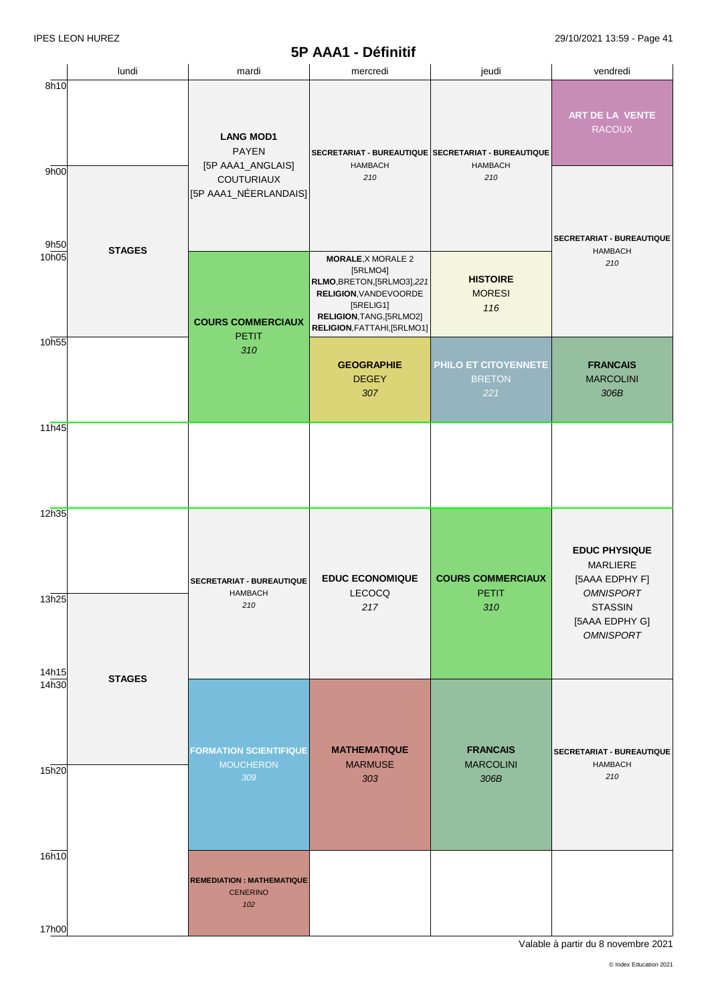### **5P AAA1 - Définitif**

|                | lundi         | mardi                                                           | mercredi                                                                                                                                                              | jeudi                                        | vendredi                                                                 |
|----------------|---------------|-----------------------------------------------------------------|-----------------------------------------------------------------------------------------------------------------------------------------------------------------------|----------------------------------------------|--------------------------------------------------------------------------|
| 8h10           |               | <b>LANG MOD1</b><br><b>PAYEN</b>                                | SECRETARIAT - BUREAUTIQUE SECRETARIAT - BUREAUTIQUE<br><b>HAMBACH</b>                                                                                                 | <b>HAMBACH</b>                               | ART DE LA VENTE<br><b>RACOUX</b>                                         |
| 9h00<br>9h50   |               | [5P AAA1_ANGLAIS]<br><b>COUTURIAUX</b><br>[5P AAA1_NÉERLANDAIS] | 210                                                                                                                                                                   | 210                                          | SECRETARIAT - BUREAUTIQUE                                                |
| 10h05          | <b>STAGES</b> | <b>COURS COMMERCIAUX</b><br><b>PETIT</b>                        | <b>MORALE, X MORALE 2</b><br>[5RLMO4]<br>RLMO, BRETON, [5RLMO3], 221<br>RELIGION, VANDEVOORDE<br>[5RELIG1]<br>RELIGION, TANG, [5RLMO2]<br>RELIGION, FATTAHI, [5RLMO1] | <b>HISTOIRE</b><br><b>MORESI</b><br>116      | <b>HAMBACH</b><br>210                                                    |
| 10h55          |               | 310                                                             | <b>GEOGRAPHIE</b><br><b>DEGEY</b><br>307                                                                                                                              | PHILO ET CITOYENNETE<br><b>BRETON</b><br>221 | <b>FRANCAIS</b><br><b>MARCOLINI</b><br>306B                              |
| 11h45          |               |                                                                 |                                                                                                                                                                       |                                              |                                                                          |
| 12h35          |               | SECRETARIAT - BUREAUTIQUE                                       | <b>EDUC ECONOMIQUE</b>                                                                                                                                                | <b>COURS COMMERCIAUX</b>                     | <b>EDUC PHYSIQUE</b><br><b>MARLIERE</b><br>[5AAA EDPHY F]                |
| 13h25<br>14h15 |               | HAMBACH<br>210                                                  | LECOCQ<br>217                                                                                                                                                         | <b>PETIT</b><br>310                          | <b>OMNISPORT</b><br><b>STASSIN</b><br>[5AAA EDPHY G]<br><b>OMNISPORT</b> |
| 14h30          | <b>STAGES</b> | <b>FORMATION SCIENTIFIQUE</b>                                   | <b>MATHEMATIQUE</b>                                                                                                                                                   | <b>FRANCAIS</b>                              | SECRETARIAT - BUREAUTIQUE                                                |
| 15h20          |               | <b>MOUCHERON</b><br>309                                         | <b>MARMUSE</b><br>303                                                                                                                                                 | <b>MARCOLINI</b><br>306B                     | <b>HAMBACH</b><br>210                                                    |
| 16h10<br>17h00 |               | <b>REMEDIATION: MATHEMATIQUE</b><br><b>CENERINO</b><br>102      |                                                                                                                                                                       |                                              |                                                                          |
|                |               |                                                                 |                                                                                                                                                                       |                                              |                                                                          |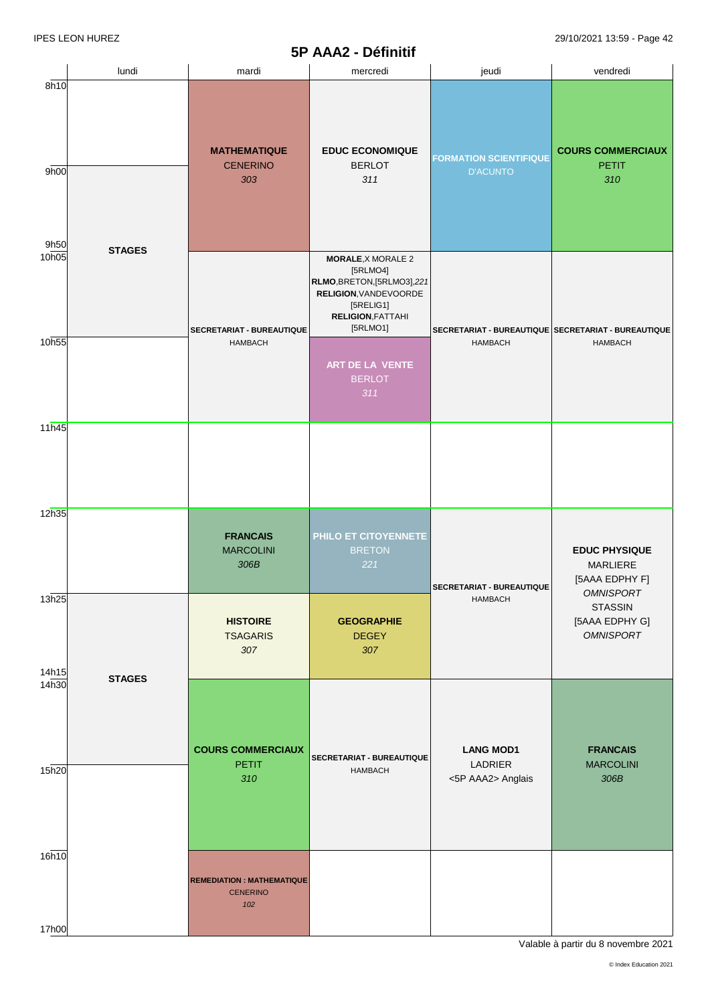# **5P AAA2 - Définitif**

|                |               |                                                     | <b>AAA4</b> - Defilitio                                                                                                |                                                     |                                                                               |
|----------------|---------------|-----------------------------------------------------|------------------------------------------------------------------------------------------------------------------------|-----------------------------------------------------|-------------------------------------------------------------------------------|
|                | lundi         | mardi                                               | mercredi                                                                                                               | jeudi                                               | vendredi                                                                      |
| 8h10<br>9h00   |               | <b>MATHEMATIQUE</b><br><b>CENERINO</b><br>303       | <b>EDUC ECONOMIQUE</b><br><b>BERLOT</b><br>311                                                                         | <b>FORMATION SCIENTIFIQUE</b><br><b>D'ACUNTO</b>    | <b>COURS COMMERCIAUX</b><br><b>PETIT</b><br>310                               |
| 9h50<br>10h05  | <b>STAGES</b> |                                                     | <b>MORALE, X MORALE 2</b>                                                                                              |                                                     |                                                                               |
|                |               | <b>SECRETARIAT - BUREAUTIQUE</b>                    | [5RLMO4]<br>RLMO, BRETON, [5RLMO3], 221<br>RELIGION, VANDE VOORDE<br>[5RELIG1]<br><b>RELIGION, FATTAHI</b><br>[5RLMO1] | SECRETARIAT - BUREAUTIQUE SECRETARIAT - BUREAUTIQUE | <b>HAMBACH</b>                                                                |
| 10h55          |               | <b>HAMBACH</b>                                      | ART DE LA VENTE<br><b>BERLOT</b><br>311                                                                                | <b>HAMBACH</b>                                      |                                                                               |
| 11h45          |               |                                                     |                                                                                                                        |                                                     |                                                                               |
| 12h35          |               | <b>FRANCAIS</b><br><b>MARCOLINI</b><br>306B         | PHILO ET CITOYENNETE<br><b>BRETON</b><br>221                                                                           | <b>SECRETARIAT - BUREAUTIQUE</b>                    | <b>EDUC PHYSIQUE</b><br><b>MARLIERE</b><br>[5AAA EDPHY F]<br><b>OMNISPORT</b> |
| 13h25<br>14h15 |               | <b>HISTOIRE</b><br><b>TSAGARIS</b><br>307           | <b>GEOGRAPHIE</b><br><b>DEGEY</b><br>307                                                                               | <b>HAMBACH</b>                                      | <b>STASSIN</b><br>[5AAA EDPHY G]<br><b>OMNISPORT</b>                          |
| 14h30<br>15h20 | <b>STAGES</b> | <b>COURS COMMERCIAUX</b><br><b>PETIT</b><br>310     | SECRETARIAT - BUREAUTIQUE<br><b>HAMBACH</b>                                                                            | <b>LANG MOD1</b><br>LADRIER<br><5P AAA2> Anglais    | <b>FRANCAIS</b><br><b>MARCOLINI</b><br>306B                                   |
| 16h10          |               | <b>REMEDIATION: MATHEMATIQUE</b><br><b>CENERINO</b> |                                                                                                                        |                                                     |                                                                               |
| 17h00          |               | 102                                                 |                                                                                                                        |                                                     |                                                                               |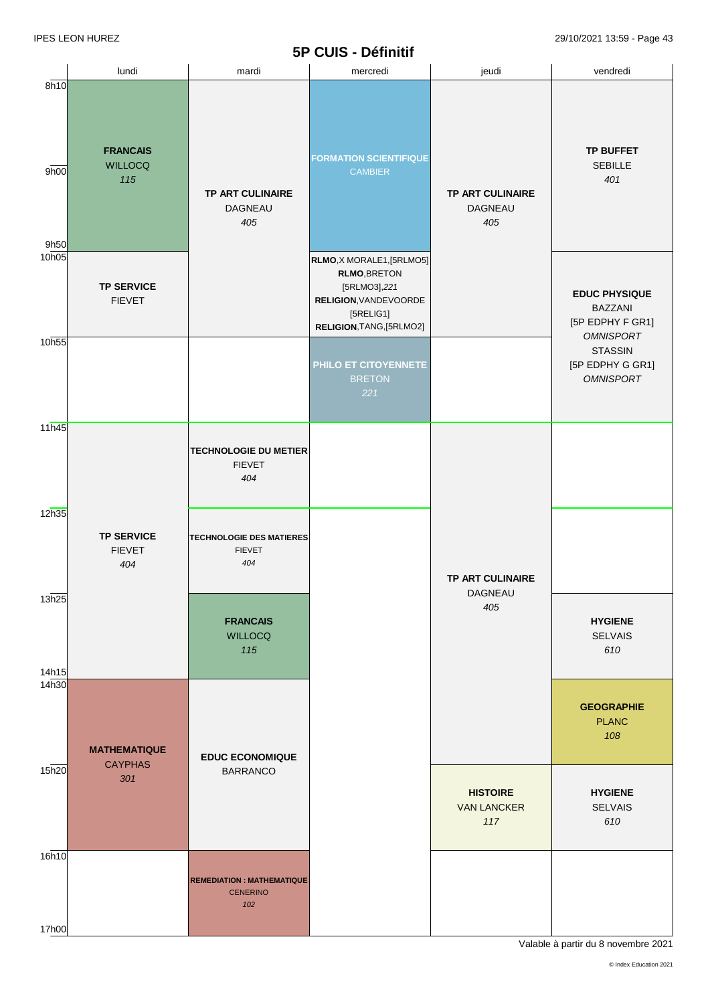|                      |                                           | vı                                                         | <b>OUID - DEFINITION</b>                                                                                                           |                                                  |                                                                            |
|----------------------|-------------------------------------------|------------------------------------------------------------|------------------------------------------------------------------------------------------------------------------------------------|--------------------------------------------------|----------------------------------------------------------------------------|
|                      | lundi                                     | mardi                                                      | mercredi                                                                                                                           | jeudi                                            | vendredi                                                                   |
| 8h10<br>9h00<br>9h50 | <b>FRANCAIS</b><br><b>WILLOCQ</b><br>115  | <b>TP ART CULINAIRE</b><br><b>DAGNEAU</b><br>405           | <b>FORMATION SCIENTIFIQUE</b><br><b>CAMBIER</b>                                                                                    | <b>TP ART CULINAIRE</b><br><b>DAGNEAU</b><br>405 | <b>TP BUFFET</b><br><b>SEBILLE</b><br>401                                  |
| 10 <sub>h05</sub>    | <b>TP SERVICE</b><br><b>FIEVET</b>        |                                                            | RLMO, X MORALE1, [5RLMO5]<br><b>RLMO, BRETON</b><br>[5RLMO3],221<br>RELIGION, VANDEVOORDE<br>[5RELIG1]<br>RELIGION, TANG, [5RLMO2] |                                                  | <b>EDUC PHYSIQUE</b><br><b>BAZZANI</b><br>[5P EDPHY F GR1]                 |
| 10h55                |                                           |                                                            | PHILO ET CITOYENNETE<br><b>BRETON</b><br>221                                                                                       |                                                  | <b>OMNISPORT</b><br><b>STASSIN</b><br>[5P EDPHY G GR1]<br><b>OMNISPORT</b> |
| 11h45                |                                           | <b>TECHNOLOGIE DU METIER</b><br><b>FIEVET</b><br>404       |                                                                                                                                    |                                                  |                                                                            |
| 12h35                | <b>TP SERVICE</b><br><b>FIEVET</b><br>404 | <b>TECHNOLOGIE DES MATIERES</b><br><b>FIEVET</b><br>404    |                                                                                                                                    | TP ART CULINAIRE                                 |                                                                            |
| 13h25<br>14h15       |                                           | <b>FRANCAIS</b><br><b>WILLOCQ</b><br>115                   |                                                                                                                                    | DAGNEAU<br>405                                   | <b>HYGIENE</b><br><b>SELVAIS</b><br>610                                    |
| 14h30                | <b>MATHEMATIQUE</b><br><b>CAYPHAS</b>     | <b>EDUC ECONOMIQUE</b>                                     |                                                                                                                                    |                                                  | <b>GEOGRAPHIE</b><br><b>PLANC</b><br>108                                   |
| 15h20                | 301                                       | <b>BARRANCO</b>                                            |                                                                                                                                    | <b>HISTOIRE</b><br><b>VAN LANCKER</b><br>117     | <b>HYGIENE</b><br><b>SELVAIS</b><br>610                                    |
| 16h10<br>17h00       |                                           | <b>REMEDIATION: MATHEMATIQUE</b><br><b>CENERINO</b><br>102 |                                                                                                                                    |                                                  |                                                                            |
|                      |                                           |                                                            |                                                                                                                                    |                                                  |                                                                            |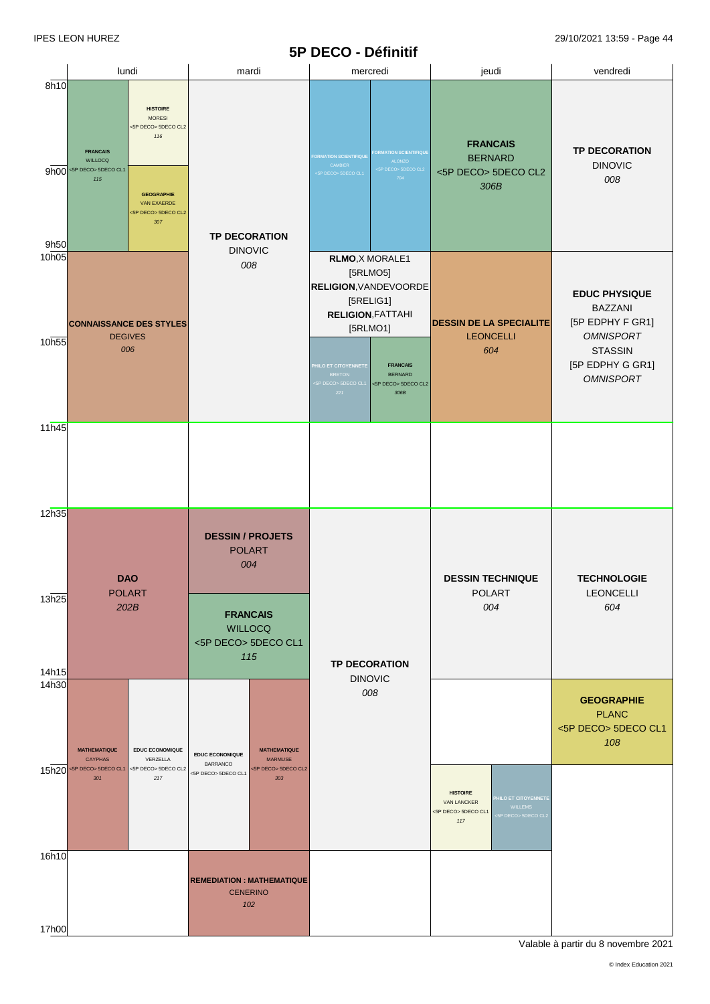|                            |                                                                                                                                                                                                                                      |                                                                                    | レレマン<br>- שטווווייט                                                                                                                  |                                                                                                                                         |                                                                                |
|----------------------------|--------------------------------------------------------------------------------------------------------------------------------------------------------------------------------------------------------------------------------------|------------------------------------------------------------------------------------|--------------------------------------------------------------------------------------------------------------------------------------|-----------------------------------------------------------------------------------------------------------------------------------------|--------------------------------------------------------------------------------|
|                            | lundi                                                                                                                                                                                                                                | mardi                                                                              | mercredi                                                                                                                             | jeudi                                                                                                                                   | vendredi                                                                       |
| 8h10<br>9h50               | <b>HISTOIRE</b><br><b>MORESI</b><br><5P DECO> 5DECO CL2<br>116<br><b>FRANCAIS</b><br><b>WILLOCQ</b><br>$9h00$ <sp deco=""> SDECO CL1<br/>115<br/><b>GEOGRAPHIE</b><br/><b>VAN EXAERDE</b><br/>&lt;5P DECO&gt; 5DECO CL2<br/>307</sp> | <b>TP DECORATION</b>                                                               | ORMATION SCIENTIFIQUE<br><b>ORMATION SCIENTIFIQUE</b><br>ALONZO<br>CAMBIER<br><5P DECO> 5DECO CL2<br>SP DECO> 5DECO CL1<br>704       | <b>FRANCAIS</b><br><b>BERNARD</b><br><5P DECO> 5DECO CL2<br>306B                                                                        | <b>TP DECORATION</b><br><b>DINOVIC</b><br>008                                  |
| 10 <sub>h05</sub><br>10h55 | <b>CONNAISSANCE DES STYLES</b><br><b>DEGIVES</b>                                                                                                                                                                                     | <b>DINOVIC</b><br>008                                                              |                                                                                                                                      | <b>RELIGION, VANDEVOORDE</b><br><b>DESSIN DE LA SPECIALITE</b><br><b>LEONCELLI</b>                                                      | <b>EDUC PHYSIQUE</b><br><b>BAZZANI</b><br>[5P EDPHY F GR1]<br><b>OMNISPORT</b> |
| 11h45                      | 006                                                                                                                                                                                                                                  |                                                                                    | <b>FRANCAIS</b><br>HILO ET CITOYENNETE<br><b>BRETON</b><br><b>BERNARD</b><br><5P DECO> 5DECO CL2<br>P DECO> 5DECO CL1<br>221<br>306B | 604                                                                                                                                     | <b>STASSIN</b><br>[5P EDPHY G GR1]<br><b>OMNISPORT</b>                         |
| 12h35                      |                                                                                                                                                                                                                                      |                                                                                    |                                                                                                                                      |                                                                                                                                         |                                                                                |
| 13h25                      | <b>DAO</b><br><b>POLART</b>                                                                                                                                                                                                          | <b>DESSIN / PROJETS</b><br><b>POLART</b><br>004                                    |                                                                                                                                      | <b>DESSIN TECHNIQUE</b><br><b>POLART</b>                                                                                                | <b>TECHNOLOGIE</b><br><b>LEONCELLI</b>                                         |
| 14h15                      | 202B                                                                                                                                                                                                                                 | <b>FRANCAIS</b><br><b>WILLOCQ</b><br><5P DECO> 5DECO CL1<br>115                    | <b>TP DECORATION</b><br><b>DINOVIC</b>                                                                                               | 004                                                                                                                                     | 604                                                                            |
| 14h30                      | <b>MATHEMATIQUE</b><br><b>EDUC ECONOMIQUE</b><br><b>CAYPHAS</b><br>VERZELLA                                                                                                                                                          | <b>MATHEMATIQUE</b><br><b>EDUC ECONOMIQUE</b><br><b>MARMUSE</b><br><b>BARRANCO</b> | 008                                                                                                                                  |                                                                                                                                         | <b>GEOGRAPHIE</b><br><b>PLANC</b><br><5P DECO> 5DECO CL1<br>108                |
|                            | 15h20 <sp deco=""> SDECO CL1<br/>&lt;5P DECO&gt; 5DECO CL2<br/>301<br/>217</sp>                                                                                                                                                      | <5P DECO> 5DECO CL2<br><5P DECO> 5DECO CL1<br>303                                  |                                                                                                                                      | <b>HISTOIRE</b><br><b>ILO ET CITOYENNETE</b><br><b>VAN LANCKER</b><br><b>WILLEMS</b><br><5P DECO> 5DECO CL1<br>P DECO> 5DECO CL2<br>117 |                                                                                |
| 16h10                      |                                                                                                                                                                                                                                      |                                                                                    |                                                                                                                                      |                                                                                                                                         |                                                                                |
|                            |                                                                                                                                                                                                                                      | <b>REMEDIATION: MATHEMATIQUE</b><br><b>CENERINO</b><br>102                         |                                                                                                                                      |                                                                                                                                         |                                                                                |
| 17h00                      |                                                                                                                                                                                                                                      |                                                                                    |                                                                                                                                      |                                                                                                                                         |                                                                                |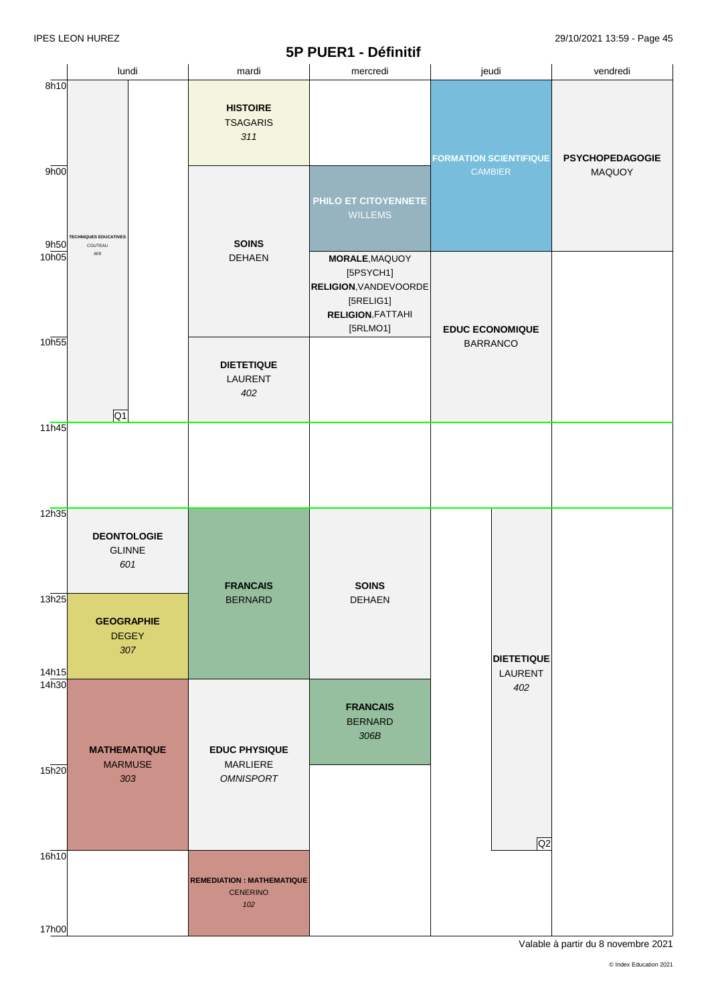# **5P PUER1 - Définitif**

|                   |                                            |                                                             | JE FULNI - DUIIIIIIII                                                                                            |                               |                        |
|-------------------|--------------------------------------------|-------------------------------------------------------------|------------------------------------------------------------------------------------------------------------------|-------------------------------|------------------------|
|                   | lundi                                      | mardi                                                       | mercredi                                                                                                         | jeudi                         | vendredi               |
| 8h10              |                                            | <b>HISTOIRE</b><br><b>TSAGARIS</b><br>311                   |                                                                                                                  | <b>FORMATION SCIENTIFIQUE</b> | <b>PSYCHOPEDAGOGIE</b> |
| 9h00<br>9h50      | <b>TECHNIQUES EDUCATIVES</b><br>COUTEAU    | <b>SOINS</b>                                                | PHILO ET CITOYENNETE<br><b>WILLEMS</b>                                                                           | <b>CAMBIER</b>                | MAQUOY                 |
| 10h05             | 609                                        | <b>DEHAEN</b>                                               | MORALE, MAQUOY<br>[5PSYCH1]<br><b>RELIGION, VANDEVOORDE</b><br>[5RELIG1]<br><b>RELIGION, FATTAHI</b><br>[5RLMO1] | <b>EDUC ECONOMIQUE</b>        |                        |
| 10 <sub>h55</sub> | Q1                                         | <b>DIETETIQUE</b><br>LAURENT<br>402                         |                                                                                                                  | <b>BARRANCO</b>               |                        |
| 11h45             |                                            |                                                             |                                                                                                                  |                               |                        |
| 12h35             | <b>DEONTOLOGIE</b><br><b>GLINNE</b><br>601 | <b>FRANCAIS</b>                                             | <b>SOINS</b>                                                                                                     |                               |                        |
| 13h25<br>14h15    | <b>GEOGRAPHIE</b><br><b>DEGEY</b><br>307   | <b>BERNARD</b>                                              | DEHAEN                                                                                                           | <b>DIETETIQUE</b><br>LAURENT  |                        |
| 14 <sub>h30</sub> | <b>MATHEMATIQUE</b><br><b>MARMUSE</b>      | <b>EDUC PHYSIQUE</b><br>MARLIERE                            | <b>FRANCAIS</b><br><b>BERNARD</b><br>306B                                                                        | 402                           |                        |
| 15h20             | 303                                        | <b>OMNISPORT</b>                                            |                                                                                                                  | Q2                            |                        |
| 16h10             |                                            | <b>REMEDIATION : MATHEMATIQUE</b><br><b>CENERINO</b><br>102 |                                                                                                                  |                               |                        |
| 17h00             |                                            |                                                             |                                                                                                                  |                               |                        |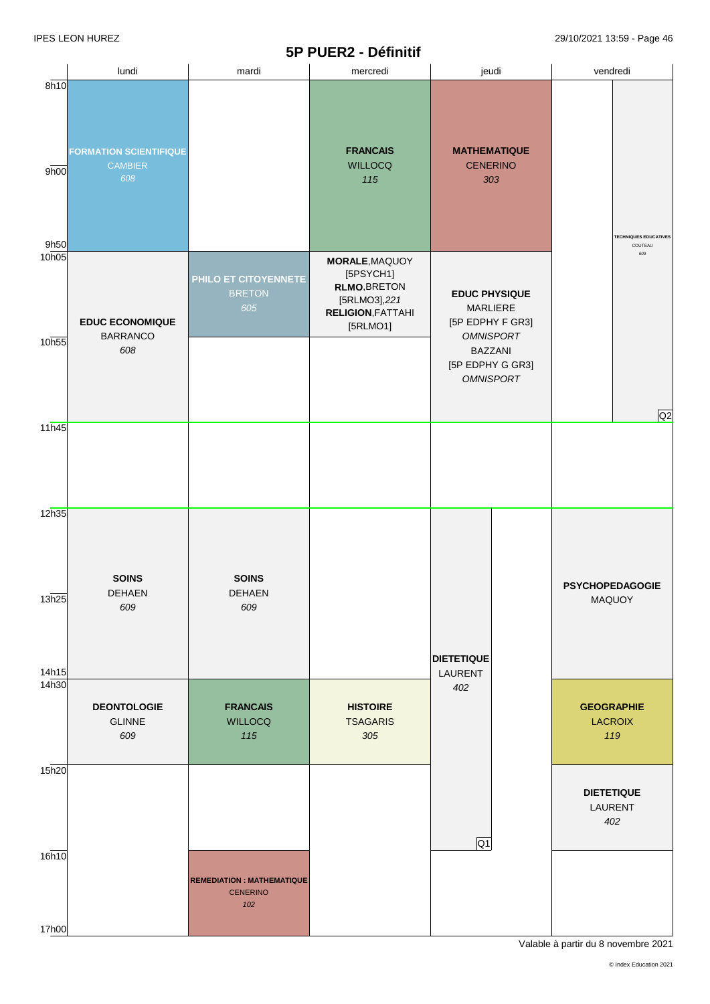### **5P PUER2 - Définitif**

|                      |                                                        | vı                                                         | <u>I</u> VEIVE DUITIINI                                                                                           |                                                                                                                                    |                                            |  |
|----------------------|--------------------------------------------------------|------------------------------------------------------------|-------------------------------------------------------------------------------------------------------------------|------------------------------------------------------------------------------------------------------------------------------------|--------------------------------------------|--|
|                      | lundi                                                  | mardi                                                      | mercredi                                                                                                          | jeudi                                                                                                                              | vendredi                                   |  |
| 8h10<br>9h00<br>9h50 | <b>FORMATION SCIENTIFIQUE</b><br><b>CAMBIER</b><br>608 |                                                            | <b>FRANCAIS</b><br><b>WILLOCQ</b><br>115                                                                          | <b>MATHEMATIQUE</b><br><b>CENERINO</b><br>303                                                                                      | <b>TECHNIQUES EDUCATIVES</b><br>COUTEAU    |  |
| 10h05<br>10h55       | <b>EDUC ECONOMIQUE</b><br><b>BARRANCO</b><br>608       | PHILO ET CITOYENNETE<br><b>BRETON</b><br>605               | <b>MORALE, MAQUOY</b><br>[5PSYCH1]<br><b>RLMO, BRETON</b><br>[5RLMO3],221<br><b>RELIGION, FATTAHI</b><br>[5RLMO1] | <b>EDUC PHYSIQUE</b><br>MARLIERE<br>[5P EDPHY F GR3]<br><b>OMNISPORT</b><br><b>BAZZANI</b><br>[5P EDPHY G GR3]<br><b>OMNISPORT</b> | 609                                        |  |
| 11h45                |                                                        |                                                            |                                                                                                                   |                                                                                                                                    | Q2                                         |  |
| 12h35<br>13h25       | <b>SOINS</b><br><b>DEHAEN</b><br>609                   | <b>SOINS</b><br>DEHAEN<br>609                              |                                                                                                                   | <b>DIETETIQUE</b>                                                                                                                  | <b>PSYCHOPEDAGOGIE</b><br>MAQUOY           |  |
| 14h15<br>14h30       | <b>DEONTOLOGIE</b><br><b>GLINNE</b><br>609             | <b>FRANCAIS</b><br><b>WILLOCQ</b><br>115                   | <b>HISTOIRE</b><br><b>TSAGARIS</b><br>305                                                                         | LAURENT<br>402                                                                                                                     | <b>GEOGRAPHIE</b><br><b>LACROIX</b><br>119 |  |
| 15h20                |                                                        |                                                            |                                                                                                                   | Q1                                                                                                                                 | <b>DIETETIQUE</b><br>LAURENT<br>402        |  |
| 16h10<br>17h00       |                                                        | <b>REMEDIATION: MATHEMATIQUE</b><br><b>CENERINO</b><br>102 |                                                                                                                   |                                                                                                                                    |                                            |  |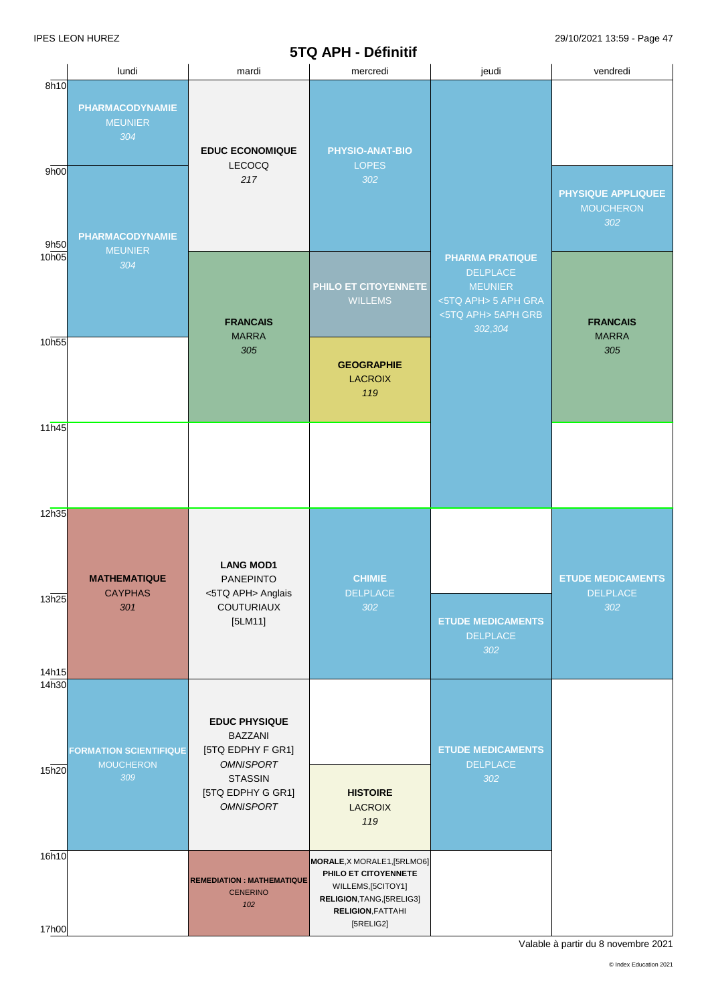### **5TQ APH - Définitif**

|                            |                                                                           |                                                                                 | $31$ $\alpha$ $\alpha$ ii $\beta$ $\beta$ $\alpha$ iiiiiiiiii                                                                      |                                                                                                                     |                                                    |
|----------------------------|---------------------------------------------------------------------------|---------------------------------------------------------------------------------|------------------------------------------------------------------------------------------------------------------------------------|---------------------------------------------------------------------------------------------------------------------|----------------------------------------------------|
|                            | lundi                                                                     | mardi                                                                           | mercredi                                                                                                                           | jeudi                                                                                                               | vendredi                                           |
| 8h10<br>9h00<br>9h50       | <b>PHARMACODYNAMIE</b><br><b>MEUNIER</b><br>304<br><b>PHARMACODYNAMIE</b> | <b>EDUC ECONOMIQUE</b><br>LECOCQ<br>217                                         | PHYSIO-ANAT-BIO<br><b>LOPES</b><br>302                                                                                             |                                                                                                                     | PHYSIQUE APPLIQUEE<br><b>MOUCHERON</b><br>302      |
| 10h05                      | <b>MEUNIER</b><br>304                                                     | <b>FRANCAIS</b><br><b>MARRA</b>                                                 | PHILO ET CITOYENNETE<br><b>WILLEMS</b>                                                                                             | <b>PHARMA PRATIQUE</b><br><b>DELPLACE</b><br><b>MEUNIER</b><br><5TQ APH> 5 APH GRA<br><5TQ APH> 5APH GRB<br>302,304 | <b>FRANCAIS</b><br><b>MARRA</b>                    |
| 10h55                      |                                                                           | 305                                                                             | <b>GEOGRAPHIE</b><br><b>LACROIX</b><br>119                                                                                         |                                                                                                                     | 305                                                |
| 11h45                      |                                                                           |                                                                                 |                                                                                                                                    |                                                                                                                     |                                                    |
| 12h35<br>13h25             | <b>MATHEMATIQUE</b><br><b>CAYPHAS</b><br>301                              | <b>LANG MOD1</b><br><b>PANEPINTO</b><br><5TQ APH> Anglais<br><b>COUTURIAUX</b>  | <b>CHIMIE</b><br><b>DELPLACE</b><br>302                                                                                            |                                                                                                                     | <b>ETUDE MEDICAMENTS</b><br><b>DELPLACE</b><br>302 |
| 14h15<br>14 <sub>h30</sub> |                                                                           | $[5LM11]$                                                                       |                                                                                                                                    | <b>ETUDE MEDICAMENTS</b><br><b>DELPLACE</b><br>302                                                                  |                                                    |
| 15h20                      | <b>FORMATION SCIENTIFIQUE</b><br><b>MOUCHERON</b>                         | <b>EDUC PHYSIQUE</b><br><b>BAZZANI</b><br>[5TQ EDPHY F GR1]<br><b>OMNISPORT</b> |                                                                                                                                    | <b>ETUDE MEDICAMENTS</b><br><b>DELPLACE</b>                                                                         |                                                    |
|                            | 309                                                                       | <b>STASSIN</b><br>[5TQ EDPHY G GR1]<br><b>OMNISPORT</b>                         | <b>HISTOIRE</b><br><b>LACROIX</b><br>119                                                                                           | 302                                                                                                                 |                                                    |
| 16h10                      |                                                                           | <b>REMEDIATION: MATHEMATIQUE</b><br><b>CENERINO</b><br>102                      | MORALE, X MORALE1, [5RLMO6]<br>PHILO ET CITOYENNETE<br>WILLEMS, [5CITOY1]<br>RELIGION, TANG, [5RELIG3]<br><b>RELIGION, FATTAHI</b> |                                                                                                                     |                                                    |
| 17h00                      |                                                                           |                                                                                 | [5RELIG2]                                                                                                                          |                                                                                                                     |                                                    |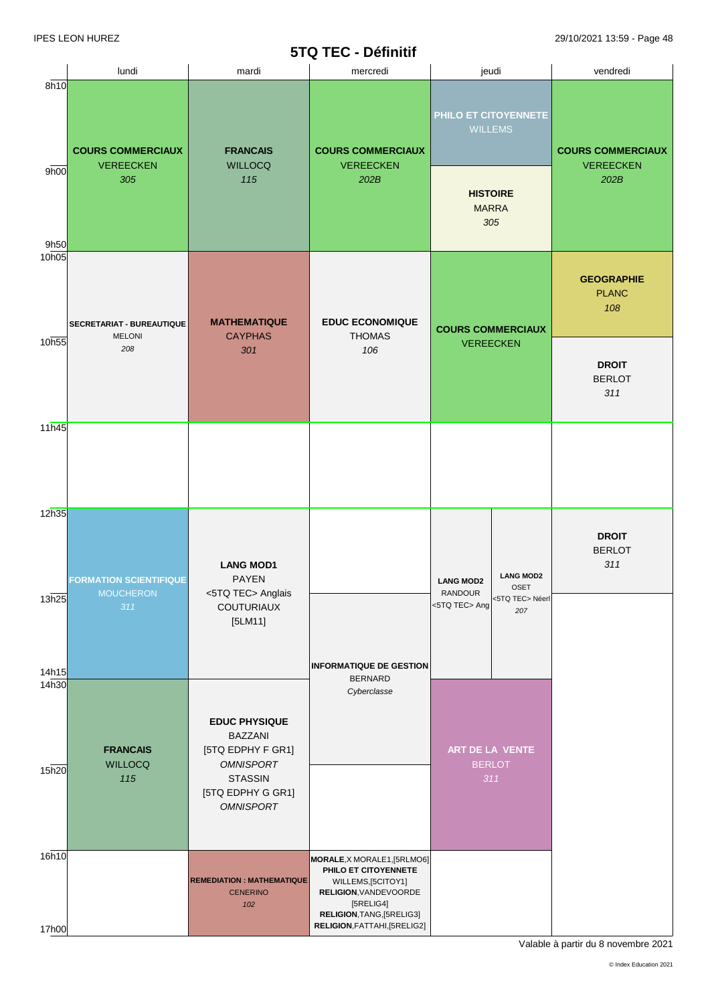# **5TQ TEC - Définitif**

|                   |                                                          |                                                                                                                                            | JIW ILV <sup>-</sup> DGIIIIIIII                                                                                                              |                                                                                  |                                                           |                                              |
|-------------------|----------------------------------------------------------|--------------------------------------------------------------------------------------------------------------------------------------------|----------------------------------------------------------------------------------------------------------------------------------------------|----------------------------------------------------------------------------------|-----------------------------------------------------------|----------------------------------------------|
|                   | lundi                                                    | mardi                                                                                                                                      | mercredi                                                                                                                                     |                                                                                  | jeudi                                                     | vendredi                                     |
| 8h10              | <b>COURS COMMERCIAUX</b><br><b>VEREECKEN</b>             | <b>FRANCAIS</b><br><b>WILLOCQ</b>                                                                                                          | <b>COURS COMMERCIAUX</b><br><b>VEREECKEN</b>                                                                                                 | PHILO ET CITOYENNETE<br><b>WILLEMS</b><br><b>HISTOIRE</b><br><b>MARRA</b><br>305 |                                                           | <b>COURS COMMERCIAUX</b><br><b>VEREECKEN</b> |
| 9h00<br>9h50      | 305                                                      | 115                                                                                                                                        | 202B                                                                                                                                         |                                                                                  |                                                           | 202B                                         |
| 10 <sub>h05</sub> | SECRETARIAT - BUREAUTIQUE<br><b>MELONI</b>               | <b>MATHEMATIQUE</b><br><b>CAYPHAS</b>                                                                                                      | <b>EDUC ECONOMIQUE</b><br><b>THOMAS</b>                                                                                                      | <b>COURS COMMERCIAUX</b><br><b>VEREECKEN</b>                                     |                                                           | <b>GEOGRAPHIE</b><br><b>PLANC</b><br>108     |
| 10h55             | 208                                                      | 301                                                                                                                                        | 106                                                                                                                                          |                                                                                  |                                                           | <b>DROIT</b><br><b>BERLOT</b><br>311         |
| 11h45             |                                                          |                                                                                                                                            |                                                                                                                                              |                                                                                  |                                                           |                                              |
| 12h35<br>13h25    | <b>FORMATION SCIENTIFIQUE</b><br><b>MOUCHERON</b><br>311 | <b>LANG MOD1</b><br><b>PAYEN</b><br><5TQ TEC> Anglais<br><b>COUTURIAUX</b>                                                                 |                                                                                                                                              | <b>LANG MOD2</b><br><b>RANDOUR</b><br><5TQ TEC> Ang                              | <b>LANG MOD2</b><br><b>OSET</b><br><5TQ TEC> Néerl<br>207 | <b>DROIT</b><br><b>BERLOT</b><br>311         |
| 14h15<br>14h30    |                                                          | $[5LM11]$                                                                                                                                  | <b>INFORMATIQUE DE GESTION</b><br><b>BERNARD</b>                                                                                             |                                                                                  |                                                           |                                              |
| 15h20             | <b>FRANCAIS</b><br><b>WILLOCQ</b><br>115                 | <b>EDUC PHYSIQUE</b><br><b>BAZZANI</b><br>[5TQ EDPHY F GR1]<br><b>OMNISPORT</b><br><b>STASSIN</b><br>[5TQ EDPHY G GR1]<br><b>OMNISPORT</b> | Cyberclasse                                                                                                                                  |                                                                                  | ART DE LA VENTE<br><b>BERLOT</b><br>311                   |                                              |
| 16h10             |                                                          | <b>REMEDIATION: MATHEMATIQUE</b><br><b>CENERINO</b><br>102                                                                                 | MORALE, X MORALE1, [5RLMO6]<br>PHILO ET CITOYENNETE<br>WILLEMS, [5CITOY1]<br>RELIGION, VANDEVOORDE<br>[5RELIG4]<br>RELIGION, TANG, [5RELIG3] |                                                                                  |                                                           |                                              |
| 17h00             |                                                          |                                                                                                                                            | RELIGION, FATTAHI, [5RELIG2]                                                                                                                 |                                                                                  |                                                           |                                              |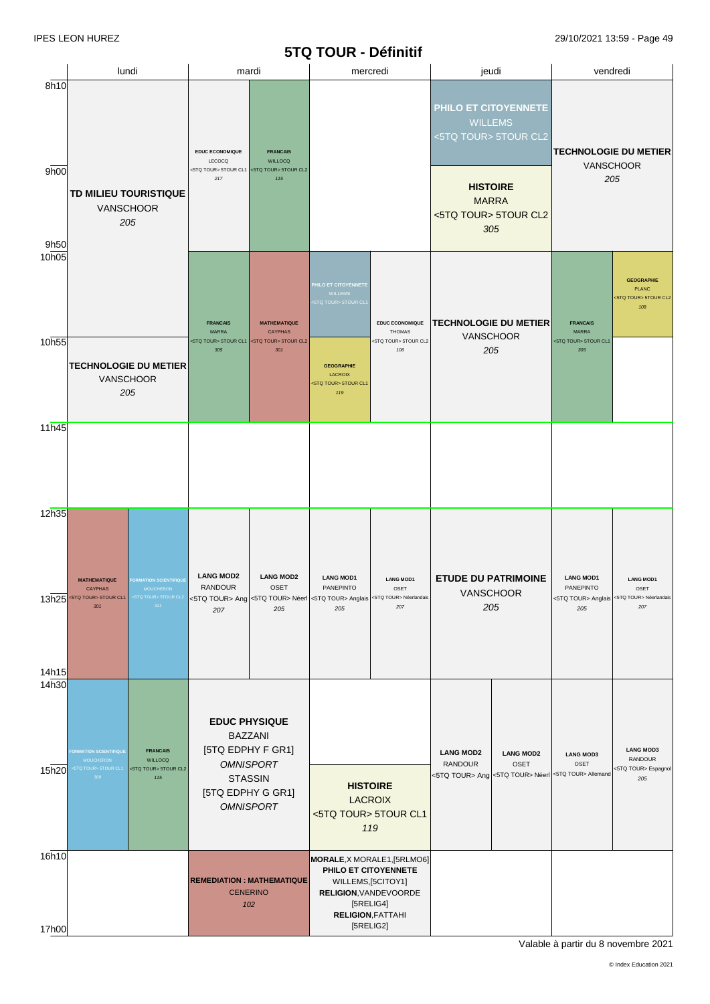#### **5TQ TOUR - Définitif**

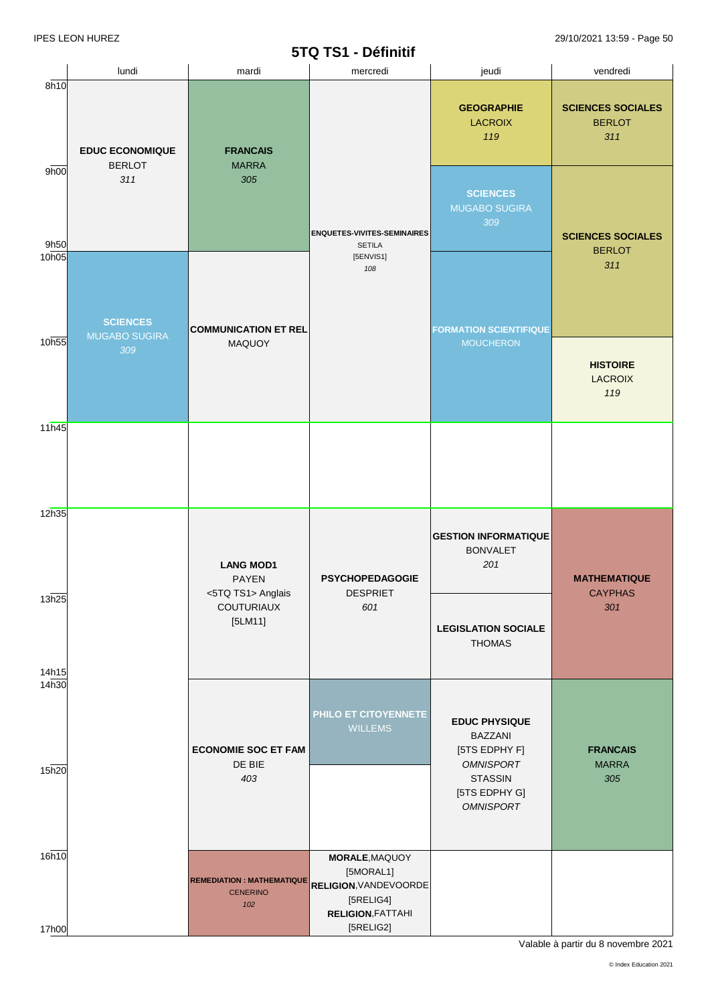### **5TQ TS1 - Définitif**

|                | lundi                                   | mardi                                                      | <b>OTATOL</b> - DETITION<br>mercredi                                                                              | jeudi                                                                       | vendredi                                         |
|----------------|-----------------------------------------|------------------------------------------------------------|-------------------------------------------------------------------------------------------------------------------|-----------------------------------------------------------------------------|--------------------------------------------------|
| 8h10           | <b>EDUC ECONOMIQUE</b>                  | <b>FRANCAIS</b>                                            |                                                                                                                   | <b>GEOGRAPHIE</b><br><b>LACROIX</b><br>119                                  | <b>SCIENCES SOCIALES</b><br><b>BERLOT</b><br>311 |
| 9h00<br>9h50   | <b>BERLOT</b><br>311                    | <b>MARRA</b><br>305                                        | <b>ENQUETES-VIVITES-SEMINAIRES</b><br><b>SETILA</b>                                                               | <b>SCIENCES</b><br><b>MUGABO SUGIRA</b><br>309                              | <b>SCIENCES SOCIALES</b>                         |
| 10h05          | <b>SCIENCES</b><br><b>MUGABO SUGIRA</b> | <b>COMMUNICATION ET REL</b>                                | [5ENVIS1]<br>108                                                                                                  | <b>FORMATION SCIENTIFIQUE</b>                                               | <b>BERLOT</b><br>311                             |
| 10h55          | 309                                     | <b>MAQUOY</b>                                              |                                                                                                                   | <b>MOUCHERON</b>                                                            | <b>HISTOIRE</b><br><b>LACROIX</b><br>119         |
| 11h45          |                                         |                                                            |                                                                                                                   |                                                                             |                                                  |
| 12h35          |                                         | <b>LANG MOD1</b><br><b>PAYEN</b><br><5TQ TS1> Anglais      | <b>PSYCHOPEDAGOGIE</b><br><b>DESPRIET</b>                                                                         | <b>GESTION INFORMATIQUE</b><br><b>BONVALET</b><br>201                       | <b>MATHEMATIQUE</b><br><b>CAYPHAS</b>            |
| 13h25<br>14h15 |                                         | <b>COUTURIAUX</b><br>$[5LM11]$                             | 601                                                                                                               | <b>LEGISLATION SOCIALE</b><br><b>THOMAS</b>                                 | 301                                              |
| 14h30<br>15h20 |                                         | <b>ECONOMIE SOC ET FAM</b><br>DE BIE                       | PHILO ET CITOYENNETE<br><b>WILLEMS</b>                                                                            | <b>EDUC PHYSIQUE</b><br><b>BAZZANI</b><br>[5TS EDPHY F]<br><b>OMNISPORT</b> | <b>FRANCAIS</b><br><b>MARRA</b>                  |
|                |                                         | 403                                                        |                                                                                                                   | <b>STASSIN</b><br>[5TS EDPHY G]<br><b>OMNISPORT</b>                         | 305                                              |
| 16h10<br>17h00 |                                         | <b>REMEDIATION: MATHEMATIQUE</b><br><b>CENERINO</b><br>102 | <b>MORALE, MAQUOY</b><br>[5MORAL1]<br>RELIGION, VANDEVOORDE<br>[5RELIG4]<br><b>RELIGION, FATTAHI</b><br>[5RELIG2] |                                                                             |                                                  |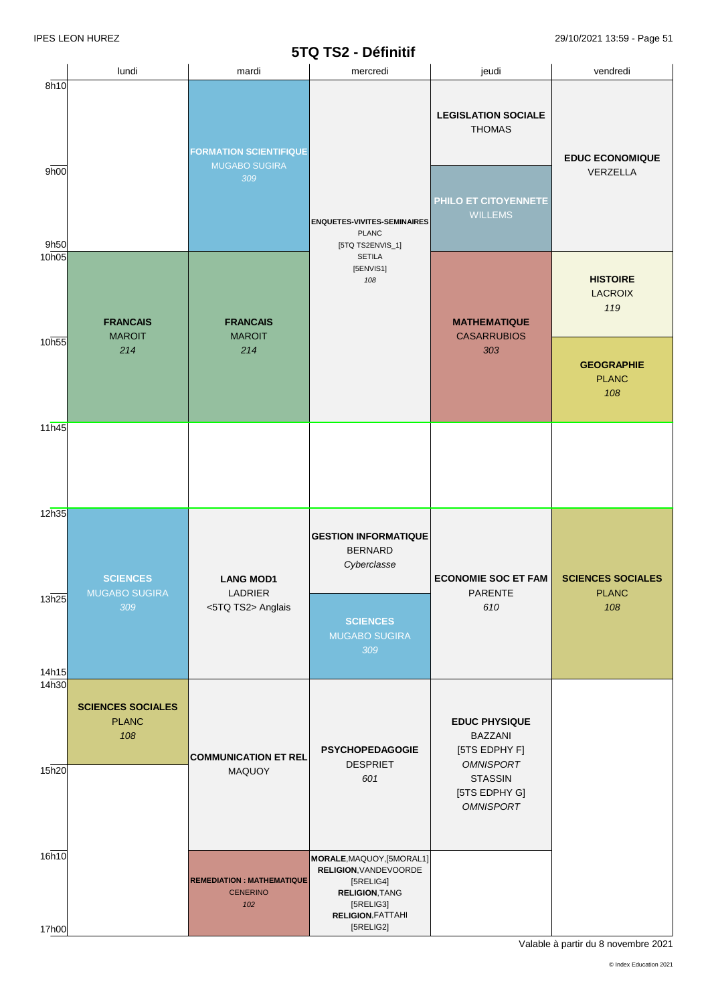# **5TQ TS2 - Définitif**

|                            | lundi                                           | mardi                                                        | $3192 - 21111111$<br>mercredi                                                                                              | jeudi                                                                       | vendredi                                 |                                          |
|----------------------------|-------------------------------------------------|--------------------------------------------------------------|----------------------------------------------------------------------------------------------------------------------------|-----------------------------------------------------------------------------|------------------------------------------|------------------------------------------|
| 8h10                       |                                                 |                                                              |                                                                                                                            | <b>LEGISLATION SOCIALE</b><br><b>THOMAS</b>                                 |                                          |                                          |
| 9h00<br>9h50               |                                                 | <b>FORMATION SCIENTIFIQUE</b><br><b>MUGABO SUGIRA</b><br>309 | <b>ENQUETES-VIVITES-SEMINAIRES</b><br><b>PLANC</b><br>[5TQ TS2ENVIS_1]                                                     | PHILO ET CITOYENNETE<br><b>WILLEMS</b>                                      | <b>EDUC ECONOMIQUE</b><br>VERZELLA       |                                          |
| 10h05                      | <b>FRANCAIS</b>                                 | <b>FRANCAIS</b>                                              | <b>SETILA</b><br>[5ENVIS1]<br>108                                                                                          |                                                                             | <b>MATHEMATIQUE</b>                      | <b>HISTOIRE</b><br><b>LACROIX</b><br>119 |
| 10h55                      | <b>MAROIT</b><br>214                            | <b>MAROIT</b><br>214                                         |                                                                                                                            | <b>CASARRUBIOS</b><br>303                                                   | <b>GEOGRAPHIE</b><br><b>PLANC</b><br>108 |                                          |
| 11h45                      |                                                 |                                                              |                                                                                                                            |                                                                             |                                          |                                          |
| 12h35                      | <b>SCIENCES</b><br><b>MUGABO SUGIRA</b>         | <b>LANG MOD1</b><br>LADRIER                                  | <b>GESTION INFORMATIQUE</b><br><b>BERNARD</b><br>Cyberclasse                                                               | <b>ECONOMIE SOC ET FAM</b><br>PARENTE                                       | <b>SCIENCES SOCIALES</b><br><b>PLANC</b> |                                          |
| 13h25<br>14h15             | 309                                             | <5TQ TS2> Anglais                                            | <b>SCIENCES</b><br><b>MUGABO SUGIRA</b><br>309                                                                             | 610                                                                         | 108                                      |                                          |
| 14 <sub>h30</sub><br>15h20 | <b>SCIENCES SOCIALES</b><br><b>PLANC</b><br>108 | <b>COMMUNICATION ET REL</b>                                  | <b>PSYCHOPEDAGOGIE</b><br><b>DESPRIET</b>                                                                                  | <b>EDUC PHYSIQUE</b><br><b>BAZZANI</b><br>[5TS EDPHY F]<br><b>OMNISPORT</b> |                                          |                                          |
|                            |                                                 | MAQUOY                                                       | 601                                                                                                                        | <b>STASSIN</b><br>[5TS EDPHY G]<br><b>OMNISPORT</b>                         |                                          |                                          |
| 16h10                      |                                                 | <b>REMEDIATION : MATHEMATIQUE</b><br><b>CENERINO</b><br>102  | MORALE, MAQUOY, [5MORAL1]<br>RELIGION, VANDEVOORDE<br>[5RELIG4]<br>RELIGION, TANG<br>[5RELIG3]<br><b>RELIGION, FATTAHI</b> |                                                                             |                                          |                                          |
| 17h00                      |                                                 |                                                              | $[5RELIG2]$                                                                                                                |                                                                             |                                          |                                          |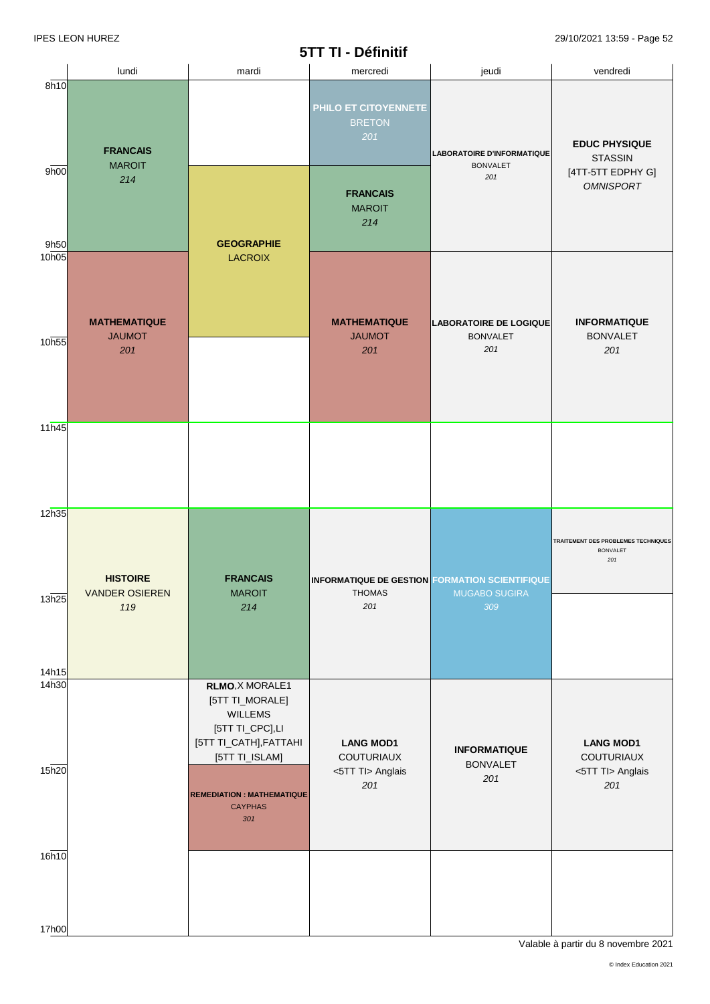### **5TT TI - Définitif**

|                            |                                                 |                                                                                                                                                         | <b>JIIII-DEIIIIIII</b>                                                        |                                                  |                                                                      |  |
|----------------------------|-------------------------------------------------|---------------------------------------------------------------------------------------------------------------------------------------------------------|-------------------------------------------------------------------------------|--------------------------------------------------|----------------------------------------------------------------------|--|
|                            | lundi                                           | mardi                                                                                                                                                   | mercredi                                                                      | jeudi                                            | vendredi                                                             |  |
| 8h10                       | <b>FRANCAIS</b><br><b>MAROIT</b>                |                                                                                                                                                         | PHILO ET CITOYENNETE<br><b>BRETON</b><br>201                                  | LABORATOIRE D'INFORMATIQUE                       | <b>EDUC PHYSIQUE</b><br><b>STASSIN</b>                               |  |
| 9h00<br>9h50               | 214                                             | <b>GEOGRAPHIE</b>                                                                                                                                       | <b>FRANCAIS</b><br><b>MAROIT</b><br>214                                       | <b>BONVALET</b><br>201                           | [4TT-5TT EDPHY G]<br><b>OMNISPORT</b>                                |  |
| 10 <sub>h05</sub>          | <b>MATHEMATIQUE</b><br><b>JAUMOT</b>            | <b>LACROIX</b>                                                                                                                                          | <b>MATHEMATIQUE</b><br><b>JAUMOT</b>                                          | <b>LABORATOIRE DE LOGIQUE</b><br><b>BONVALET</b> | <b>INFORMATIQUE</b>                                                  |  |
| 10h55                      | 201                                             |                                                                                                                                                         | 201                                                                           | 201                                              | <b>BONVALET</b><br>201                                               |  |
| 11h45<br>12h35             |                                                 |                                                                                                                                                         |                                                                               |                                                  |                                                                      |  |
| 13h25                      | <b>HISTOIRE</b><br><b>VANDER OSIEREN</b><br>119 | <b>FRANCAIS</b><br><b>MAROIT</b><br>214                                                                                                                 | <b>INFORMATIQUE DE GESTION FORMATION SCIENTIFIQUE</b><br><b>THOMAS</b><br>201 | MUGABO SUGIRA<br>309                             | <b>TRAITEMENT DES PROBLEMES TECHNIQUES</b><br><b>BONVALET</b><br>201 |  |
| 14h15<br>14 <sub>h30</sub> |                                                 | RLMO, X MORALE1                                                                                                                                         |                                                                               |                                                  |                                                                      |  |
| 15h20                      |                                                 | [5TT TI_MORALE]<br><b>WILLEMS</b><br>[5TT TI_CPC],LI<br>[5TT TI_CATH], FATTAHI<br>[5TT TI_ISLAM]<br><b>REMEDIATION : MATHEMATIQUE</b><br><b>CAYPHAS</b> | <b>LANG MOD1</b><br>COUTURIAUX<br><5TT TI> Anglais<br>201                     | <b>INFORMATIQUE</b><br><b>BONVALET</b><br>201    | <b>LANG MOD1</b><br>COUTURIAUX<br><5TT Tl> Anglais<br>201            |  |
| 16h10                      |                                                 | 301                                                                                                                                                     |                                                                               |                                                  |                                                                      |  |
| 17h00                      |                                                 |                                                                                                                                                         |                                                                               |                                                  |                                                                      |  |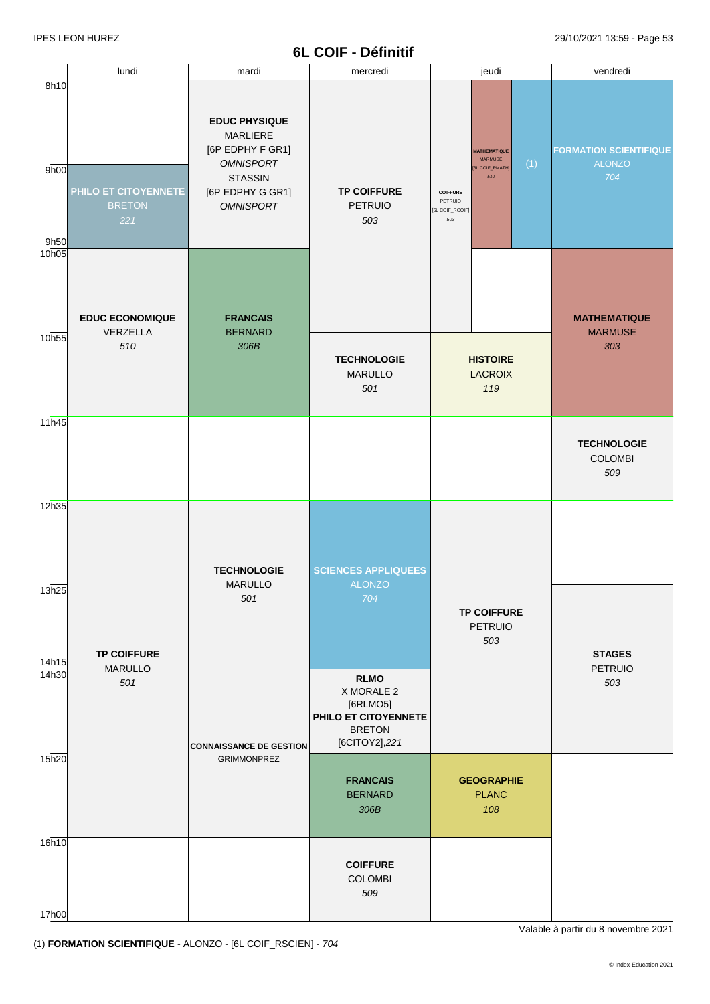## **6L COIF - Définitif**

|                      |                                              |                                                                                                                                           | ᅚᄂ ᇰᇰᇚ<br>- Ponnun                                                                              |                                                                                                                                |                                                       |
|----------------------|----------------------------------------------|-------------------------------------------------------------------------------------------------------------------------------------------|-------------------------------------------------------------------------------------------------|--------------------------------------------------------------------------------------------------------------------------------|-------------------------------------------------------|
|                      | lundi                                        | mardi                                                                                                                                     | mercredi                                                                                        | jeudi                                                                                                                          | vendredi                                              |
| 8h10<br>9h00<br>9h50 | PHILO ET CITOYENNETE<br><b>BRETON</b><br>221 | <b>EDUC PHYSIQUE</b><br><b>MARLIERE</b><br>[6P EDPHY F GR1]<br><b>OMNISPORT</b><br><b>STASSIN</b><br>[6P EDPHY G GR1]<br><b>OMNISPORT</b> | <b>TP COIFFURE</b><br><b>PETRUIO</b><br>503                                                     | <b>MATHEMATIQUE</b><br><b>MARMUSE</b><br>(1)<br>[6L COIF_RMATH]<br>510<br><b>COIFFURE</b><br>PETRUIO<br>[6L COIF_RCOIF]<br>503 | <b>FORMATION SCIENTIFIQUE</b><br><b>ALONZO</b><br>704 |
| 10h05<br>10h55       | <b>EDUC ECONOMIQUE</b><br>VERZELLA<br>510    | <b>FRANCAIS</b><br><b>BERNARD</b><br>306B                                                                                                 | <b>TECHNOLOGIE</b>                                                                              | <b>HISTOIRE</b>                                                                                                                | <b>MATHEMATIQUE</b><br><b>MARMUSE</b><br>303          |
| 11h45                |                                              |                                                                                                                                           | <b>MARULLO</b><br>501                                                                           | <b>LACROIX</b><br>119                                                                                                          |                                                       |
|                      |                                              |                                                                                                                                           |                                                                                                 |                                                                                                                                | <b>TECHNOLOGIE</b><br><b>COLOMBI</b><br>509           |
| 12h35                |                                              | <b>TECHNOLOGIE</b>                                                                                                                        | <b>SCIENCES APPLIQUEES</b>                                                                      |                                                                                                                                |                                                       |
| 13h25<br>14h15       | <b>TP COIFFURE</b>                           | <b>MARULLO</b><br>501                                                                                                                     | <b>ALONZO</b><br>704                                                                            | <b>TP COIFFURE</b><br>PETRUIO<br>503                                                                                           | <b>STAGES</b>                                         |
| 14h30                | <b>MARULLO</b><br>501                        | <b>CONNAISSANCE DE GESTION</b>                                                                                                            | <b>RLMO</b><br>X MORALE 2<br>[6RLMO5]<br>PHILO ET CITOYENNETE<br><b>BRETON</b><br>[6CITOY2],221 |                                                                                                                                | PETRUIO<br>503                                        |
| 15h20                |                                              | <b>GRIMMONPREZ</b>                                                                                                                        | <b>FRANCAIS</b><br><b>BERNARD</b><br>306B                                                       | <b>GEOGRAPHIE</b><br><b>PLANC</b><br>108                                                                                       |                                                       |
| 16h10<br>17h00       |                                              |                                                                                                                                           | <b>COIFFURE</b><br><b>COLOMBI</b><br>509                                                        |                                                                                                                                |                                                       |

(1) **FORMATION SCIENTIFIQUE** - ALONZO - [6L COIF\_RSCIEN] - *704*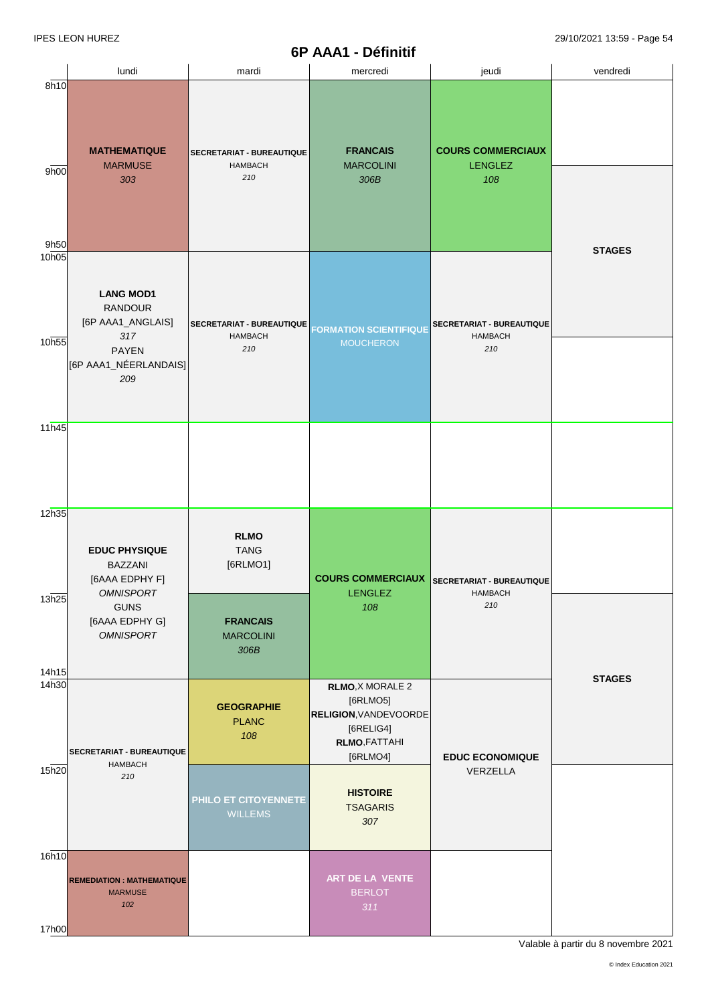### **6P AAA1 - Définitif**

|                        | lundi                                                                                                          | mardi                                              | mercredi                                                                                                      | jeudi                                              | vendredi      |
|------------------------|----------------------------------------------------------------------------------------------------------------|----------------------------------------------------|---------------------------------------------------------------------------------------------------------------|----------------------------------------------------|---------------|
| 8h10<br>9h00           | <b>MATHEMATIQUE</b><br><b>MARMUSE</b><br>303                                                                   | SECRETARIAT - BUREAUTIQUE<br><b>HAMBACH</b><br>210 | <b>FRANCAIS</b><br><b>MARCOLINI</b><br>306B                                                                   | <b>COURS COMMERCIAUX</b><br><b>LENGLEZ</b><br>108  |               |
| 9h50<br>10h05<br>10h55 | <b>LANG MOD1</b><br><b>RANDOUR</b><br>[6P AAA1_ANGLAIS]<br>317<br><b>PAYEN</b><br>[6P AAA1_NÉERLANDAIS]<br>209 | SECRETARIAT - BUREAUTIQUE<br><b>HAMBACH</b><br>210 | <b>FORMATION SCIENTIFIQUE</b><br><b>MOUCHERON</b>                                                             | SECRETARIAT - BUREAUTIQUE<br><b>HAMBACH</b><br>210 | <b>STAGES</b> |
| 11h45                  |                                                                                                                |                                                    |                                                                                                               |                                                    |               |
| 12h35                  | <b>EDUC PHYSIQUE</b><br><b>BAZZANI</b><br>[6AAA EDPHY F]<br><b>OMNISPORT</b>                                   | <b>RLMO</b><br><b>TANG</b><br>[6RLMO1]             | <b>COURS COMMERCIAUX</b><br><b>LENGLEZ</b>                                                                    | SECRETARIAT - BUREAUTIQUE<br><b>HAMBACH</b>        |               |
| 13h25<br>14h15         | <b>GUNS</b><br>[6AAA EDPHY G]<br><b>OMNISPORT</b>                                                              | <b>FRANCAIS</b><br><b>MARCOLINI</b><br>306B        | 108                                                                                                           | 210                                                | <b>STAGES</b> |
| 14h30                  | SECRETARIAT - BUREAUTIQUE<br><b>HAMBACH</b>                                                                    | <b>GEOGRAPHIE</b><br><b>PLANC</b><br>108           | <b>RLMO, X MORALE 2</b><br>[6RLMO5]<br>RELIGION, VANDEVOORDE<br>[6RELIG4]<br><b>RLMO, FATTAHI</b><br>[6RLMO4] | <b>EDUC ECONOMIQUE</b>                             |               |
| 15h20                  | 210                                                                                                            | PHILO ET CITOYENNETE<br><b>WILLEMS</b>             | <b>HISTOIRE</b><br><b>TSAGARIS</b><br>307                                                                     | VERZELLA                                           |               |
| 16h10<br>17h00         | <b>REMEDIATION: MATHEMATIQUE</b><br><b>MARMUSE</b><br>102                                                      |                                                    | ART DE LA VENTE<br><b>BERLOT</b><br>311                                                                       |                                                    |               |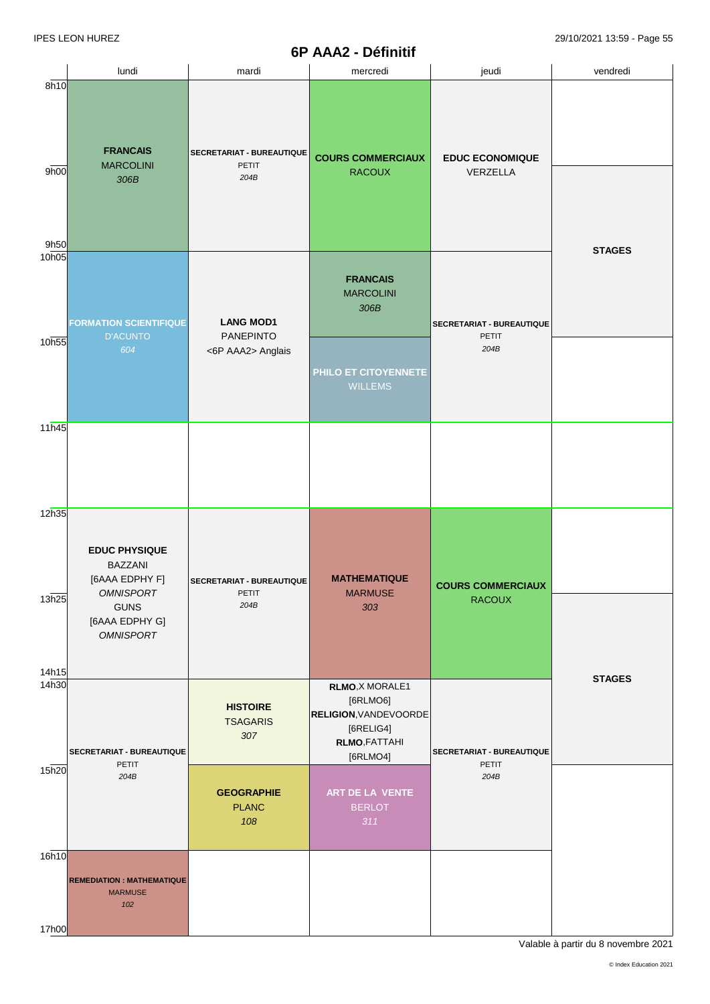#### **6P AAA2 - Définitif**

|                | lundi                                                                                                                             | mardi                                      | mercredi                                                                                                       | jeudi                                     | vendredi      |
|----------------|-----------------------------------------------------------------------------------------------------------------------------------|--------------------------------------------|----------------------------------------------------------------------------------------------------------------|-------------------------------------------|---------------|
| 8h10           |                                                                                                                                   |                                            |                                                                                                                |                                           |               |
| 9h00<br>9h50   | <b>FRANCAIS</b><br><b>MARCOLINI</b><br>306B                                                                                       | SECRETARIAT - BUREAUTIQUE<br>PETIT<br>204B | <b>COURS COMMERCIAUX</b><br><b>RACOUX</b>                                                                      | <b>EDUC ECONOMIQUE</b><br>VERZELLA        |               |
| 10h05          |                                                                                                                                   |                                            |                                                                                                                |                                           | <b>STAGES</b> |
|                | <b>FORMATION SCIENTIFIQUE</b><br><b>D'ACUNTO</b>                                                                                  | <b>LANG MOD1</b><br><b>PANEPINTO</b>       | <b>FRANCAIS</b><br><b>MARCOLINI</b><br>306B                                                                    | SECRETARIAT - BUREAUTIQUE<br><b>PETIT</b> |               |
| 10h55          | 604                                                                                                                               | <6P AAA2> Anglais                          | PHILO ET CITOYENNETE<br><b>WILLEMS</b>                                                                         | 204B                                      |               |
| 11h45          |                                                                                                                                   |                                            |                                                                                                                |                                           |               |
|                |                                                                                                                                   |                                            |                                                                                                                |                                           |               |
| 12h35          |                                                                                                                                   |                                            |                                                                                                                |                                           |               |
| 13h25<br>14h15 | <b>EDUC PHYSIQUE</b><br><b>BAZZANI</b><br>[6AAA EDPHY F]<br><b>OMNISPORT</b><br><b>GUNS</b><br>[6AAA EDPHY G]<br><b>OMNISPORT</b> | SECRETARIAT - BUREAUTIQUE<br>PETIT<br>204B | <b>MATHEMATIQUE</b><br><b>MARMUSE</b><br>303                                                                   | <b>COURS COMMERCIAUX</b><br><b>RACOUX</b> | <b>STAGES</b> |
| 14h30          | SECRETARIAT - BUREAUTIQUE<br><b>PETIT</b>                                                                                         | <b>HISTOIRE</b><br><b>TSAGARIS</b><br>307  | <b>RLMO, X MORALE1</b><br>[6RLMO6]<br>RELIGION, VANDEVOORDE<br>$[6RELIG4]$<br><b>RLMO, FATTAHI</b><br>[6RLMO4] | SECRETARIAT - BUREAUTIQUE<br><b>PETIT</b> |               |
| 15h20          | 204B                                                                                                                              | <b>GEOGRAPHIE</b><br><b>PLANC</b><br>108   | ART DE LA VENTE<br><b>BERLOT</b><br>311                                                                        | 204B                                      |               |
| 16h10          | <b>REMEDIATION: MATHEMATIQUE</b><br><b>MARMUSE</b><br>102                                                                         |                                            |                                                                                                                |                                           |               |
| 17h00          |                                                                                                                                   |                                            |                                                                                                                |                                           |               |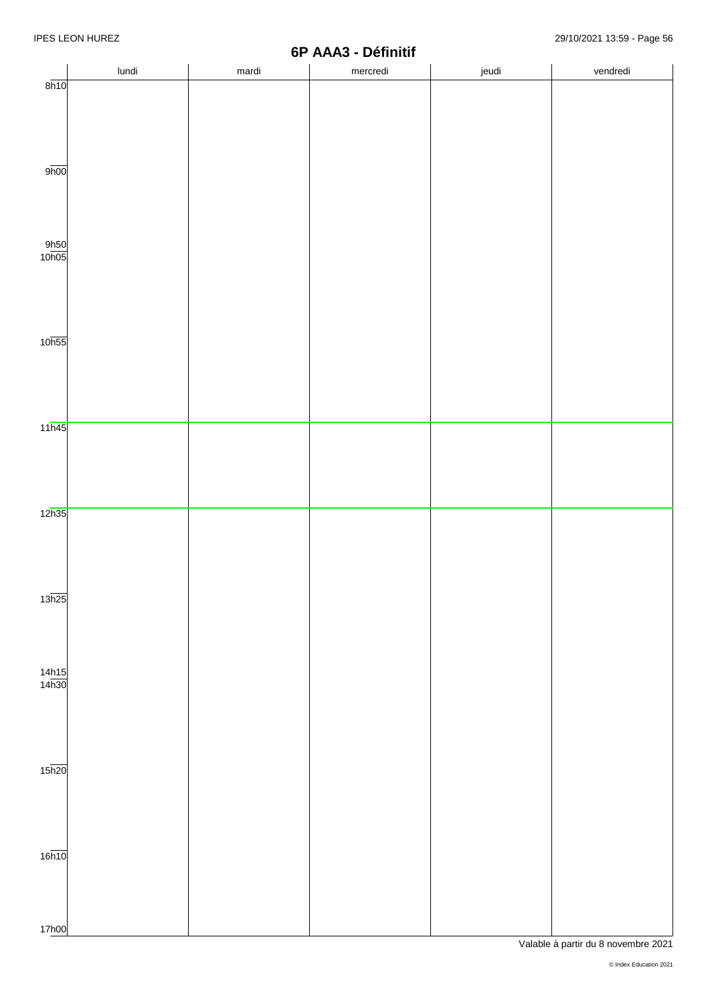|                       |       |       | $V1$ $P1$ $P2$ $P3$<br>Dennun |       |          |
|-----------------------|-------|-------|-------------------------------|-------|----------|
|                       | lundi | mardi | mercredi                      | jeudi | vendredi |
| 8h10                  |       |       |                               |       |          |
|                       |       |       |                               |       |          |
|                       |       |       |                               |       |          |
|                       |       |       |                               |       |          |
|                       |       |       |                               |       |          |
|                       |       |       |                               |       |          |
|                       |       |       |                               |       |          |
| 9 <sub>h00</sub>      |       |       |                               |       |          |
|                       |       |       |                               |       |          |
|                       |       |       |                               |       |          |
|                       |       |       |                               |       |          |
|                       |       |       |                               |       |          |
|                       |       |       |                               |       |          |
|                       |       |       |                               |       |          |
| $\frac{9h50}{10h05}$  |       |       |                               |       |          |
|                       |       |       |                               |       |          |
|                       |       |       |                               |       |          |
|                       |       |       |                               |       |          |
|                       |       |       |                               |       |          |
|                       |       |       |                               |       |          |
|                       |       |       |                               |       |          |
|                       |       |       |                               |       |          |
| 10 <sub>h55</sub>     |       |       |                               |       |          |
|                       |       |       |                               |       |          |
|                       |       |       |                               |       |          |
|                       |       |       |                               |       |          |
|                       |       |       |                               |       |          |
|                       |       |       |                               |       |          |
|                       |       |       |                               |       |          |
| 11h45                 |       |       |                               |       |          |
|                       |       |       |                               |       |          |
|                       |       |       |                               |       |          |
|                       |       |       |                               |       |          |
|                       |       |       |                               |       |          |
|                       |       |       |                               |       |          |
|                       |       |       |                               |       |          |
|                       |       |       |                               |       |          |
| 12h35                 |       |       |                               |       |          |
|                       |       |       |                               |       |          |
|                       |       |       |                               |       |          |
|                       |       |       |                               |       |          |
|                       |       |       |                               |       |          |
|                       |       |       |                               |       |          |
|                       |       |       |                               |       |          |
| 13h25                 |       |       |                               |       |          |
|                       |       |       |                               |       |          |
|                       |       |       |                               |       |          |
|                       |       |       |                               |       |          |
|                       |       |       |                               |       |          |
|                       |       |       |                               |       |          |
| $\frac{14h15}{14h30}$ |       |       |                               |       |          |
|                       |       |       |                               |       |          |
|                       |       |       |                               |       |          |
|                       |       |       |                               |       |          |
|                       |       |       |                               |       |          |
|                       |       |       |                               |       |          |
|                       |       |       |                               |       |          |
|                       |       |       |                               |       |          |
| $15\overline{h20}$    |       |       |                               |       |          |
|                       |       |       |                               |       |          |
|                       |       |       |                               |       |          |
|                       |       |       |                               |       |          |
|                       |       |       |                               |       |          |
|                       |       |       |                               |       |          |
|                       |       |       |                               |       |          |
|                       |       |       |                               |       |          |
| 16h10                 |       |       |                               |       |          |
|                       |       |       |                               |       |          |
|                       |       |       |                               |       |          |
|                       |       |       |                               |       |          |
|                       |       |       |                               |       |          |
|                       |       |       |                               |       |          |
| 17h00                 |       |       |                               |       |          |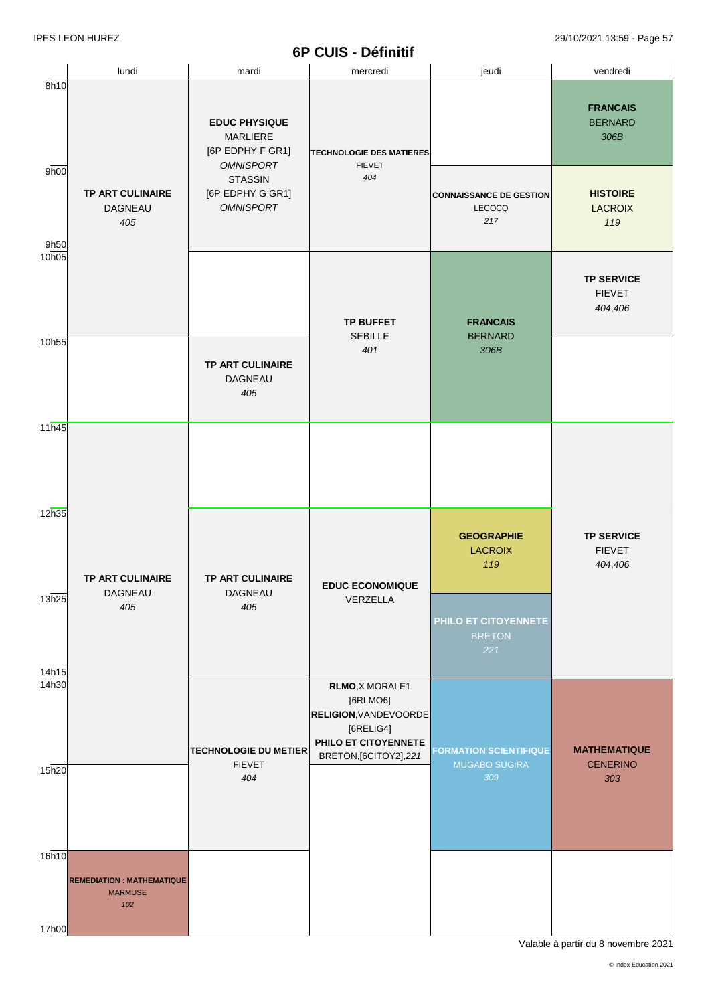|                   | lundi                                                     | mardi                                                                           | mercredi                                                                                                                   | jeudi                                           | vendredi                                      |
|-------------------|-----------------------------------------------------------|---------------------------------------------------------------------------------|----------------------------------------------------------------------------------------------------------------------------|-------------------------------------------------|-----------------------------------------------|
| 8h10              |                                                           | <b>EDUC PHYSIQUE</b><br><b>MARLIERE</b><br>[6P EDPHY F GR1]<br><b>OMNISPORT</b> | <b>TECHNOLOGIE DES MATIERES</b><br><b>FIEVET</b>                                                                           |                                                 | <b>FRANCAIS</b><br><b>BERNARD</b><br>306B     |
| 9h00<br>9h50      | TP ART CULINAIRE<br>DAGNEAU<br>405                        | <b>STASSIN</b><br>[6P EDPHY G GR1]<br><b>OMNISPORT</b>                          | 404                                                                                                                        | <b>CONNAISSANCE DE GESTION</b><br>LECOCQ<br>217 | <b>HISTOIRE</b><br><b>LACROIX</b><br>119      |
| 10h05             |                                                           |                                                                                 | <b>TP BUFFET</b>                                                                                                           | <b>FRANCAIS</b>                                 | <b>TP SERVICE</b><br><b>FIEVET</b><br>404,406 |
| 10h55             |                                                           | TP ART CULINAIRE<br>DAGNEAU<br>405                                              | <b>SEBILLE</b><br>401                                                                                                      | <b>BERNARD</b><br>306B                          |                                               |
| 11h45             |                                                           |                                                                                 |                                                                                                                            |                                                 |                                               |
| 12h35             | <b>TP ART CULINAIRE</b>                                   | <b>TP ART CULINAIRE</b>                                                         | <b>EDUC ECONOMIQUE</b>                                                                                                     | <b>GEOGRAPHIE</b><br><b>LACROIX</b><br>119      | <b>TP SERVICE</b><br><b>FIEVET</b><br>404,406 |
| 13h25<br>14h15    | DAGNEAU<br>405                                            | DAGNEAU<br>405                                                                  | VERZELLA                                                                                                                   | PHILO ET CITOYENNETE<br><b>BRETON</b><br>221    |                                               |
| 14 <sub>h30</sub> |                                                           | <b>TECHNOLOGIE DU METIER</b>                                                    | RLMO, X MORALE1<br>[6RLMO6]<br><b>RELIGION, VANDEVOORDE</b><br>[6RELIG4]<br>PHILO ET CITOYENNETE<br>BRETON, [6CITOY2], 221 | <b>FORMATION SCIENTIFIQUE</b>                   | <b>MATHEMATIQUE</b>                           |
| 15h20             |                                                           | <b>FIEVET</b><br>404                                                            |                                                                                                                            | <b>MUGABO SUGIRA</b><br>309                     | <b>CENERINO</b><br>303                        |
| 16h10             | <b>REMEDIATION: MATHEMATIQUE</b><br><b>MARMUSE</b><br>102 |                                                                                 |                                                                                                                            |                                                 |                                               |
| 17h00             |                                                           |                                                                                 |                                                                                                                            |                                                 |                                               |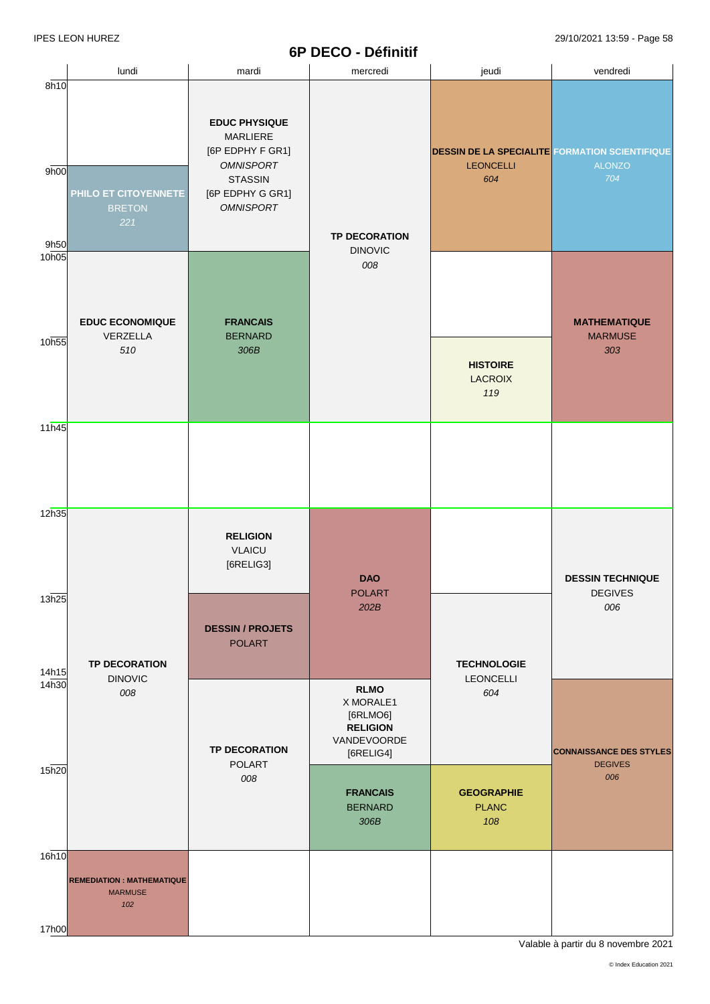#### **6P DECO - Définitif**

|                      | lundi                                                      | mardi                                                                                                                              | mercredi                                                                                             | jeudi                                                                            | vendredi                                                |
|----------------------|------------------------------------------------------------|------------------------------------------------------------------------------------------------------------------------------------|------------------------------------------------------------------------------------------------------|----------------------------------------------------------------------------------|---------------------------------------------------------|
| 8h10<br>9h00<br>9h50 | PHILO ET CITOYENNETE<br><b>BRETON</b><br>221               | <b>EDUC PHYSIQUE</b><br>MARLIERE<br>[6P EDPHY F GR1]<br><b>OMNISPORT</b><br><b>STASSIN</b><br>[6P EDPHY G GR1]<br><b>OMNISPORT</b> | <b>TP DECORATION</b>                                                                                 | <b>DESSIN DE LA SPECIALITE FORMATION SCIENTIFIQUE</b><br><b>LEONCELLI</b><br>604 | <b>ALONZO</b><br>704                                    |
| 10h05<br>10h55       | <b>EDUC ECONOMIQUE</b><br>VERZELLA<br>510                  | <b>FRANCAIS</b><br><b>BERNARD</b><br>306B                                                                                          | <b>DINOVIC</b><br>008                                                                                | <b>HISTOIRE</b><br><b>LACROIX</b><br>119                                         | <b>MATHEMATIQUE</b><br><b>MARMUSE</b><br>303            |
| 11h45                |                                                            |                                                                                                                                    |                                                                                                      |                                                                                  |                                                         |
| 12h35<br>13h25       |                                                            | <b>RELIGION</b><br><b>VLAICU</b><br>[6RELIG3]<br><b>DESSIN / PROJETS</b>                                                           | <b>DAO</b><br><b>POLART</b><br>202B                                                                  |                                                                                  | <b>DESSIN TECHNIQUE</b><br><b>DEGIVES</b><br>006        |
| 14h15<br>14h30       | <b>TP DECORATION</b><br><b>DINOVIC</b><br>008              | <b>POLART</b>                                                                                                                      | <b>RLMO</b><br>X MORALE1                                                                             | <b>TECHNOLOGIE</b><br><b>LEONCELLI</b><br>604                                    |                                                         |
| 15h20                |                                                            | <b>TP DECORATION</b><br>POLART<br>008                                                                                              | [6RLMO6]<br><b>RELIGION</b><br>VANDEVOORDE<br>[6RELIG4]<br><b>FRANCAIS</b><br><b>BERNARD</b><br>306B | <b>GEOGRAPHIE</b><br><b>PLANC</b><br>108                                         | <b>CONNAISSANCE DES STYLES</b><br><b>DEGIVES</b><br>006 |
| 16h10<br>17h00       | <b>REMEDIATION : MATHEMATIQUE</b><br><b>MARMUSE</b><br>102 |                                                                                                                                    |                                                                                                      |                                                                                  |                                                         |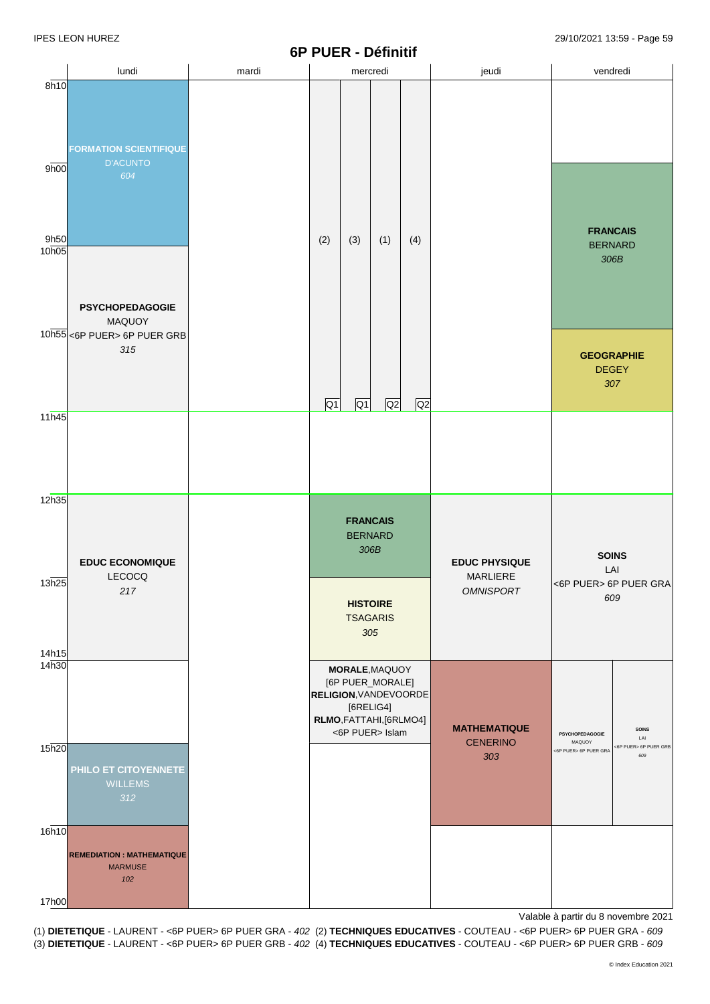# **6P PUER - Définitif**

|                           |                                                                               |       | 6P PUER - Définitif |                                    |                                                                                                                  |     |                              |                                           |                              |
|---------------------------|-------------------------------------------------------------------------------|-------|---------------------|------------------------------------|------------------------------------------------------------------------------------------------------------------|-----|------------------------------|-------------------------------------------|------------------------------|
| 8h10                      | lundi                                                                         | mardi |                     | mercredi                           |                                                                                                                  |     | jeudi                        | vendredi                                  |                              |
| 9h00                      | <b>FORMATION SCIENTIFIQUE</b><br><b>D'ACUNTO</b><br>604                       |       |                     |                                    |                                                                                                                  |     |                              |                                           |                              |
| 9h50<br>10 <sub>h05</sub> |                                                                               |       | (2)                 | (3)                                | (1)                                                                                                              | (4) |                              | <b>FRANCAIS</b><br><b>BERNARD</b><br>306B |                              |
|                           | <b>PSYCHOPEDAGOGIE</b><br><b>MAQUOY</b><br>10h55 <6P PUER> 6P PUER GRB<br>315 |       |                     |                                    |                                                                                                                  |     |                              | <b>GEOGRAPHIE</b><br><b>DEGEY</b><br>307  |                              |
| 11h45                     |                                                                               |       | $\overline{Q1}$     | Q1                                 | Q <sub>2</sub>                                                                                                   | Q2  |                              |                                           |                              |
| 12h35                     | <b>EDUC ECONOMIQUE</b>                                                        |       |                     | <b>FRANCAIS</b><br><b>BERNARD</b>  | 306B                                                                                                             |     | <b>EDUC PHYSIQUE</b>         | <b>SOINS</b>                              |                              |
| 13h25<br>14h15            | LECOCQ<br>217                                                                 |       |                     | <b>HISTOIRE</b><br><b>TSAGARIS</b> | 305                                                                                                              |     | MARLIERE<br><b>OMNISPORT</b> | LAI<br><6P PUER> 6P PUER GRA<br>609       |                              |
| 14h30                     |                                                                               |       |                     | [6RELIG4]                          | MORALE, MAQUOY<br>[6P PUER_MORALE]<br><b>RELIGION, VANDEVOORDE</b><br>RLMO, FATTAHI, [6RLMO4]<br><6P PUER> Islam |     | <b>MATHEMATIQUE</b>          | PSYCHOPEDAGOGIE                           | <b>SOINS</b><br>LAI          |
| 15h20                     | PHILO ET CITOYENNETE<br><b>WILLEMS</b><br>312                                 |       |                     |                                    |                                                                                                                  |     | <b>CENERINO</b><br>303       | MAQUOY<br><6P PUER> 6P PUER GRA           | <6P PUER> 6P PUER GRB<br>609 |
| 16h10                     | <b>REMEDIATION: MATHEMATIQUE</b><br><b>MARMUSE</b><br>102                     |       |                     |                                    |                                                                                                                  |     |                              |                                           |                              |
| 17h00                     |                                                                               |       |                     |                                    |                                                                                                                  |     |                              |                                           |                              |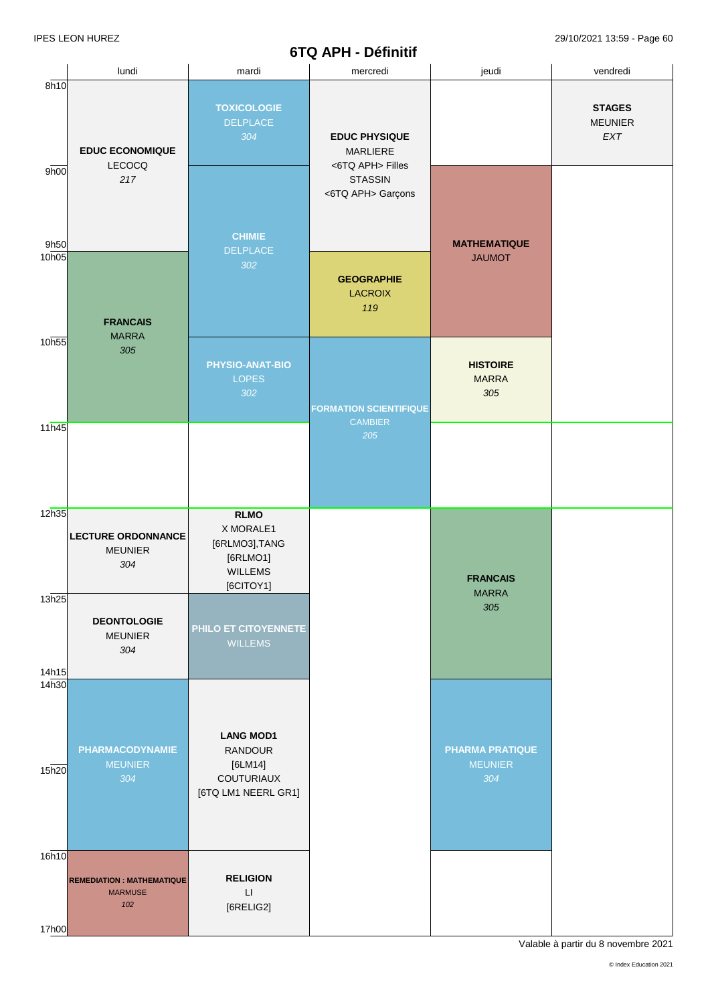#### **6TQ APH - Définitif**

|                            | lundi                                                     | mardi                                                                                 | mercredi                                                    | jeudi                                           | vendredi                                       |
|----------------------------|-----------------------------------------------------------|---------------------------------------------------------------------------------------|-------------------------------------------------------------|-------------------------------------------------|------------------------------------------------|
| 8h10                       | <b>EDUC ECONOMIQUE</b><br>LECOCQ                          | <b>TOXICOLOGIE</b><br>DELPLACE<br>304                                                 | <b>EDUC PHYSIQUE</b><br><b>MARLIERE</b><br><6TQ APH> Filles |                                                 | <b>STAGES</b><br><b>MEUNIER</b><br>${\sf EXT}$ |
| 9 <sub>h00</sub><br>9h50   | 217                                                       | <b>CHIMIE</b><br>DELPLACE                                                             | <b>STASSIN</b><br><6TQ APH> Garçons                         | <b>MATHEMATIQUE</b>                             |                                                |
| 10h05                      | <b>FRANCAIS</b><br><b>MARRA</b>                           | 302                                                                                   | <b>GEOGRAPHIE</b><br><b>LACROIX</b><br>119                  | <b>JAUMOT</b>                                   |                                                |
| 10h55                      | 305                                                       | PHYSIO-ANAT-BIO<br><b>LOPES</b><br>302                                                | <b>FORMATION SCIENTIFIQUE</b><br><b>CAMBIER</b>             | <b>HISTOIRE</b><br><b>MARRA</b><br>305          |                                                |
| 11h45                      |                                                           |                                                                                       | 205                                                         |                                                 |                                                |
| 12h35                      | <b>LECTURE ORDONNANCE</b><br><b>MEUNIER</b><br>304        | <b>RLMO</b><br>X MORALE1<br>[6RLMO3], TANG<br>[6RLMO1]<br><b>WILLEMS</b><br>[6CITOY1] |                                                             | <b>FRANCAIS</b><br><b>MARRA</b>                 |                                                |
| 13h25<br>14h15             | <b>DEONTOLOGIE</b><br><b>MEUNIER</b><br>304               | PHILO ET CITOYENNETE<br><b>WILLEMS</b>                                                |                                                             | 305                                             |                                                |
| 14 <sub>h30</sub><br>15h20 | <b>PHARMACODYNAMIE</b><br><b>MEUNIER</b><br>304           | <b>LANG MOD1</b><br><b>RANDOUR</b><br>$[6LM14]$<br>COUTURIAUX<br>[6TQ LM1 NEERL GR1]  |                                                             | <b>PHARMA PRATIQUE</b><br><b>MEUNIER</b><br>304 |                                                |
| 16h10<br>17h00             | <b>REMEDIATION: MATHEMATIQUE</b><br><b>MARMUSE</b><br>102 | <b>RELIGION</b><br>$\mathsf{L}\mathsf{I}$<br>[6RELIG2]                                |                                                             |                                                 |                                                |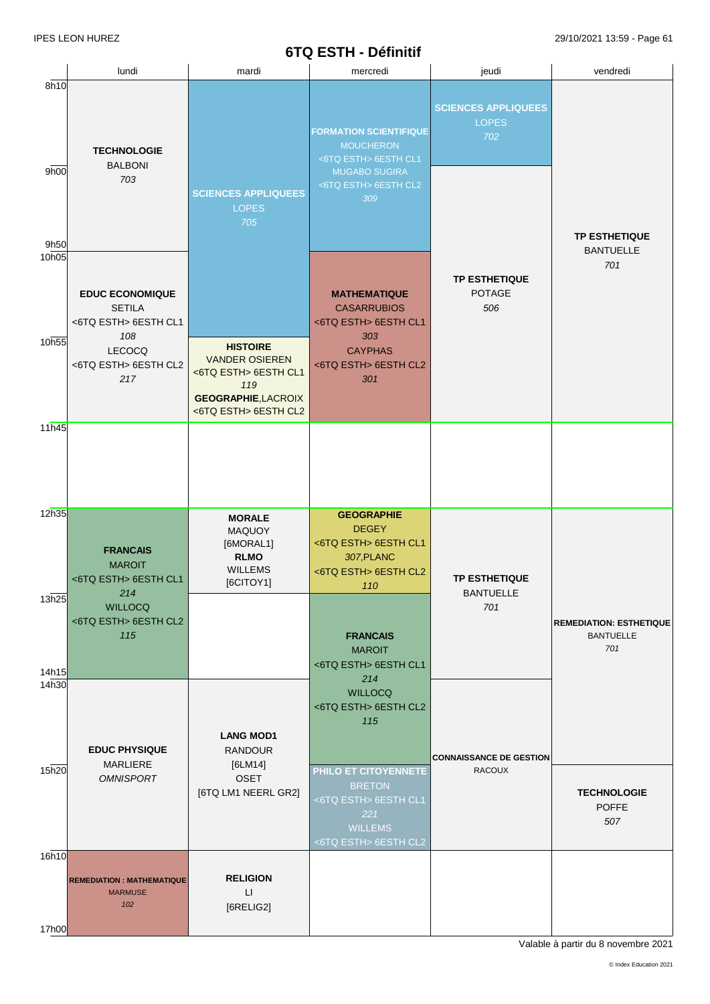### **6TQ ESTH - Définitif**

IPES LEON HUREZ 29/10/2021 13:59 - Page 61

|                           | lundi                                                                       | mardi                                                                                                                         | mercredi                                                                                                                         | jeudi                                             | vendredi                                                  |
|---------------------------|-----------------------------------------------------------------------------|-------------------------------------------------------------------------------------------------------------------------------|----------------------------------------------------------------------------------------------------------------------------------|---------------------------------------------------|-----------------------------------------------------------|
| 8h10<br>9h00              | <b>TECHNOLOGIE</b><br><b>BALBONI</b><br>703                                 | <b>SCIENCES APPLIQUEES</b><br><b>LOPES</b><br>705                                                                             | <b>FORMATION SCIENTIFIQUE</b><br><b>MOUCHERON</b><br><6TQ ESTH> 6ESTH CL1<br><b>MUGABO SUGIRA</b><br><6TQ ESTH> 6ESTH CL2<br>309 | <b>SCIENCES APPLIQUEES</b><br><b>LOPES</b><br>702 |                                                           |
| 9h50<br>10 <sub>h05</sub> | <b>EDUC ECONOMIQUE</b><br><b>SETILA</b>                                     |                                                                                                                               | <b>MATHEMATIQUE</b><br><b>CASARRUBIOS</b>                                                                                        | <b>TP ESTHETIQUE</b><br><b>POTAGE</b><br>506      | <b>TP ESTHETIQUE</b><br><b>BANTUELLE</b><br>701           |
| 10h55                     | <6TQ ESTH> 6ESTH CL1<br>108<br><b>LECOCQ</b><br><6TQ ESTH> 6ESTH CL2<br>217 | <b>HISTOIRE</b><br><b>VANDER OSIEREN</b><br><6TQ ESTH> 6ESTH CL1<br>119<br><b>GEOGRAPHIE, LACROIX</b><br><6TQ ESTH> 6ESTH CL2 | <6TQ ESTH> 6ESTH CL1<br>303<br><b>CAYPHAS</b><br><6TQ ESTH> 6ESTH CL2<br>301                                                     |                                                   |                                                           |
| 11h45                     |                                                                             |                                                                                                                               |                                                                                                                                  |                                                   |                                                           |
| 12h35                     | <b>FRANCAIS</b><br><b>MAROIT</b><br><6TQ ESTH> 6ESTH CL1                    | <b>MORALE</b><br><b>MAQUOY</b><br>[6MORAL1]<br><b>RLMO</b><br><b>WILLEMS</b><br>[6CITOY1]                                     | <b>GEOGRAPHIE</b><br><b>DEGEY</b><br><6TQ ESTH> 6ESTH CL1<br>307, PLANC<br><6TQ ESTH> 6ESTH CL2<br>110                           | <b>TP ESTHETIQUE</b>                              |                                                           |
| 13h25<br>14h15            | 214<br><b>WILLOCQ</b><br><6TQ ESTH> 6ESTH CL2<br>115                        |                                                                                                                               | <b>FRANCAIS</b><br><b>MAROIT</b><br><6TQ ESTH> 6ESTH CL1                                                                         | <b>BANTUELLE</b><br>701                           | <b>REMEDIATION: ESTHETIQUE</b><br><b>BANTUELLE</b><br>701 |
| 14h30<br>15h20            | <b>EDUC PHYSIQUE</b><br><b>MARLIERE</b>                                     | <b>LANG MOD1</b><br><b>RANDOUR</b><br>[6LM14]                                                                                 | 214<br><b>WILLOCQ</b><br><6TQ ESTH> 6ESTH CL2<br>115                                                                             | <b>CONNAISSANCE DE GESTION</b><br><b>RACOUX</b>   |                                                           |
|                           | <b>OMNISPORT</b>                                                            | <b>OSET</b><br>[6TQ LM1 NEERL GR2]                                                                                            | PHILO ET CITOYENNETE<br><b>BRETON</b><br><6TQ ESTH> 6ESTH CL1<br>221<br><b>WILLEMS</b><br><6TQ ESTH> 6ESTH CL2                   |                                                   | <b>TECHNOLOGIE</b><br><b>POFFE</b><br>507                 |
| 16h10<br>17h00            | <b>REMEDIATION: MATHEMATIQUE</b><br><b>MARMUSE</b><br>102                   | <b>RELIGION</b><br>$\Box$<br>[6RELIG2]                                                                                        |                                                                                                                                  |                                                   |                                                           |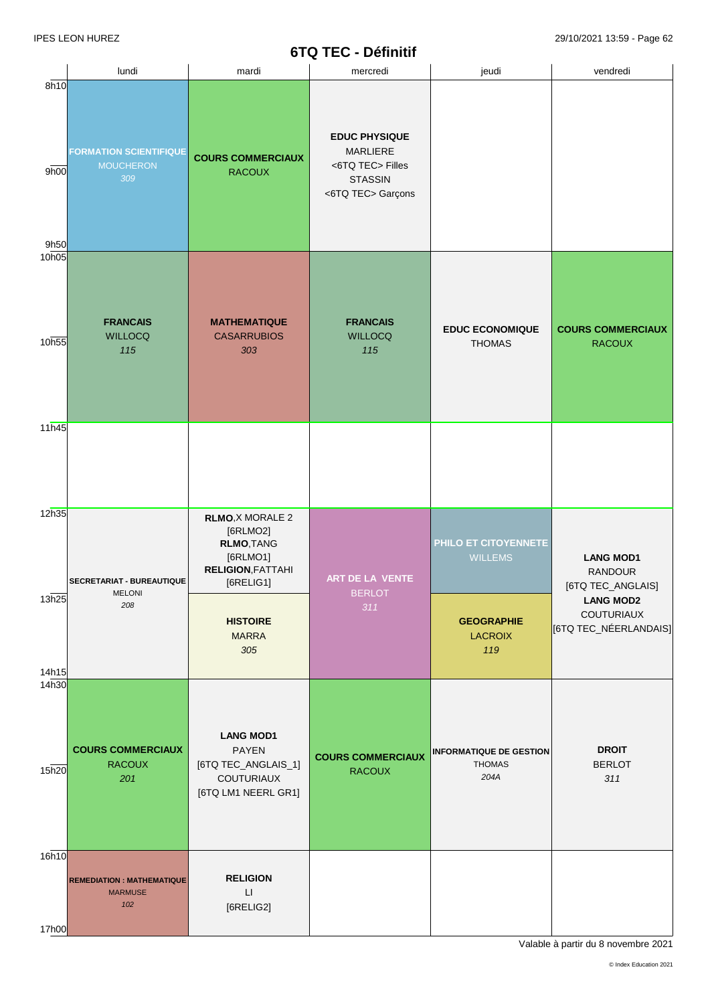# **6TQ TEC - Définitif**

|                | lundi                                                     | mardi                                                                                                         | mercredi                                                                                    | jeudi                                                   |                                                                |  |
|----------------|-----------------------------------------------------------|---------------------------------------------------------------------------------------------------------------|---------------------------------------------------------------------------------------------|---------------------------------------------------------|----------------------------------------------------------------|--|
| 8h10           |                                                           |                                                                                                               |                                                                                             |                                                         | vendredi                                                       |  |
| 9h00           | <b>FORMATION SCIENTIFIQUE</b><br><b>MOUCHERON</b><br>309  | <b>COURS COMMERCIAUX</b><br><b>RACOUX</b>                                                                     | <b>EDUC PHYSIQUE</b><br>MARLIERE<br><6TQ TEC> Filles<br><b>STASSIN</b><br><6TQ TEC> Garçons |                                                         |                                                                |  |
| 9h50<br>10h05  | <b>FRANCAIS</b>                                           | <b>MATHEMATIQUE</b>                                                                                           | <b>FRANCAIS</b>                                                                             |                                                         |                                                                |  |
| 10h55          | <b>WILLOCQ</b><br>115                                     | <b>CASARRUBIOS</b><br>303                                                                                     | <b>WILLOCQ</b><br>115                                                                       | <b>EDUC ECONOMIQUE</b><br><b>THOMAS</b>                 | <b>COURS COMMERCIAUX</b><br><b>RACOUX</b>                      |  |
| 11h45          |                                                           |                                                                                                               |                                                                                             |                                                         |                                                                |  |
| 12h35          | SECRETARIAT - BUREAUTIQUE<br><b>MELONI</b>                | <b>RLMO, X MORALE 2</b><br>[6RLMO2]<br><b>RLMO, TANG</b><br>[6RLMO1]<br><b>RELIGION, FATTAHI</b><br>[6RELIG1] | ART DE LA VENTE<br><b>BERLOT</b>                                                            | PHILO ET CITOYENNETE<br><b>WILLEMS</b>                  | <b>LANG MOD1</b><br><b>RANDOUR</b><br>[6TQ TEC_ANGLAIS]        |  |
| 13h25<br>14h15 | 208                                                       | <b>HISTOIRE</b><br><b>MARRA</b><br>305                                                                        | 311                                                                                         | <b>GEOGRAPHIE</b><br><b>LACROIX</b><br>119              | <b>LANG MOD2</b><br><b>COUTURIAUX</b><br>[6TQ TEC_NÉERLANDAIS] |  |
| 14h30<br>15h20 | <b>COURS COMMERCIAUX</b><br><b>RACOUX</b><br>201          | <b>LANG MOD1</b><br><b>PAYEN</b><br>[6TQ TEC_ANGLAIS_1]<br><b>COUTURIAUX</b>                                  | <b>COURS COMMERCIAUX</b><br><b>RACOUX</b>                                                   | <b>INFORMATIQUE DE GESTION</b><br><b>THOMAS</b><br>204A | <b>DROIT</b><br><b>BERLOT</b><br>311                           |  |
| 16h10          |                                                           | [6TQ LM1 NEERL GR1]                                                                                           |                                                                                             |                                                         |                                                                |  |
| 17h00          | <b>REMEDIATION: MATHEMATIQUE</b><br><b>MARMUSE</b><br>102 | <b>RELIGION</b><br>$\mathsf{L}\mathsf{I}$<br>[6RELIG2]                                                        |                                                                                             |                                                         |                                                                |  |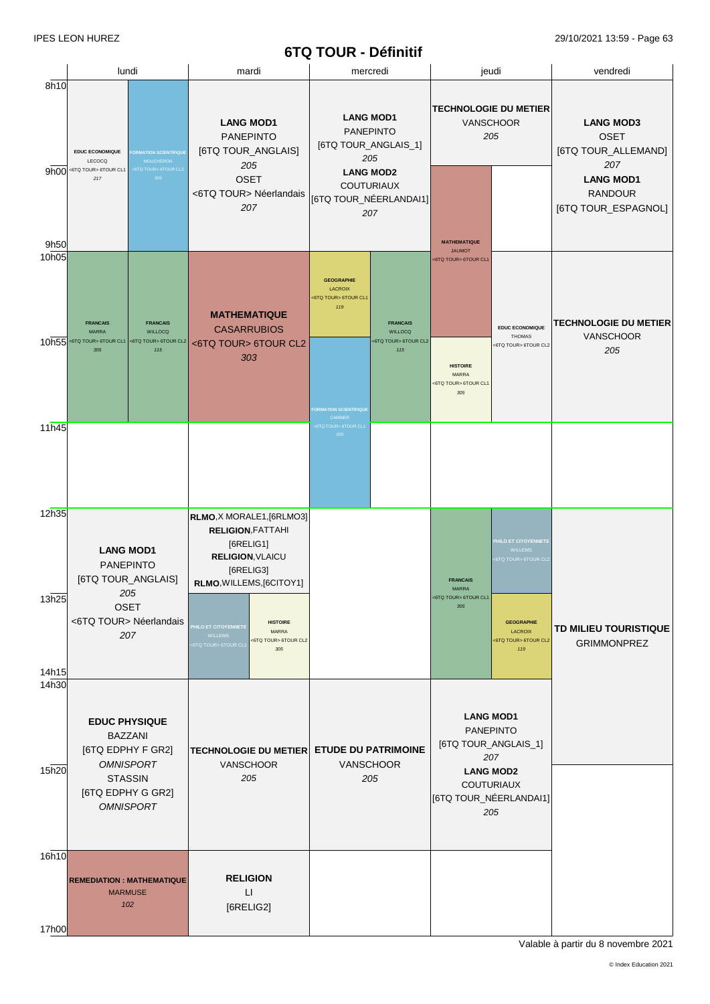# **6TQ TOUR - Définitif**

|                |                                                                                                                                     |                                                                                                                                                   | <b>WILCOM</b> - DETITION                                                                                                               |                                                                                                          |                                                               |
|----------------|-------------------------------------------------------------------------------------------------------------------------------------|---------------------------------------------------------------------------------------------------------------------------------------------------|----------------------------------------------------------------------------------------------------------------------------------------|----------------------------------------------------------------------------------------------------------|---------------------------------------------------------------|
|                | lundi                                                                                                                               | mardi                                                                                                                                             | mercredi                                                                                                                               | jeudi                                                                                                    | vendredi                                                      |
| 8h10           | <b>EDUC ECONOMIQUE</b><br><b>DRMATION SCIENTIFIQUE</b><br>LECOCQ<br><b>MOUCHERON</b><br><6TQ TOUR> 6TOUR CL1<br>6TQ TOUR> 6TOUR CL2 | <b>LANG MOD1</b><br><b>PANEPINTO</b><br>[6TQ TOUR_ANGLAIS]<br>205                                                                                 | <b>LANG MOD1</b><br><b>PANEPINTO</b><br>[6TQ TOUR_ANGLAIS_1]<br>205                                                                    | <b>TECHNOLOGIE DU METIER</b><br>VANSCHOOR<br>205                                                         | <b>LANG MOD3</b><br><b>OSET</b><br>[6TQ TOUR_ALLEMAND]<br>207 |
| 9h00<br>9h50   | 309<br>217                                                                                                                          | <b>OSET</b><br><6TQ TOUR> Néerlandais<br>207                                                                                                      | <b>LANG MOD2</b><br><b>COUTURIAUX</b><br>[6TQ TOUR_NÉERLANDAI1]<br>207                                                                 | <b>MATHEMATIQUE</b>                                                                                      | <b>LANG MOD1</b><br><b>RANDOUR</b><br>[6TQ TOUR_ESPAGNOL]     |
| 10h05<br>10h55 | <b>FRANCAIS</b><br><b>FRANCAIS</b><br><b>MARRA</b><br><b>WILLOCQ</b><br><6TQ TOUR> 6TOUR CL1<br><6TQ TOUR> 6TOUR CL2<br>115<br>305  | <b>MATHEMATIQUE</b><br><b>CASARRUBIOS</b><br><6TQ TOUR> 6TOUR CL2<br>303                                                                          | <b>GEOGRAPHIE</b><br><b>LACROIX</b><br><6TQ TOUR> 6TOUR CL1<br>119<br><b>FRANCAIS</b><br><b>WILLOCQ</b><br><6TQ TOUR> 6TOUR CL2<br>115 | <b>JAUMOT</b><br><6TQ TOUR> 6TOUR CL1<br><b>EDUC ECONOMIQUE</b><br>THOMAS<br><6TQ TOUR> 6TOUR CL2        | <b>TECHNOLOGIE DU METIER</b><br><b>VANSCHOOR</b><br>205       |
| 11h45          |                                                                                                                                     |                                                                                                                                                   | <b>FORMATION SCIENTIFIQUE</b><br>CAMBIER<br>STQ TOUR> 6TOUR CL1<br>205                                                                 | <b>HISTOIRE</b><br>MARRA<br><6TQ TOUR> 6TOUR CL1<br>$305\,$                                              |                                                               |
| 12h35          |                                                                                                                                     |                                                                                                                                                   |                                                                                                                                        |                                                                                                          |                                                               |
|                | <b>LANG MOD1</b><br><b>PANEPINTO</b><br>[6TQ TOUR_ANGLAIS]<br>205                                                                   | RLMO, X MORALE1, [6RLMO3]<br><b>RELIGION, FATTAHI</b><br>[6RELIG1]<br><b>RELIGION, VLAICU</b><br>[6RELIG3]<br>RLMO, WILLEMS, [6CITOY1]            |                                                                                                                                        | <b>HILO ET CITOYENNETE</b><br><b>WILLEMS</b><br><b>6TQ TOUR&gt; 6TOUR CL</b><br><b>FRANCAIS</b><br>MARRA |                                                               |
| 13h25          | <b>OSET</b><br><6TQ TOUR> Néerlandais<br>207                                                                                        | <b>HISTOIRE</b><br><b>HILO ET CITOYENNETE</b><br><b>MARRA</b><br><b>WILLEMS</b><br><6TQ TOUR> 6TOUR CL2<br>6TQ TOUR> 6TOUR CL <sup>.</sup><br>305 |                                                                                                                                        | <6TQ TOUR> 6TOUR CL1<br>305<br><b>GEOGRAPHIE</b><br><b>LACROIX</b><br><6TQ TOUR> 6TOUR CL2<br>119        | TD MILIEU TOURISTIQUE<br><b>GRIMMONPREZ</b>                   |
| 14h15<br>14h30 | <b>EDUC PHYSIQUE</b><br><b>BAZZANI</b>                                                                                              |                                                                                                                                                   |                                                                                                                                        | <b>LANG MOD1</b><br><b>PANEPINTO</b>                                                                     |                                                               |
| 15h20          | [6TQ EDPHY F GR2]<br><b>OMNISPORT</b><br><b>STASSIN</b><br>[6TQ EDPHY G GR2]<br><b>OMNISPORT</b>                                    | <b>TECHNOLOGIE DU METIER</b><br>VANSCHOOR<br>205                                                                                                  | <b>ETUDE DU PATRIMOINE</b><br>VANSCHOOR<br>205                                                                                         | [6TQ TOUR_ANGLAIS_1]<br>207<br><b>LANG MOD2</b><br>COUTURIAUX<br>[6TQ TOUR_NÉERLANDAI1]<br>205           |                                                               |
| 16h10<br>17h00 | <b>REMEDIATION : MATHEMATIQUE</b><br><b>MARMUSE</b><br>102                                                                          | <b>RELIGION</b><br>П<br>[6RELIG2]                                                                                                                 |                                                                                                                                        |                                                                                                          |                                                               |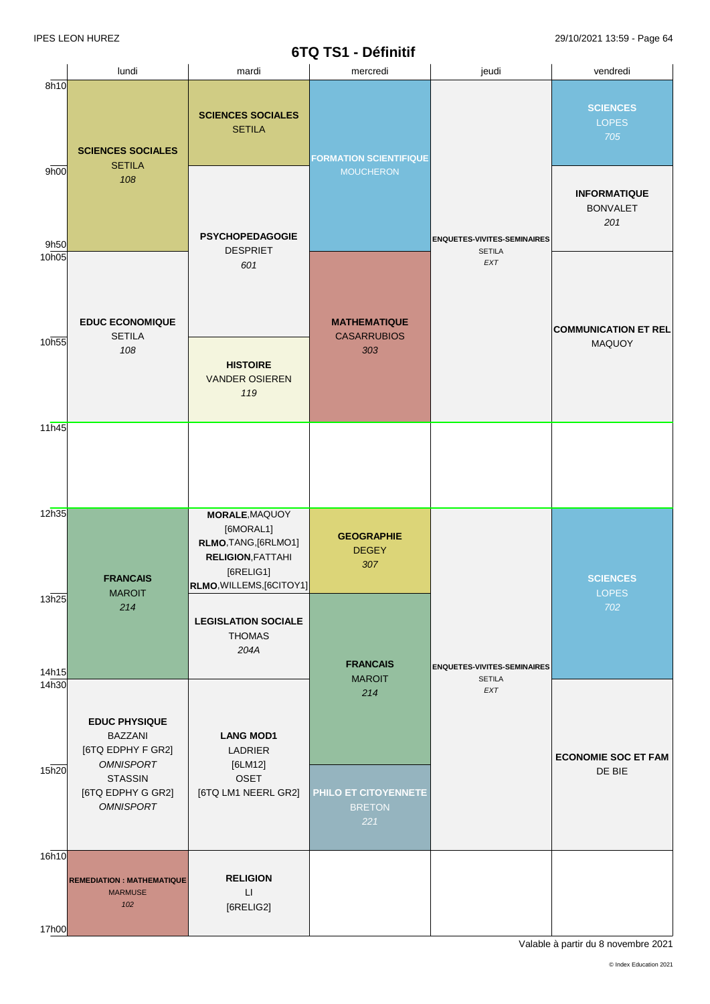|                            |                                                                                                                        |                                                                                                                          | ---------                                            |                                                     |                                               |
|----------------------------|------------------------------------------------------------------------------------------------------------------------|--------------------------------------------------------------------------------------------------------------------------|------------------------------------------------------|-----------------------------------------------------|-----------------------------------------------|
|                            | lundi                                                                                                                  | mardi                                                                                                                    | mercredi                                             | jeudi                                               | vendredi                                      |
| 8h10                       | <b>SCIENCES SOCIALES</b><br><b>SETILA</b>                                                                              | <b>SCIENCES SOCIALES</b><br><b>SETILA</b>                                                                                | <b>LOPES</b><br>705<br><b>FORMATION SCIENTIFIQUE</b> |                                                     | <b>SCIENCES</b>                               |
| 9h00<br>9h50               | 108                                                                                                                    | <b>PSYCHOPEDAGOGIE</b>                                                                                                   | <b>MOUCHERON</b>                                     | <b>ENQUETES-VIVITES-SEMINAIRES</b>                  | <b>INFORMATIQUE</b><br><b>BONVALET</b><br>201 |
| 10h05                      | <b>EDUC ECONOMIQUE</b><br><b>SETILA</b>                                                                                | <b>DESPRIET</b><br>601                                                                                                   | <b>MATHEMATIQUE</b>                                  | <b>SETILA</b><br>EXT                                | <b>COMMUNICATION ET REL</b>                   |
| 10h55                      | 108                                                                                                                    | <b>CASARRUBIOS</b><br>303<br><b>HISTOIRE</b><br><b>VANDER OSIEREN</b><br>119                                             |                                                      | MAQUOY                                              |                                               |
| 11h45                      |                                                                                                                        |                                                                                                                          |                                                      |                                                     |                                               |
| 12h35                      | <b>FRANCAIS</b><br><b>MAROIT</b>                                                                                       | MORALE, MAQUOY<br>[6MORAL1]<br>RLMO, TANG, [6RLMO1]<br><b>RELIGION, FATTAHI</b><br>[6RELIG1]<br>RLMO, WILLEMS, [6CITOY1] | <b>GEOGRAPHIE</b><br><b>DEGEY</b><br>307             |                                                     | <b>SCIENCES</b><br><b>LOPES</b>               |
| 13h25<br>14h15             | 214                                                                                                                    | <b>LEGISLATION SOCIALE</b><br><b>THOMAS</b><br>204A                                                                      | <b>FRANCAIS</b><br><b>MAROIT</b>                     | <b>ENQUETES-VIVITES-SEMINAIRES</b><br><b>SETILA</b> | 702                                           |
| 14 <sub>h30</sub><br>15h20 | <b>EDUC PHYSIQUE</b><br><b>BAZZANI</b><br>[6TQ EDPHY F GR2]<br><b>OMNISPORT</b><br><b>STASSIN</b><br>[6TQ EDPHY G GR2] | <b>LANG MOD1</b><br>LADRIER<br>[6LM12]<br>OSET<br>[6TQ LM1 NEERL GR2]                                                    | 214<br>PHILO ET CITOYENNETE                          | EXT                                                 | <b>ECONOMIE SOC ET FAM</b><br>DE BIE          |
| 16h10                      | <b>OMNISPORT</b>                                                                                                       |                                                                                                                          | <b>BRETON</b><br>221                                 |                                                     |                                               |
| 17h00                      | <b>REMEDIATION: MATHEMATIQUE</b><br><b>MARMUSE</b><br>102                                                              | <b>RELIGION</b><br>$\sqcup$<br>[6RELIG2]                                                                                 |                                                      |                                                     |                                               |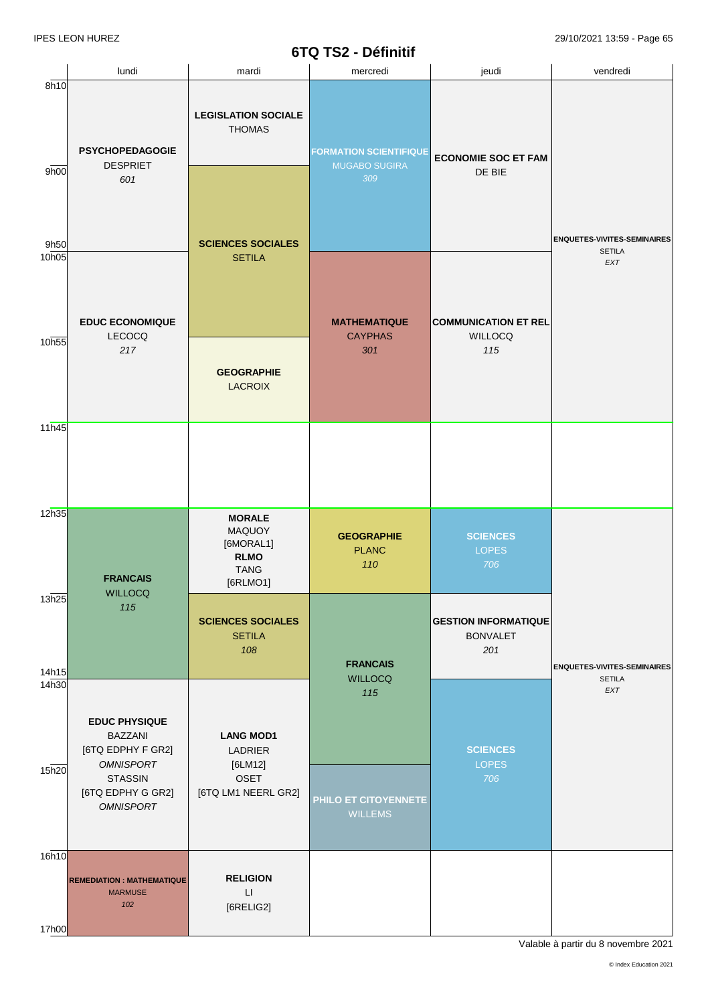|                   |                                                                                 |                                                                                | <b>DIWIDLE</b> DETITION                               |                                                       |                                                     |  |
|-------------------|---------------------------------------------------------------------------------|--------------------------------------------------------------------------------|-------------------------------------------------------|-------------------------------------------------------|-----------------------------------------------------|--|
| 8h10              | lundi                                                                           | mardi                                                                          | mercredi                                              | jeudi                                                 | vendredi                                            |  |
| 9h00              | <b>PSYCHOPEDAGOGIE</b><br><b>DESPRIET</b>                                       | <b>LEGISLATION SOCIALE</b><br><b>THOMAS</b>                                    | <b>FORMATION SCIENTIFIQUE</b><br><b>MUGABO SUGIRA</b> | <b>ECONOMIE SOC ET FAM</b>                            |                                                     |  |
| 9h50              | 601                                                                             | <b>SCIENCES SOCIALES</b>                                                       | 309                                                   | DE BIE                                                | <b>ENQUETES-VIVITES-SEMINAIRES</b><br><b>SETILA</b> |  |
| 10 <sub>h05</sub> | <b>EDUC ECONOMIQUE</b><br><b>LECOCQ</b>                                         | <b>SETILA</b>                                                                  | <b>MATHEMATIQUE</b><br><b>CAYPHAS</b>                 | <b>COMMUNICATION ET REL</b><br><b>WILLOCQ</b>         | EXT                                                 |  |
| 10h55             | 217                                                                             | <b>GEOGRAPHIE</b><br><b>LACROIX</b>                                            | 301                                                   | 115                                                   |                                                     |  |
| 11h45             |                                                                                 |                                                                                |                                                       |                                                       |                                                     |  |
| 12h35             | <b>FRANCAIS</b><br><b>WILLOCQ</b>                                               | <b>MORALE</b><br>MAQUOY<br>[6MORAL1]<br><b>RLMO</b><br><b>TANG</b><br>[6RLMO1] | <b>GEOGRAPHIE</b><br><b>PLANC</b><br>110              | <b>SCIENCES</b><br><b>LOPES</b><br>706                |                                                     |  |
| 13h25<br>14h15    | 115                                                                             | <b>SCIENCES SOCIALES</b><br><b>SETILA</b><br>108                               | <b>FRANCAIS</b><br><b>WILLOCQ</b>                     | <b>GESTION INFORMATIQUE</b><br><b>BONVALET</b><br>201 | <b>ENQUETES-VIVITES-SEMINAIRES</b><br><b>SETILA</b> |  |
| 14h30             | <b>EDUC PHYSIQUE</b><br><b>BAZZANI</b><br>[6TQ EDPHY F GR2]<br><b>OMNISPORT</b> | <b>LANG MOD1</b><br>LADRIER<br>[6LM12]                                         | 115                                                   | <b>SCIENCES</b><br><b>LOPES</b>                       | EXT                                                 |  |
| 15h20             | <b>STASSIN</b><br>[6TQ EDPHY G GR2]<br><b>OMNISPORT</b>                         | <b>OSET</b><br>[6TQ LM1 NEERL GR2]                                             | PHILO ET CITOYENNETE<br><b>WILLEMS</b>                | 706                                                   |                                                     |  |
| 16h10             | <b>REMEDIATION : MATHEMATIQUE</b><br><b>MARMUSE</b><br>102                      | <b>RELIGION</b><br>$\Box$<br>[6RELIG2]                                         |                                                       |                                                       |                                                     |  |
| 17h00             |                                                                                 |                                                                                |                                                       |                                                       |                                                     |  |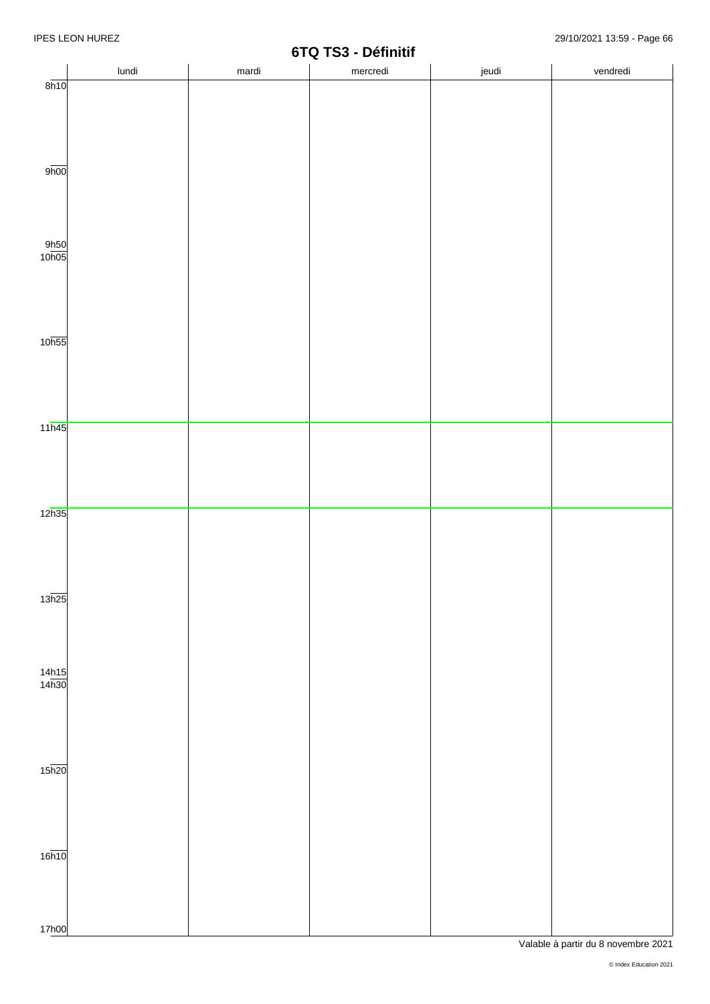|                       | lundi | mardi | 0.41<br>$\sim$<br>mercredi | jeudi | vendredi |
|-----------------------|-------|-------|----------------------------|-------|----------|
| 8h10                  |       |       |                            |       |          |
|                       |       |       |                            |       |          |
|                       |       |       |                            |       |          |
|                       |       |       |                            |       |          |
|                       |       |       |                            |       |          |
| 9h00                  |       |       |                            |       |          |
|                       |       |       |                            |       |          |
|                       |       |       |                            |       |          |
|                       |       |       |                            |       |          |
| $\frac{9h50}{10h05}$  |       |       |                            |       |          |
|                       |       |       |                            |       |          |
|                       |       |       |                            |       |          |
|                       |       |       |                            |       |          |
|                       |       |       |                            |       |          |
|                       |       |       |                            |       |          |
| 10 <sub>h55</sub>     |       |       |                            |       |          |
|                       |       |       |                            |       |          |
|                       |       |       |                            |       |          |
|                       |       |       |                            |       |          |
| 11h45                 |       |       |                            |       |          |
|                       |       |       |                            |       |          |
|                       |       |       |                            |       |          |
|                       |       |       |                            |       |          |
|                       |       |       |                            |       |          |
| 12h35                 |       |       |                            |       |          |
|                       |       |       |                            |       |          |
|                       |       |       |                            |       |          |
|                       |       |       |                            |       |          |
|                       |       |       |                            |       |          |
| 13h25                 |       |       |                            |       |          |
|                       |       |       |                            |       |          |
|                       |       |       |                            |       |          |
|                       |       |       |                            |       |          |
| $\frac{14h15}{14h30}$ |       |       |                            |       |          |
|                       |       |       |                            |       |          |
|                       |       |       |                            |       |          |
|                       |       |       |                            |       |          |
|                       |       |       |                            |       |          |
|                       |       |       |                            |       |          |
| $15\overline{h20}$    |       |       |                            |       |          |
|                       |       |       |                            |       |          |
|                       |       |       |                            |       |          |
|                       |       |       |                            |       |          |
| 16h10                 |       |       |                            |       |          |
|                       |       |       |                            |       |          |
|                       |       |       |                            |       |          |
|                       |       |       |                            |       |          |
|                       |       |       |                            |       |          |
| 17h00                 |       |       |                            |       |          |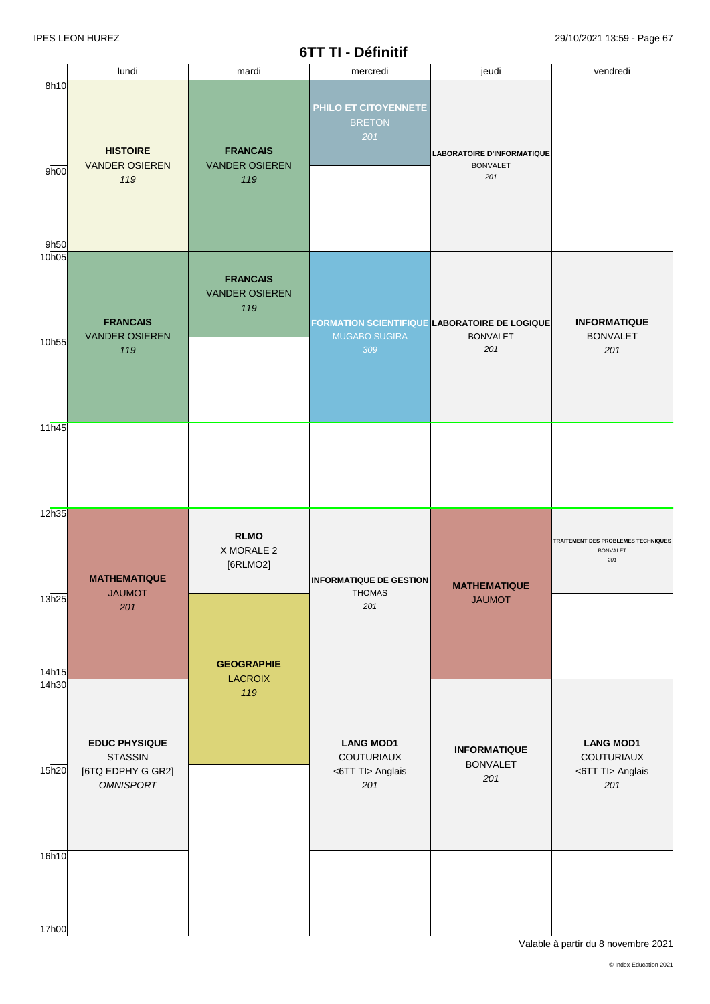### **6TT TI - Définitif**

| lundi                                           | mardi                                           | VII II-DGIIIIIII<br>mercredi  | jeudi                                                       | vendredi                                                                        |
|-------------------------------------------------|-------------------------------------------------|-------------------------------|-------------------------------------------------------------|---------------------------------------------------------------------------------|
| <b>HISTOIRE</b><br><b>VANDER OSIEREN</b><br>119 | <b>FRANCAIS</b><br><b>VANDER OSIEREN</b><br>119 | <b>BRETON</b><br>201          | <b>LABORATOIRE D'INFORMATIQUE</b><br><b>BONVALET</b><br>201 |                                                                                 |
|                                                 |                                                 |                               |                                                             |                                                                                 |
| <b>FRANCAIS</b><br><b>VANDER OSIEREN</b><br>119 | <b>FRANCAIS</b><br><b>VANDER OSIEREN</b><br>119 | <b>MUGABO SUGIRA</b><br>309   | <b>BONVALET</b><br>201                                      | <b>INFORMATIQUE</b><br><b>BONVALET</b><br>201                                   |
|                                                 |                                                 |                               |                                                             |                                                                                 |
|                                                 |                                                 |                               |                                                             |                                                                                 |
|                                                 |                                                 |                               |                                                             |                                                                                 |
|                                                 |                                                 |                               |                                                             |                                                                                 |
|                                                 | X MORALE 2<br>[6RLMO2]                          |                               |                                                             | TRAITEMENT DES PROBLEMES TECHNIQUES<br><b>BONVALET</b><br>201                   |
| <b>JAUMOT</b><br>201                            |                                                 | <b>THOMAS</b><br>201          | <b>MATHEMATIQUE</b><br><b>JAUMOT</b>                        |                                                                                 |
|                                                 |                                                 |                               |                                                             |                                                                                 |
|                                                 | <b>GEOGRAPHIE</b>                               |                               |                                                             |                                                                                 |
|                                                 | 119                                             |                               |                                                             |                                                                                 |
| <b>EDUC PHYSIQUE</b>                            |                                                 | <b>LANG MOD1</b>              | <b>INFORMATIQUE</b>                                         | <b>LANG MOD1</b><br>COUTURIAUX                                                  |
| [6TQ EDPHY G GR2]<br><b>OMNISPORT</b>           |                                                 | <6TT TI> Anglais<br>201       | <b>BONVALET</b><br>201                                      | <6TT Tl> Anglais<br>201                                                         |
|                                                 |                                                 |                               |                                                             |                                                                                 |
|                                                 |                                                 |                               |                                                             |                                                                                 |
|                                                 |                                                 |                               |                                                             |                                                                                 |
|                                                 | <b>MATHEMATIQUE</b><br><b>STASSIN</b>           | <b>RLMO</b><br><b>LACROIX</b> | PHILO ET CITOYENNETE<br>COUTURIAUX                          | FORMATION SCIENTIFIQUE LABORATOIRE DE LOGIQUE<br><b>INFORMATIQUE DE GESTION</b> |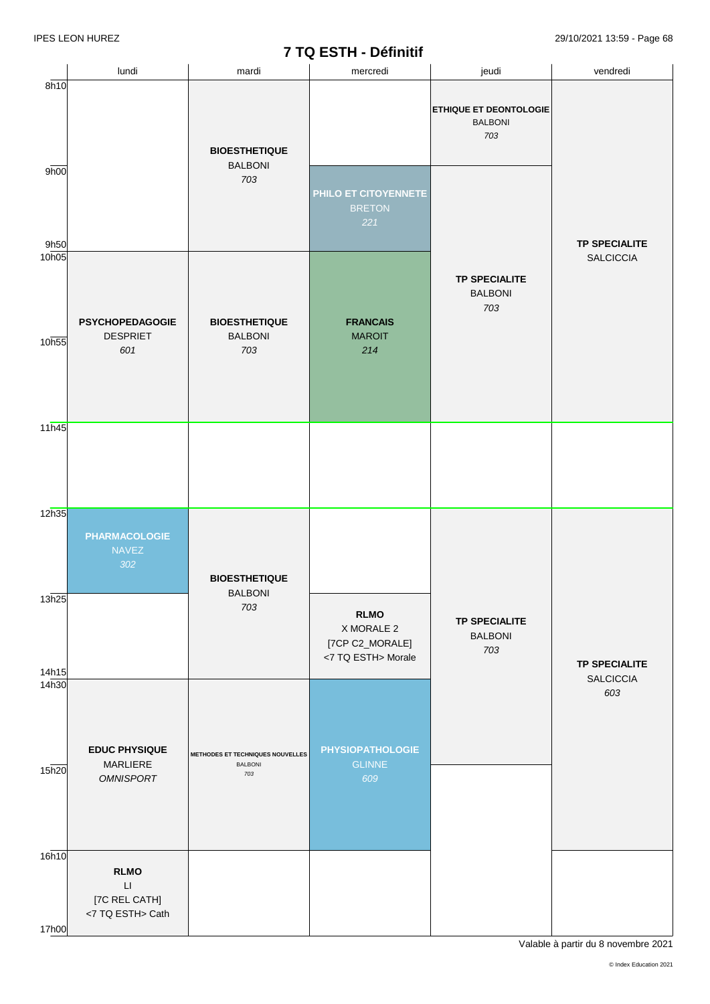## **7 TQ ESTH - Définitif**

|                   |                                                                            |                                                    | $\mathbf{r}$ and $\mathbf{r}$ and $\mathbf{r}$ and $\mathbf{r}$    |                                                        |                         |
|-------------------|----------------------------------------------------------------------------|----------------------------------------------------|--------------------------------------------------------------------|--------------------------------------------------------|-------------------------|
|                   | lundi                                                                      | mardi                                              | mercredi                                                           | jeudi                                                  | vendredi                |
| 8h10              |                                                                            | <b>BIOESTHETIQUE</b><br><b>BALBONI</b>             |                                                                    | <b>ETHIQUE ET DEONTOLOGIE</b><br><b>BALBONI</b><br>703 |                         |
| 9h00<br>9h50      |                                                                            | 703                                                | PHILO ET CITOYENNETE<br><b>BRETON</b><br>221                       |                                                        | <b>TP SPECIALITE</b>    |
| 10 <sub>h05</sub> | <b>PSYCHOPEDAGOGIE</b>                                                     | <b>BIOESTHETIQUE</b>                               | <b>FRANCAIS</b>                                                    | <b>TP SPECIALITE</b><br><b>BALBONI</b><br>703          | <b>SALCICCIA</b>        |
| 10h55             | <b>DESPRIET</b><br>601                                                     | <b>BALBONI</b><br>703                              | <b>MAROIT</b><br>214                                               |                                                        |                         |
| 11h45             |                                                                            |                                                    |                                                                    |                                                        |                         |
| 12h35             | <b>PHARMACOLOGIE</b><br><b>NAVEZ</b><br>302                                | <b>BIOESTHETIQUE</b><br><b>BALBONI</b>             |                                                                    |                                                        |                         |
| 13h25<br>14h15    |                                                                            | 703                                                | <b>RLMO</b><br>X MORALE 2<br>[7CP C2_MORALE]<br><7 TQ ESTH> Morale | <b>TP SPECIALITE</b><br><b>BALBONI</b><br>703          | <b>TP SPECIALITE</b>    |
| 14h30             | <b>EDUC PHYSIQUE</b><br><b>MARLIERE</b>                                    | METHODES ET TECHNIQUES NOUVELLES<br><b>BALBONI</b> | <b>PHYSIOPATHOLOGIE</b><br><b>GLINNE</b>                           |                                                        | <b>SALCICCIA</b><br>603 |
| 15h20             | <b>OMNISPORT</b>                                                           | 703                                                | 609                                                                |                                                        |                         |
| 16h10<br>17h00    | <b>RLMO</b><br>$\mathsf{L}\mathsf{I}$<br>[7C REL CATH]<br><7 TQ ESTH> Cath |                                                    |                                                                    |                                                        |                         |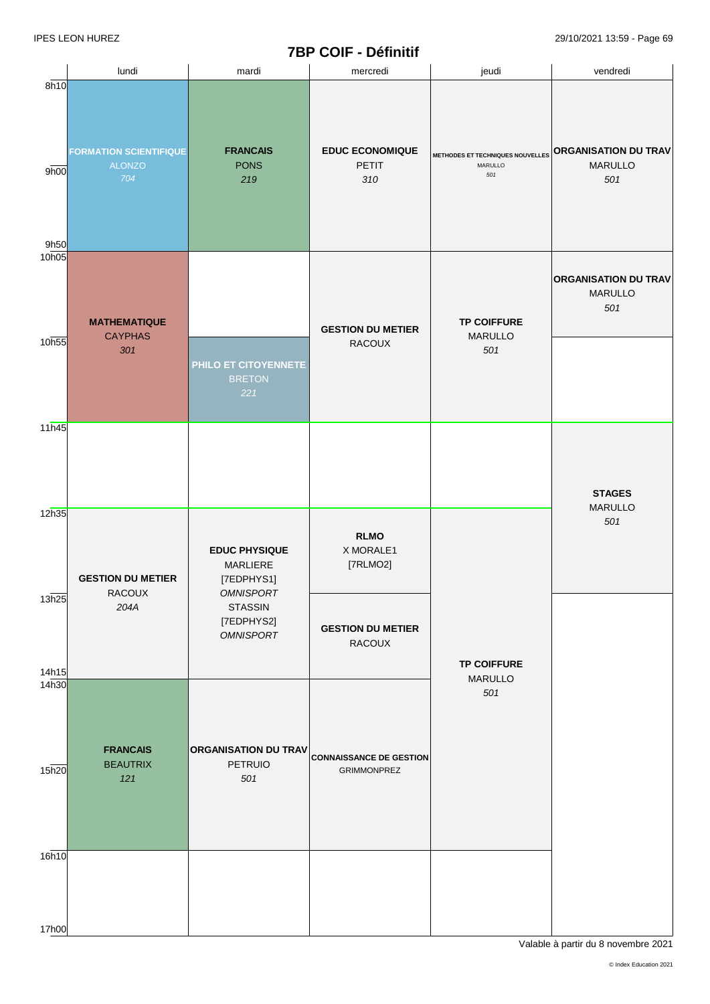# **7BP COIF - Définitif**

|                        |                                                       |                                                                                                                        | <b>IDE VOIE - DEITIIUI</b>                                       |                                                    |                                                      |
|------------------------|-------------------------------------------------------|------------------------------------------------------------------------------------------------------------------------|------------------------------------------------------------------|----------------------------------------------------|------------------------------------------------------|
|                        | lundi                                                 | mardi                                                                                                                  | mercredi                                                         | jeudi                                              | vendredi                                             |
| 8h10<br>9h00           | <b>FORMATION SCIENTIFIQUE</b><br><b>ALONZO</b><br>704 | <b>FRANCAIS</b><br><b>PONS</b><br>219                                                                                  | <b>EDUC ECONOMIQUE</b><br><b>PETIT</b><br>310                    | METHODES ET TECHNIQUES NOUVELLES<br>MARULLO<br>501 | <b>ORGANISATION DU TRAV</b><br><b>MARULLO</b><br>501 |
| 9h50<br>10h05<br>10h55 | <b>MATHEMATIQUE</b><br><b>CAYPHAS</b><br>301          | PHILO ET CITOYENNETE<br><b>BRETON</b><br>221                                                                           | <b>GESTION DU METIER</b><br>RACOUX                               | <b>TP COIFFURE</b><br><b>MARULLO</b><br>501        | <b>ORGANISATION DU TRAV</b><br><b>MARULLO</b><br>501 |
| 11h45                  |                                                       |                                                                                                                        |                                                                  |                                                    | <b>STAGES</b>                                        |
| 12h35<br>13h25         | <b>GESTION DU METIER</b><br>RACOUX<br>204A            | <b>EDUC PHYSIQUE</b><br>MARLIERE<br>[7EDPHYS1]<br><b>OMNISPORT</b><br><b>STASSIN</b><br>[7EDPHYS2]<br><b>OMNISPORT</b> | <b>RLMO</b><br>X MORALE1<br>[7RLMO2]<br><b>GESTION DU METIER</b> |                                                    | <b>MARULLO</b><br>501                                |
| 14h15                  |                                                       |                                                                                                                        | RACOUX                                                           | <b>TP COIFFURE</b>                                 |                                                      |
| 14h30<br>15h20         | <b>FRANCAIS</b><br><b>BEAUTRIX</b><br>121             | <b>ORGANISATION DU TRAV</b><br><b>PETRUIO</b><br>501                                                                   | <b>CONNAISSANCE DE GESTION</b><br><b>GRIMMONPREZ</b>             | <b>MARULLO</b><br>501                              |                                                      |
| 16h10                  |                                                       |                                                                                                                        |                                                                  |                                                    |                                                      |
| 17h00                  |                                                       |                                                                                                                        |                                                                  |                                                    |                                                      |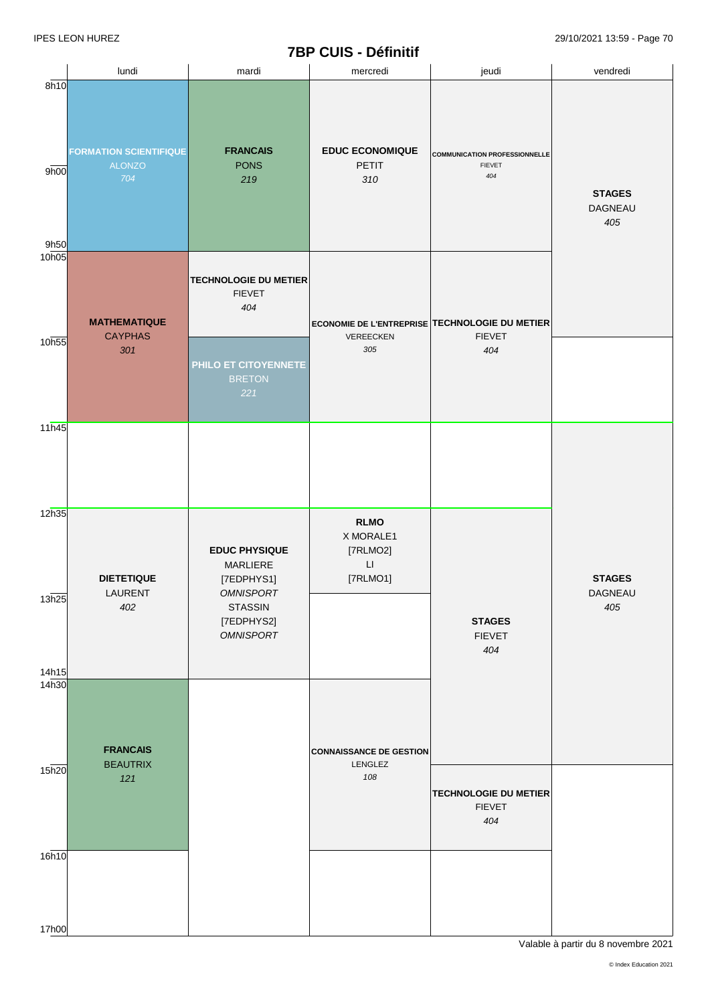# **7BP CUIS - Définitif**

|                            |                                                       |                                                                                                                        | <b>IDE COID - DEITIIUI</b>                                                 |                                                              |                                 |
|----------------------------|-------------------------------------------------------|------------------------------------------------------------------------------------------------------------------------|----------------------------------------------------------------------------|--------------------------------------------------------------|---------------------------------|
|                            | lundi                                                 | mardi                                                                                                                  | mercredi                                                                   | jeudi                                                        | vendredi                        |
| 8h10<br>9h00<br>9h50       | <b>FORMATION SCIENTIFIQUE</b><br><b>ALONZO</b><br>704 | <b>FRANCAIS</b><br><b>PONS</b><br>219                                                                                  | <b>EDUC ECONOMIQUE</b><br><b>PETIT</b><br>310                              | <b>COMMUNICATION PROFESSIONNELLE</b><br><b>FIEVET</b><br>404 | <b>STAGES</b><br>DAGNEAU<br>405 |
| 10 <sub>h05</sub><br>10h55 | <b>MATHEMATIQUE</b><br><b>CAYPHAS</b>                 | <b>TECHNOLOGIE DU METIER</b><br><b>FIEVET</b><br>404                                                                   | ECONOMIE DE L'ENTREPRISE TECHNOLOGIE DU METIER<br>VEREECKEN                | <b>FIEVET</b>                                                |                                 |
| 11h45                      | 301                                                   | PHILO ET CITOYENNETE<br><b>BRETON</b><br>221                                                                           | 305                                                                        | 404                                                          |                                 |
| 12h35                      |                                                       |                                                                                                                        |                                                                            |                                                              |                                 |
| 13h25                      | <b>DIETETIQUE</b><br>LAURENT<br>402                   | <b>EDUC PHYSIQUE</b><br>MARLIERE<br>[7EDPHYS1]<br><b>OMNISPORT</b><br><b>STASSIN</b><br>[7EDPHYS2]<br><b>OMNISPORT</b> | <b>RLMO</b><br>X MORALE1<br>[7RLMO2]<br>$\mathsf{L}\mathsf{I}$<br>[7RLMO1] | <b>STAGES</b><br><b>FIEVET</b><br>404                        | <b>STAGES</b><br>DAGNEAU<br>405 |
| 14h15<br>14h30             | <b>FRANCAIS</b><br><b>BEAUTRIX</b>                    |                                                                                                                        | <b>CONNAISSANCE DE GESTION</b>                                             |                                                              |                                 |
| 15h20                      | 121                                                   |                                                                                                                        | LENGLEZ<br>108                                                             | <b>TECHNOLOGIE DU METIER</b><br><b>FIEVET</b><br>404         |                                 |
| 16h10<br>17h00             |                                                       |                                                                                                                        |                                                                            |                                                              |                                 |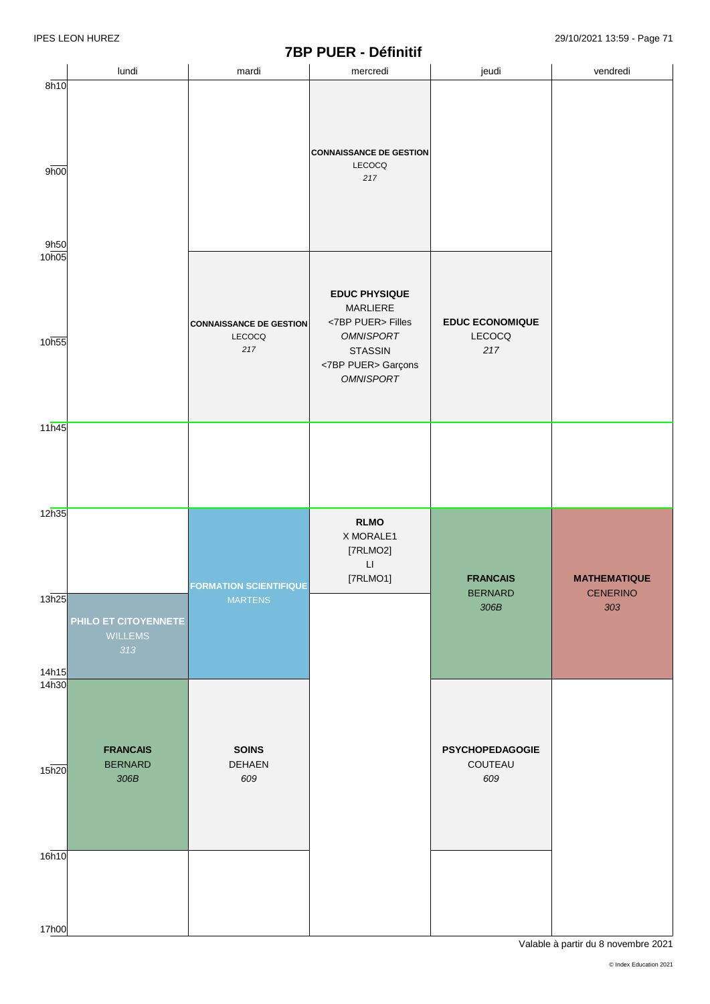### **7BP PUER - Définitif**

|                                                       |                      |                                | $1 - 1 - 1 - 1 - 1$            |                        |                     |
|-------------------------------------------------------|----------------------|--------------------------------|--------------------------------|------------------------|---------------------|
|                                                       | lundi                | mardi                          | mercredi                       | jeudi                  | vendredi            |
| 8h10                                                  |                      |                                |                                |                        |                     |
|                                                       |                      |                                |                                |                        |                     |
|                                                       |                      |                                |                                |                        |                     |
|                                                       |                      |                                |                                |                        |                     |
|                                                       |                      |                                |                                |                        |                     |
|                                                       |                      |                                |                                |                        |                     |
|                                                       |                      |                                | <b>CONNAISSANCE DE GESTION</b> |                        |                     |
| 9h00                                                  |                      |                                | LECOCQ                         |                        |                     |
|                                                       |                      |                                | 217                            |                        |                     |
|                                                       |                      |                                |                                |                        |                     |
|                                                       |                      |                                |                                |                        |                     |
|                                                       |                      |                                |                                |                        |                     |
|                                                       |                      |                                |                                |                        |                     |
|                                                       |                      |                                |                                |                        |                     |
| 9h50                                                  |                      |                                |                                |                        |                     |
| 10h05                                                 |                      |                                |                                |                        |                     |
|                                                       |                      |                                |                                |                        |                     |
|                                                       |                      |                                |                                |                        |                     |
|                                                       |                      |                                | <b>EDUC PHYSIQUE</b>           |                        |                     |
|                                                       |                      |                                | MARLIERE                       |                        |                     |
|                                                       |                      | <b>CONNAISSANCE DE GESTION</b> | <7BP PUER> Filles              | <b>EDUC ECONOMIQUE</b> |                     |
|                                                       |                      | LECOCQ                         | <b>OMNISPORT</b>               | LECOCQ                 |                     |
| 10h55                                                 |                      | 217                            |                                |                        |                     |
|                                                       |                      |                                | <b>STASSIN</b>                 | 217                    |                     |
|                                                       |                      |                                | <7BP PUER> Garçons             |                        |                     |
|                                                       |                      |                                | <b>OMNISPORT</b>               |                        |                     |
|                                                       |                      |                                |                                |                        |                     |
|                                                       |                      |                                |                                |                        |                     |
|                                                       |                      |                                |                                |                        |                     |
| 11h45                                                 |                      |                                |                                |                        |                     |
|                                                       |                      |                                |                                |                        |                     |
|                                                       |                      |                                |                                |                        |                     |
|                                                       |                      |                                |                                |                        |                     |
|                                                       |                      |                                |                                |                        |                     |
|                                                       |                      |                                |                                |                        |                     |
|                                                       |                      |                                |                                |                        |                     |
| 12h35                                                 |                      |                                |                                |                        |                     |
|                                                       |                      |                                | <b>RLMO</b>                    |                        |                     |
|                                                       |                      |                                | X MORALE1                      |                        |                     |
|                                                       |                      |                                |                                |                        |                     |
|                                                       |                      |                                | [7RLMO2]                       |                        |                     |
|                                                       |                      |                                |                                |                        |                     |
|                                                       |                      |                                | $\mathsf{L}\mathsf{I}$         |                        |                     |
|                                                       |                      |                                |                                | <b>FRANCAIS</b>        | <b>MATHEMATIQUE</b> |
|                                                       |                      | <b>FORMATION SCIENTIFIQUE</b>  | [7RLMO1]                       |                        |                     |
|                                                       |                      | <b>MARTENS</b>                 |                                | <b>BERNARD</b>         | <b>CENERINO</b>     |
|                                                       |                      |                                |                                | 306B                   | 303                 |
|                                                       | PHILO ET CITOYENNETE |                                |                                |                        |                     |
|                                                       | <b>WILLEMS</b>       |                                |                                |                        |                     |
|                                                       | 313                  |                                |                                |                        |                     |
|                                                       |                      |                                |                                |                        |                     |
|                                                       |                      |                                |                                |                        |                     |
|                                                       |                      |                                |                                |                        |                     |
|                                                       |                      |                                |                                |                        |                     |
|                                                       |                      |                                |                                |                        |                     |
|                                                       |                      |                                |                                |                        |                     |
|                                                       |                      |                                |                                |                        |                     |
|                                                       |                      |                                |                                |                        |                     |
|                                                       | <b>FRANCAIS</b>      | <b>SOINS</b>                   |                                | <b>PSYCHOPEDAGOGIE</b> |                     |
|                                                       | <b>BERNARD</b>       | <b>DEHAEN</b>                  |                                | COUTEAU                |                     |
|                                                       | $306B$               | 609                            |                                | 609                    |                     |
|                                                       |                      |                                |                                |                        |                     |
|                                                       |                      |                                |                                |                        |                     |
|                                                       |                      |                                |                                |                        |                     |
|                                                       |                      |                                |                                |                        |                     |
|                                                       |                      |                                |                                |                        |                     |
|                                                       |                      |                                |                                |                        |                     |
| 13h25<br>14h15<br>14 <sub>h30</sub><br>15h20<br>16h10 |                      |                                |                                |                        |                     |
|                                                       |                      |                                |                                |                        |                     |
|                                                       |                      |                                |                                |                        |                     |
|                                                       |                      |                                |                                |                        |                     |
|                                                       |                      |                                |                                |                        |                     |
| 17h00                                                 |                      |                                |                                |                        |                     |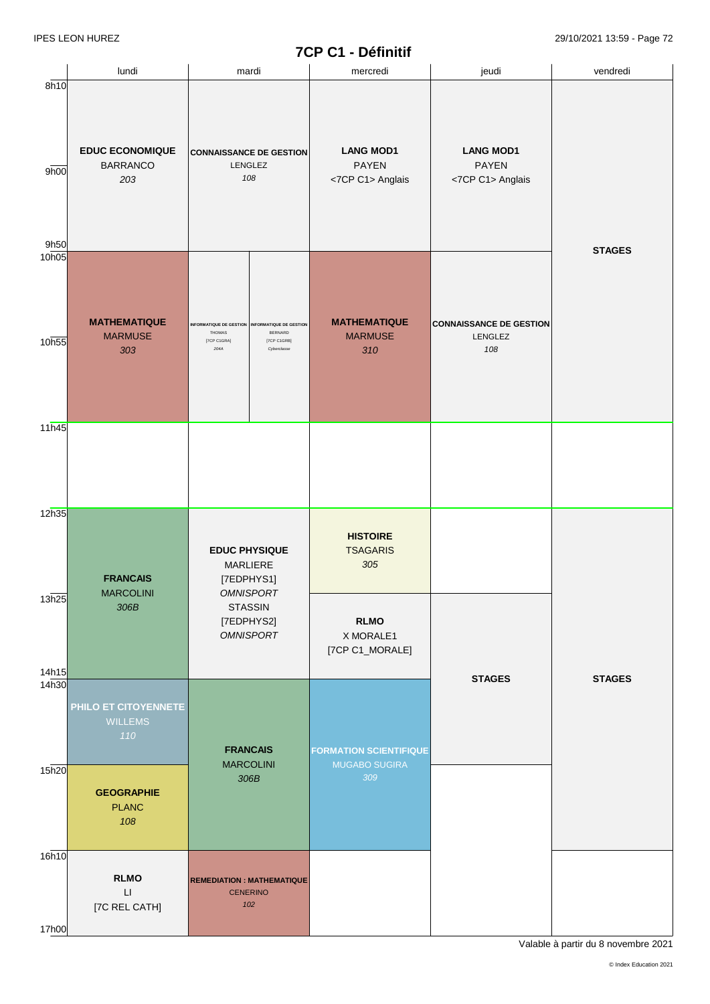| <b>EDUC ECONOMIQUE</b><br><b>BARRANCO</b><br>203 | <b>CONNAISSANCE DE GESTION</b><br>LENGLEZ<br>108                |                                       | <b>LANG MOD1</b><br><b>PAYEN</b><br><7CP C1> Anglais                                                                                                                                                                       | <b>LANG MOD1</b><br><b>PAYEN</b><br><7CP C1> Anglais      | <b>STAGES</b> |
|--------------------------------------------------|-----------------------------------------------------------------|---------------------------------------|----------------------------------------------------------------------------------------------------------------------------------------------------------------------------------------------------------------------------|-----------------------------------------------------------|---------------|
|                                                  |                                                                 |                                       |                                                                                                                                                                                                                            |                                                           |               |
| <b>MATHEMATIQUE</b><br><b>MARMUSE</b><br>303     | <b>INFORMATIQUE DE GESTION</b><br>THOMAS<br>[7CP C1GRA]<br>204A | BERNARD<br>[7CP C1GRB]<br>Cyberclasse | <b>MATHEMATIQUE</b><br><b>MARMUSE</b><br>310                                                                                                                                                                               | <b>CONNAISSANCE DE GESTION</b><br>LENGLEZ<br>108          |               |
|                                                  |                                                                 |                                       |                                                                                                                                                                                                                            |                                                           |               |
|                                                  |                                                                 |                                       |                                                                                                                                                                                                                            |                                                           |               |
| <b>FRANCAIS</b>                                  |                                                                 |                                       | <b>HISTOIRE</b><br><b>TSAGARIS</b><br>305                                                                                                                                                                                  |                                                           |               |
| 306B                                             |                                                                 |                                       | <b>RLMO</b><br>X MORALE1<br>[7CP C1_MORALE]                                                                                                                                                                                |                                                           |               |
|                                                  |                                                                 |                                       |                                                                                                                                                                                                                            | <b>STAGES</b>                                             | <b>STAGES</b> |
| PHILO ET CITOYENNETE<br><b>WILLEMS</b><br>110    |                                                                 |                                       | <b>FORMATION SCIENTIFIQUE</b>                                                                                                                                                                                              |                                                           |               |
| <b>GEOGRAPHIE</b><br><b>PLANC</b><br>108         |                                                                 |                                       | 309                                                                                                                                                                                                                        |                                                           |               |
|                                                  |                                                                 |                                       |                                                                                                                                                                                                                            |                                                           |               |
| $\mathsf{L}\mathsf{L}$<br>[7C REL CATH]          |                                                                 |                                       |                                                                                                                                                                                                                            |                                                           |               |
|                                                  | <b>MARCOLINI</b><br><b>RLMO</b>                                 |                                       | INFORMATIQUE DE GESTION<br><b>EDUC PHYSIQUE</b><br>MARLIERE<br>[7EDPHYS1]<br><b>OMNISPORT</b><br><b>STASSIN</b><br>[7EDPHYS2]<br><b>OMNISPORT</b><br><b>FRANCAIS</b><br><b>MARCOLINI</b><br>306B<br><b>CENERINO</b><br>102 | <b>MUGABO SUGIRA</b><br><b>REMEDIATION : MATHEMATIQUE</b> |               |